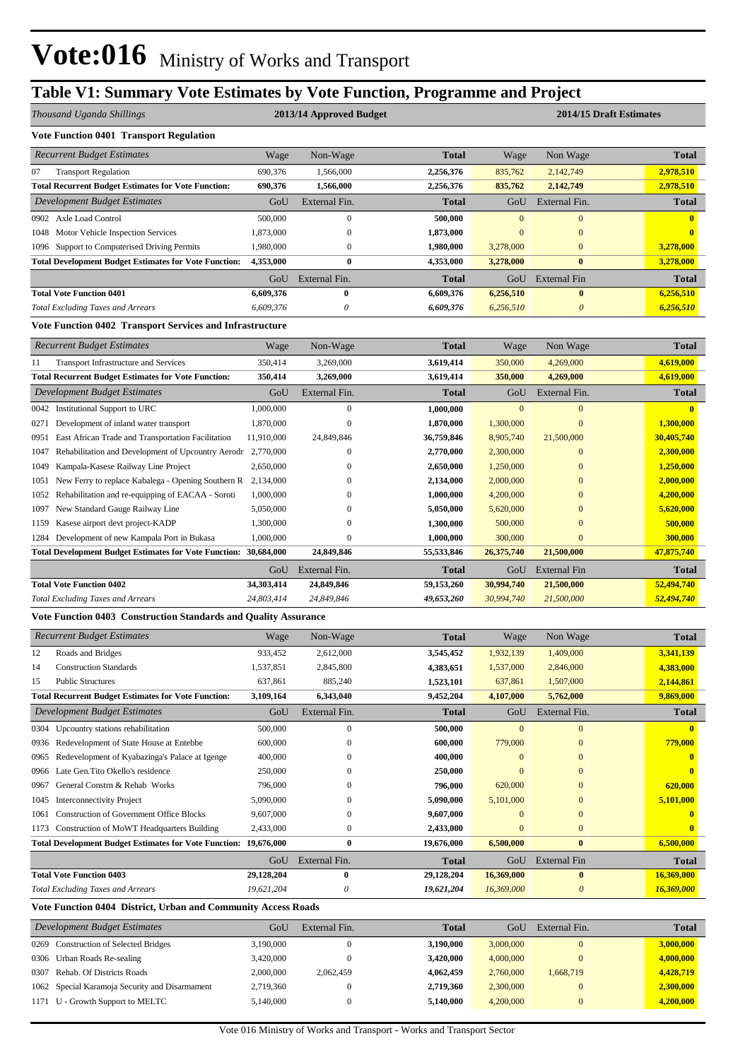# **Table V1: Summary Vote Estimates by Vote Function, Programme and Project**

| Thousand Uganda Shillings                                                                           |                          | 2013/14 Approved Budget              |                          | 2014/15 Draft Estimates       |                                   |                          |  |
|-----------------------------------------------------------------------------------------------------|--------------------------|--------------------------------------|--------------------------|-------------------------------|-----------------------------------|--------------------------|--|
| <b>Vote Function 0401 Transport Regulation</b>                                                      |                          |                                      |                          |                               |                                   |                          |  |
| <b>Recurrent Budget Estimates</b>                                                                   | Wage                     | Non-Wage                             | <b>Total</b>             | Wage                          | Non Wage                          | Total                    |  |
| 07<br><b>Transport Regulation</b>                                                                   | 690,376                  | 1,566,000                            | 2,256,376                | 835,762                       | 2,142,749                         | 2,978,510                |  |
| <b>Total Recurrent Budget Estimates for Vote Function:</b>                                          | 690,376                  | 1,566,000                            | 2,256,376                | 835,762                       | 2,142,749                         | 2,978,510                |  |
| Development Budget Estimates                                                                        | GoU                      | External Fin.                        | Total                    | GoU                           | External Fin.                     | <b>Total</b>             |  |
| 0902 Axle Load Control                                                                              | 500,000                  | $\mathbf{0}$                         | 500,000                  | $\mathbf{0}$                  | $\overline{0}$                    | $\mathbf{0}$             |  |
| Motor Vehicle Inspection Services<br>1048                                                           | 1,873,000                | $\boldsymbol{0}$                     | 1,873,000                | $\bf{0}$                      | $\mathbf{0}$                      | 0                        |  |
| 1096 Support to Computerised Driving Permits                                                        | 1,980,000                | $\boldsymbol{0}$                     | 1,980,000                | 3,278,000                     | $\mathbf{0}$                      | 3,278,000                |  |
| <b>Total Development Budget Estimates for Vote Function:</b>                                        | 4,353,000                | $\bf{0}$                             | 4,353,000                | 3,278,000                     | $\bf{0}$                          | 3,278,000                |  |
|                                                                                                     | GoU                      | External Fin.                        | Total                    | GoU                           | External Fin                      | <b>Total</b>             |  |
| <b>Total Vote Function 0401</b>                                                                     | 6,609,376                | $\bf{0}$                             | 6,609,376                | 6,256,510                     | $\bf{0}$                          | 6,256,510                |  |
| <b>Total Excluding Taxes and Arrears</b>                                                            | 6,609,376                | 0                                    | 6,609,376                | 6,256,510                     | 0                                 | 6,256,510                |  |
| Vote Function 0402 Transport Services and Infrastructure                                            |                          |                                      |                          |                               |                                   |                          |  |
| <b>Recurrent Budget Estimates</b>                                                                   | Wage                     | Non-Wage                             | Total                    | Wage                          | Non Wage                          | Total                    |  |
| 11<br><b>Transport Infrastructure and Services</b>                                                  | 350,414                  | 3,269,000                            | 3,619,414                | 350,000                       | 4,269,000                         | 4,619,000                |  |
| <b>Total Recurrent Budget Estimates for Vote Function:</b>                                          | 350,414                  | 3,269,000                            | 3,619,414                | 350,000                       | 4,269,000                         | 4,619,000                |  |
| Development Budget Estimates                                                                        | GoU                      | External Fin.                        | <b>Total</b>             | GoU                           | External Fin.                     | <b>Total</b>             |  |
| <b>Institutional Support to URC</b><br>0042                                                         | 1,000,000                | $\boldsymbol{0}$                     | 1,000,000                | $\mathbf{0}$                  | $\mathbf{0}$                      |                          |  |
| Development of inland water transport<br>0271                                                       | 1,870,000                | $\boldsymbol{0}$                     | 1,870,000                | 1,300,000                     | $\mathbf{0}$                      | 1,300,000                |  |
| 0951 East African Trade and Transportation Facilitation                                             | 11,910,000               | 24,849,846                           | 36,759,846               | 8,905,740                     | 21,500,000                        | 30,405,740               |  |
| Rehabilitation and Development of Upcountry Aerodr 2,770,000<br>1047                                |                          | 0                                    | 2,770,000                | 2,300,000                     | $\mathbf{0}$                      | 2,300,000                |  |
| Kampala-Kasese Railway Line Project<br>1049                                                         | 2,650,000                | 0                                    | 2,650,000                | 1,250,000                     | $\bf{0}$                          | 1,250,000                |  |
| 1051 New Ferry to replace Kabalega - Opening Southern R 2,134,000                                   |                          | $\mathbf{0}$                         | 2,134,000                | 2,000,000                     | $\Omega$                          | 2,000,000                |  |
| Rehabilitation and re-equipping of EACAA - Soroti<br>1052                                           | 1,000,000                | 0                                    | 1,000,000                | 4,200,000                     |                                   | 4,200,000                |  |
| New Standard Gauge Railway Line<br>1097                                                             | 5,050,000                | 0                                    | 5,050,000                | 5,620,000                     |                                   | 5,620,000                |  |
| Kasese airport devt project-KADP<br>1159                                                            | 1,300,000                | $\mathbf{0}$                         | 1,300,000                | 500,000                       | $\Omega$                          | 500,000                  |  |
| Development of new Kampala Port in Bukasa<br>1284                                                   | 1,000,000                | $\boldsymbol{0}$                     | 1,000,000                | 300,000                       | $\mathbf{0}$                      | 300,000                  |  |
| Total Development Budget Estimates for Vote Function: 30,684,000                                    |                          | 24,849,846                           | 55,533,846               | 26,375,740                    | 21,500,000                        | 47,875,740               |  |
|                                                                                                     | GoU                      | External Fin.                        | Total                    | GoU                           | External Fin                      | Total                    |  |
| <b>Total Vote Function 0402</b>                                                                     | 34,303,414               | 24,849,846                           | 59,153,260               | 30,994,740                    | 21,500,000                        | 52,494,740               |  |
| <b>Total Excluding Taxes and Arrears</b>                                                            | 24,803,414               | 24,849,846                           | 49,653,260               | 30,994,740                    | 21,500,000                        | 52,494,740               |  |
| <b>Vote Function 0403 Construction Standards and Quality Assurance</b>                              |                          |                                      |                          |                               |                                   |                          |  |
| <b>Recurrent Budget Estimates</b>                                                                   | Wage                     | Non-Wage                             | <b>Total</b>             | Wage                          | Non Wage                          | <b>Total</b>             |  |
| Roads and Bridges<br>12                                                                             | 933,452                  | 2,612,000                            | 3,545,452                | 1,932,139                     | 1,409,000                         | 3,341,139                |  |
| <b>Construction Standards</b><br>14                                                                 | 1,537,851                | 2,845,800                            | 4,383,651                | 1,537,000                     | 2,846,000                         | 4,383,000                |  |
| <b>Public Structures</b><br>15                                                                      | 637,861                  | 885,240                              | 1,523,101                | 637,861                       | 1,507,000                         | 2,144,861                |  |
| <b>Total Recurrent Budget Estimates for Vote Function:</b>                                          | 3,109,164                | 6,343,040                            | 9,452,204                | 4,107,000                     | 5,762,000                         | 9,869,000                |  |
| Development Budget Estimates                                                                        | GoU                      | External Fin.                        | <b>Total</b>             | GoU                           | External Fin.                     | <b>Total</b>             |  |
| Upcountry stations rehabilitation<br>0304                                                           | 500,000                  | $\mathbf{0}$                         | 500,000                  | $\boldsymbol{0}$              | $\bf{0}$                          | $\bf{0}$                 |  |
| Redevelopment of State House at Entebbe<br>0936                                                     | 600,000                  | $\boldsymbol{0}$                     | 600,000                  | 779,000                       | $\mathbf{0}$                      | 779,000                  |  |
| Redevelopment of Kyabazinga's Palace at Igenge<br>0965                                              | 400,000                  | 0                                    | 400,000                  | $\bf{0}$                      | $\Omega$                          |                          |  |
| Late Gen. Tito Okello's residence<br>0966                                                           | 250,000                  | 0                                    | 250,000                  | $\mathbf{0}$                  | $\overline{0}$                    |                          |  |
| General Constrn & Rehab Works<br>0967                                                               | 796,000                  | $\boldsymbol{0}$                     | 796,000                  | 620,000                       | $\mathbf{0}$                      | 620,000                  |  |
| <b>Interconnectivity Project</b><br>1045<br><b>Construction of Government Office Blocks</b><br>1061 | 5,090,000<br>9,607,000   | $\boldsymbol{0}$<br>$\boldsymbol{0}$ | 5,090,000<br>9,607,000   | 5,101,000<br>$\boldsymbol{0}$ | $\Omega$<br>$\mathbf{0}$          | 5,101,000                |  |
| Construction of MoWT Headquarters Building<br>1173                                                  | 2,433,000                | $\boldsymbol{0}$                     | 2,433,000                | $\boldsymbol{0}$              | $\mathbf{0}$                      | $\bf{0}$                 |  |
| <b>Total Development Budget Estimates for Vote Function: 19,676,000</b>                             |                          | $\bf{0}$                             | 19,676,000               | 6,500,000                     | $\bf{0}$                          | 6,500,000                |  |
|                                                                                                     |                          |                                      |                          |                               |                                   |                          |  |
|                                                                                                     | GoU                      | External Fin.                        | Total                    | GoU                           | External Fin                      | <b>Total</b>             |  |
| <b>Total Vote Function 0403</b><br><b>Total Excluding Taxes and Arrears</b>                         | 29,128,204<br>19,621,204 | $\bf{0}$<br>0                        | 29,128,204<br>19,621,204 | 16,369,000<br>16,369,000      | $\bf{0}$<br>$\boldsymbol{\theta}$ | 16,369,000<br>16,369,000 |  |
| Vote Function 0404 District, Urban and Community Access Roads                                       |                          |                                      |                          |                               |                                   |                          |  |
| Development Budget Estimates                                                                        | GoU                      | External Fin.                        | Total                    | GoU                           | External Fin.                     | <b>Total</b>             |  |
|                                                                                                     |                          | $\boldsymbol{0}$                     |                          |                               | $\mathbf{0}$                      |                          |  |
| <b>Construction of Selected Bridges</b><br>0269<br>0306 Urban Roads Re-sealing                      | 3,190,000<br>3,420,000   | $\boldsymbol{0}$                     | 3,190,000<br>3,420,000   | 3,000,000<br>4,000,000        | $\mathbf{0}$                      | 3,000,000<br>4,000,000   |  |
| Rehab. Of Districts Roads<br>0307                                                                   | 2,000,000                | 2,062,459                            | 4,062,459                | 2,760,000                     | 1,668,719                         | 4,428,719                |  |
| 1062 Special Karamoja Security and Disarmament                                                      | 2,719,360                | $\boldsymbol{0}$                     | 2,719,360                | 2,300,000                     | $\bf{0}$                          | 2,300,000                |  |

1171 U - Growth Support to MELTC 5,140,000 0 0 5,140,000 5,140,000 **4,200,000** 0 4,200,000 0 4,200,000 0 4,200,000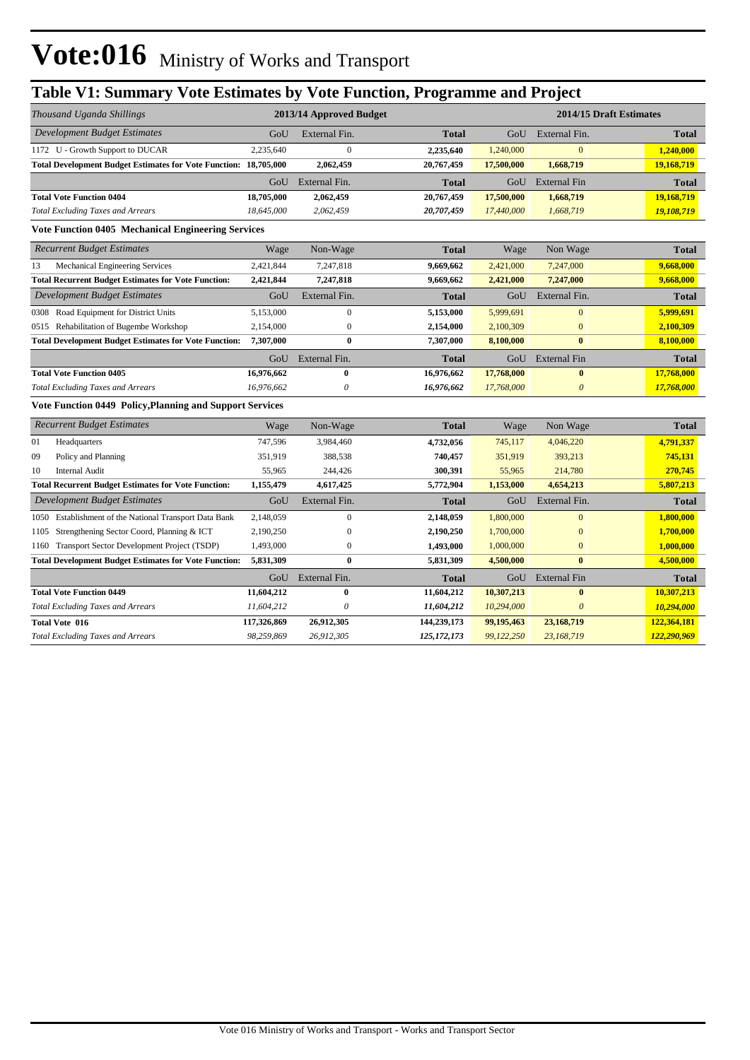# **Table V1: Summary Vote Estimates by Vote Function, Programme and Project**

| Thousand Uganda Shillings                                               |             | 2013/14 Approved Budget |              | 2014/15 Draft Estimates |                       |              |  |  |
|-------------------------------------------------------------------------|-------------|-------------------------|--------------|-------------------------|-----------------------|--------------|--|--|
| Development Budget Estimates                                            | GoU         | External Fin.           | <b>Total</b> | GoU                     | External Fin.         | <b>Total</b> |  |  |
| 1172 U - Growth Support to DUCAR                                        | 2,235,640   | $\mathbf{0}$            | 2,235,640    | 1,240,000               | $\mathbf{0}$          | 1,240,000    |  |  |
| <b>Total Development Budget Estimates for Vote Function: 18,705,000</b> |             | 2,062,459               | 20,767,459   | 17,500,000              | 1,668,719             | 19,168,719   |  |  |
|                                                                         | GoU         | External Fin.           | <b>Total</b> | GoU                     | <b>External Fin</b>   | <b>Total</b> |  |  |
| <b>Total Vote Function 0404</b>                                         | 18,705,000  | 2,062,459               | 20,767,459   | 17,500,000              | 1,668,719             | 19,168,719   |  |  |
| <b>Total Excluding Taxes and Arrears</b>                                | 18,645,000  | 2,062,459               | 20,707,459   | 17,440,000              | 1,668,719             | 19,108,719   |  |  |
| <b>Vote Function 0405 Mechanical Engineering Services</b>               |             |                         |              |                         |                       |              |  |  |
| <b>Recurrent Budget Estimates</b>                                       | Wage        | Non-Wage                | <b>Total</b> | Wage                    | Non Wage              | <b>Total</b> |  |  |
| 13<br>Mechanical Engineering Services                                   | 2,421,844   | 7,247,818               | 9,669,662    | 2,421,000               | 7,247,000             | 9,668,000    |  |  |
| <b>Total Recurrent Budget Estimates for Vote Function:</b>              | 2,421,844   | 7,247,818               | 9,669,662    | 2,421,000               | 7,247,000             | 9,668,000    |  |  |
| <b>Development Budget Estimates</b>                                     | GoU         | External Fin.           | <b>Total</b> | GoU                     | External Fin.         | <b>Total</b> |  |  |
| 0308 Road Equipment for District Units                                  | 5,153,000   | $\mathbf{0}$            | 5,153,000    | 5,999,691               | $\mathbf{0}$          | 5,999,691    |  |  |
| 0515 Rehabilitation of Bugembe Workshop                                 | 2,154,000   | $\mathbf{0}$            | 2,154,000    | 2,100,309               | $\bf{0}$              | 2,100,309    |  |  |
| <b>Total Development Budget Estimates for Vote Function:</b>            | 7,307,000   | $\bf{0}$                | 7,307,000    | 8,100,000               | $\bf{0}$              | 8,100,000    |  |  |
|                                                                         | GoU         | External Fin.           | <b>Total</b> | GoU                     | <b>External Fin</b>   | <b>Total</b> |  |  |
| <b>Total Vote Function 0405</b>                                         | 16,976,662  | $\bf{0}$                | 16,976,662   | 17,768,000              | $\bf{0}$              | 17,768,000   |  |  |
| <b>Total Excluding Taxes and Arrears</b>                                | 16,976,662  | 0                       | 16,976,662   | 17,768,000              | $\boldsymbol{\theta}$ | 17,768,000   |  |  |
| Vote Function 0449 Policy, Planning and Support Services                |             |                         |              |                         |                       |              |  |  |
| <b>Recurrent Budget Estimates</b>                                       | Wage        | Non-Wage                | <b>Total</b> | Wage                    | Non Wage              | <b>Total</b> |  |  |
| 01<br>Headquarters                                                      | 747,596     | 3,984,460               | 4,732,056    | 745,117                 | 4,046,220             | 4,791,337    |  |  |
| 09<br>Policy and Planning                                               | 351,919     | 388,538                 | 740,457      | 351,919                 | 393,213               | 745,131      |  |  |
| 10<br><b>Internal Audit</b>                                             | 55,965      | 244,426                 | 300,391      | 55,965                  | 214,780               | 270,745      |  |  |
| <b>Total Recurrent Budget Estimates for Vote Function:</b>              | 1,155,479   | 4,617,425               | 5,772,904    | 1,153,000               | 4,654,213             | 5,807,213    |  |  |
| Development Budget Estimates                                            | GoU         | External Fin.           | <b>Total</b> | GoU                     | External Fin.         | <b>Total</b> |  |  |
| 1050 Establishment of the National Transport Data Bank                  | 2,148,059   | $\boldsymbol{0}$        | 2,148,059    | 1,800,000               | $\mathbf{0}$          | 1,800,000    |  |  |
| Strengthening Sector Coord, Planning & ICT<br>1105                      | 2,190,250   | $\boldsymbol{0}$        | 2,190,250    | 1,700,000               | $\mathbf{0}$          | 1,700,000    |  |  |
| 1160 Transport Sector Development Project (TSDP)                        | 1,493,000   | $\boldsymbol{0}$        | 1,493,000    | 1,000,000               | $\bf{0}$              | 1,000,000    |  |  |
| <b>Total Development Budget Estimates for Vote Function:</b>            | 5,831,309   | $\mathbf{0}$            | 5,831,309    | 4,500,000               | $\mathbf{0}$          | 4,500,000    |  |  |
|                                                                         | GoU         | External Fin.           | <b>Total</b> | GoU                     | <b>External Fin</b>   | <b>Total</b> |  |  |
| <b>Total Vote Function 0449</b>                                         | 11,604,212  | $\bf{0}$                | 11,604,212   | 10,307,213              | $\bf{0}$              | 10,307,213   |  |  |
| <b>Total Excluding Taxes and Arrears</b>                                | 11,604,212  | $\theta$                | 11,604,212   | 10,294,000              | $\theta$              | 10,294,000   |  |  |
| Total Vote 016                                                          | 117,326,869 | 26,912,305              | 144,239,173  | 99,195,463              | 23,168,719            | 122,364,181  |  |  |
| <b>Total Excluding Taxes and Arrears</b>                                | 98,259,869  | 26,912,305              | 125,172,173  | 99,122,250              | 23,168,719            | 122,290,969  |  |  |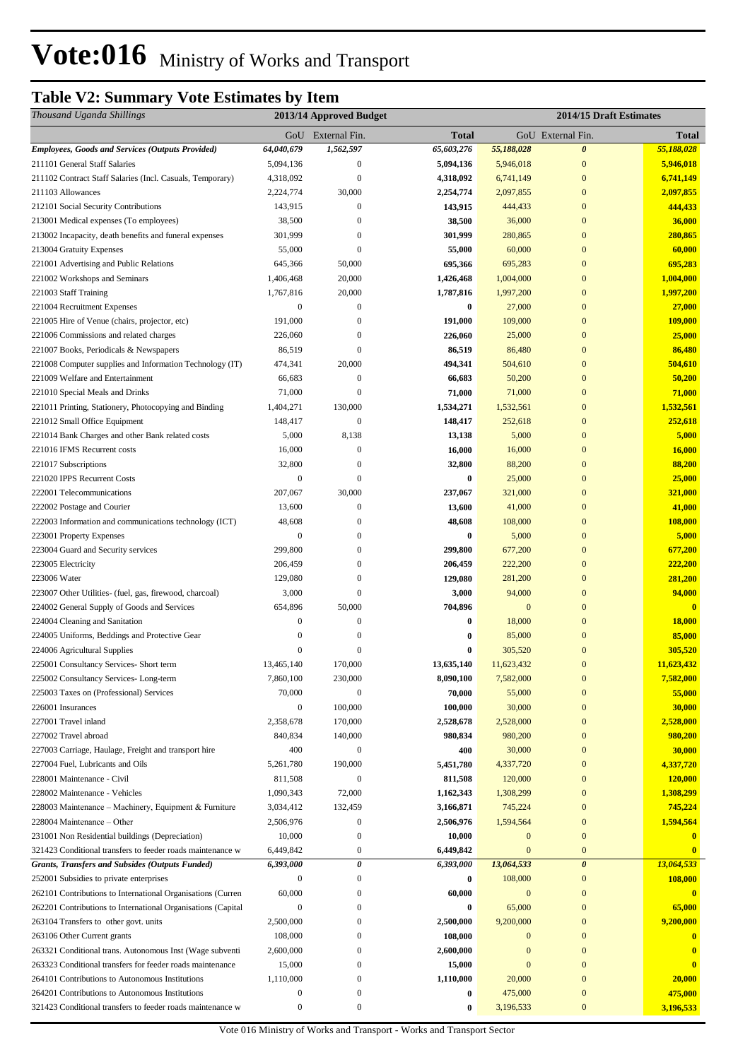# **Table V2: Summary Vote Estimates by Item**

| Thousand Uganda Shillings                                                        |                              | 2013/14 Approved Budget |                     | 2014/15 Draft Estimates |                                  |                       |  |
|----------------------------------------------------------------------------------|------------------------------|-------------------------|---------------------|-------------------------|----------------------------------|-----------------------|--|
|                                                                                  |                              | GoU External Fin.       | <b>Total</b>        |                         | GoU External Fin.                | Total                 |  |
| <b>Employees, Goods and Services (Outputs Provided)</b>                          | 64,040,679                   | 1,562,597               | 65,603,276          | 55,188,028              | $\boldsymbol{\theta}$            | 55,188,028            |  |
| 211101 General Staff Salaries                                                    | 5,094,136                    | $\boldsymbol{0}$        | 5,094,136           | 5,946,018               | $\mathbf{0}$                     | 5,946,018             |  |
| 211102 Contract Staff Salaries (Incl. Casuals, Temporary)                        | 4,318,092                    | $\mathbf{0}$            | 4,318,092           | 6,741,149               | $\mathbf{0}$                     | 6,741,149             |  |
| 211103 Allowances                                                                | 2,224,774                    | 30,000                  | 2,254,774           | 2,097,855               | $\mathbf{0}$                     | 2,097,855             |  |
| 212101 Social Security Contributions                                             | 143,915                      | $\boldsymbol{0}$        | 143,915             | 444,433                 | $\mathbf{0}$                     | 444,433               |  |
| 213001 Medical expenses (To employees)                                           | 38,500                       | $\boldsymbol{0}$        | 38,500              | 36,000                  | $\mathbf{0}$                     | 36,000                |  |
| 213002 Incapacity, death benefits and funeral expenses                           | 301,999                      | $\boldsymbol{0}$        | 301,999             | 280,865                 | $\mathbf{0}$                     | 280,865               |  |
| 213004 Gratuity Expenses                                                         | 55,000                       | $\Omega$                | 55,000              | 60,000                  | $\mathbf{0}$                     | 60,000                |  |
| 221001 Advertising and Public Relations                                          | 645,366                      | 50,000                  | 695,366             | 695,283                 | $\mathbf{0}$                     | 695,283               |  |
| 221002 Workshops and Seminars                                                    | 1,406,468                    | 20,000                  | 1,426,468           | 1,004,000               | $\overline{0}$                   | 1,004,000             |  |
| 221003 Staff Training                                                            | 1,767,816                    | 20,000                  | 1,787,816           | 1,997,200               | $\overline{0}$                   | 1,997,200             |  |
| 221004 Recruitment Expenses                                                      | $\boldsymbol{0}$             | $\mathbf{0}$            | 0                   | 27,000                  | $\mathbf{0}$                     | 27,000                |  |
| 221005 Hire of Venue (chairs, projector, etc)                                    | 191,000                      | $\Omega$                | 191,000             | 109,000                 | $\overline{0}$                   | 109,000               |  |
| 221006 Commissions and related charges                                           | 226,060                      | $\boldsymbol{0}$        | 226,060             | 25,000                  | $\mathbf{0}$                     | 25,000                |  |
| 221007 Books, Periodicals & Newspapers                                           | 86,519                       | $\boldsymbol{0}$        | 86,519              | 86,480                  | $\mathbf{0}$                     | 86,480                |  |
| 221008 Computer supplies and Information Technology (IT)                         | 474,341                      | 20,000                  | 494,341             | 504,610                 | $\mathbf{0}$                     | 504,610               |  |
| 221009 Welfare and Entertainment                                                 | 66,683                       | $\mathbf{0}$            | 66,683              | 50,200                  | $\overline{0}$                   | 50,200                |  |
| 221010 Special Meals and Drinks                                                  | 71,000                       | $\Omega$                | 71,000              | 71,000                  | $\mathbf{0}$                     | 71,000                |  |
| 221011 Printing, Stationery, Photocopying and Binding                            | 1,404,271                    | 130,000                 | 1,534,271           | 1,532,561               | $\mathbf{0}$                     | 1,532,561             |  |
| 221012 Small Office Equipment                                                    | 148,417                      | $\overline{0}$          | 148,417             | 252,618                 | $\mathbf{0}$                     | 252,618               |  |
| 221014 Bank Charges and other Bank related costs                                 | 5,000                        | 8,138                   | 13,138              | 5,000                   | $\mathbf{0}$                     | 5,000                 |  |
| 221016 IFMS Recurrent costs                                                      | 16,000                       | $\boldsymbol{0}$        | 16,000              | 16,000                  | $\overline{0}$                   | 16,000                |  |
| 221017 Subscriptions                                                             | 32,800                       | $\mathbf{0}$            | 32,800              | 88,200                  | $\mathbf{0}$                     | 88,200                |  |
| 221020 IPPS Recurrent Costs                                                      | $\boldsymbol{0}$             | $\mathbf{0}$            | 0                   | 25,000                  | $\mathbf{0}$                     | 25,000                |  |
| 222001 Telecommunications                                                        | 207,067                      | 30,000                  | 237,067             | 321,000                 | $\mathbf{0}$                     | <b>321,000</b>        |  |
| 222002 Postage and Courier                                                       | 13,600                       | $\mathbf{0}$            | 13,600              | 41,000                  | $\overline{0}$                   | 41,000                |  |
| 222003 Information and communications technology (ICT)                           | 48,608                       | $\Omega$                | 48,608              | 108,000                 | $\mathbf{0}$                     | 108,000               |  |
| 223001 Property Expenses                                                         | $\mathbf{0}$                 | $\mathbf{0}$            | 0                   | 5,000                   | $\mathbf{0}$                     | 5,000                 |  |
| 223004 Guard and Security services                                               | 299,800                      | $\mathbf{0}$            | 299,800             | 677,200                 | $\mathbf{0}$                     | 677,200               |  |
| 223005 Electricity                                                               | 206,459                      | $\boldsymbol{0}$        | 206,459             | 222,200                 | $\overline{0}$                   | 222,200               |  |
| 223006 Water                                                                     | 129,080                      | $\overline{0}$          | 129,080             | 281,200                 | $\overline{0}$                   | 281,200               |  |
| 223007 Other Utilities- (fuel, gas, firewood, charcoal)                          | 3,000                        | $\overline{0}$          | 3,000               | 94,000                  | $\mathbf{0}$                     | 94,000                |  |
| 224002 General Supply of Goods and Services                                      | 654,896                      | 50,000                  | 704,896             | $\mathbf{0}$            | $\mathbf{0}$                     | $\bf{0}$              |  |
| 224004 Cleaning and Sanitation                                                   | $\boldsymbol{0}$             | $\mathbf{0}$            | 0                   | 18,000                  | $\overline{0}$                   | 18,000                |  |
| 224005 Uniforms, Beddings and Protective Gear                                    | 0                            | $\mathbf{0}$            | 0                   | 85,000                  | $\mathbf{0}$                     | 85,000                |  |
| 224006 Agricultural Supplies                                                     | $\overline{0}$<br>13,465,140 | $\Omega$<br>170,000     | 0<br>13,635,140     | 305,520                 | $\overline{0}$<br>$\overline{0}$ | 305,520<br>11,623,432 |  |
| 225001 Consultancy Services- Short term                                          | 7,860,100                    |                         |                     | 11,623,432              | $\boldsymbol{0}$                 |                       |  |
| 225002 Consultancy Services-Long-term<br>225003 Taxes on (Professional) Services | 70,000                       | 230,000<br>$\Omega$     | 8,090,100<br>70,000 | 7,582,000<br>55,000     | $\overline{0}$                   | 7,582,000<br>55,000   |  |
| 226001 Insurances                                                                | $\boldsymbol{0}$             | 100,000                 | 100,000             | 30,000                  | $\Omega$                         | 30,000                |  |
| 227001 Travel inland                                                             | 2,358,678                    | 170,000                 | 2,528,678           | 2,528,000               | $\overline{0}$                   | 2,528,000             |  |
| 227002 Travel abroad                                                             | 840,834                      | 140,000                 | 980,834             | 980,200                 | $\mathbf{0}$                     | 980,200               |  |
| 227003 Carriage, Haulage, Freight and transport hire                             | 400                          | $\mathbf{0}$            | 400                 | 30,000                  | $\overline{0}$                   | 30,000                |  |
| 227004 Fuel, Lubricants and Oils                                                 | 5,261,780                    | 190,000                 | 5,451,780           | 4,337,720               | $\overline{0}$                   | 4,337,720             |  |
| 228001 Maintenance - Civil                                                       | 811,508                      | $\boldsymbol{0}$        | 811,508             | 120,000                 | $\overline{0}$                   | 120,000               |  |
| 228002 Maintenance - Vehicles                                                    | 1,090,343                    | 72,000                  | 1,162,343           | 1,308,299               | $\overline{0}$                   | 1,308,299             |  |
| 228003 Maintenance – Machinery, Equipment & Furniture                            | 3,034,412                    | 132,459                 | 3,166,871           | 745,224                 | $\overline{0}$                   | 745,224               |  |
| 228004 Maintenance – Other                                                       | 2,506,976                    | $\mathbf{0}$            | 2,506,976           | 1,594,564               | $\mathbf{0}$                     | 1,594,564             |  |
| 231001 Non Residential buildings (Depreciation)                                  | 10,000                       | $\mathbf{0}$            | 10,000              | $\mathbf{0}$            | $\mathbf{0}$                     | $\bf{0}$              |  |
| 321423 Conditional transfers to feeder roads maintenance w                       | 6,449,842                    | $\boldsymbol{0}$        | 6,449,842           | $\mathbf{0}$            | $\mathbf{0}$                     | $\mathbf{0}$          |  |
| <b>Grants, Transfers and Subsides (Outputs Funded)</b>                           | 6,393,000                    | $\boldsymbol{\theta}$   | 6,393,000           | 13,064,533              | $\boldsymbol{\theta}$            | 13,064,533            |  |
| 252001 Subsidies to private enterprises                                          | $\boldsymbol{0}$             | $\boldsymbol{0}$        | 0                   | 108,000                 | $\mathbf{0}$                     | 108,000               |  |
| 262101 Contributions to International Organisations (Curren                      | 60,000                       | 0                       | 60,000              | $\boldsymbol{0}$        | $\overline{0}$                   |                       |  |
| 262201 Contributions to International Organisations (Capital                     | $\mathbf{0}$                 | $\mathbf{0}$            | 0                   | 65,000                  | $\overline{0}$                   | 65,000                |  |
| 263104 Transfers to other govt. units                                            | 2,500,000                    | $\Omega$                | 2,500,000           | 9,200,000               | $\overline{0}$                   | 9,200,000             |  |
| 263106 Other Current grants                                                      | 108,000                      | $\Omega$                | 108,000             | $\mathbf{0}$            | $\overline{0}$                   |                       |  |
| 263321 Conditional trans. Autonomous Inst (Wage subventi                         | 2,600,000                    | $\Omega$                | 2,600,000           | $\mathbf{0}$            | $\Omega$                         |                       |  |
| 263323 Conditional transfers for feeder roads maintenance                        | 15,000                       | $\mathbf{0}$            | 15,000              | $\overline{0}$          | $\overline{0}$                   |                       |  |
| 264101 Contributions to Autonomous Institutions                                  | 1,110,000                    | $\mathbf{0}$            | 1,110,000           | 20,000                  | $\mathbf{0}$                     | 20,000                |  |
| 264201 Contributions to Autonomous Institutions                                  | $\boldsymbol{0}$             | $\Omega$                | 0                   | 475,000                 | $\mathbf{0}$                     | 475,000               |  |
| 321423 Conditional transfers to feeder roads maintenance w                       | $\boldsymbol{0}$             | $\boldsymbol{0}$        | 0                   | 3,196,533               | $\bf{0}$                         | 3,196,533             |  |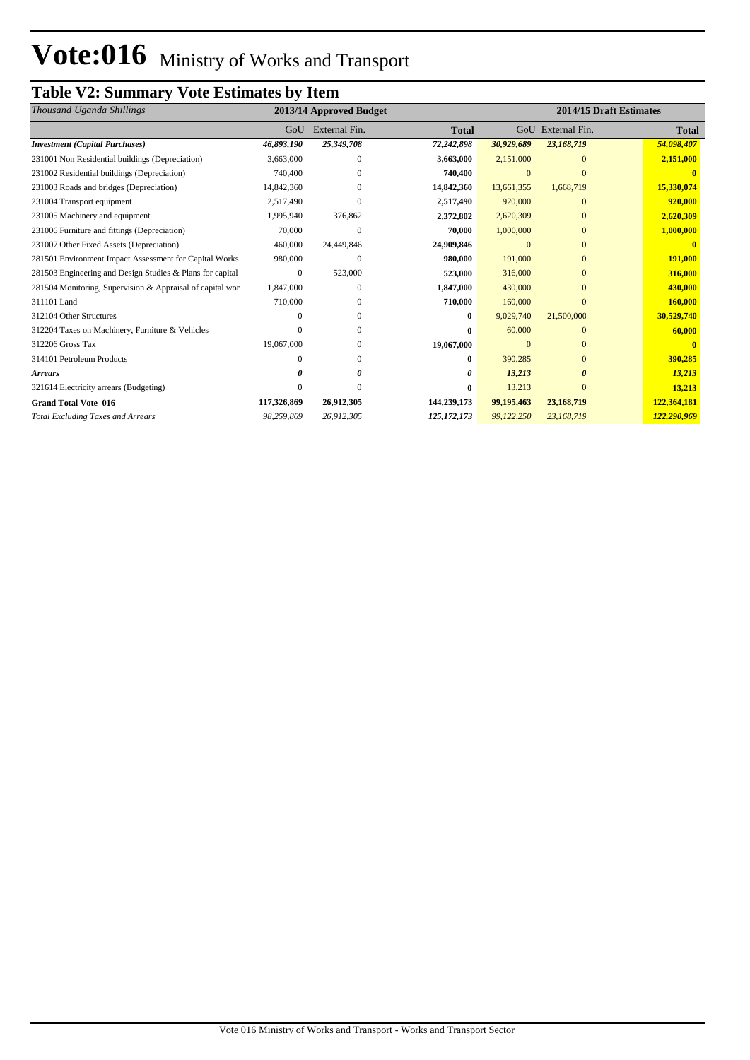# **Table V2: Summary Vote Estimates by Item**

| Thousand Uganda Shillings                                 | 2013/14 Approved Budget |               |               |              |                       | 2014/15 Draft Estimates |  |  |  |
|-----------------------------------------------------------|-------------------------|---------------|---------------|--------------|-----------------------|-------------------------|--|--|--|
|                                                           | GoU                     | External Fin. | <b>Total</b>  |              | GoU External Fin.     | <b>Total</b>            |  |  |  |
| <b>Investment</b> (Capital Purchases)                     | 46,893,190              | 25,349,708    | 72,242,898    | 30,929,689   | 23,168,719            | 54,098,407              |  |  |  |
| 231001 Non Residential buildings (Depreciation)           | 3,663,000               | 0             | 3,663,000     | 2,151,000    | $\theta$              | 2,151,000               |  |  |  |
| 231002 Residential buildings (Depreciation)               | 740,400                 | 0             | 740,400       | $\mathbf{0}$ | $\Omega$              |                         |  |  |  |
| 231003 Roads and bridges (Depreciation)                   | 14,842,360              | $\Omega$      | 14,842,360    | 13,661,355   | 1,668,719             | 15,330,074              |  |  |  |
| 231004 Transport equipment                                | 2,517,490               | $\Omega$      | 2,517,490     | 920,000      | $\Omega$              | 920,000                 |  |  |  |
| 231005 Machinery and equipment                            | 1,995,940               | 376,862       | 2,372,802     | 2,620,309    | $\Omega$              | 2,620,309               |  |  |  |
| 231006 Furniture and fittings (Depreciation)              | 70,000                  | $\Omega$      | 70,000        | 1,000,000    | $\Omega$              | 1,000,000               |  |  |  |
| 231007 Other Fixed Assets (Depreciation)                  | 460,000                 | 24,449,846    | 24,909,846    | $\Omega$     | $\Omega$              |                         |  |  |  |
| 281501 Environment Impact Assessment for Capital Works    | 980,000                 | $\Omega$      | 980,000       | 191,000      | $\Omega$              | 191,000                 |  |  |  |
| 281503 Engineering and Design Studies & Plans for capital | 0                       | 523,000       | 523,000       | 316,000      | $\Omega$              | 316,000                 |  |  |  |
| 281504 Monitoring, Supervision & Appraisal of capital wor | 1,847,000               | $\Omega$      | 1,847,000     | 430,000      | $\Omega$              | 430,000                 |  |  |  |
| 311101 Land                                               | 710,000                 | 0             | 710,000       | 160,000      | $\Omega$              | 160,000                 |  |  |  |
| 312104 Other Structures                                   |                         | 0             | $\mathbf{0}$  | 9,029,740    | 21,500,000            | 30,529,740              |  |  |  |
| 312204 Taxes on Machinery, Furniture & Vehicles           | 0                       | $\Omega$      | 0             | 60,000       | $\Omega$              | 60,000                  |  |  |  |
| 312206 Gross Tax                                          | 19,067,000              | 0             | 19,067,000    | $\Omega$     | $\Omega$              |                         |  |  |  |
| 314101 Petroleum Products                                 | 0                       | $\mathbf{0}$  | $\bf{0}$      | 390,285      | $\mathbf{0}$          | 390,285                 |  |  |  |
| <b>Arrears</b>                                            | 0                       | $\theta$      | 0             | 13,213       | $\boldsymbol{\theta}$ | 13,213                  |  |  |  |
| 321614 Electricity arrears (Budgeting)                    | 0                       | $\Omega$      | 0             | 13,213       | $\mathbf{0}$          | 13,213                  |  |  |  |
| <b>Grand Total Vote 016</b>                               | 117,326,869             | 26,912,305    | 144,239,173   | 99,195,463   | 23,168,719            | 122,364,181             |  |  |  |
| <b>Total Excluding Taxes and Arrears</b>                  | 98,259,869              | 26,912,305    | 125, 172, 173 | 99,122,250   | 23,168,719            | 122,290,969             |  |  |  |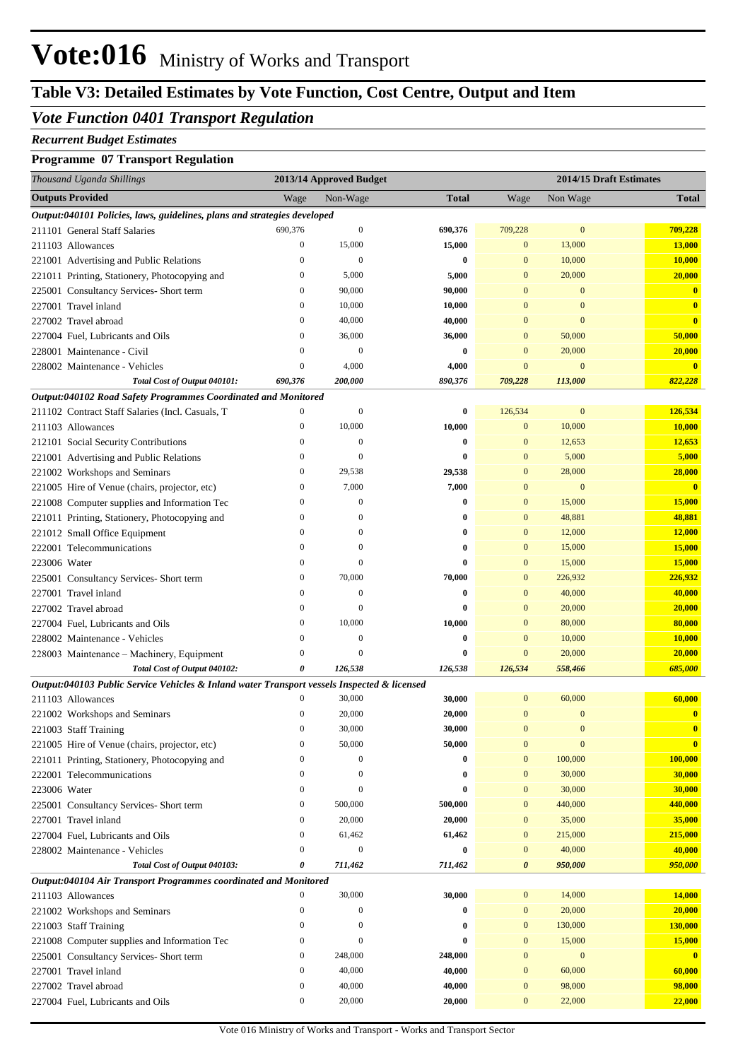# **Table V3: Detailed Estimates by Vote Function, Cost Centre, Output and Item**

### *Vote Function 0401 Transport Regulation*

#### *Recurrent Budget Estimates*

#### **Programme 07 Transport Regulation**

| Thousand Uganda Shillings                                                                   |                                      | 2013/14 Approved Budget      |                      | 2014/15 Draft Estimates |                        |                                   |  |
|---------------------------------------------------------------------------------------------|--------------------------------------|------------------------------|----------------------|-------------------------|------------------------|-----------------------------------|--|
| <b>Outputs Provided</b>                                                                     | Wage                                 | Non-Wage                     | <b>Total</b>         | Wage                    | Non Wage               | <b>Total</b>                      |  |
| Output:040101 Policies, laws, guidelines, plans and strategies developed                    |                                      |                              |                      |                         |                        |                                   |  |
| 211101 General Staff Salaries                                                               | 690,376                              | $\mathbf{0}$                 | 690,376              | 709,228                 | $\mathbf{0}$           | 709,228                           |  |
| 211103 Allowances                                                                           | $\boldsymbol{0}$                     | 15,000                       | 15,000               | $\bf{0}$                | 13,000                 | 13,000                            |  |
| 221001 Advertising and Public Relations                                                     | $\boldsymbol{0}$                     | $\mathbf{0}$                 | $\bf{0}$             | $\bf{0}$                | 10,000                 | 10,000                            |  |
| 221011 Printing, Stationery, Photocopying and                                               | $\boldsymbol{0}$                     | 5,000                        | 5,000                | $\bf{0}$                | 20,000                 | 20,000                            |  |
| 225001 Consultancy Services- Short term                                                     | $\boldsymbol{0}$                     | 90,000                       | 90,000               | 0                       | $\mathbf{0}$           | $\bf{0}$                          |  |
| 227001 Travel inland                                                                        | $\boldsymbol{0}$                     | 10,000                       | 10,000               | 0                       | $\mathbf{0}$           | $\bf{0}$                          |  |
| 227002 Travel abroad                                                                        | $\boldsymbol{0}$                     | 40,000                       | 40,000               | 0                       | $\mathbf{0}$           | $\overline{\mathbf{0}}$           |  |
| 227004 Fuel, Lubricants and Oils                                                            | $\boldsymbol{0}$                     | 36,000                       | 36,000               | $\bf{0}$                | 50,000                 | 50,000                            |  |
| 228001 Maintenance - Civil                                                                  | $\boldsymbol{0}$                     | $\mathbf{0}$                 | $\bf{0}$             | $\bf{0}$                | 20,000                 | 20,000                            |  |
| 228002 Maintenance - Vehicles                                                               | $\boldsymbol{0}$                     | 4,000                        | 4,000                | $\bf{0}$                | $\mathbf{0}$           | $\bf{0}$                          |  |
| Total Cost of Output 040101:                                                                | 690,376                              | 200,000                      | 890,376              | 709,228                 | 113,000                | 822,228                           |  |
| Output:040102 Road Safety Programmes Coordinated and Monitored                              | $\boldsymbol{0}$                     | $\mathbf{0}$                 |                      |                         | $\mathbf{0}$           |                                   |  |
| 211102 Contract Staff Salaries (Incl. Casuals, T                                            |                                      |                              | $\bf{0}$             | 126,534<br>$\mathbf{0}$ |                        | 126,534                           |  |
| 211103 Allowances                                                                           | $\bf{0}$                             | 10,000                       | 10,000               |                         | 10,000                 | 10,000                            |  |
| 212101 Social Security Contributions                                                        | $\boldsymbol{0}$<br>$\boldsymbol{0}$ | $\mathbf{0}$<br>$\mathbf{0}$ | $\bf{0}$<br>$\bf{0}$ | $\bf{0}$<br>$\bf{0}$    | 12,653<br>5,000        | 12,653<br>5,000                   |  |
| 221001 Advertising and Public Relations                                                     | $\boldsymbol{0}$                     |                              |                      | $\bf{0}$                |                        |                                   |  |
| 221002 Workshops and Seminars                                                               | $\boldsymbol{0}$                     | 29,538<br>7,000              | 29,538               | $\mathbf{0}$            | 28,000<br>$\mathbf{0}$ | 28,000<br>$\overline{\mathbf{0}}$ |  |
| 221005 Hire of Venue (chairs, projector, etc)                                               | $\boldsymbol{0}$                     | $\boldsymbol{0}$             | 7,000                | $\bf{0}$                |                        |                                   |  |
| 221008 Computer supplies and Information Tec                                                | $\boldsymbol{0}$                     | $\boldsymbol{0}$             | $\bf{0}$<br>$\bf{0}$ | $\mathbf{0}$            | 15,000<br>48,881       | 15,000<br>48,881                  |  |
| 221011 Printing, Stationery, Photocopying and                                               | $\mathbf{0}$                         | $\boldsymbol{0}$             | $\bf{0}$             | $\mathbf{0}$            | 12,000                 | 12,000                            |  |
| 221012 Small Office Equipment<br>222001 Telecommunications                                  | $\boldsymbol{0}$                     | $\boldsymbol{0}$             | $\bf{0}$             | $\mathbf{0}$            | 15,000                 | 15,000                            |  |
| 223006 Water                                                                                | $\boldsymbol{0}$                     | $\mathbf{0}$                 | $\mathbf{0}$         | $\mathbf{0}$            | 15,000                 | 15,000                            |  |
| 225001 Consultancy Services- Short term                                                     | $\boldsymbol{0}$                     | 70,000                       | 70,000               | $\mathbf{0}$            | 226,932                | 226,932                           |  |
| 227001 Travel inland                                                                        | $\mathbf{0}$                         | $\boldsymbol{0}$             | $\bf{0}$             | $\mathbf{0}$            | 40,000                 | 40,000                            |  |
| 227002 Travel abroad                                                                        | $\mathbf{0}$                         | $\mathbf{0}$                 | $\bf{0}$             | $\mathbf{0}$            | 20,000                 | 20,000                            |  |
| 227004 Fuel, Lubricants and Oils                                                            | $\boldsymbol{0}$                     | 10,000                       | 10,000               | $\mathbf{0}$            | 80,000                 | 80,000                            |  |
| 228002 Maintenance - Vehicles                                                               | $\boldsymbol{0}$                     | $\mathbf{0}$                 | $\bf{0}$             | $\mathbf{0}$            | 10,000                 | 10,000                            |  |
| 228003 Maintenance – Machinery, Equipment                                                   | $\boldsymbol{0}$                     | $\boldsymbol{0}$             | 0                    | $\bf{0}$                | 20,000                 | 20,000                            |  |
| Total Cost of Output 040102:                                                                | 0                                    | 126,538                      | 126,538              | 126,534                 | 558,466                | 685,000                           |  |
| Output:040103 Public Service Vehicles & Inland water Transport vessels Inspected & licensed |                                      |                              |                      |                         |                        |                                   |  |
| 211103 Allowances                                                                           | $\boldsymbol{0}$                     | 30,000                       | 30,000               | $\boldsymbol{0}$        | 60,000                 | 60,000                            |  |
| 221002 Workshops and Seminars                                                               | $\boldsymbol{0}$                     | 20,000                       | 20,000               | 0                       | $\bf{0}$               | $\bf{0}$                          |  |
| 221003 Staff Training                                                                       | $\mathbf{0}$                         | 30,000                       | 30,000               | $\overline{0}$          | $\overline{0}$         | $\overline{\mathbf{0}}$           |  |
| 221005 Hire of Venue (chairs, projector, etc)                                               | $\boldsymbol{0}$                     | 50,000                       | 50,000               | $\mathbf{0}$            | $\mathbf{0}$           | $\bf{0}$                          |  |
| 221011 Printing, Stationery, Photocopying and                                               | $\mathbf{0}$                         | $\mathbf{0}$                 | 0                    | $\bf{0}$                | 100,000                | 100,000                           |  |
| 222001 Telecommunications                                                                   | $\boldsymbol{0}$                     | $\mathbf{0}$                 | 0                    | $\boldsymbol{0}$        | 30,000                 | 30,000                            |  |
| 223006 Water                                                                                | $\bf{0}$                             | $\boldsymbol{0}$             | $\bf{0}$             | $\boldsymbol{0}$        | 30,000                 | 30,000                            |  |
| 225001 Consultancy Services- Short term                                                     | $\bf{0}$                             | 500,000                      | 500,000              | $\bf{0}$                | 440,000                | 440,000                           |  |
| 227001 Travel inland                                                                        | $\bf{0}$                             | 20,000                       | 20,000               | $\bf{0}$                | 35,000                 | 35,000                            |  |
| 227004 Fuel, Lubricants and Oils                                                            | $\bf{0}$                             | 61,462                       | 61,462               | $\boldsymbol{0}$        | 215,000                | 215,000                           |  |
| 228002 Maintenance - Vehicles                                                               | $\boldsymbol{0}$                     | $\mathbf{0}$                 | $\bf{0}$             | $\bf{0}$                | 40,000                 | 40,000                            |  |
| Total Cost of Output 040103:                                                                | 0                                    | 711,462                      | 711,462              | 0                       | 950,000                | 950,000                           |  |
| Output:040104 Air Transport Programmes coordinated and Monitored                            |                                      |                              |                      |                         |                        |                                   |  |
| 211103 Allowances                                                                           | $\boldsymbol{0}$                     | 30,000                       | 30,000               | $\boldsymbol{0}$        | 14,000                 | 14,000                            |  |
| 221002 Workshops and Seminars                                                               | $\bf{0}$                             | $\mathbf{0}$                 | $\bf{0}$             | $\boldsymbol{0}$        | 20,000                 | 20,000                            |  |
| 221003 Staff Training                                                                       | $\boldsymbol{0}$                     | $\mathbf{0}$                 | $\bf{0}$             | $\boldsymbol{0}$        | 130,000                | 130,000                           |  |
| 221008 Computer supplies and Information Tec                                                | $\bf{0}$                             | $\mathbf{0}$                 | $\bf{0}$             | $\boldsymbol{0}$        | 15,000                 | 15,000                            |  |
| 225001 Consultancy Services- Short term                                                     | $\bf{0}$                             | 248,000                      | 248,000              | $\boldsymbol{0}$        | $\boldsymbol{0}$       | $\mathbf{0}$                      |  |
| 227001 Travel inland                                                                        | $\bf{0}$                             | 40,000                       | 40,000               | $\boldsymbol{0}$        | 60,000                 | 60,000                            |  |
| 227002 Travel abroad                                                                        | $\bf{0}$                             | 40,000                       | 40,000               | $\boldsymbol{0}$        | 98,000                 | 98,000                            |  |
| 227004 Fuel, Lubricants and Oils                                                            | $\boldsymbol{0}$                     | 20,000                       | 20,000               | $\bf{0}$                | 22,000                 | 22,000                            |  |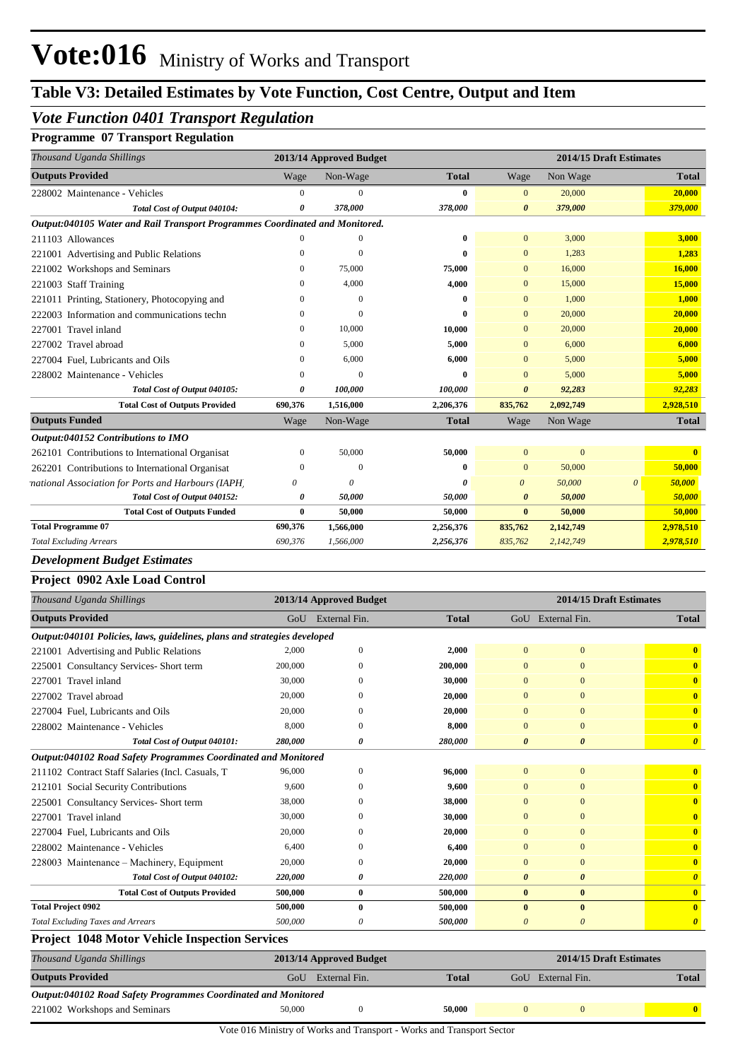## *Vote Function 0401 Transport Regulation*

#### **Programme 07 Transport Regulation**

| Thousand Uganda Shillings                                                    |              | 2013/14 Approved Budget |              |                       |           | 2014/15 Draft Estimates |              |  |
|------------------------------------------------------------------------------|--------------|-------------------------|--------------|-----------------------|-----------|-------------------------|--------------|--|
| <b>Outputs Provided</b>                                                      | Wage         | Non-Wage                | <b>Total</b> | Wage                  | Non Wage  |                         | <b>Total</b> |  |
| 228002 Maintenance - Vehicles                                                | $\Omega$     | $\Omega$                | $\bf{0}$     | $\mathbf{0}$          | 20,000    |                         | 20,000       |  |
| Total Cost of Output 040104:                                                 | $\theta$     | 378,000                 | 378,000      | $\theta$              | 379,000   |                         | 379,000      |  |
| Output:040105 Water and Rail Transport Programmes Coordinated and Monitored. |              |                         |              |                       |           |                         |              |  |
| 211103 Allowances                                                            |              |                         | $\mathbf{0}$ | $\mathbf{0}$          | 3,000     |                         | 3,000        |  |
| 221001 Advertising and Public Relations                                      |              | $\Omega$                | 0            | $\mathbf{0}$          | 1,283     |                         | 1,283        |  |
| 221002 Workshops and Seminars                                                | $\Omega$     | 75,000                  | 75,000       | $\mathbf{0}$          | 16,000    |                         | 16,000       |  |
| 221003 Staff Training                                                        |              | 4.000                   | 4,000        | $\overline{0}$        | 15,000    |                         | 15,000       |  |
| 221011 Printing, Stationery, Photocopying and                                |              | $\Omega$                | $\theta$     | $\mathbf{0}$          | 1,000     |                         | 1,000        |  |
| 222003 Information and communications techn                                  | $\theta$     | $\Omega$                |              | $\mathbf{0}$          | 20,000    |                         | 20,000       |  |
| 227001 Travel inland                                                         | $\Omega$     | 10,000                  | 10,000       | $\mathbf{0}$          | 20,000    |                         | 20,000       |  |
| 227002 Travel abroad                                                         |              | 5,000                   | 5,000        | $\mathbf{0}$          | 6,000     |                         | 6,000        |  |
| 227004 Fuel, Lubricants and Oils                                             |              | 6,000                   | 6,000        | $\overline{0}$        | 5,000     |                         | 5,000        |  |
| 228002 Maintenance - Vehicles                                                |              | $\Omega$                |              | $\overline{0}$        | 5,000     |                         | 5,000        |  |
| Total Cost of Output 040105:                                                 |              | 100,000                 | 100,000      | $\theta$              | 92,283    |                         | 92,283       |  |
| <b>Total Cost of Outputs Provided</b>                                        | 690,376      | 1,516,000               | 2,206,376    | 835,762               | 2,092,749 |                         | 2,928,510    |  |
| <b>Outputs Funded</b>                                                        | Wage         | Non-Wage                | <b>Total</b> | Wage                  | Non Wage  |                         | <b>Total</b> |  |
| Output:040152 Contributions to IMO                                           |              |                         |              |                       |           |                         |              |  |
| 262101 Contributions to International Organisat                              | $\Omega$     | 50,000                  | 50,000       | $\overline{0}$        | $\Omega$  |                         |              |  |
| 262201 Contributions to International Organisat                              | $\Omega$     |                         | $\mathbf{0}$ | $\overline{0}$        | 50,000    |                         | 50,000       |  |
| national Association for Ports and Harbours (IAPH)                           | $\theta$     | $\theta$                |              | $\theta$              | 50,000    | $\theta$                | 50,000       |  |
| Total Cost of Output 040152:                                                 | $\theta$     | 50,000                  | 50,000       | $\boldsymbol{\theta}$ | 50,000    |                         | 50,000       |  |
| <b>Total Cost of Outputs Funded</b>                                          | $\mathbf{0}$ | 50,000                  | 50,000       | $\mathbf{0}$          | 50,000    |                         | 50,000       |  |
| <b>Total Programme 07</b>                                                    | 690,376      | 1,566,000               | 2,256,376    | 835,762               | 2,142,749 |                         | 2,978,510    |  |
|                                                                              |              |                         |              |                       |           |                         |              |  |

#### *Development Budget Estimates*

#### **Project 0902 Axle Load Control**

| Thousand Uganda Shillings                                                |         | 2013/14 Approved Budget |              |                       | 2014/15 Draft Estimates |                         |
|--------------------------------------------------------------------------|---------|-------------------------|--------------|-----------------------|-------------------------|-------------------------|
| <b>Outputs Provided</b>                                                  | GoU     | External Fin.           | <b>Total</b> |                       | GoU External Fin.       | <b>Total</b>            |
| Output:040101 Policies, laws, guidelines, plans and strategies developed |         |                         |              |                       |                         |                         |
| 221001 Advertising and Public Relations                                  | 2.000   | $\mathbf{0}$            | 2,000        | $\Omega$              | $\mathbf{0}$            | $\mathbf{0}$            |
| 225001 Consultancy Services- Short term                                  | 200,000 | $\Omega$                | 200,000      | $\Omega$              | $\Omega$                | $\mathbf{0}$            |
| 227001 Travel inland                                                     | 30,000  | 0                       | 30,000       | $\Omega$              | $\Omega$                | $\mathbf{0}$            |
| 227002 Travel abroad                                                     | 20,000  |                         | 20,000       |                       | $\mathbf{0}$            | $\overline{\mathbf{0}}$ |
| 227004 Fuel, Lubricants and Oils                                         | 20,000  | $\Omega$                | 20,000       |                       | $\Omega$                | $\mathbf{0}$            |
| 228002 Maintenance - Vehicles                                            | 8,000   | 0                       | 8,000        | $\Omega$              | $\Omega$                | $\mathbf{0}$            |
| Total Cost of Output 040101:                                             | 280,000 | 0                       | 280,000      | $\boldsymbol{\theta}$ | $\boldsymbol{\theta}$   | $\boldsymbol{\theta}$   |
| Output:040102 Road Safety Programmes Coordinated and Monitored           |         |                         |              |                       |                         |                         |
| 211102 Contract Staff Salaries (Incl. Casuals, T                         | 96,000  | $\mathbf{0}$            | 96,000       | $\Omega$              | $\overline{0}$          | $\bf{0}$                |
| 212101 Social Security Contributions                                     | 9,600   | $\Omega$                | 9,600        | $\Omega$              | $\mathbf{0}$            | $\mathbf{0}$            |
| 225001 Consultancy Services- Short term                                  | 38,000  | 0                       | 38,000       |                       | $\mathbf{0}$            | $\mathbf{0}$            |
| 227001 Travel inland                                                     | 30,000  | $\Omega$                | 30,000       | $\Omega$              | $\Omega$                | $\mathbf{0}$            |
| 227004 Fuel, Lubricants and Oils                                         | 20,000  | $\Omega$                | 20,000       | $\Omega$              | $\Omega$                | $\mathbf{0}$            |
| 228002 Maintenance - Vehicles                                            | 6,400   | 0                       | 6,400        |                       | $\Omega$                | $\mathbf{0}$            |
| 228003 Maintenance – Machinery, Equipment                                | 20,000  | $\Omega$                | 20,000       | $\Omega$              | $\Omega$                | $\mathbf{0}$            |
| Total Cost of Output 040102:                                             | 220,000 | o                       | 220,000      | 0                     | $\boldsymbol{\theta}$   | $\boldsymbol{\theta}$   |
| <b>Total Cost of Outputs Provided</b>                                    | 500,000 | $\bf{0}$                | 500,000      | $\bf{0}$              | $\bf{0}$                | $\mathbf{0}$            |
| <b>Total Project 0902</b>                                                | 500,000 | $\bf{0}$                | 500,000      | $\mathbf{0}$          | $\mathbf{0}$            | $\mathbf{0}$            |
| <b>Total Excluding Taxes and Arrears</b>                                 | 500,000 | 0                       | 500,000      | 0                     | $\theta$                | $\boldsymbol{\theta}$   |
| <b>Project 1048 Motor Vehicle Inspection Services</b>                    |         |                         |              |                       |                         |                         |

| Thousand Uganda Shillings                                      | 2013/14 Approved Budget |                               |        |  |                   |  |              |  |  |  |
|----------------------------------------------------------------|-------------------------|-------------------------------|--------|--|-------------------|--|--------------|--|--|--|
| <b>Outputs Provided</b>                                        | Uof                     | <b>Total</b><br>External Fin. |        |  | GoU External Fin. |  |              |  |  |  |
| Output:040102 Road Safety Programmes Coordinated and Monitored |                         |                               |        |  |                   |  |              |  |  |  |
| 221002 Workshops and Seminars                                  | 50,000                  |                               | 50,000 |  |                   |  | $\mathbf{0}$ |  |  |  |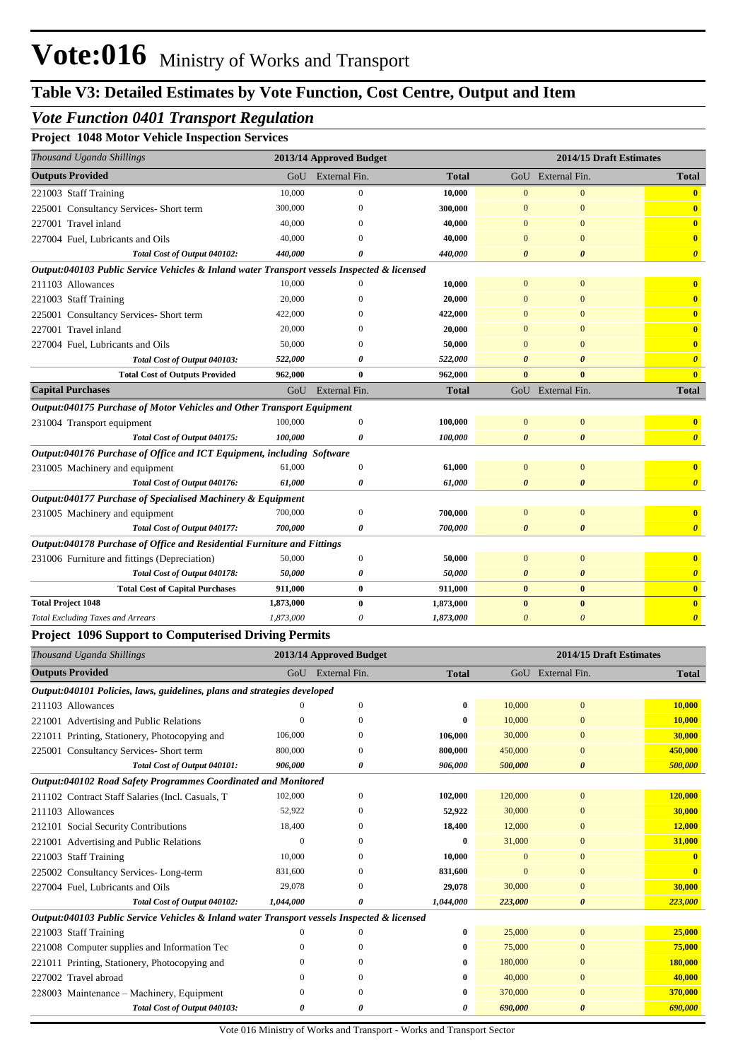## *Vote Function 0401 Transport Regulation*

**Project 1048 Motor Vehicle Inspection Services**

| Project_1048_Motor_venicle_hispection_services                                              |                    |                         |              |                       |                         |                         |
|---------------------------------------------------------------------------------------------|--------------------|-------------------------|--------------|-----------------------|-------------------------|-------------------------|
| Thousand Uganda Shillings                                                                   |                    | 2013/14 Approved Budget |              |                       | 2014/15 Draft Estimates |                         |
| <b>Outputs Provided</b>                                                                     | GoU                | External Fin.           | <b>Total</b> | GoU                   | External Fin.           | <b>Total</b>            |
| 221003 Staff Training                                                                       | 10,000             | $\mathbf{0}$            | 10,000       | $\mathbf{0}$          | $\mathbf{0}$            | $\mathbf{0}$            |
| 225001 Consultancy Services- Short term                                                     | 300,000            | $\mathbf{0}$            | 300,000      | $\overline{0}$        | $\mathbf{0}$            | $\mathbf{0}$            |
| 227001 Travel inland                                                                        | 40,000             | 0                       | 40,000       | $\mathbf{0}$          | $\mathbf{0}$            | $\mathbf{0}$            |
| 227004 Fuel, Lubricants and Oils                                                            | 40,000             | 0                       | 40,000       | $\mathbf{0}$          | $\mathbf{0}$            | $\mathbf{0}$            |
| Total Cost of Output 040102:                                                                | 440,000            | 0                       | 440,000      | $\boldsymbol{\theta}$ | $\boldsymbol{\theta}$   | $\boldsymbol{\theta}$   |
| Output:040103 Public Service Vehicles & Inland water Transport vessels Inspected & licensed |                    |                         |              |                       |                         |                         |
| 211103 Allowances                                                                           | 10,000             | $\mathbf{0}$            | 10,000       | $\mathbf{0}$          | $\mathbf{0}$            | $\bf{0}$                |
| 221003 Staff Training                                                                       | 20,000             | $\mathbf{0}$            | 20,000       | $\mathbf{0}$          | $\mathbf{0}$            | $\mathbf{0}$            |
| 225001 Consultancy Services- Short term                                                     | 422,000            | $\Omega$                | 422,000      | $\mathbf{0}$          | $\overline{0}$          | $\mathbf{0}$            |
| 227001 Travel inland                                                                        | 20,000             | $\Omega$                | 20,000       | $\mathbf{0}$          | $\overline{0}$          | $\mathbf{0}$            |
| 227004 Fuel, Lubricants and Oils                                                            | 50,000             | $\Omega$                | 50,000       | $\mathbf{0}$          | $\overline{0}$          | $\mathbf{0}$            |
| Total Cost of Output 040103:                                                                | 522,000            | 0                       | 522,000      | $\boldsymbol{\theta}$ | $\boldsymbol{\theta}$   | $\boldsymbol{\theta}$   |
| <b>Total Cost of Outputs Provided</b>                                                       | 962,000            | $\bf{0}$                | 962,000      | $\bf{0}$              | $\bf{0}$                | $\mathbf{0}$            |
| <b>Capital Purchases</b>                                                                    | GoU                | External Fin.           | <b>Total</b> |                       | GoU External Fin.       | <b>Total</b>            |
| Output:040175 Purchase of Motor Vehicles and Other Transport Equipment                      |                    |                         |              |                       |                         |                         |
| 231004 Transport equipment                                                                  | 100,000            | $\mathbf{0}$            | 100,000      | $\overline{0}$        | $\mathbf{0}$            | $\bf{0}$                |
| Total Cost of Output 040175:                                                                | 100,000            | 0                       | 100,000      | $\boldsymbol{\theta}$ | $\boldsymbol{\theta}$   | $\boldsymbol{\theta}$   |
| Output:040176 Purchase of Office and ICT Equipment, including Software                      |                    |                         |              |                       |                         |                         |
| 231005 Machinery and equipment                                                              | 61,000             | $\mathbf{0}$            | 61,000       | $\overline{0}$        | $\mathbf{0}$            | $\mathbf{0}$            |
| Total Cost of Output 040176:                                                                | 61,000             | 0                       | 61,000       | $\boldsymbol{\theta}$ | $\boldsymbol{\theta}$   | $\boldsymbol{\theta}$   |
| Output:040177 Purchase of Specialised Machinery & Equipment                                 |                    |                         |              |                       |                         |                         |
| 231005 Machinery and equipment                                                              | 700,000            | $\mathbf{0}$            | 700,000      | $\mathbf{0}$          | $\mathbf{0}$            | $\mathbf{0}$            |
| Total Cost of Output 040177:                                                                | 700,000            | 0                       | 700,000      | $\boldsymbol{\theta}$ | $\boldsymbol{\theta}$   | $\boldsymbol{\theta}$   |
| Output:040178 Purchase of Office and Residential Furniture and Fittings                     |                    |                         |              |                       |                         |                         |
| 231006 Furniture and fittings (Depreciation)                                                | 50,000             | $\boldsymbol{0}$        | 50,000       | $\overline{0}$        | $\mathbf{0}$            | $\bf{0}$                |
| Total Cost of Output 040178:                                                                | 50,000             | 0                       | 50,000       | $\boldsymbol{\theta}$ | $\boldsymbol{\theta}$   | $\boldsymbol{\theta}$   |
| <b>Total Cost of Capital Purchases</b>                                                      | 911,000            | $\bf{0}$                | 911,000      | $\bf{0}$              | $\bf{0}$                | $\overline{\mathbf{0}}$ |
| <b>Total Project 1048</b>                                                                   | 1,873,000          | $\bf{0}$                | 1,873,000    | $\bf{0}$              | $\bf{0}$                | $\mathbf{0}$            |
| <b>Total Excluding Taxes and Arrears</b>                                                    | 1,873,000          | $\theta$                | 1,873,000    | $\theta$              | $\boldsymbol{\theta}$   | $\boldsymbol{\theta}$   |
| <b>Project 1096 Support to Computerised Driving Permits</b>                                 |                    |                         |              |                       |                         |                         |
| Thousand Uganda Shillings                                                                   |                    | 2013/14 Approved Budget |              |                       | 2014/15 Draft Estimates |                         |
| <b>Outputs Provided</b>                                                                     | GoU                | External Fin.           | <b>Total</b> |                       | GoU External Fin.       | <b>Total</b>            |
|                                                                                             |                    |                         |              |                       |                         |                         |
| Output:040101 Policies, laws, guidelines, plans and strategies developed                    | $\theta$           | $\boldsymbol{0}$        | $\bf{0}$     |                       | $\mathbf{0}$            |                         |
| 211103 Allowances                                                                           | $\boldsymbol{0}$   | $\boldsymbol{0}$        | $\bf{0}$     | 10,000<br>10,000      | $\mathbf{0}$            | <b>10,000</b><br>10,000 |
| 221001 Advertising and Public Relations<br>221011 Printing, Stationery, Photocopying and    | 106,000            | $\boldsymbol{0}$        | 106,000      | 30,000                | $\boldsymbol{0}$        | 30,000                  |
|                                                                                             |                    |                         | 800,000      |                       | $\boldsymbol{0}$        | 450,000                 |
| 225001 Consultancy Services- Short term<br>Total Cost of Output 040101:                     | 800,000<br>906,000 | $\boldsymbol{0}$<br>0   | 906,000      | 450,000               | $\pmb{\theta}$          | 500,000                 |
|                                                                                             |                    |                         |              | 500,000               |                         |                         |
| Output:040102 Road Safety Programmes Coordinated and Monitored                              |                    |                         |              |                       |                         | 120,000                 |
| 211102 Contract Staff Salaries (Incl. Casuals, T.                                           | 102,000            | $\boldsymbol{0}$        | 102,000      | 120,000               | $\boldsymbol{0}$        |                         |
| 211103 Allowances                                                                           | 52,922             | $\boldsymbol{0}$        | 52,922       | 30,000                | $\bf{0}$                | 30,000                  |
| 212101 Social Security Contributions                                                        | 18,400             | $\boldsymbol{0}$        | 18,400       | 12,000                | $\bf{0}$                | 12,000                  |
| 221001 Advertising and Public Relations                                                     | $\boldsymbol{0}$   | $\boldsymbol{0}$        | $\bf{0}$     | 31,000                | $\bf{0}$                | 31,000                  |
| 221003 Staff Training                                                                       | 10,000             | $\boldsymbol{0}$        | 10,000       | $\boldsymbol{0}$      | $\boldsymbol{0}$        | $\bullet$               |

| 225002 Consultancy Services-Long-term                                                       | 831,600   | $\Omega$ | 831.600   |         | $\Omega$     |         |  |  |  |  |
|---------------------------------------------------------------------------------------------|-----------|----------|-----------|---------|--------------|---------|--|--|--|--|
| 227004 Fuel, Lubricants and Oils                                                            | 29,078    | $\Omega$ | 29,078    | 30,000  | $\mathbf{0}$ | 30,000  |  |  |  |  |
| Total Cost of Output 040102:                                                                | 1,044,000 | 0        | 1,044,000 | 223,000 | $\theta$     | 223,000 |  |  |  |  |
| Output:040103 Public Service Vehicles & Inland water Transport vessels Inspected & licensed |           |          |           |         |              |         |  |  |  |  |
| 221003 Staff Training                                                                       |           |          | 0         | 25,000  | $\Omega$     | 25,000  |  |  |  |  |
| 221008 Computer supplies and Information Tec                                                | 0         | $\Omega$ | $\bf{0}$  | 75,000  | $\mathbf{0}$ | 75,000  |  |  |  |  |
| 221011 Printing, Stationery, Photocopying and                                               | 0         | $\Omega$ | 0         | 180,000 | $\Omega$     | 180,000 |  |  |  |  |
| 227002 Travel abroad                                                                        |           | $\Omega$ | 0         | 40,000  | $\Omega$     | 40,000  |  |  |  |  |
| 228003 Maintenance – Machinery, Equipment                                                   | 0         | $\Omega$ | 0         | 370,000 | $\Omega$     | 370,000 |  |  |  |  |
| Total Cost of Output 040103:                                                                |           | 0        | 0         | 690,000 | $\theta$     | 690,000 |  |  |  |  |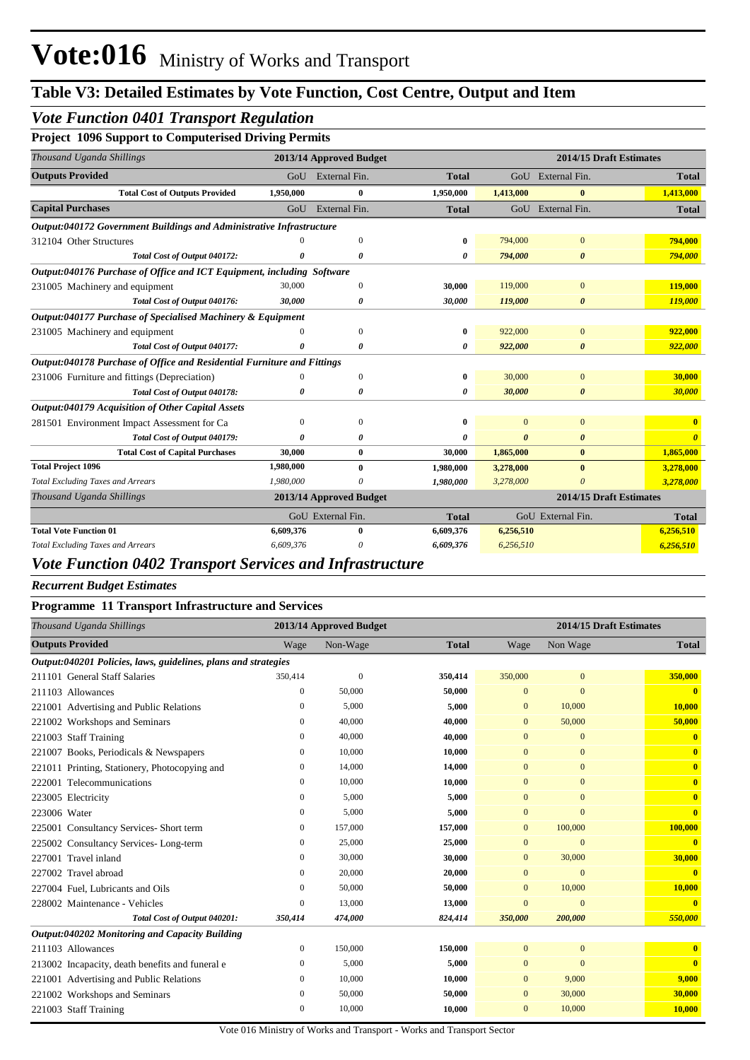## *Vote Function 0401 Transport Regulation*

#### **Project 1096 Support to Computerised Driving Permits**

| Thousand Uganda Shillings                                               |           | 2013/14 Approved Budget |              |           | 2014/15 Draft Estimates |              |
|-------------------------------------------------------------------------|-----------|-------------------------|--------------|-----------|-------------------------|--------------|
| <b>Outputs Provided</b>                                                 | GoU       | External Fin.           | <b>Total</b> |           | GoU External Fin.       | <b>Total</b> |
| <b>Total Cost of Outputs Provided</b>                                   | 1,950,000 | $\bf{0}$                | 1,950,000    | 1,413,000 | $\mathbf{0}$            | 1,413,000    |
| <b>Capital Purchases</b>                                                | GoU       | External Fin.           | <b>Total</b> |           | GoU External Fin.       | <b>Total</b> |
| Output:040172 Government Buildings and Administrative Infrastructure    |           |                         |              |           |                         |              |
| 312104 Other Structures                                                 |           | $\Omega$                | 0            | 794,000   | $\overline{0}$          | 794,000      |
| Total Cost of Output 040172:                                            |           | 0                       | 0            | 794,000   | $\boldsymbol{\theta}$   | 794,000      |
| Output:040176 Purchase of Office and ICT Equipment, including Software  |           |                         |              |           |                         |              |
| 231005 Machinery and equipment                                          | 30,000    | $\mathbf{0}$            | 30,000       | 119,000   | $\overline{0}$          | 119,000      |
| Total Cost of Output 040176:                                            | 30,000    | $\boldsymbol{\theta}$   | 30,000       | 119,000   | $\boldsymbol{\theta}$   | 119,000      |
| Output:040177 Purchase of Specialised Machinery & Equipment             |           |                         |              |           |                         |              |
| 231005 Machinery and equipment                                          | $\Omega$  | $\mathbf{0}$            | 0            | 922,000   | $\mathbf{0}$            | 922,000      |
| Total Cost of Output 040177:                                            | ŋ         | 0                       | 0            | 922,000   | $\boldsymbol{\theta}$   | 922,000      |
| Output:040178 Purchase of Office and Residential Furniture and Fittings |           |                         |              |           |                         |              |
| 231006 Furniture and fittings (Depreciation)                            | 0         | $\mathbf{0}$            | 0            | 30,000    | $\overline{0}$          | 30,000       |
| Total Cost of Output 040178:                                            | 0         | 0                       | 0            | 30,000    | 0                       | 30,000       |
| <b>Output:040179 Acquisition of Other Capital Assets</b>                |           |                         |              |           |                         |              |
| 281501 Environment Impact Assessment for Ca                             | 0         | $\Omega$                | 0            | $\Omega$  | $\Omega$                |              |
| Total Cost of Output 040179:                                            | ŋ         | 0                       | 0            | $\theta$  | 0                       |              |
| <b>Total Cost of Capital Purchases</b>                                  | 30,000    | $\bf{0}$                | 30,000       | 1,865,000 | $\bf{0}$                | 1,865,000    |
| <b>Total Project 1096</b>                                               | 1,980,000 | 0                       | 1,980,000    | 3,278,000 | $\bf{0}$                | 3,278,000    |
| <b>Total Excluding Taxes and Arrears</b>                                | 1,980,000 |                         | 1,980,000    | 3,278,000 | $\Omega$                | 3,278,000    |
| Thousand Uganda Shillings                                               |           | 2013/14 Approved Budget |              |           | 2014/15 Draft Estimates |              |
|                                                                         |           | GoU External Fin.       | <b>Total</b> |           | GoU External Fin.       | <b>Total</b> |
| <b>Total Vote Function 01</b>                                           | 6,609,376 | $\bf{0}$                | 6,609,376    | 6,256,510 |                         | 6,256,510    |
| <b>Total Excluding Taxes and Arrears</b>                                | 6,609,376 | 0                       | 6,609,376    | 6,256,510 |                         | 6,256,510    |

## *Vote Function 0402 Transport Services and Infrastructure*

#### *Recurrent Budget Estimates*

#### **Programme 11 Transport Infrastructure and Services**

| Thousand Uganda Shillings                                      |                  | 2013/14 Approved Budget |              | 2014/15 Draft Estimates |                |                         |  |
|----------------------------------------------------------------|------------------|-------------------------|--------------|-------------------------|----------------|-------------------------|--|
| <b>Outputs Provided</b>                                        | Wage             | Non-Wage                | <b>Total</b> | Wage                    | Non Wage       | <b>Total</b>            |  |
| Output:040201 Policies, laws, guidelines, plans and strategies |                  |                         |              |                         |                |                         |  |
| 211101 General Staff Salaries                                  | 350,414          | $\mathbf{0}$            | 350,414      | 350,000                 | $\mathbf{0}$   | 350,000                 |  |
| 211103 Allowances                                              | $\mathbf{0}$     | 50,000                  | 50,000       | $\mathbf{0}$            | $\mathbf{0}$   | $\overline{\mathbf{0}}$ |  |
| 221001 Advertising and Public Relations                        | $\Omega$         | 5,000                   | 5,000        | $\mathbf{0}$            | 10,000         | 10.000                  |  |
| 221002 Workshops and Seminars                                  | 0                | 40,000                  | 40,000       | $\mathbf{0}$            | 50,000         | 50,000                  |  |
| 221003 Staff Training                                          | 0                | 40,000                  | 40,000       | $\mathbf{0}$            | $\mathbf{0}$   | $\mathbf{0}$            |  |
| 221007 Books, Periodicals & Newspapers                         | 0                | 10,000                  | 10,000       | $\mathbf{0}$            | $\mathbf{0}$   | $\mathbf{0}$            |  |
| 221011 Printing, Stationery, Photocopying and                  | $\mathbf{0}$     | 14,000                  | 14,000       | $\Omega$                | $\mathbf{0}$   | $\overline{\mathbf{0}}$ |  |
| 222001 Telecommunications                                      | 0                | 10,000                  | 10,000       | $\Omega$                | $\mathbf{0}$   | $\mathbf{0}$            |  |
| 223005 Electricity                                             | 0                | 5,000                   | 5,000        | $\mathbf{0}$            | $\mathbf{0}$   | $\overline{\mathbf{0}}$ |  |
| 223006 Water                                                   | 0                | 5,000                   | 5,000        | $\overline{0}$          | $\Omega$       | $\mathbf{0}$            |  |
| 225001 Consultancy Services- Short term                        | 0                | 157,000                 | 157,000      | $\mathbf{0}$            | 100,000        | 100,000                 |  |
| 225002 Consultancy Services-Long-term                          | 0                | 25,000                  | 25,000       | $\mathbf{0}$            | $\overline{0}$ | $\overline{\mathbf{0}}$ |  |
| 227001 Travel inland                                           | 0                | 30,000                  | 30,000       | $\Omega$                | 30,000         | 30,000                  |  |
| 227002 Travel abroad                                           | $\mathbf{0}$     | 20,000                  | 20,000       | $\mathbf{0}$            | $\mathbf{0}$   | $\bf{0}$                |  |
| 227004 Fuel, Lubricants and Oils                               | 0                | 50,000                  | 50,000       | $\mathbf{0}$            | 10,000         | 10,000                  |  |
| 228002 Maintenance - Vehicles                                  | $\boldsymbol{0}$ | 13,000                  | 13,000       | $\overline{0}$          | $\Omega$       | $\overline{\mathbf{0}}$ |  |
| Total Cost of Output 040201:                                   | 350,414          | 474,000                 | 824,414      | 350,000                 | 200,000        | 550,000                 |  |
| Output:040202 Monitoring and Capacity Building                 |                  |                         |              |                         |                |                         |  |
| 211103 Allowances                                              | $\boldsymbol{0}$ | 150,000                 | 150,000      | $\mathbf{0}$            | $\mathbf{0}$   | $\overline{\mathbf{0}}$ |  |
| 213002 Incapacity, death benefits and funeral e                | $\mathbf{0}$     | 5,000                   | 5,000        | $\mathbf{0}$            | $\mathbf{0}$   | $\mathbf{0}$            |  |
| 221001 Advertising and Public Relations                        | 0                | 10,000                  | 10,000       | $\mathbf{0}$            | 9,000          | 9,000                   |  |
| 221002 Workshops and Seminars                                  | 0                | 50,000                  | 50,000       | $\mathbf{0}$            | 30,000         | 30,000                  |  |
| 221003 Staff Training                                          | $\mathbf{0}$     | 10,000                  | 10,000       | $\mathbf{0}$            | 10,000         | 10,000                  |  |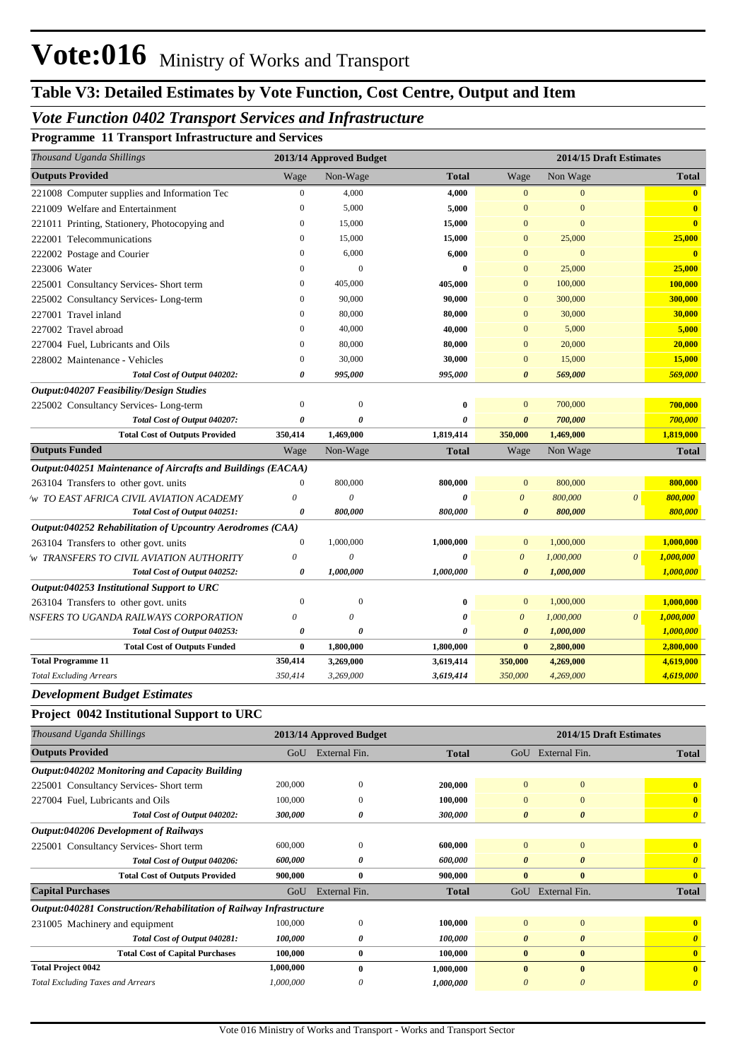# **Table V3: Detailed Estimates by Vote Function, Cost Centre, Output and Item**

### *Vote Function 0402 Transport Services and Infrastructure*

**Programme 11 Transport Infrastructure and Services**

| Thousand Uganda Shillings                                    |                       | 2013/14 Approved Budget |                       | 2014/15 Draft Estimates |           |                |                         |
|--------------------------------------------------------------|-----------------------|-------------------------|-----------------------|-------------------------|-----------|----------------|-------------------------|
| <b>Outputs Provided</b>                                      | Wage                  | Non-Wage                | <b>Total</b>          | Wage                    | Non Wage  |                | <b>Total</b>            |
| 221008 Computer supplies and Information Tec                 | $\boldsymbol{0}$      | 4,000                   | 4,000                 | $\mathbf{0}$            | $\Omega$  |                | $\mathbf{0}$            |
| 221009 Welfare and Entertainment                             | $\mathbf{0}$          | 5,000                   | 5,000                 | $\theta$                | $\theta$  |                | $\bf{0}$                |
| 221011 Printing, Stationery, Photocopying and                | $\boldsymbol{0}$      | 15,000                  | 15,000                | $\Omega$                | $\Omega$  |                | $\bf{0}$                |
| 222001 Telecommunications                                    | $\mathbf{0}$          | 15,000                  | 15,000                | $\Omega$                | 25,000    |                | 25,000                  |
| 222002 Postage and Courier                                   | $\Omega$              | 6,000                   | 6,000                 | $\overline{0}$          | $\Omega$  |                | $\overline{\mathbf{0}}$ |
| 223006 Water                                                 | $\mathbf{0}$          | $\overline{0}$          | $\bf{0}$              | $\overline{0}$          | 25,000    |                | 25,000                  |
| 225001 Consultancy Services- Short term                      | $\mathbf{0}$          | 405,000                 | 405,000               | $\mathbf{0}$            | 100,000   |                | 100,000                 |
| 225002 Consultancy Services-Long-term                        | $\mathbf{0}$          | 90,000                  | 90,000                | $\overline{0}$          | 300,000   |                | 300,000                 |
| 227001 Travel inland                                         | $\mathbf{0}$          | 80,000                  | 80,000                | $\overline{0}$          | 30,000    |                | 30,000                  |
| 227002 Travel abroad                                         | $\mathbf{0}$          | 40,000                  | 40,000                | $\overline{0}$          | 5,000     |                | 5,000                   |
| 227004 Fuel, Lubricants and Oils                             | $\Omega$              | 80,000                  | 80,000                | $\Omega$                | 20,000    |                | 20,000                  |
| 228002 Maintenance - Vehicles                                | $\Omega$              | 30,000                  | 30,000                | $\overline{0}$          | 15,000    |                | 15,000                  |
| Total Cost of Output 040202:                                 | 0                     | 995,000                 | 995,000               | $\boldsymbol{\theta}$   | 569,000   |                | 569,000                 |
| Output:040207 Feasibility/Design Studies                     |                       |                         |                       |                         |           |                |                         |
| 225002 Consultancy Services-Long-term                        | $\mathbf{0}$          | $\overline{0}$          | $\bf{0}$              | $\overline{0}$          | 700,000   |                | 700,000                 |
| Total Cost of Output 040207:                                 | $\boldsymbol{\theta}$ | $\theta$                | 0                     | $\boldsymbol{\theta}$   | 700,000   |                | 700,000                 |
| <b>Total Cost of Outputs Provided</b>                        | 350,414               | 1,469,000               | 1,819,414             | 350,000                 | 1,469,000 |                | 1,819,000               |
| <b>Outputs Funded</b>                                        | Wage                  | Non-Wage                | <b>Total</b>          | Wage                    | Non Wage  |                | <b>Total</b>            |
| Output:040251 Maintenance of Aircrafts and Buildings (EACAA) |                       |                         |                       |                         |           |                |                         |
| 263104 Transfers to other govt. units                        | $\mathbf{0}$          | 800,000                 | 800,000               | $\mathbf{0}$            | 800,000   |                | 800,000                 |
| W TO EAST AFRICA CIVIL AVIATION ACADEMY                      | $\theta$              | $\theta$                | 0                     | $\theta$                | 800,000   | $\theta$       | 800,000                 |
| Total Cost of Output 040251:                                 | 0                     | 800,000                 | 800,000               | $\boldsymbol{\theta}$   | 800,000   |                | 800,000                 |
| Output:040252 Rehabilitation of Upcountry Aerodromes (CAA)   |                       |                         |                       |                         |           |                |                         |
| 263104 Transfers to other govt. units                        | $\boldsymbol{0}$      | 1,000,000               | 1,000,000             | $\mathbf{0}$            | 1,000,000 |                | 1,000,000               |
| W TRANSFERS TO CIVIL AVIATION AUTHORITY                      | $\theta$              | $\theta$                | $\boldsymbol{\theta}$ | $\boldsymbol{\theta}$   | 1,000,000 | $\mathfrak{o}$ | 1,000,000               |
| Total Cost of Output 040252:                                 | 0                     | 1,000,000               | 1,000,000             | $\boldsymbol{\theta}$   | 1,000,000 |                | 1,000,000               |
| Output:040253 Institutional Support to URC                   |                       |                         |                       |                         |           |                |                         |
| 263104 Transfers to other govt. units                        | $\mathbf{0}$          | $\boldsymbol{0}$        | $\bf{0}$              | $\mathbf{0}$            | 1,000,000 |                | 1,000,000               |
| NSFERS TO UGANDA RAILWAYS CORPORATION                        | $\theta$              | $\theta$                | $\boldsymbol{\theta}$ | $\theta$                | 1,000,000 | $\theta$       | 1,000,000               |
| Total Cost of Output 040253:                                 | 0                     | $\theta$                | $\theta$              | $\theta$                | 1,000,000 |                | 1,000,000               |
| <b>Total Cost of Outputs Funded</b>                          | $\bf{0}$              | 1,800,000               | 1,800,000             | $\bf{0}$                | 2,800,000 |                | 2,800,000               |
| <b>Total Programme 11</b>                                    | 350,414               | 3,269,000               | 3,619,414             | 350,000                 | 4,269,000 |                | 4,619,000               |
| <b>Total Excluding Arrears</b>                               | 350,414               | 3,269,000               | 3,619,414             | 350,000                 | 4,269,000 |                | 4,619,000               |

#### *Development Budget Estimates*

#### **Project 0042 Institutional Support to URC**

| Thousand Uganda Shillings                                           |           | 2013/14 Approved Budget | 2014/15 Draft Estimates |                       |                       |                       |
|---------------------------------------------------------------------|-----------|-------------------------|-------------------------|-----------------------|-----------------------|-----------------------|
| <b>Outputs Provided</b>                                             | GoU       | External Fin.           | <b>Total</b>            | GoU                   | External Fin.         | <b>Total</b>          |
| Output:040202 Monitoring and Capacity Building                      |           |                         |                         |                       |                       |                       |
| 225001 Consultancy Services-Short term                              | 200,000   | $\theta$                | 200,000                 | $\mathbf{0}$          | $\mathbf{0}$          | $\mathbf{0}$          |
| 227004 Fuel, Lubricants and Oils                                    | 100,000   | $\Omega$                | 100,000                 | $\mathbf{0}$          | $\Omega$              | $\mathbf{0}$          |
| Total Cost of Output 040202:                                        | 300,000   | 0                       | 300,000                 | $\boldsymbol{\theta}$ | $\boldsymbol{\theta}$ | $\boldsymbol{\theta}$ |
| Output:040206 Development of Railways                               |           |                         |                         |                       |                       |                       |
| 225001 Consultancy Services-Short term                              | 600,000   | $\theta$                | 600,000                 | $\mathbf{0}$          | $\mathbf{0}$          | $\mathbf{0}$          |
| Total Cost of Output 040206:                                        | 600,000   | 0                       | 600,000                 | 0                     | 0                     |                       |
| <b>Total Cost of Outputs Provided</b>                               | 900,000   | $\boldsymbol{0}$        | 900,000                 | $\bf{0}$              | $\bf{0}$              | $\mathbf{0}$          |
| <b>Capital Purchases</b>                                            | GoU       | External Fin.           | <b>Total</b>            | GoU                   | External Fin.         | <b>Total</b>          |
| Output:040281 Construction/Rehabilitation of Railway Infrastructure |           |                         |                         |                       |                       |                       |
| 231005 Machinery and equipment                                      | 100,000   | $\theta$                | 100,000                 | $\Omega$              | $\Omega$              | $\mathbf{0}$          |
| Total Cost of Output 040281:                                        | 100,000   | 0                       | 100,000                 | $\theta$              | $\boldsymbol{\theta}$ |                       |
| <b>Total Cost of Capital Purchases</b>                              | 100,000   | $\bf{0}$                | 100,000                 | $\bf{0}$              | $\bf{0}$              | $\mathbf{0}$          |
| <b>Total Project 0042</b>                                           | 1,000,000 | $\mathbf{0}$            | 1,000,000               | $\mathbf{0}$          | $\mathbf{0}$          | $\mathbf{0}$          |
| <b>Total Excluding Taxes and Arrears</b>                            | 1,000,000 | $\theta$                | 1,000,000               |                       | $\boldsymbol{\theta}$ | $\boldsymbol{\theta}$ |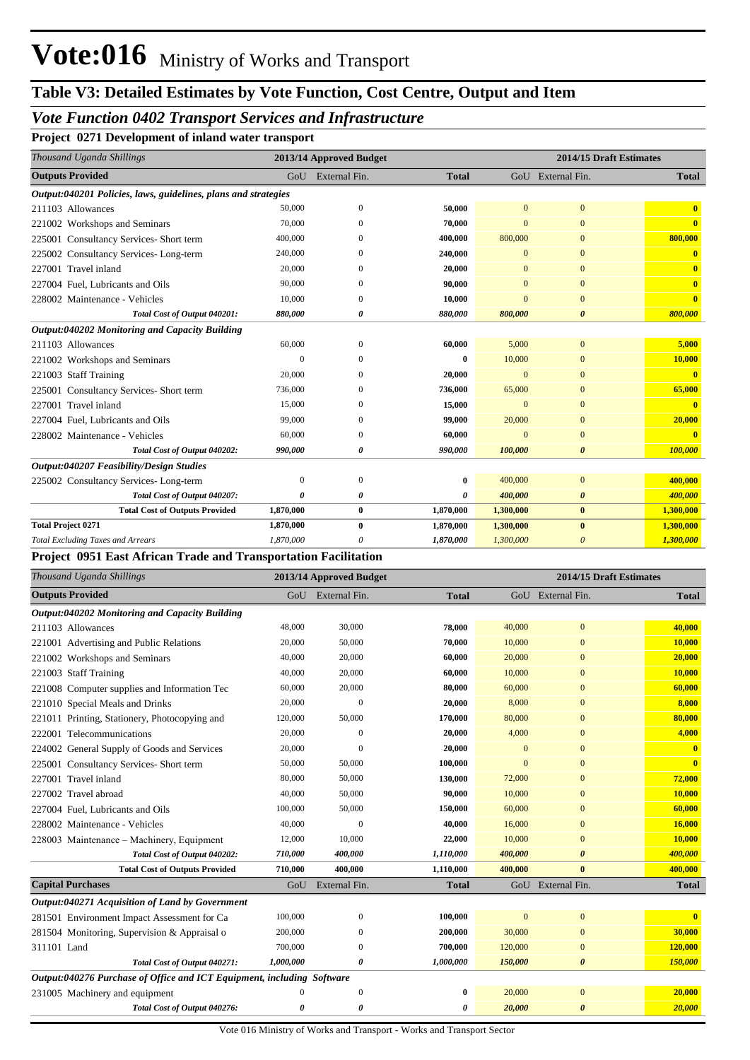### *Vote Function 0402 Transport Services and Infrastructure*

**Project 0271 Development of inland water transport**

| Thousand Uganda Shillings                                      |                  | 2013/14 Approved Budget |              |              |                       | 2014/15 Draft Estimates |
|----------------------------------------------------------------|------------------|-------------------------|--------------|--------------|-----------------------|-------------------------|
| <b>Outputs Provided</b>                                        |                  | GoU External Fin.       | <b>Total</b> |              | GoU External Fin.     | <b>Total</b>            |
| Output:040201 Policies, laws, guidelines, plans and strategies |                  |                         |              |              |                       |                         |
| 211103 Allowances                                              | 50,000           | $\theta$                | 50,000       | $\mathbf{0}$ | $\mathbf{0}$          | $\mathbf{0}$            |
| 221002 Workshops and Seminars                                  | 70,000           | $\Omega$                | 70,000       | $\Omega$     | $\Omega$              | $\mathbf{0}$            |
| 225001 Consultancy Services- Short term                        | 400,000          |                         | 400,000      | 800,000      | $\mathbf{0}$          | 800,000                 |
| 225002 Consultancy Services-Long-term                          | 240,000          | $\Omega$                | 240,000      | $\mathbf{0}$ | $\mathbf{0}$          | $\bf{0}$                |
| 227001 Travel inland                                           | 20,000           |                         | 20,000       | $\Omega$     | $\mathbf{0}$          |                         |
| 227004 Fuel, Lubricants and Oils                               | 90,000           | $\Omega$                | 90,000       | $\Omega$     | $\mathbf{0}$          | $\overline{\mathbf{0}}$ |
| 228002 Maintenance - Vehicles                                  | 10,000           | $\Omega$                | 10,000       | $\Omega$     | $\mathbf{0}$          | $\mathbf{0}$            |
| Total Cost of Output 040201:                                   | 880,000          | 0                       | 880,000      | 800,000      | $\boldsymbol{\theta}$ | 800,000                 |
| Output:040202 Monitoring and Capacity Building                 |                  |                         |              |              |                       |                         |
| 211103 Allowances                                              | 60,000           | $\Omega$                | 60,000       | 5,000        | $\mathbf{0}$          | 5,000                   |
| 221002 Workshops and Seminars                                  | $\Omega$         | $\Omega$                | 0            | 10,000       | $\mathbf{0}$          | 10,000                  |
| 221003 Staff Training                                          | 20,000           | $\Omega$                | 20,000       | $\mathbf{0}$ | $\mathbf{0}$          | $\mathbf{0}$            |
| 225001 Consultancy Services- Short term                        | 736,000          |                         | 736,000      | 65,000       | $\mathbf{0}$          | 65,000                  |
| 227001 Travel inland                                           | 15,000           | $\Omega$                | 15,000       | $\Omega$     | $\mathbf{0}$          | $\mathbf{0}$            |
| 227004 Fuel. Lubricants and Oils                               | 99,000           | $\Omega$                | 99,000       | 20,000       | $\mathbf{0}$          | 20,000                  |
| 228002 Maintenance - Vehicles                                  | 60,000           | $\Omega$                | 60,000       | $\Omega$     | $\mathbf{0}$          | $\mathbf{0}$            |
| Total Cost of Output 040202:                                   | 990,000          | 0                       | 990,000      | 100,000      | $\boldsymbol{\theta}$ | 100,000                 |
| Output:040207 Feasibility/Design Studies                       |                  |                         |              |              |                       |                         |
| 225002 Consultancy Services-Long-term                          | $\boldsymbol{0}$ | $\theta$                | $\bf{0}$     | 400,000      | $\mathbf{0}$          | 400,000                 |
| Total Cost of Output 040207:                                   | 0                | 0                       | 0            | 400,000      | $\boldsymbol{\theta}$ | 400,000                 |
| <b>Total Cost of Outputs Provided</b>                          | 1,870,000        | $\bf{0}$                | 1,870,000    | 1,300,000    | $\bf{0}$              | 1,300,000               |
| <b>Total Project 0271</b>                                      | 1,870,000        | $\bf{0}$                | 1,870,000    | 1,300,000    | $\bf{0}$              | 1,300,000               |
| <b>Total Excluding Taxes and Arrears</b>                       | 1,870,000        | 0                       | 1,870,000    | 1,300,000    | $\theta$              | 1,300,000               |

#### **Project 0951 East African Trade and Transportation Facilitation**

| Thousand Uganda Shillings                                              |           | 2013/14 Approved Budget |              | 2014/15 Draft Estimates |                       |              |  |
|------------------------------------------------------------------------|-----------|-------------------------|--------------|-------------------------|-----------------------|--------------|--|
| <b>Outputs Provided</b>                                                |           | GoU External Fin.       | <b>Total</b> |                         | GoU External Fin.     | <b>Total</b> |  |
| Output:040202 Monitoring and Capacity Building                         |           |                         |              |                         |                       |              |  |
| 211103 Allowances                                                      | 48,000    | 30,000                  | 78,000       | 40,000                  | $\mathbf{0}$          | 40,000       |  |
| 221001 Advertising and Public Relations                                | 20,000    | 50,000                  | 70,000       | 10,000                  | $\mathbf{0}$          | 10,000       |  |
| 221002 Workshops and Seminars                                          | 40,000    | 20,000                  | 60,000       | 20,000                  | $\mathbf{0}$          | 20,000       |  |
| 221003 Staff Training                                                  | 40,000    | 20,000                  | 60,000       | 10,000                  | $\mathbf{0}$          | 10,000       |  |
| 221008 Computer supplies and Information Tec                           | 60,000    | 20,000                  | 80,000       | 60,000                  | $\mathbf{0}$          | 60,000       |  |
| 221010 Special Meals and Drinks                                        | 20,000    | $\overline{0}$          | 20,000       | 8,000                   | $\mathbf{0}$          | 8,000        |  |
| 221011 Printing, Stationery, Photocopying and                          | 120,000   | 50,000                  | 170,000      | 80,000                  | $\mathbf{0}$          | 80,000       |  |
| 222001 Telecommunications                                              | 20,000    | $\Omega$                | 20,000       | 4,000                   | $\mathbf{0}$          | 4,000        |  |
| 224002 General Supply of Goods and Services                            | 20,000    | $\mathbf{0}$            | 20,000       | $\mathbf{0}$            | $\mathbf{0}$          | $\mathbf{0}$ |  |
| 225001 Consultancy Services- Short term                                | 50,000    | 50,000                  | 100,000      | $\overline{0}$          | $\mathbf{0}$          | $\mathbf{0}$ |  |
| 227001 Travel inland                                                   | 80,000    | 50,000                  | 130,000      | 72,000                  | $\mathbf{0}$          | 72,000       |  |
| 227002 Travel abroad                                                   | 40,000    | 50,000                  | 90.000       | 10.000                  | $\mathbf{0}$          | 10,000       |  |
| 227004 Fuel, Lubricants and Oils                                       | 100,000   | 50,000                  | 150,000      | 60,000                  | $\mathbf{0}$          | 60,000       |  |
| 228002 Maintenance - Vehicles                                          | 40,000    | $\Omega$                | 40,000       | 16,000                  | $\Omega$              | 16,000       |  |
| 228003 Maintenance – Machinery, Equipment                              | 12,000    | 10,000                  | 22,000       | 10,000                  | $\mathbf{0}$          | 10,000       |  |
| Total Cost of Output 040202:                                           | 710,000   | 400,000                 | 1,110,000    | 400,000                 | $\boldsymbol{\theta}$ | 400,000      |  |
| <b>Total Cost of Outputs Provided</b>                                  | 710,000   | 400,000                 | 1,110,000    | 400,000                 | $\mathbf{0}$          | 400,000      |  |
| <b>Capital Purchases</b>                                               | GoU       | External Fin.           | <b>Total</b> |                         | GoU External Fin.     | <b>Total</b> |  |
| Output:040271 Acquisition of Land by Government                        |           |                         |              |                         |                       |              |  |
| 281501 Environment Impact Assessment for Ca                            | 100,000   | $\mathbf{0}$            | 100,000      | $\mathbf{0}$            | $\mathbf{0}$          | $\mathbf{0}$ |  |
| 281504 Monitoring, Supervision & Appraisal o                           | 200,000   | $\Omega$                | 200,000      | 30,000                  | $\mathbf{0}$          | 30,000       |  |
| 311101 Land                                                            | 700,000   | $\mathbf{0}$            | 700,000      | 120,000                 | $\mathbf{0}$          | 120,000      |  |
| Total Cost of Output 040271:                                           | 1,000,000 | 0                       | 1,000,000    | 150,000                 | $\boldsymbol{\theta}$ | 150,000      |  |
| Output:040276 Purchase of Office and ICT Equipment, including Software |           |                         |              |                         |                       |              |  |
| 231005 Machinery and equipment                                         | 0         | $\mathbf{0}$            | $\bf{0}$     | 20,000                  | $\mathbf{0}$          | 20,000       |  |
| Total Cost of Output 040276:                                           | 0         | 0                       | 0            | 20,000                  | $\boldsymbol{\theta}$ | 20,000       |  |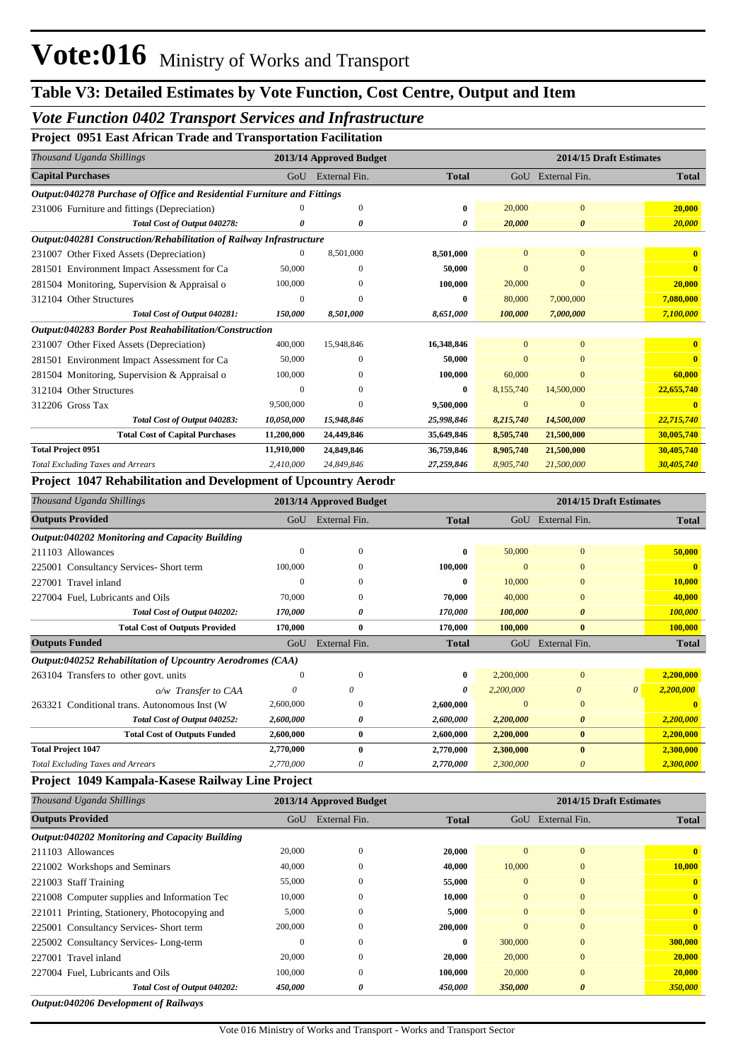#### *Vote Function 0402 Transport Services and Infrastructure*

**Project 0951 East African Trade and Transportation Facilitation**

| External Fin.<br>GoU External Fin.<br>GoU<br><b>Total</b><br><b>Total</b><br>Output:040278 Purchase of Office and Residential Furniture and Fittings<br>$\mathbf{0}$<br>$\Omega$<br>20,000<br>20,000<br>231006 Furniture and fittings (Depreciation)<br>$\theta$<br>$\mathbf{0}$<br>20,000<br>Total Cost of Output 040278:<br>20,000<br>0<br>$\boldsymbol{\theta}$<br>n<br>0<br>Output:040281 Construction/Rehabilitation of Railway Infrastructure<br>8,501,000<br>$\mathbf{0}$<br>$\mathbf{0}$<br>$\mathbf{0}$<br>8,501,000<br>$\mathbf{0}$<br>50,000<br>$\mathbf{0}$<br>50,000<br>$\mathbf{0}$<br>281501 Environment Impact Assessment for Ca<br>$\mathbf{0}$<br>100,000<br>100,000<br>$\Omega$<br>20,000<br>20,000<br>$\Omega$<br>7,080,000<br>312104 Other Structures<br>$\Omega$<br>$\mathbf{0}$<br>80,000<br>7,000,000<br>$\Omega$<br>7,100,000<br>8,501,000<br>Total Cost of Output 040281:<br>150,000<br>8,651,000<br>100,000<br>7,000,000<br>Output:040283 Border Post Reahabilitation/Construction<br>$\Omega$<br>$\mathbf{0}$<br>16,348,846<br>400,000<br>15,948,846<br>50,000<br>50,000<br>$\Omega$<br>$\Omega$<br>$\mathbf{0}$<br>$\mathbf{0}$<br>100,000<br>$\mathbf{0}$<br>60,000<br>100,000<br>60,000<br>281504 Monitoring, Supervision & Appraisal o<br>$\theta$<br>$\Omega$<br>$\mathbf{0}$<br>8,155,740<br>14,500,000<br>22,655,740<br>312104 Other Structures<br>$\Omega$<br>9,500,000<br>$\Omega$<br>9,500,000<br>$\Omega$<br>$\Omega$<br>312206 Gross Tax<br>22,715,740<br>Total Cost of Output 040283:<br>10,050,000<br>15,948,846<br>8,215,740<br>14,500,000<br>25,998,846<br>30,005,740<br><b>Total Cost of Capital Purchases</b><br>11,200,000<br>24,449,846<br>35,649,846<br>8,505,740<br>21,500,000<br><b>Total Project 0951</b><br>11,910,000 | Thousand Uganda Shillings                    | 2013/14 Approved Budget |            | 2014/15 Draft Estimates |            |            |  |
|-----------------------------------------------------------------------------------------------------------------------------------------------------------------------------------------------------------------------------------------------------------------------------------------------------------------------------------------------------------------------------------------------------------------------------------------------------------------------------------------------------------------------------------------------------------------------------------------------------------------------------------------------------------------------------------------------------------------------------------------------------------------------------------------------------------------------------------------------------------------------------------------------------------------------------------------------------------------------------------------------------------------------------------------------------------------------------------------------------------------------------------------------------------------------------------------------------------------------------------------------------------------------------------------------------------------------------------------------------------------------------------------------------------------------------------------------------------------------------------------------------------------------------------------------------------------------------------------------------------------------------------------------------------------------------------------------------------------------------------------------------------------------------|----------------------------------------------|-------------------------|------------|-------------------------|------------|------------|--|
|                                                                                                                                                                                                                                                                                                                                                                                                                                                                                                                                                                                                                                                                                                                                                                                                                                                                                                                                                                                                                                                                                                                                                                                                                                                                                                                                                                                                                                                                                                                                                                                                                                                                                                                                                                             | <b>Capital Purchases</b>                     |                         |            |                         |            |            |  |
|                                                                                                                                                                                                                                                                                                                                                                                                                                                                                                                                                                                                                                                                                                                                                                                                                                                                                                                                                                                                                                                                                                                                                                                                                                                                                                                                                                                                                                                                                                                                                                                                                                                                                                                                                                             |                                              |                         |            |                         |            |            |  |
|                                                                                                                                                                                                                                                                                                                                                                                                                                                                                                                                                                                                                                                                                                                                                                                                                                                                                                                                                                                                                                                                                                                                                                                                                                                                                                                                                                                                                                                                                                                                                                                                                                                                                                                                                                             |                                              |                         |            |                         |            |            |  |
|                                                                                                                                                                                                                                                                                                                                                                                                                                                                                                                                                                                                                                                                                                                                                                                                                                                                                                                                                                                                                                                                                                                                                                                                                                                                                                                                                                                                                                                                                                                                                                                                                                                                                                                                                                             |                                              |                         |            |                         |            |            |  |
|                                                                                                                                                                                                                                                                                                                                                                                                                                                                                                                                                                                                                                                                                                                                                                                                                                                                                                                                                                                                                                                                                                                                                                                                                                                                                                                                                                                                                                                                                                                                                                                                                                                                                                                                                                             |                                              |                         |            |                         |            |            |  |
|                                                                                                                                                                                                                                                                                                                                                                                                                                                                                                                                                                                                                                                                                                                                                                                                                                                                                                                                                                                                                                                                                                                                                                                                                                                                                                                                                                                                                                                                                                                                                                                                                                                                                                                                                                             | 231007 Other Fixed Assets (Depreciation)     |                         |            |                         |            |            |  |
|                                                                                                                                                                                                                                                                                                                                                                                                                                                                                                                                                                                                                                                                                                                                                                                                                                                                                                                                                                                                                                                                                                                                                                                                                                                                                                                                                                                                                                                                                                                                                                                                                                                                                                                                                                             |                                              |                         |            |                         |            |            |  |
|                                                                                                                                                                                                                                                                                                                                                                                                                                                                                                                                                                                                                                                                                                                                                                                                                                                                                                                                                                                                                                                                                                                                                                                                                                                                                                                                                                                                                                                                                                                                                                                                                                                                                                                                                                             | 281504 Monitoring, Supervision & Appraisal o |                         |            |                         |            |            |  |
|                                                                                                                                                                                                                                                                                                                                                                                                                                                                                                                                                                                                                                                                                                                                                                                                                                                                                                                                                                                                                                                                                                                                                                                                                                                                                                                                                                                                                                                                                                                                                                                                                                                                                                                                                                             |                                              |                         |            |                         |            |            |  |
|                                                                                                                                                                                                                                                                                                                                                                                                                                                                                                                                                                                                                                                                                                                                                                                                                                                                                                                                                                                                                                                                                                                                                                                                                                                                                                                                                                                                                                                                                                                                                                                                                                                                                                                                                                             |                                              |                         |            |                         |            |            |  |
|                                                                                                                                                                                                                                                                                                                                                                                                                                                                                                                                                                                                                                                                                                                                                                                                                                                                                                                                                                                                                                                                                                                                                                                                                                                                                                                                                                                                                                                                                                                                                                                                                                                                                                                                                                             |                                              |                         |            |                         |            |            |  |
|                                                                                                                                                                                                                                                                                                                                                                                                                                                                                                                                                                                                                                                                                                                                                                                                                                                                                                                                                                                                                                                                                                                                                                                                                                                                                                                                                                                                                                                                                                                                                                                                                                                                                                                                                                             | 231007 Other Fixed Assets (Depreciation)     |                         |            |                         |            |            |  |
|                                                                                                                                                                                                                                                                                                                                                                                                                                                                                                                                                                                                                                                                                                                                                                                                                                                                                                                                                                                                                                                                                                                                                                                                                                                                                                                                                                                                                                                                                                                                                                                                                                                                                                                                                                             | 281501 Environment Impact Assessment for Ca  |                         |            |                         |            |            |  |
|                                                                                                                                                                                                                                                                                                                                                                                                                                                                                                                                                                                                                                                                                                                                                                                                                                                                                                                                                                                                                                                                                                                                                                                                                                                                                                                                                                                                                                                                                                                                                                                                                                                                                                                                                                             |                                              |                         |            |                         |            |            |  |
|                                                                                                                                                                                                                                                                                                                                                                                                                                                                                                                                                                                                                                                                                                                                                                                                                                                                                                                                                                                                                                                                                                                                                                                                                                                                                                                                                                                                                                                                                                                                                                                                                                                                                                                                                                             |                                              |                         |            |                         |            |            |  |
|                                                                                                                                                                                                                                                                                                                                                                                                                                                                                                                                                                                                                                                                                                                                                                                                                                                                                                                                                                                                                                                                                                                                                                                                                                                                                                                                                                                                                                                                                                                                                                                                                                                                                                                                                                             |                                              |                         |            |                         |            |            |  |
|                                                                                                                                                                                                                                                                                                                                                                                                                                                                                                                                                                                                                                                                                                                                                                                                                                                                                                                                                                                                                                                                                                                                                                                                                                                                                                                                                                                                                                                                                                                                                                                                                                                                                                                                                                             |                                              |                         |            |                         |            |            |  |
|                                                                                                                                                                                                                                                                                                                                                                                                                                                                                                                                                                                                                                                                                                                                                                                                                                                                                                                                                                                                                                                                                                                                                                                                                                                                                                                                                                                                                                                                                                                                                                                                                                                                                                                                                                             |                                              |                         |            |                         |            |            |  |
|                                                                                                                                                                                                                                                                                                                                                                                                                                                                                                                                                                                                                                                                                                                                                                                                                                                                                                                                                                                                                                                                                                                                                                                                                                                                                                                                                                                                                                                                                                                                                                                                                                                                                                                                                                             |                                              | 24,849,846              | 36,759,846 | 8,905,740               | 21,500,000 | 30,405,740 |  |
| <b>Total Excluding Taxes and Arrears</b><br>2,410,000<br>24,849,846<br>8,905,740<br>21,500,000<br>30,405,740<br>27,259,846                                                                                                                                                                                                                                                                                                                                                                                                                                                                                                                                                                                                                                                                                                                                                                                                                                                                                                                                                                                                                                                                                                                                                                                                                                                                                                                                                                                                                                                                                                                                                                                                                                                  |                                              |                         |            |                         |            |            |  |

#### **Project 1047 Rehabilitation and Development of Upcountry Aerodr**

| Thousand Uganda Shillings                                  |           | 2013/14 Approved Budget |              |              |                       | 2014/15 Draft Estimates |              |
|------------------------------------------------------------|-----------|-------------------------|--------------|--------------|-----------------------|-------------------------|--------------|
| <b>Outputs Provided</b>                                    | GoU       | External Fin.           | <b>Total</b> | GoU          | External Fin.         |                         | <b>Total</b> |
| Output:040202 Monitoring and Capacity Building             |           |                         |              |              |                       |                         |              |
| 211103 Allowances                                          | $\theta$  | $\mathbf{0}$            | $\bf{0}$     | 50,000       | $\mathbf{0}$          |                         | 50,000       |
| <b>Consultancy Services-Short term</b><br>225001           | 100,000   |                         | 100,000      | $\mathbf{0}$ | $\mathbf{0}$          |                         |              |
| 227001 Travel inland                                       | $\theta$  | $\Omega$                | $\bf{0}$     | 10,000       | $\mathbf{0}$          |                         | 10,000       |
| 227004 Fuel, Lubricants and Oils                           | 70,000    | $\Omega$                | 70,000       | 40,000       | $\mathbf{0}$          |                         | 40,000       |
| Total Cost of Output 040202:                               | 170,000   | 0                       | 170,000      | 100,000      | $\boldsymbol{\theta}$ |                         | 100,000      |
| <b>Total Cost of Outputs Provided</b>                      | 170,000   | $\mathbf{0}$            | 170,000      | 100,000      | $\bf{0}$              |                         | 100,000      |
| <b>Outputs Funded</b>                                      | GoU       | External Fin.           | <b>Total</b> | GoU          | External Fin.         |                         | <b>Total</b> |
| Output:040252 Rehabilitation of Upcountry Aerodromes (CAA) |           |                         |              |              |                       |                         |              |
| 263104 Transfers to other govt. units                      | $\Omega$  | $\mathbf{0}$            | $\bf{0}$     | 2,200,000    | $\mathbf{0}$          |                         | 2,200,000    |
| o/w Transfer to CAA                                        | G         | 0                       | 0            | 2,200,000    | 0                     | $\theta$                | 2,200,000    |
| Conditional trans. Autonomous Inst (W)<br>263321           | 2,600,000 | $\Omega$                | 2,600,000    | $\Omega$     | $\Omega$              |                         |              |
| Total Cost of Output 040252:                               | 2,600,000 | 0                       | 2,600,000    | 2,200,000    | $\boldsymbol{\theta}$ |                         | 2,200,000    |
| <b>Total Cost of Outputs Funded</b>                        | 2,600,000 | $\bf{0}$                | 2,600,000    | 2,200,000    | $\bf{0}$              |                         | 2,200,000    |
| <b>Total Project 1047</b>                                  | 2,770,000 | $\bf{0}$                | 2,770,000    | 2,300,000    | $\mathbf{0}$          |                         | 2,300,000    |
| <b>Total Excluding Taxes and Arrears</b>                   | 2,770,000 | 0                       | 2,770,000    | 2,300,000    | $\theta$              |                         | 2,300,000    |

#### **Project 1049 Kampala-Kasese Railway Line Project**

| Thousand Uganda Shillings                      |                       | 2013/14 Approved Budget |              | 2014/15 Draft Estimates |                       |              |  |
|------------------------------------------------|-----------------------|-------------------------|--------------|-------------------------|-----------------------|--------------|--|
| <b>Outputs Provided</b>                        | GoU                   | External Fin.           | <b>Total</b> | GoU                     | External Fin.         | <b>Total</b> |  |
| Output:040202 Monitoring and Capacity Building |                       |                         |              |                         |                       |              |  |
| 211103 Allowances                              | 20,000                | $\mathbf{0}$            | 20,000       | $\Omega$                | $\mathbf{0}$          | $\mathbf{0}$ |  |
| 221002 Workshops and Seminars                  | 40,000                | $\Omega$                | 40,000       | 10,000                  | $\mathbf{0}$          | 10,000       |  |
| 221003 Staff Training                          | 55,000                | $\theta$                | 55,000       | $\Omega$                | $\mathbf{0}$          | $\mathbf{0}$ |  |
| 221008 Computer supplies and Information Tec   | 10,000                | $\theta$                | 10,000       | $\Omega$                | $\mathbf{0}$          | $\mathbf{0}$ |  |
| 221011 Printing, Stationery, Photocopying and  | 5,000                 | $\mathbf{0}$            | 5,000        | $\Omega$                | $\mathbf{0}$          | $\mathbf{0}$ |  |
| 225001 Consultancy Services- Short term        | 200,000               | $\Omega$                | 200,000      | $\Omega$                | $\mathbf{0}$          | $\mathbf{0}$ |  |
| 225002 Consultancy Services-Long-term          | $\theta$              | $\mathbf{0}$            | $\bf{0}$     | 300,000                 | $\mathbf{0}$          | 300,000      |  |
| 227001 Travel inland                           | 20,000                | $\Omega$                | 20,000       | 20,000                  | $\mathbf{0}$          | 20,000       |  |
| 227004 Fuel, Lubricants and Oils               | 100,000               | $\Omega$                | 100,000      | 20,000                  | $\mathbf{0}$          | 20,000       |  |
| Total Cost of Output 040202:                   | <i><b>450,000</b></i> | 0                       | 450,000      | 350,000                 | $\boldsymbol{\theta}$ | 350,000      |  |

*Output:040206 Development of Railways*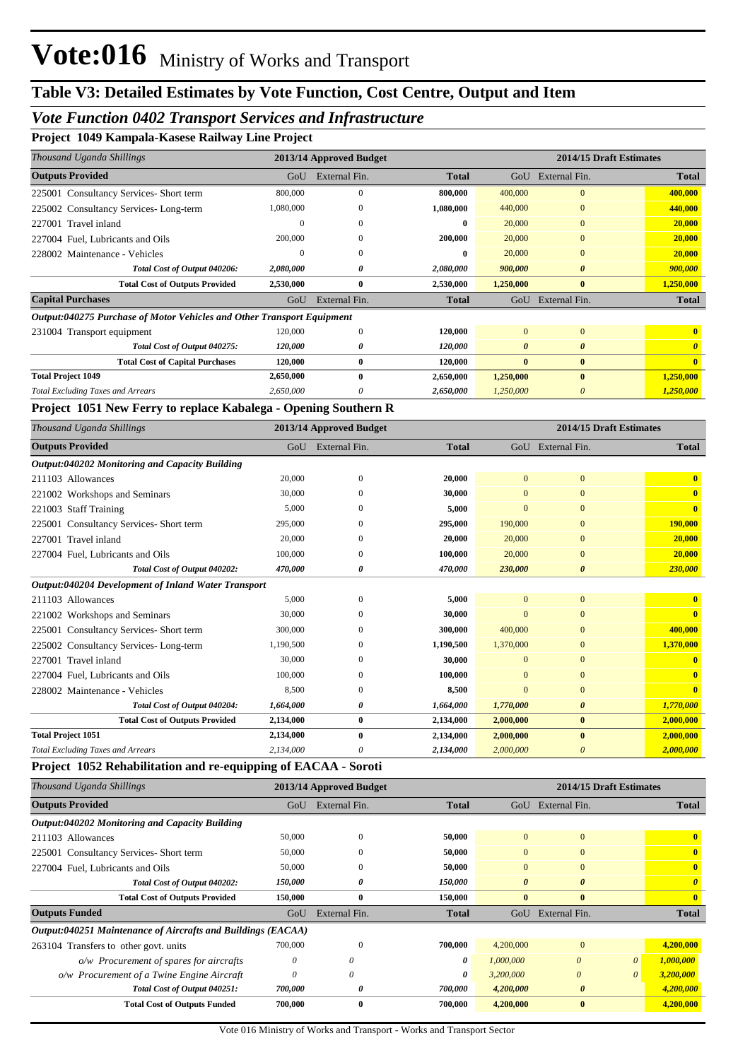### *Vote Function 0402 Transport Services and Infrastructure*

|  |  | Project 1049 Kampala-Kasese Railway Line Project |  |  |  |
|--|--|--------------------------------------------------|--|--|--|
|--|--|--------------------------------------------------|--|--|--|

| Thousand Uganda Shillings                                              |           | 2013/14 Approved Budget |              |                       |                       | 2014/15 Draft Estimates |
|------------------------------------------------------------------------|-----------|-------------------------|--------------|-----------------------|-----------------------|-------------------------|
| <b>Outputs Provided</b>                                                | GoU       | External Fin.           | <b>Total</b> | GoU                   | External Fin.         | <b>Total</b>            |
| 225001 Consultancy Services-Short term                                 | 800,000   | $\theta$                | 800.000      | 400,000               | $\mathbf{0}$          | 400,000                 |
| 225002 Consultancy Services-Long-term                                  | 1,080,000 | $\Omega$                | 1,080,000    | 440,000               | $\mathbf{0}$          | 440,000                 |
| 227001 Travel inland                                                   | $\theta$  | $\Omega$                | 0            | 20,000                | $\mathbf{0}$          | 20,000                  |
| 227004 Fuel, Lubricants and Oils                                       | 200,000   | $\theta$                | 200,000      | 20,000                | $\mathbf{0}$          | 20,000                  |
| 228002 Maintenance - Vehicles                                          | $\Omega$  | $\Omega$                | 0            | 20,000                | $\mathbf{0}$          | 20,000                  |
| Total Cost of Output 040206:                                           | 2,080,000 | 0                       | 2,080,000    | 900,000               | $\boldsymbol{\theta}$ | 900,000                 |
| <b>Total Cost of Outputs Provided</b>                                  | 2,530,000 | $\bf{0}$                | 2,530,000    | 1,250,000             | $\bf{0}$              | 1,250,000               |
| <b>Capital Purchases</b>                                               | GoU       | External Fin.           | <b>Total</b> | GoU                   | External Fin.         | <b>Total</b>            |
| Output:040275 Purchase of Motor Vehicles and Other Transport Equipment |           |                         |              |                       |                       |                         |
| 231004 Transport equipment                                             | 120,000   | $\mathbf{0}$            | 120,000      | $\mathbf{0}$          | $\overline{0}$        | $\mathbf{0}$            |
| Total Cost of Output 040275:                                           | 120,000   | 0                       | 120,000      | $\boldsymbol{\theta}$ | $\boldsymbol{\theta}$ |                         |
| <b>Total Cost of Capital Purchases</b>                                 | 120,000   | $\bf{0}$                | 120,000      | $\mathbf{0}$          | $\bf{0}$              | $\mathbf{0}$            |
| <b>Total Project 1049</b>                                              | 2,650,000 | $\mathbf{0}$            | 2,650,000    | 1,250,000             | $\mathbf{0}$          | 1,250,000               |
| <b>Total Excluding Taxes and Arrears</b>                               | 2,650,000 | 0                       | 2,650,000    | 1,250,000             | $\theta$              | 1,250,000               |

#### **Project 1051 New Ferry to replace Kabalega - Opening Southern R**

| Thousand Uganda Shillings                           |           | 2013/14 Approved Budget |              | 2014/15 Draft Estimates |                       |              |  |
|-----------------------------------------------------|-----------|-------------------------|--------------|-------------------------|-----------------------|--------------|--|
| <b>Outputs Provided</b>                             | GoU       | External Fin.           | <b>Total</b> |                         | GoU External Fin.     | <b>Total</b> |  |
| Output:040202 Monitoring and Capacity Building      |           |                         |              |                         |                       |              |  |
| 211103 Allowances                                   | 20,000    | $\overline{0}$          | 20,000       | $\Omega$                | $\mathbf{0}$          | $\mathbf{0}$ |  |
| 221002 Workshops and Seminars                       | 30,000    | $\Omega$                | 30,000       | $\Omega$                | $\overline{0}$        | $\mathbf{0}$ |  |
| 221003 Staff Training                               | 5,000     | $\theta$                | 5,000        | $\Omega$                | $\mathbf{0}$          | $\mathbf{0}$ |  |
| 225001 Consultancy Services- Short term             | 295,000   | $\Omega$                | 295,000      | 190,000                 | $\Omega$              | 190,000      |  |
| 227001 Travel inland                                | 20,000    | $\Omega$                | 20,000       | 20,000                  | $\mathbf{0}$          | 20,000       |  |
| 227004 Fuel, Lubricants and Oils                    | 100,000   | $\mathbf{0}$            | 100,000      | 20,000                  | $\overline{0}$        | 20,000       |  |
| Total Cost of Output 040202:                        | 470,000   | 0                       | 470,000      | 230,000                 | $\boldsymbol{\theta}$ | 230,000      |  |
| Output:040204 Development of Inland Water Transport |           |                         |              |                         |                       |              |  |
| 211103 Allowances                                   | 5,000     | $\mathbf{0}$            | 5,000        | $\overline{0}$          | $\mathbf{0}$          | $\mathbf{0}$ |  |
| 221002 Workshops and Seminars                       | 30,000    | 0                       | 30,000       |                         | $\Omega$              | $\mathbf{0}$ |  |
| 225001 Consultancy Services-Short term              | 300,000   | $\Omega$                | 300,000      | 400,000                 | $\mathbf{0}$          | 400,000      |  |
| 225002 Consultancy Services-Long-term               | 1,190,500 | $\theta$                | 1.190.500    | 1,370,000               | $\mathbf{0}$          | 1,370,000    |  |
| 227001 Travel inland                                | 30,000    | $\Omega$                | 30,000       | $\Omega$                | $\mathbf{0}$          |              |  |
| 227004 Fuel, Lubricants and Oils                    | 100,000   | $\Omega$                | 100,000      | $\Omega$                | $\Omega$              |              |  |
| 228002 Maintenance - Vehicles                       | 8,500     | $\mathbf{0}$            | 8,500        | $\Omega$                | $\boldsymbol{0}$      | $\mathbf{0}$ |  |
| Total Cost of Output 040204:                        | 1,664,000 | 0                       | 1,664,000    | 1,770,000               | $\boldsymbol{\theta}$ | 1,770,000    |  |
| <b>Total Cost of Outputs Provided</b>               | 2,134,000 | $\bf{0}$                | 2,134,000    | 2,000,000               | $\bf{0}$              | 2,000,000    |  |
| <b>Total Project 1051</b>                           | 2,134,000 | $\bf{0}$                | 2,134,000    | 2,000,000               | $\bf{0}$              | 2,000,000    |  |
| Total Excluding Taxes and Arrears                   | 2,134,000 | 0                       | 2,134,000    | 2,000,000               | 0                     | 2,000,000    |  |

#### **Project 1052 Rehabilitation and re-equipping of EACAA - Soroti**

| Thousand Uganda Shillings                                    |                       | 2013/14 Approved Budget |              |                       |                       | 2014/15 Draft Estimates |                       |
|--------------------------------------------------------------|-----------------------|-------------------------|--------------|-----------------------|-----------------------|-------------------------|-----------------------|
| <b>Outputs Provided</b>                                      | GoU                   | External Fin.           | <b>Total</b> | GoU                   | External Fin.         |                         | <b>Total</b>          |
| Output:040202 Monitoring and Capacity Building               |                       |                         |              |                       |                       |                         |                       |
| 211103 Allowances                                            | 50,000                | $\Omega$                | 50,000       | $\overline{0}$        | $\mathbf{0}$          |                         | $\mathbf{0}$          |
| 225001 Consultancy Services-Short term                       | 50,000                | $\theta$                | 50,000       | $\mathbf{0}$          | $\mathbf{0}$          |                         | $\mathbf{0}$          |
| 227004 Fuel. Lubricants and Oils                             | 50,000                | $\Omega$                | 50,000       | $\Omega$              | $\Omega$              |                         | $\mathbf{0}$          |
| Total Cost of Output 040202:                                 | <i><b>150,000</b></i> | 0                       | 150,000      | $\boldsymbol{\theta}$ | $\boldsymbol{\theta}$ |                         | $\boldsymbol{\theta}$ |
| <b>Total Cost of Outputs Provided</b>                        | 150,000               | $\mathbf{0}$            | 150,000      | $\mathbf{0}$          | $\mathbf{0}$          |                         | $\mathbf{0}$          |
| <b>Outputs Funded</b>                                        | GoU                   | External Fin.           | <b>Total</b> | GoU                   | External Fin.         |                         | <b>Total</b>          |
| Output:040251 Maintenance of Aircrafts and Buildings (EACAA) |                       |                         |              |                       |                       |                         |                       |
| 263104 Transfers to other govt. units                        | 700,000               | $\theta$                | 700,000      | 4,200,000             | $\mathbf{0}$          |                         | 4,200,000             |
| o/w Procurement of spares for aircrafts                      | 0                     | $\theta$                | 0            | 1,000,000             | $\theta$              | $\theta$                | 1,000,000             |
| o/w Procurement of a Twine Engine Aircraft                   | $\theta$              | $\theta$                | 0            | 3,200,000             | $\theta$              |                         | 3,200,000             |
| Total Cost of Output 040251:                                 | 700,000               | 0                       | 700,000      | 4,200,000             | $\boldsymbol{\theta}$ |                         | 4,200,000             |
| <b>Total Cost of Outputs Funded</b>                          | 700,000               | $\mathbf{0}$            | 700.000      | 4,200,000             | $\mathbf{0}$          |                         | 4,200,000             |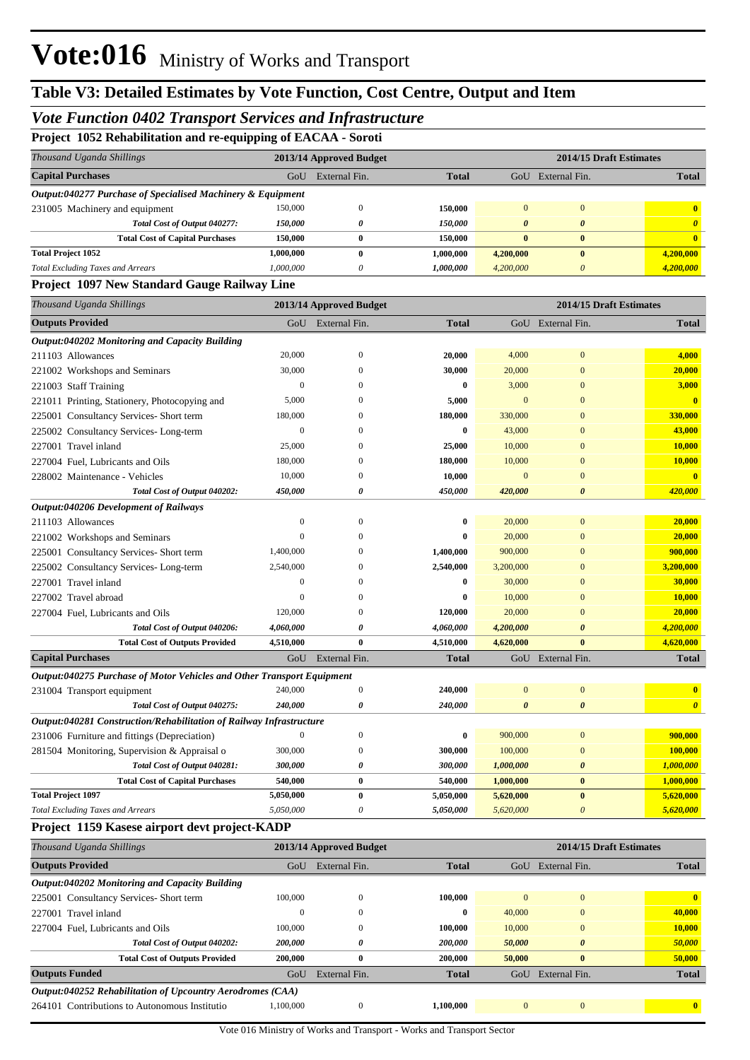### *Vote Function 0402 Transport Services and Infrastructure*

**Project 1052 Rehabilitation and re-equipping of EACAA - Soroti**

| 1 reject 1992 remabilitation and re-equipping of ETCTER - borou        |                  |                         |              |                       |                           |                       |
|------------------------------------------------------------------------|------------------|-------------------------|--------------|-----------------------|---------------------------|-----------------------|
| Thousand Uganda Shillings                                              |                  | 2013/14 Approved Budget |              |                       | 2014/15 Draft Estimates   |                       |
| <b>Capital Purchases</b>                                               | GoU              | External Fin.           | <b>Total</b> |                       | GoU External Fin.         | <b>Total</b>          |
| Output:040277 Purchase of Specialised Machinery & Equipment            |                  |                         |              |                       |                           |                       |
| 231005 Machinery and equipment                                         | 150,000          | $\boldsymbol{0}$        | 150,000      | $\mathbf{0}$          | $\boldsymbol{0}$          | $\bf{0}$              |
| Total Cost of Output 040277:                                           | 150,000          | 0                       | 150,000      | 0                     | 0                         | $\boldsymbol{\theta}$ |
| <b>Total Cost of Capital Purchases</b>                                 | 150,000          | $\bf{0}$                | 150,000      | $\bf{0}$              | $\bf{0}$                  | $\bf{0}$              |
| <b>Total Project 1052</b>                                              | 1,000,000        | $\bf{0}$                | 1,000,000    | 4,200,000             | $\bf{0}$                  | 4,200,000             |
| <b>Total Excluding Taxes and Arrears</b>                               | 1,000,000        | $\boldsymbol{\theta}$   | 1,000,000    | 4,200,000             | $\boldsymbol{\theta}$     | 4,200,000             |
| Project 1097 New Standard Gauge Railway Line                           |                  |                         |              |                       |                           |                       |
| Thousand Uganda Shillings                                              |                  | 2013/14 Approved Budget |              |                       | 2014/15 Draft Estimates   |                       |
| <b>Outputs Provided</b>                                                | GoU              | External Fin.           | <b>Total</b> |                       | GoU External Fin.         | <b>Total</b>          |
| Output:040202 Monitoring and Capacity Building                         |                  |                         |              |                       |                           |                       |
| 211103 Allowances                                                      | 20,000           | $\boldsymbol{0}$        | 20,000       | 4,000                 | $\boldsymbol{0}$          | 4,000                 |
| 221002 Workshops and Seminars                                          | 30,000           | $\Omega$                | 30,000       | 20,000                | $\mathbf{0}$              | 20,000                |
| 221003 Staff Training                                                  | $\boldsymbol{0}$ | $\Omega$                | 0            | 3,000                 | $\boldsymbol{0}$          | 3,000                 |
| 221011 Printing, Stationery, Photocopying and                          | 5,000            | $\Omega$                | 5,000        | $\mathbf{0}$          | $\mathbf{0}$              | $\bf{0}$              |
| 225001 Consultancy Services- Short term                                | 180,000          | $\Omega$                | 180,000      | 330,000               | $\Omega$                  | 330,000               |
| 225002 Consultancy Services-Long-term                                  | $\boldsymbol{0}$ | $\Omega$                | 0            | 43,000                | $\Omega$                  | 43,000                |
| 227001 Travel inland                                                   | 25,000           | $\Omega$                | 25,000       | 10,000                | $\Omega$                  | 10,000                |
| 227004 Fuel, Lubricants and Oils                                       | 180,000          | $\mathbf{0}$            | 180,000      | 10,000                | $\mathbf{0}$              | 10,000                |
| 228002 Maintenance - Vehicles                                          | 10,000           | 0                       | 10,000       | $\mathbf{0}$          | $\Omega$                  | $\bf{0}$              |
| Total Cost of Output 040202:                                           | 450,000          | 0                       | 450,000      | 420,000               | $\boldsymbol{\theta}$     | 420,000               |
| Output:040206 Development of Railways                                  |                  |                         |              |                       |                           |                       |
| 211103 Allowances                                                      | $\boldsymbol{0}$ | $\mathbf{0}$            | 0            | 20,000                | $\boldsymbol{0}$          | 20,000                |
| 221002 Workshops and Seminars                                          | $\mathbf{0}$     | 0                       | 0            | 20,000                | $\boldsymbol{0}$          | 20,000                |
| 225001 Consultancy Services- Short term                                | 1,400,000        | $\Omega$                | 1,400,000    | 900,000               | $\mathbf{0}$              | 900,000               |
| 225002 Consultancy Services-Long-term                                  | 2,540,000        | $\Omega$                | 2,540,000    | 3,200,000             | $\Omega$                  | 3,200,000             |
| 227001 Travel inland                                                   | $\boldsymbol{0}$ | $\Omega$                | 0            | 30,000                | $\mathbf{0}$              | 30,000                |
| 227002 Travel abroad                                                   | $\boldsymbol{0}$ | $\Omega$                | 0            | 10,000                | $\Omega$                  | 10,000                |
| 227004 Fuel, Lubricants and Oils                                       | 120,000          | 0                       | 120,000      | 20,000                | $\Omega$                  | 20,000                |
| Total Cost of Output 040206:                                           | 4,060,000        | 0                       | 4,060,000    | 4,200,000             | $\boldsymbol{\theta}$     | 4,200,000             |
| <b>Total Cost of Outputs Provided</b>                                  | 4,510,000        | $\bf{0}$                | 4,510,000    | 4,620,000             | $\bf{0}$                  | 4,620,000             |
| <b>Capital Purchases</b>                                               | GoU              | External Fin.           | <b>Total</b> |                       | GoU External Fin.         | <b>Total</b>          |
| Output:040275 Purchase of Motor Vehicles and Other Transport Equipment |                  |                         |              |                       |                           |                       |
| 231004 Transport equipment                                             | 240,000          | $\boldsymbol{0}$        | 240,000      | $\Omega$              | $\boldsymbol{0}$          | $\bf{0}$              |
| Total Cost of Output 040275:                                           | 240,000          |                         | 240,000      | $\boldsymbol{\theta}$ | $\boldsymbol{\theta}$     | $\overline{a}$        |
| Output:040281 Construction/Rehabilitation of Railway Infrastructure    |                  |                         |              |                       |                           |                       |
| 231006 Furniture and fittings (Depreciation)                           | $\boldsymbol{0}$ | $\boldsymbol{0}$        | 0            | 900,000               | $\boldsymbol{0}$          | 900,000               |
| 281504 Monitoring, Supervision & Appraisal o                           | 300,000          | $\boldsymbol{0}$        | 300,000      | 100,000               | $\boldsymbol{0}$          | 100,000               |
| Total Cost of Output 040281:                                           | 300,000          | 0                       | 300,000      | 1,000,000             | $\boldsymbol{\theta}$     | 1,000,000             |
| <b>Total Cost of Capital Purchases</b>                                 | 540,000          | $\boldsymbol{0}$        | 540,000      | 1,000,000             | $\bf{0}$                  | 1,000,000             |
| <b>Total Project 1097</b>                                              | 5,050,000        | $\pmb{0}$               | 5,050,000    | 5,620,000             | $\pmb{0}$                 | 5,620,000             |
| <b>Total Excluding Taxes and Arrears</b>                               | 5,050,000        | 0                       | 5,050,000    | 5,620,000             | $\boldsymbol{\mathit{0}}$ | 5,620,000             |

#### **Project 1159 Kasese airport devt project-KADP**

| Thousand Uganda Shillings                                  |           | 2013/14 Approved Budget |              | 2014/15 Draft Estimates |                       |              |  |
|------------------------------------------------------------|-----------|-------------------------|--------------|-------------------------|-----------------------|--------------|--|
| <b>Outputs Provided</b>                                    | GoU       | External Fin.           | <b>Total</b> | GoU                     | External Fin.         | <b>Total</b> |  |
| Output:040202 Monitoring and Capacity Building             |           |                         |              |                         |                       |              |  |
| 225001 Consultancy Services-Short term                     | 100,000   | $\mathbf{0}$            | 100.000      | $\Omega$                | $\mathbf{0}$          | $\mathbf{0}$ |  |
| 227001 Travel inland                                       | 0         | $\mathbf{0}$            | $\bf{0}$     | 40,000                  | $\mathbf{0}$          | 40,000       |  |
| 227004 Fuel. Lubricants and Oils                           | 100,000   | $\Omega$                | 100.000      | 10,000                  | $\mathbf{0}$          | 10,000       |  |
| Total Cost of Output 040202:                               | 200,000   | 0                       | 200,000      | 50,000                  | $\boldsymbol{\theta}$ | 50,000       |  |
| <b>Total Cost of Outputs Provided</b>                      | 200,000   | $\bf{0}$                | 200,000      | 50,000                  | $\bf{0}$              | 50,000       |  |
| <b>Outputs Funded</b>                                      | GoU       | External Fin.           | <b>Total</b> | GoU                     | External Fin.         | <b>Total</b> |  |
| Output:040252 Rehabilitation of Upcountry Aerodromes (CAA) |           |                         |              |                         |                       |              |  |
| 264101 Contributions to Autonomous Institutio              | 1.100,000 | $\Omega$                | 1.100.000    | $\Omega$                | $\Omega$              | $\mathbf{0}$ |  |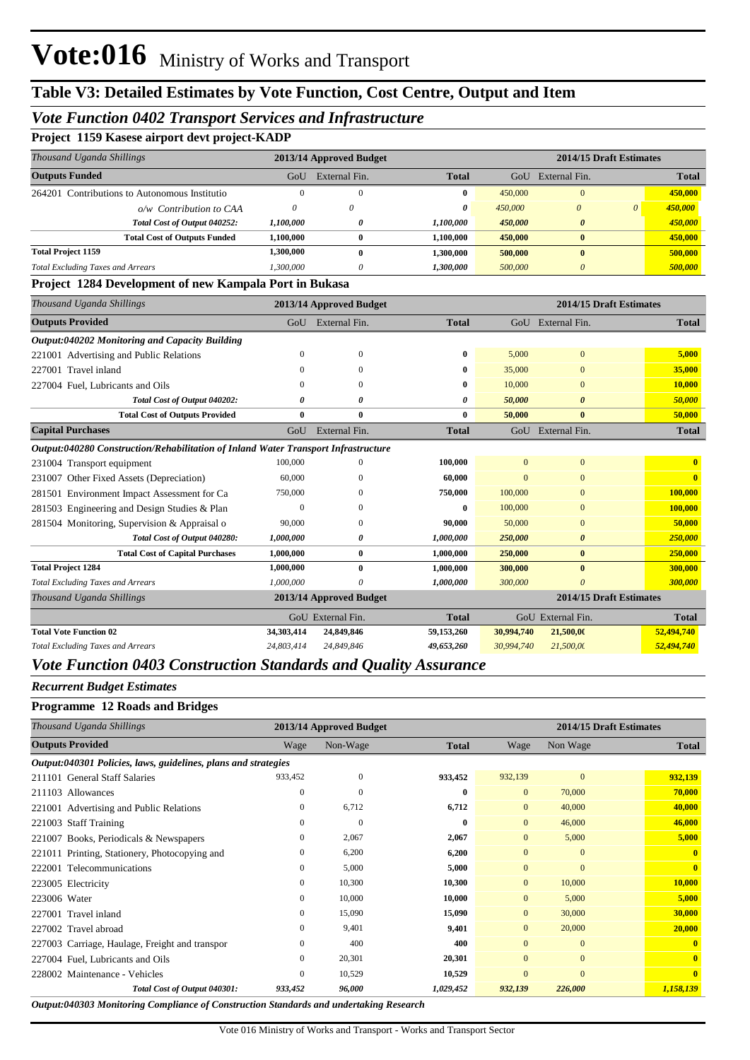### *Vote Function 0402 Transport Services and Infrastructure*

|  |  |  |  |  | Project 1159 Kasese airport devt project-KADP |
|--|--|--|--|--|-----------------------------------------------|
|--|--|--|--|--|-----------------------------------------------|

| Thousand Uganda Shillings                                                          |              | 2013/14 Approved Budget |              |                |                       | 2014/15 Draft Estimates |                         |
|------------------------------------------------------------------------------------|--------------|-------------------------|--------------|----------------|-----------------------|-------------------------|-------------------------|
| <b>Outputs Funded</b>                                                              | GoU          | External Fin.           | <b>Total</b> |                | GoU External Fin.     |                         | <b>Total</b>            |
| 264201 Contributions to Autonomous Institutio                                      | $\Omega$     | $\Omega$                | 0            | 450,000        | $\Omega$              |                         | 450,000                 |
| o/w Contribution to CAA                                                            | $\theta$     | 0                       | 0            | 450,000        | $\theta$              | $\theta$                | 450,000                 |
| Total Cost of Output 040252:                                                       | 1,100,000    | 0                       | 1,100,000    | 450,000        | $\boldsymbol{\theta}$ |                         | 450,000                 |
| <b>Total Cost of Outputs Funded</b>                                                | 1,100,000    | $\bf{0}$                | 1,100,000    | 450,000        | $\bf{0}$              |                         | 450,000                 |
| <b>Total Project 1159</b>                                                          | 1,300,000    | $\mathbf{0}$            | 1,300,000    | 500,000        | $\mathbf{0}$          |                         | 500,000                 |
| <b>Total Excluding Taxes and Arrears</b>                                           | 1,300,000    | $\theta$                | 1,300,000    | 500,000        | $\theta$              |                         | 500,000                 |
| Project 1284 Development of new Kampala Port in Bukasa                             |              |                         |              |                |                       |                         |                         |
| Thousand Uganda Shillings                                                          |              | 2013/14 Approved Budget |              |                |                       | 2014/15 Draft Estimates |                         |
| <b>Outputs Provided</b>                                                            |              | GoU External Fin.       | <b>Total</b> |                | GoU External Fin.     |                         | <b>Total</b>            |
| Output:040202 Monitoring and Capacity Building                                     |              |                         |              |                |                       |                         |                         |
| 221001 Advertising and Public Relations                                            | $\mathbf{0}$ | $\mathbf{0}$            | $\bf{0}$     | 5,000          | $\overline{0}$        |                         | 5,000                   |
| 227001 Travel inland                                                               | $\Omega$     | $\Omega$                | 0            | 35,000         | $\Omega$              |                         | 35,000                  |
| 227004 Fuel, Lubricants and Oils                                                   | $\Omega$     | $\Omega$                | 0            | 10,000         | $\Omega$              |                         | 10,000                  |
| Total Cost of Output 040202:                                                       | 0            | 0                       | 0            | 50,000         | $\boldsymbol{\theta}$ |                         | 50,000                  |
| <b>Total Cost of Outputs Provided</b>                                              | $\bf{0}$     | $\mathbf{0}$            | $\bf{0}$     | 50,000         | $\mathbf{0}$          |                         | 50,000                  |
| <b>Capital Purchases</b>                                                           | GoU          | External Fin.           | <b>Total</b> |                | GoU External Fin.     |                         | <b>Total</b>            |
| Output:040280 Construction/Rehabilitation of Inland Water Transport Infrastructure |              |                         |              |                |                       |                         |                         |
| 231004 Transport equipment                                                         | 100,000      | $\mathbf{0}$            | 100,000      | $\overline{0}$ | $\overline{0}$        |                         | $\mathbf{0}$            |
| 231007 Other Fixed Assets (Depreciation)                                           | 60,000       | 0                       | 60.000       | $\Omega$       | $\Omega$              |                         | $\overline{\mathbf{0}}$ |
| 281501 Environment Impact Assessment for Ca                                        | 750,000      | 0                       | 750,000      | 100,000        | $\Omega$              |                         | 100,000                 |
| 281503 Engineering and Design Studies & Plan                                       | $\Omega$     | $\Omega$                | $\bf{0}$     | 100,000        | $\Omega$              |                         | 100,000                 |
| 281504 Monitoring, Supervision & Appraisal o                                       | 90,000       | $\mathbf{0}$            | 90,000       | 50,000         | $\overline{0}$        |                         | 50,000                  |
| Total Cost of Output 040280:                                                       | 1,000,000    | 0                       | 1,000,000    | 250,000        | $\boldsymbol{\theta}$ |                         | 250,000                 |
| <b>Total Cost of Capital Purchases</b>                                             | 1,000,000    | $\bf{0}$                | 1,000,000    | 250,000        | $\mathbf{0}$          |                         | 250,000                 |
| <b>Total Project 1284</b>                                                          | 1,000,000    | $\bf{0}$                | 1,000,000    | 300,000        | $\bf{0}$              |                         | 300,000                 |
| <b>Total Excluding Taxes and Arrears</b>                                           | 1.000.000    | 0                       | 1,000,000    | 300,000        | $\theta$              |                         | 300,000                 |
| Thousand Uganda Shillings                                                          |              | 2013/14 Approved Budget |              |                |                       | 2014/15 Draft Estimates |                         |
|                                                                                    |              | GoU External Fin.       | <b>Total</b> |                | GoU External Fin.     |                         | <b>Total</b>            |
| <b>Total Vote Function 02</b>                                                      | 34,303,414   | 24,849,846              | 59,153,260   | 30,994,740     | 21,500,00             |                         | 52,494,740              |
| <b>Total Excluding Taxes and Arrears</b>                                           | 24.803.414   | 24.849.846              | 49,653,260   | 30,994,740     | 21,500,00             |                         | 52,494,740              |

#### *Vote Function 0403 Construction Standards and Quality Assurance*

#### *Recurrent Budget Estimates*

#### **Programme 12 Roads and Bridges**

| Thousand Uganda Shillings                                      |              | 2013/14 Approved Budget |              | 2014/15 Draft Estimates |              |                         |  |
|----------------------------------------------------------------|--------------|-------------------------|--------------|-------------------------|--------------|-------------------------|--|
| <b>Outputs Provided</b>                                        | Wage         | Non-Wage                | <b>Total</b> | Wage                    | Non Wage     | Total                   |  |
| Output:040301 Policies, laws, guidelines, plans and strategies |              |                         |              |                         |              |                         |  |
| 211101 General Staff Salaries                                  | 933,452      | $\mathbf{0}$            | 933,452      | 932,139                 | $\mathbf{0}$ | 932,139                 |  |
| 211103 Allowances                                              | $\mathbf{0}$ | $\overline{0}$          | $\bf{0}$     | $\mathbf{0}$            | 70,000       | 70,000                  |  |
| 221001 Advertising and Public Relations                        | $\mathbf{0}$ | 6,712                   | 6,712        | $\mathbf{0}$            | 40,000       | 40,000                  |  |
| 221003 Staff Training                                          | $\mathbf{0}$ | $\overline{0}$          | $\bf{0}$     | $\mathbf{0}$            | 46,000       | 46,000                  |  |
| 221007 Books, Periodicals & Newspapers                         | $\mathbf{0}$ | 2,067                   | 2,067        | $\mathbf{0}$            | 5,000        | 5,000                   |  |
| 221011 Printing, Stationery, Photocopying and                  | $\mathbf{0}$ | 6,200                   | 6,200        | $\mathbf{0}$            | $\mathbf{0}$ | $\mathbf{0}$            |  |
| 222001 Telecommunications                                      | $\mathbf{0}$ | 5,000                   | 5,000        | $\mathbf{0}$            | $\mathbf{0}$ | $\mathbf{0}$            |  |
| 223005 Electricity                                             | $\mathbf{0}$ | 10,300                  | 10,300       | $\mathbf{0}$            | 10,000       | 10,000                  |  |
| 223006 Water                                                   | $\Omega$     | 10,000                  | 10,000       | $\mathbf{0}$            | 5,000        | 5,000                   |  |
| 227001 Travel inland                                           | $\mathbf{0}$ | 15,090                  | 15,090       | $\mathbf{0}$            | 30,000       | 30,000                  |  |
| 227002 Travel abroad                                           | $\Omega$     | 9,401                   | 9,401        | $\mathbf{0}$            | 20,000       | 20,000                  |  |
| 227003 Carriage, Haulage, Freight and transpor                 | $\mathbf{0}$ | 400                     | 400          | $\Omega$                | $\mathbf{0}$ | $\mathbf{0}$            |  |
| 227004 Fuel, Lubricants and Oils                               | $\mathbf{0}$ | 20,301                  | 20,301       | $\mathbf{0}$            | $\mathbf{0}$ | $\mathbf{0}$            |  |
| 228002 Maintenance - Vehicles                                  | $\mathbf{0}$ | 10,529                  | 10,529       | $\mathbf{0}$            | $\mathbf{0}$ | $\overline{\mathbf{0}}$ |  |
| Total Cost of Output 040301:                                   | 933,452      | 96,000                  | 1,029,452    | 932,139                 | 226,000      | 1,158,139               |  |

*Output:040303 Monitoring Compliance of Construction Standards and undertaking Research*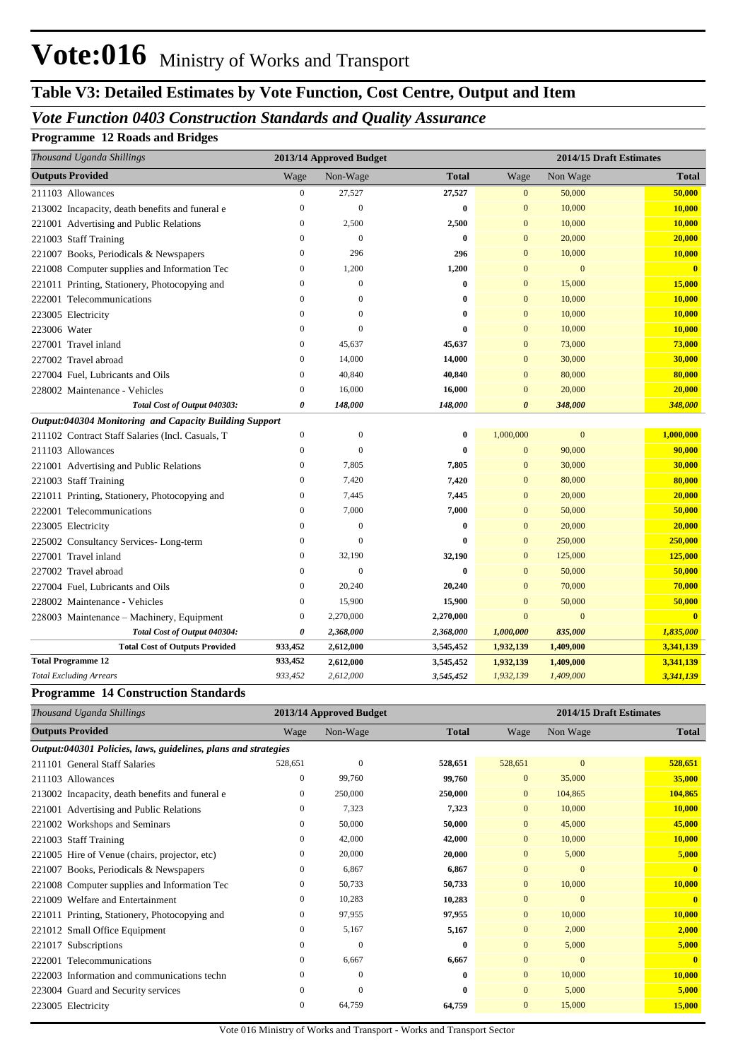# **Table V3: Detailed Estimates by Vote Function, Cost Centre, Output and Item**

### *Vote Function 0403 Construction Standards and Quality Assurance*

#### **Programme 12 Roads and Bridges**

| Thousand Uganda Shillings                              |                       | 2013/14 Approved Budget |              | 2014/15 Draft Estimates |                |              |
|--------------------------------------------------------|-----------------------|-------------------------|--------------|-------------------------|----------------|--------------|
| <b>Outputs Provided</b>                                | Wage                  | Non-Wage                | <b>Total</b> | Wage                    | Non Wage       | Total        |
| 211103 Allowances                                      | $\overline{0}$        | 27,527                  | 27,527       | $\mathbf{0}$            | 50,000         | 50,000       |
| 213002 Incapacity, death benefits and funeral e        | $\boldsymbol{0}$      | $\theta$                | $\bf{0}$     | $\mathbf{0}$            | 10,000         | 10,000       |
| 221001 Advertising and Public Relations                | $\overline{0}$        | 2,500                   | 2,500        | $\mathbf{0}$            | 10,000         | 10,000       |
| 221003 Staff Training                                  | $\overline{0}$        | $\theta$                | $\bf{0}$     | $\overline{0}$          | 20,000         | 20,000       |
| 221007 Books, Periodicals & Newspapers                 | $\mathbf{0}$          | 296                     | 296          | $\overline{0}$          | 10,000         | 10,000       |
| 221008 Computer supplies and Information Tec           | $\mathbf{0}$          | 1,200                   | 1,200        | $\mathbf{0}$            | $\mathbf{0}$   | $\mathbf{0}$ |
| 221011 Printing, Stationery, Photocopying and          | $\mathbf{0}$          | $\theta$                | $\bf{0}$     | $\overline{0}$          | 15,000         | 15,000       |
| 222001 Telecommunications                              | $\mathbf{0}$          | $\theta$                | $\bf{0}$     | $\overline{0}$          | 10,000         | 10,000       |
| 223005 Electricity                                     | $\theta$              | $\Omega$                | $\bf{0}$     | $\overline{0}$          | 10,000         | 10,000       |
| 223006 Water                                           | $\mathbf{0}$          | $\theta$                | $\bf{0}$     | $\overline{0}$          | 10,000         | 10,000       |
| 227001 Travel inland                                   | $\mathbf{0}$          | 45,637                  | 45,637       | $\overline{0}$          | 73,000         | 73,000       |
| 227002 Travel abroad                                   | $\mathbf{0}$          | 14,000                  | 14,000       | $\overline{0}$          | 30,000         | 30,000       |
| 227004 Fuel, Lubricants and Oils                       | $\overline{0}$        | 40,840                  | 40,840       | $\mathbf{0}$            | 80,000         | 80,000       |
| 228002 Maintenance - Vehicles                          | $\mathbf{0}$          | 16,000                  | 16,000       | $\Omega$                | 20,000         | 20,000       |
| Total Cost of Output 040303:                           | $\boldsymbol{\theta}$ | 148,000                 | 148,000      | 0                       | 348,000        | 348,000      |
| Output:040304 Monitoring and Capacity Building Support |                       |                         |              |                         |                |              |
| 211102 Contract Staff Salaries (Incl. Casuals, T       | $\boldsymbol{0}$      | $\mathbf{0}$            | $\bf{0}$     | 1,000,000               | $\mathbf{0}$   | 1,000,000    |
| 211103 Allowances                                      | $\boldsymbol{0}$      | $\mathbf{0}$            | $\bf{0}$     | $\mathbf{0}$            | 90,000         | 90,000       |
| 221001 Advertising and Public Relations                | $\overline{0}$        | 7,805                   | 7,805        | $\overline{0}$          | 30,000         | 30,000       |
| 221003 Staff Training                                  | $\overline{0}$        | 7,420                   | 7,420        | $\mathbf{0}$            | 80,000         | 80,000       |
| 221011 Printing, Stationery, Photocopying and          | $\overline{0}$        | 7,445                   | 7,445        | $\overline{0}$          | 20,000         | 20,000       |
| 222001 Telecommunications                              | $\boldsymbol{0}$      | 7,000                   | 7,000        | $\overline{0}$          | 50,000         | 50,000       |
| 223005 Electricity                                     | $\overline{0}$        | $\theta$                | $\bf{0}$     | $\mathbf{0}$            | 20,000         | 20,000       |
| 225002 Consultancy Services-Long-term                  | $\boldsymbol{0}$      | $\overline{0}$          | $\bf{0}$     | $\mathbf{0}$            | 250,000        | 250,000      |
| 227001 Travel inland                                   | $\mathbf{0}$          | 32,190                  | 32,190       | $\overline{0}$          | 125,000        | 125,000      |
| 227002 Travel abroad                                   | $\boldsymbol{0}$      | $\overline{0}$          | $\bf{0}$     | $\mathbf{0}$            | 50,000         | 50,000       |
| 227004 Fuel, Lubricants and Oils                       | $\mathbf{0}$          | 20,240                  | 20,240       | $\overline{0}$          | 70,000         | 70,000       |
| 228002 Maintenance - Vehicles                          | $\mathbf{0}$          | 15,900                  | 15,900       | $\mathbf{0}$            | 50,000         | 50,000       |
| 228003 Maintenance - Machinery, Equipment              | $\mathbf{0}$          | 2,270,000               | 2,270,000    | $\overline{0}$          | $\overline{0}$ | $\mathbf{0}$ |
| Total Cost of Output 040304:                           | 0                     | 2,368,000               | 2,368,000    | 1,000,000               | 835,000        | 1,835,000    |
| <b>Total Cost of Outputs Provided</b>                  | 933,452               | 2,612,000               | 3,545,452    | 1,932,139               | 1,409,000      | 3,341,139    |
| <b>Total Programme 12</b>                              | 933,452               | 2,612,000               | 3,545,452    | 1,932,139               | 1,409,000      | 3,341,139    |
| <b>Total Excluding Arrears</b>                         | 933,452               | 2,612,000               | 3,545,452    | 1,932,139               | 1,409,000      | 3,341,139    |

#### **Programme 14 Construction Standards**

| Thousand Uganda Shillings                                      |              | 2013/14 Approved Budget |              | 2014/15 Draft Estimates |              |              |  |
|----------------------------------------------------------------|--------------|-------------------------|--------------|-------------------------|--------------|--------------|--|
| <b>Outputs Provided</b>                                        | Wage         | Non-Wage                | <b>Total</b> | Wage                    | Non Wage     | <b>Total</b> |  |
| Output:040301 Policies, laws, guidelines, plans and strategies |              |                         |              |                         |              |              |  |
| 211101 General Staff Salaries                                  | 528,651      | $\mathbf{0}$            | 528,651      | 528,651                 | $\mathbf{0}$ | 528,651      |  |
| 211103 Allowances                                              | $\mathbf{0}$ | 99,760                  | 99,760       | $\overline{0}$          | 35,000       | 35,000       |  |
| 213002 Incapacity, death benefits and funeral e                | 0            | 250,000                 | 250,000      | $\overline{0}$          | 104,865      | 104,865      |  |
| 221001 Advertising and Public Relations                        | $\mathbf{0}$ | 7,323                   | 7,323        | $\overline{0}$          | 10,000       | 10,000       |  |
| 221002 Workshops and Seminars                                  | $\mathbf{0}$ | 50,000                  | 50,000       | $\overline{0}$          | 45,000       | 45,000       |  |
| 221003 Staff Training                                          | 0            | 42,000                  | 42,000       | $\overline{0}$          | 10,000       | 10,000       |  |
| 221005 Hire of Venue (chairs, projector, etc)                  | $\mathbf{0}$ | 20,000                  | 20,000       | $\overline{0}$          | 5,000        | 5,000        |  |
| 221007 Books, Periodicals & Newspapers                         | $\mathbf{0}$ | 6,867                   | 6,867        | $\overline{0}$          | $\mathbf{0}$ | $\mathbf{0}$ |  |
| 221008 Computer supplies and Information Tec                   | $\mathbf{0}$ | 50,733                  | 50,733       | $\overline{0}$          | 10,000       | 10,000       |  |
| 221009 Welfare and Entertainment                               | $\mathbf{0}$ | 10,283                  | 10,283       | $\Omega$                | $\Omega$     | $\mathbf{0}$ |  |
| 221011 Printing, Stationery, Photocopying and                  | $\mathbf{0}$ | 97,955                  | 97,955       | $\overline{0}$          | 10,000       | 10,000       |  |
| 221012 Small Office Equipment                                  | 0            | 5,167                   | 5,167        | $\overline{0}$          | 2,000        | 2,000        |  |
| 221017 Subscriptions                                           | 0            | $\mathbf{0}$            | $\bf{0}$     | $\overline{0}$          | 5,000        | 5,000        |  |
| 222001 Telecommunications                                      | $\mathbf{0}$ | 6,667                   | 6,667        | $\overline{0}$          | $\mathbf{0}$ | $\mathbf{0}$ |  |
| 222003 Information and communications techn                    | $\Omega$     | $\mathbf{0}$            | $\bf{0}$     | $\overline{0}$          | 10,000       | 10,000       |  |
| 223004 Guard and Security services                             | $\mathbf{0}$ | $\mathbf{0}$            | $\bf{0}$     | $\overline{0}$          | 5,000        | 5,000        |  |
| 223005 Electricity                                             | $\mathbf{0}$ | 64,759                  | 64,759       | $\overline{0}$          | 15,000       | 15,000       |  |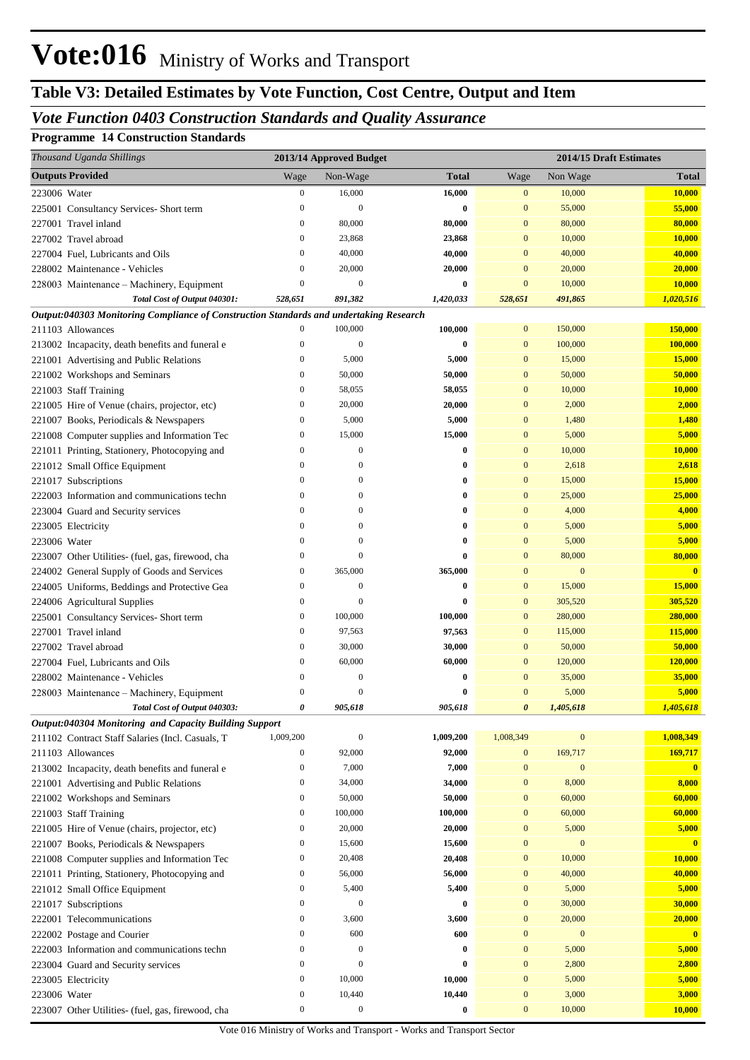# **Table V3: Detailed Estimates by Vote Function, Cost Centre, Output and Item**

## *Vote Function 0403 Construction Standards and Quality Assurance*

#### **Programme 14 Construction Standards**

|              | Thousand Uganda Shillings                                                              |                  | 2013/14 Approved Budget |                     |                  | 2014/15 Draft Estimates |                         |
|--------------|----------------------------------------------------------------------------------------|------------------|-------------------------|---------------------|------------------|-------------------------|-------------------------|
|              | <b>Outputs Provided</b>                                                                | Wage             | Non-Wage                | <b>Total</b>        | Wage             | Non Wage                | <b>Total</b>            |
| 223006 Water |                                                                                        | $\boldsymbol{0}$ | 16,000                  | 16,000              | $\boldsymbol{0}$ | 10,000                  | <b>10,000</b>           |
|              | 225001 Consultancy Services-Short term                                                 | $\boldsymbol{0}$ | $\mathbf{0}$            | $\bf{0}$            | $\mathbf{0}$     | 55,000                  | 55,000                  |
|              | 227001 Travel inland                                                                   | $\boldsymbol{0}$ | 80,000                  | 80,000              | $\mathbf{0}$     | 80,000                  | 80,000                  |
|              | 227002 Travel abroad                                                                   | $\boldsymbol{0}$ | 23,868                  | 23,868              | $\mathbf{0}$     | 10,000                  | 10,000                  |
|              | 227004 Fuel, Lubricants and Oils                                                       | $\boldsymbol{0}$ | 40,000                  | 40,000              | $\mathbf{0}$     | 40,000                  | 40,000                  |
|              | 228002 Maintenance - Vehicles                                                          | $\mathbf{0}$     | 20,000                  | 20,000              | $\mathbf{0}$     | 20,000                  | 20,000                  |
|              | 228003 Maintenance - Machinery, Equipment                                              | $\mathbf{0}$     | $\mathbf{0}$            | 0                   | $\mathbf{0}$     | 10,000                  | 10,000                  |
|              | Total Cost of Output 040301:                                                           | 528,651          | 891,382                 | 1,420,033           | 528,651          | 491,865                 | 1,020,516               |
|              | Output:040303 Monitoring Compliance of Construction Standards and undertaking Research |                  |                         |                     |                  |                         |                         |
|              | 211103 Allowances                                                                      | $\boldsymbol{0}$ | 100,000                 | 100,000             | $\mathbf{0}$     | 150,000                 | 150,000                 |
|              | 213002 Incapacity, death benefits and funeral e                                        | $\boldsymbol{0}$ | $\mathbf{0}$            | $\bf{0}$            | $\mathbf{0}$     | 100,000                 | 100,000                 |
|              | 221001 Advertising and Public Relations                                                | $\boldsymbol{0}$ | 5,000                   | 5,000               | $\mathbf{0}$     | 15,000                  | 15,000                  |
|              | 221002 Workshops and Seminars                                                          | $\boldsymbol{0}$ | 50,000                  | 50,000              | $\mathbf{0}$     | 50,000                  | 50,000                  |
|              | 221003 Staff Training                                                                  | $\boldsymbol{0}$ | 58,055                  | 58,055              | $\mathbf{0}$     | 10,000                  | 10,000                  |
|              | 221005 Hire of Venue (chairs, projector, etc)                                          | $\boldsymbol{0}$ | 20,000                  | 20,000              | $\mathbf{0}$     | 2,000                   | 2,000                   |
|              | 221007 Books, Periodicals & Newspapers                                                 | $\boldsymbol{0}$ | 5,000                   | 5,000               | $\mathbf{0}$     | 1,480                   | 1,480                   |
|              | 221008 Computer supplies and Information Tec                                           | $\boldsymbol{0}$ | 15,000                  | 15,000              | $\mathbf{0}$     | 5,000                   | 5,000                   |
|              | 221011 Printing, Stationery, Photocopying and                                          | $\boldsymbol{0}$ | $\boldsymbol{0}$        | $\bf{0}$            | $\mathbf{0}$     | 10,000                  | 10,000                  |
|              | 221012 Small Office Equipment                                                          | $\mathbf{0}$     | $\theta$                | $\bf{0}$            | $\mathbf{0}$     | 2,618                   | 2,618                   |
|              | 221017 Subscriptions                                                                   | $\mathbf{0}$     | $\theta$                | $\bf{0}$            | $\mathbf{0}$     | 15,000                  | 15,000                  |
|              | 222003 Information and communications techn                                            | $\boldsymbol{0}$ | $\theta$                | $\bf{0}$            | $\mathbf{0}$     | 25,000                  | 25,000                  |
|              | 223004 Guard and Security services                                                     | $\mathbf{0}$     | $\theta$                | $\bf{0}$            | $\mathbf{0}$     | 4,000                   | 4,000                   |
|              | 223005 Electricity                                                                     | $\mathbf{0}$     | $\theta$                | $\bf{0}$            | $\mathbf{0}$     | 5,000                   | 5,000                   |
| 223006 Water |                                                                                        | $\mathbf{0}$     | $\theta$                | $\bf{0}$            | $\mathbf{0}$     | 5,000                   | 5,000                   |
|              | 223007 Other Utilities- (fuel, gas, firewood, cha                                      | $\boldsymbol{0}$ | $\theta$                | $\bf{0}$            | $\mathbf{0}$     | 80,000                  | 80,000                  |
|              | 224002 General Supply of Goods and Services                                            | $\boldsymbol{0}$ | 365,000                 | 365,000             | $\mathbf{0}$     | $\mathbf{0}$            | $\overline{\mathbf{0}}$ |
|              | 224005 Uniforms, Beddings and Protective Gea                                           | $\boldsymbol{0}$ | $\mathbf{0}$            | $\bf{0}$            | $\mathbf{0}$     | 15,000                  | 15,000                  |
|              | 224006 Agricultural Supplies                                                           | $\boldsymbol{0}$ | $\mathbf{0}$            | $\bf{0}$            | $\mathbf{0}$     | 305,520                 | 305,520                 |
|              | 225001 Consultancy Services- Short term                                                | $\boldsymbol{0}$ | 100,000                 | 100,000             | $\mathbf{0}$     | 280,000                 | 280,000                 |
|              | 227001 Travel inland                                                                   | $\boldsymbol{0}$ | 97,563                  | 97,563              | $\mathbf{0}$     | 115,000                 | 115,000                 |
|              | 227002 Travel abroad                                                                   | $\boldsymbol{0}$ | 30,000                  | 30,000              | $\mathbf{0}$     | 50,000                  | 50,000                  |
|              | 227004 Fuel. Lubricants and Oils                                                       | $\mathbf{0}$     | 60,000                  | 60,000              | $\mathbf{0}$     | 120,000                 | 120,000                 |
|              | 228002 Maintenance - Vehicles                                                          | $\theta$         | $\theta$                | $\bf{0}$            | $\mathbf{0}$     | 35,000                  | 35,000                  |
|              | 228003 Maintenance - Machinery, Equipment                                              | $\theta$         | $\theta$                | $\bf{0}$<br>905.618 | $\mathbf{0}$     | 5,000                   | 5,000                   |
|              | Total Cost of Output 040303:<br>Output:040304 Monitoring and Capacity Building Support | 0                | 905,618                 |                     |                  | 1,405,618               | 1,405,618               |
|              | 211102 Contract Staff Salaries (Incl. Casuals, T                                       | 1,009,200        | $\mathbf{0}$            | 1,009,200           | 1,008,349        | $\mathbf{0}$            | 1,008,349               |
|              | 211103 Allowances                                                                      | $\boldsymbol{0}$ | 92,000                  | 92,000              | $\mathbf{0}$     | 169,717                 | 169,717                 |
|              | 213002 Incapacity, death benefits and funeral e                                        | $\boldsymbol{0}$ | 7,000                   | 7,000               | $\mathbf{0}$     | $\mathbf{0}$            | $\overline{\mathbf{0}}$ |
|              | 221001 Advertising and Public Relations                                                | $\boldsymbol{0}$ | 34,000                  | 34,000              | $\mathbf{0}$     | 8,000                   | 8,000                   |
|              | 221002 Workshops and Seminars                                                          | $\boldsymbol{0}$ | 50,000                  | 50,000              | $\mathbf{0}$     | 60,000                  | 60,000                  |
|              | 221003 Staff Training                                                                  | $\boldsymbol{0}$ | 100,000                 | 100,000             | $\mathbf{0}$     | 60,000                  | 60,000                  |
|              | 221005 Hire of Venue (chairs, projector, etc)                                          | $\boldsymbol{0}$ | 20,000                  | 20,000              | $\mathbf{0}$     | 5,000                   | 5,000                   |
|              | 221007 Books, Periodicals & Newspapers                                                 | $\boldsymbol{0}$ | 15,600                  | 15,600              | $\mathbf{0}$     | $\bf{0}$                | $\overline{\mathbf{0}}$ |
|              | 221008 Computer supplies and Information Tec                                           | $\boldsymbol{0}$ | 20,408                  | 20,408              | $\mathbf{0}$     | 10,000                  | 10,000                  |
|              | 221011 Printing, Stationery, Photocopying and                                          | $\boldsymbol{0}$ | 56,000                  | 56,000              | $\mathbf{0}$     | 40,000                  | 40,000                  |
|              | 221012 Small Office Equipment                                                          | $\boldsymbol{0}$ | 5,400                   | 5,400               | $\mathbf{0}$     | 5,000                   | 5,000                   |
|              | 221017 Subscriptions                                                                   | $\boldsymbol{0}$ | $\boldsymbol{0}$        | $\bf{0}$            | $\mathbf{0}$     | 30,000                  | 30,000                  |
|              | 222001 Telecommunications                                                              | $\boldsymbol{0}$ | 3,600                   | 3,600               | $\mathbf{0}$     | 20,000                  | 20,000                  |
|              | 222002 Postage and Courier                                                             | $\boldsymbol{0}$ | 600                     | 600                 | $\mathbf{0}$     | $\bf{0}$                | $\overline{\mathbf{0}}$ |
|              | 222003 Information and communications techn                                            | $\boldsymbol{0}$ | $\mathbf{0}$            | $\bf{0}$            | $\mathbf{0}$     | 5,000                   | 5,000                   |
|              | 223004 Guard and Security services                                                     | $\boldsymbol{0}$ | $\mathbf{0}$            | $\bf{0}$            | $\mathbf{0}$     | 2,800                   | 2,800                   |
|              | 223005 Electricity                                                                     | $\boldsymbol{0}$ | 10,000                  | 10,000              | $\mathbf{0}$     | 5,000                   | 5,000                   |
| 223006 Water |                                                                                        | $\boldsymbol{0}$ | 10,440                  | 10,440              | $\mathbf{0}$     | 3,000                   | 3,000                   |
|              | 223007 Other Utilities- (fuel, gas, firewood, cha                                      | $\boldsymbol{0}$ | $\boldsymbol{0}$        | $\bf{0}$            | $\boldsymbol{0}$ | 10,000                  | 10,000                  |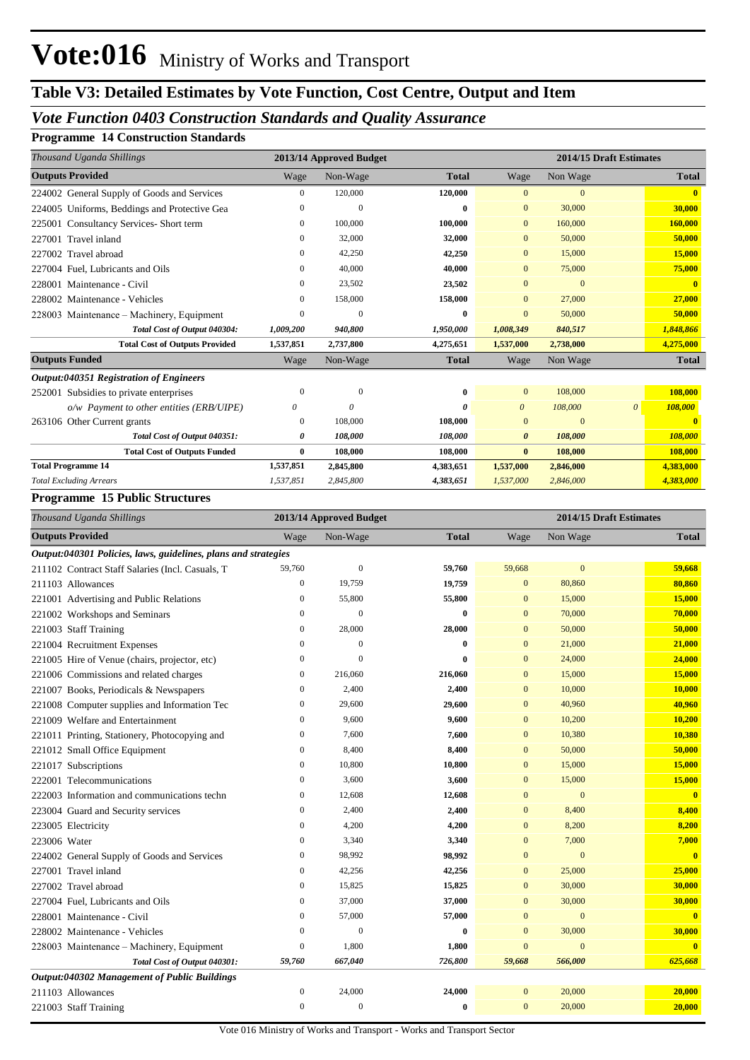# **Table V3: Detailed Estimates by Vote Function, Cost Centre, Output and Item**

## *Vote Function 0403 Construction Standards and Quality Assurance*

#### **Programme 14 Construction Standards**

| Thousand Uganda Shillings                      |              | 2013/14 Approved Budget |              | 2014/15 Draft Estimates |              |   |              |
|------------------------------------------------|--------------|-------------------------|--------------|-------------------------|--------------|---|--------------|
| <b>Outputs Provided</b>                        | Wage         | Non-Wage                | <b>Total</b> | Wage                    | Non Wage     |   | <b>Total</b> |
| 224002 General Supply of Goods and Services    | $\mathbf{0}$ | 120,000                 | 120,000      | $\mathbf{0}$            | $\mathbf{0}$ |   | $\mathbf{0}$ |
| 224005 Uniforms, Beddings and Protective Gea   | $\theta$     | $\Omega$                | 0            | $\mathbf{0}$            | 30,000       |   | 30,000       |
| Consultancy Services- Short term<br>225001     | $\mathbf{0}$ | 100,000                 | 100,000      | $\mathbf{0}$            | 160,000      |   | 160,000      |
| Travel inland<br>227001                        | 0            | 32,000                  | 32,000       | $\mathbf{0}$            | 50,000       |   | 50,000       |
| Travel abroad<br>227002                        | $\mathbf{0}$ | 42,250                  | 42,250       | $\mathbf{0}$            | 15,000       |   | 15,000       |
| 227004 Fuel, Lubricants and Oils               | $\mathbf{0}$ | 40,000                  | 40,000       | $\mathbf{0}$            | 75,000       |   | 75,000       |
| 228001 Maintenance - Civil                     | $\Omega$     | 23,502                  | 23,502       | $\Omega$                | $\Omega$     |   | $\mathbf{0}$ |
| 228002 Maintenance - Vehicles                  | 0            | 158,000                 | 158,000      | $\mathbf{0}$            | 27,000       |   | 27,000       |
| 228003 Maintenance – Machinery, Equipment      | $\theta$     | $\Omega$                | 0            | $\mathbf{0}$            | 50,000       |   | 50,000       |
| Total Cost of Output 040304:                   | 1,009,200    | 940,800                 | 1,950,000    | 1,008,349               | 840,517      |   | 1,848,866    |
| <b>Total Cost of Outputs Provided</b>          | 1,537,851    | 2,737,800               | 4,275,651    | 1,537,000               | 2,738,000    |   | 4,275,000    |
| <b>Outputs Funded</b>                          | Wage         | Non-Wage                | <b>Total</b> | Wage                    | Non Wage     |   | <b>Total</b> |
| <b>Output:040351 Registration of Engineers</b> |              |                         |              |                         |              |   |              |
| 252001 Subsidies to private enterprises        | $\Omega$     | $\mathbf{0}$            | 0            | $\mathbf{0}$            | 108,000      |   | 108,000      |
| o/w Payment to other entities (ERB/UIPE)       | 0            | $\theta$                | 0            | $\boldsymbol{\theta}$   | 108,000      | 0 | 108,000      |
| 263106 Other Current grants                    | $\theta$     | 108,000                 | 108,000      | $\Omega$                | $\Omega$     |   |              |
| Total Cost of Output 040351:                   | 0            | 108,000                 | 108,000      | $\boldsymbol{\theta}$   | 108,000      |   | 108,000      |
| <b>Total Cost of Outputs Funded</b>            | $\bf{0}$     | 108,000                 | 108,000      | $\bf{0}$                | 108,000      |   | 108,000      |
| <b>Total Programme 14</b>                      | 1,537,851    | 2,845,800               | 4,383,651    | 1,537,000               | 2,846,000    |   | 4,383,000    |
| <b>Total Excluding Arrears</b>                 | 1,537,851    | 2,845,800               | 4,383,651    | 1,537,000               | 2,846,000    |   | 4,383,000    |
| Drogramma 15 Dublic Structures                 |              |                         |              |                         |              |   |              |

#### **Programme 15 Public Structures**

| Thousand Uganda Shillings                                      |                  | 2013/14 Approved Budget |              |                | 2014/15 Draft Estimates |              |
|----------------------------------------------------------------|------------------|-------------------------|--------------|----------------|-------------------------|--------------|
| <b>Outputs Provided</b>                                        | Wage             | Non-Wage                | <b>Total</b> | Wage           | Non Wage                | <b>Total</b> |
| Output:040301 Policies, laws, guidelines, plans and strategies |                  |                         |              |                |                         |              |
| 211102 Contract Staff Salaries (Incl. Casuals, T               | 59,760           | $\boldsymbol{0}$        | 59,760       | 59,668         | $\mathbf{0}$            | 59,668       |
| 211103 Allowances                                              | $\overline{0}$   | 19,759                  | 19,759       | $\mathbf{0}$   | 80,860                  | 80,860       |
| 221001 Advertising and Public Relations                        | $\boldsymbol{0}$ | 55,800                  | 55,800       | $\mathbf{0}$   | 15,000                  | 15,000       |
| 221002 Workshops and Seminars                                  | $\mathbf{0}$     | $\mathbf{0}$            | $\bf{0}$     | $\mathbf{0}$   | 70,000                  | 70,000       |
| 221003 Staff Training                                          | $\boldsymbol{0}$ | 28,000                  | 28,000       | $\mathbf{0}$   | 50,000                  | 50,000       |
| 221004 Recruitment Expenses                                    | $\mathbf{0}$     | $\overline{0}$          | $\bf{0}$     | $\mathbf{0}$   | 21,000                  | 21,000       |
| 221005 Hire of Venue (chairs, projector, etc)                  | $\boldsymbol{0}$ | $\overline{0}$          | $\bf{0}$     | $\overline{0}$ | 24,000                  | 24,000       |
| 221006 Commissions and related charges                         | $\mathbf{0}$     | 216,060                 | 216,060      | $\overline{0}$ | 15,000                  | 15,000       |
| 221007 Books, Periodicals & Newspapers                         | $\mathbf{0}$     | 2,400                   | 2,400        | $\mathbf{0}$   | 10,000                  | 10,000       |
| 221008 Computer supplies and Information Tec                   | $\boldsymbol{0}$ | 29,600                  | 29,600       | $\mathbf{0}$   | 40,960                  | 40,960       |
| 221009 Welfare and Entertainment                               | $\mathbf{0}$     | 9,600                   | 9,600        | $\mathbf{0}$   | 10,200                  | 10,200       |
| 221011 Printing, Stationery, Photocopying and                  | $\boldsymbol{0}$ | 7,600                   | 7,600        | $\overline{0}$ | 10,380                  | 10,380       |
| 221012 Small Office Equipment                                  | $\mathbf{0}$     | 8,400                   | 8,400        | $\mathbf{0}$   | 50,000                  | 50,000       |
| 221017 Subscriptions                                           | $\boldsymbol{0}$ | 10,800                  | 10,800       | $\mathbf{0}$   | 15,000                  | 15,000       |
| 222001 Telecommunications                                      | $\mathbf{0}$     | 3,600                   | 3,600        | $\mathbf{0}$   | 15,000                  | 15,000       |
| 222003 Information and communications techn                    | $\mathbf{0}$     | 12,608                  | 12,608       | $\overline{0}$ | $\mathbf{0}$            | $\mathbf{0}$ |
| 223004 Guard and Security services                             | $\boldsymbol{0}$ | 2,400                   | 2,400        | $\mathbf{0}$   | 8,400                   | 8,400        |
| 223005 Electricity                                             | $\mathbf{0}$     | 4,200                   | 4,200        | $\overline{0}$ | 8,200                   | 8,200        |
| 223006 Water                                                   | $\boldsymbol{0}$ | 3,340                   | 3,340        | $\bf{0}$       | 7,000                   | 7,000        |
| 224002 General Supply of Goods and Services                    | $\mathbf{0}$     | 98,992                  | 98,992       | $\overline{0}$ | $\overline{0}$          | $\mathbf{0}$ |
| 227001 Travel inland                                           | $\mathbf{0}$     | 42,256                  | 42,256       | $\overline{0}$ | 25,000                  | 25,000       |
| 227002 Travel abroad                                           | $\boldsymbol{0}$ | 15,825                  | 15,825       | $\bf{0}$       | 30,000                  | 30,000       |
| 227004 Fuel, Lubricants and Oils                               | $\mathbf{0}$     | 37,000                  | 37,000       | $\mathbf{0}$   | 30,000                  | 30,000       |
| 228001 Maintenance - Civil                                     | $\boldsymbol{0}$ | 57,000                  | 57,000       | $\mathbf{0}$   | $\mathbf{0}$            | $\mathbf{0}$ |
| 228002 Maintenance - Vehicles                                  | $\mathbf{0}$     | $\overline{0}$          | $\bf{0}$     | $\mathbf{0}$   | 30,000                  | 30,000       |
| 228003 Maintenance – Machinery, Equipment                      | $\boldsymbol{0}$ | 1,800                   | 1,800        | $\bf{0}$       | $\overline{0}$          | $\mathbf{0}$ |
| Total Cost of Output 040301:                                   | 59,760           | 667,040                 | 726,800      | 59,668         | 566,000                 | 625,668      |
| Output:040302 Management of Public Buildings                   |                  |                         |              |                |                         |              |
| 211103 Allowances                                              | $\boldsymbol{0}$ | 24,000                  | 24,000       | $\mathbf{0}$   | 20,000                  | 20,000       |
| 221003 Staff Training                                          | $\mathbf{0}$     | $\overline{0}$          | $\bf{0}$     | $\overline{0}$ | 20,000                  | 20,000       |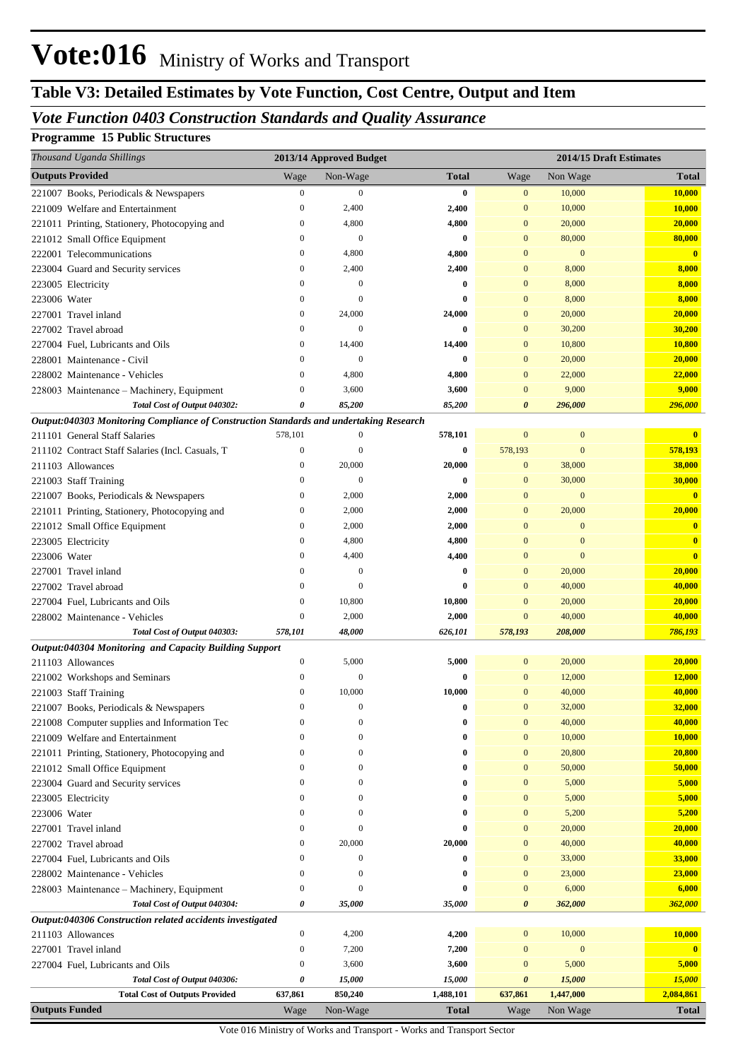# **Table V3: Detailed Estimates by Vote Function, Cost Centre, Output and Item**

## *Vote Function 0403 Construction Standards and Quality Assurance*

#### **Programme 15 Public Structures**

| Thousand Uganda Shillings                                                                                               |                              | 2013/14 Approved Budget      |              |                              | 2014/15 Draft Estimates |                         |
|-------------------------------------------------------------------------------------------------------------------------|------------------------------|------------------------------|--------------|------------------------------|-------------------------|-------------------------|
| <b>Outputs Provided</b>                                                                                                 | Wage                         | Non-Wage                     | Total        | Wage                         | Non Wage                | <b>Total</b>            |
| 221007 Books, Periodicals & Newspapers                                                                                  | $\boldsymbol{0}$             | $\mathbf{0}$                 | $\bf{0}$     | $\boldsymbol{0}$             | 10,000                  | <b>10,000</b>           |
| 221009 Welfare and Entertainment                                                                                        | $\boldsymbol{0}$             | 2,400                        | 2,400        | $\mathbf{0}$                 | 10,000                  | 10,000                  |
| 221011 Printing, Stationery, Photocopying and                                                                           | $\boldsymbol{0}$             | 4,800                        | 4,800        | $\mathbf{0}$                 | 20,000                  | 20,000                  |
| 221012 Small Office Equipment                                                                                           | $\mathbf{0}$                 | $\overline{0}$               | 0            | $\mathbf{0}$                 | 80,000                  | 80,000                  |
| 222001 Telecommunications                                                                                               | $\mathbf{0}$                 | 4,800                        | 4,800        | $\overline{0}$               | $\mathbf{0}$            | $\overline{\mathbf{0}}$ |
| 223004 Guard and Security services                                                                                      | $\mathbf{0}$                 | 2,400                        | 2,400        | $\mathbf{0}$                 | 8,000                   | 8,000                   |
| 223005 Electricity                                                                                                      | $\Omega$                     | $\Omega$                     | 0            | $\mathbf{0}$                 | 8,000                   | 8,000                   |
| 223006 Water                                                                                                            | $\mathbf{0}$                 | $\Omega$                     | 0            | $\mathbf{0}$                 | 8,000                   | 8,000                   |
| 227001 Travel inland                                                                                                    | $\mathbf{0}$                 | 24,000                       | 24,000       | $\mathbf{0}$                 | 20,000                  | 20,000                  |
| 227002 Travel abroad                                                                                                    | $\mathbf{0}$                 | $\Omega$                     | 0            | $\mathbf{0}$                 | 30,200                  | 30,200                  |
| 227004 Fuel, Lubricants and Oils                                                                                        | $\mathbf{0}$                 | 14,400                       | 14,400       | $\mathbf{0}$                 | 10,800                  | 10,800                  |
| 228001 Maintenance - Civil                                                                                              | $\mathbf{0}$                 | $\mathbf{0}$                 | 0            | $\mathbf{0}$                 | 20,000                  | 20,000                  |
| 228002 Maintenance - Vehicles                                                                                           | $\mathbf{0}$                 | 4,800                        | 4,800        | $\mathbf{0}$                 | 22,000                  | 22,000                  |
| 228003 Maintenance - Machinery, Equipment                                                                               | 0                            | 3,600                        | 3,600        | $\mathbf{0}$                 | 9,000                   | 9,000                   |
| Total Cost of Output 040302:                                                                                            | 0                            | 85,200                       | 85,200       | 0                            | 296,000                 | 296,000                 |
| Output:040303 Monitoring Compliance of Construction Standards and undertaking Research<br>211101 General Staff Salaries | 578,101                      | $\boldsymbol{0}$             | 578,101      | $\mathbf{0}$                 | $\mathbf{0}$            | $\mathbf{0}$            |
| 211102 Contract Staff Salaries (Incl. Casuals, T                                                                        | $\boldsymbol{0}$             | $\Omega$                     | 0            | 578,193                      | $\bf{0}$                | 578,193                 |
| 211103 Allowances                                                                                                       | $\mathbf{0}$                 | 20,000                       | 20,000       | $\mathbf{0}$                 | 38,000                  | 38,000                  |
| 221003 Staff Training                                                                                                   | $\mathbf{0}$                 | $\Omega$                     | 0            | $\mathbf{0}$                 | 30,000                  | 30,000                  |
| 221007 Books, Periodicals & Newspapers                                                                                  | $\mathbf{0}$                 | 2,000                        | 2,000        | $\mathbf{0}$                 | $\mathbf{0}$            | $\mathbf{0}$            |
| 221011 Printing, Stationery, Photocopying and                                                                           | $\mathbf{0}$                 | 2,000                        | 2,000        | $\mathbf{0}$                 | 20,000                  | 20,000                  |
| 221012 Small Office Equipment                                                                                           | $\mathbf{0}$                 | 2,000                        | 2,000        | $\Omega$                     | $\mathbf{0}$            | $\mathbf{0}$            |
| 223005 Electricity                                                                                                      | $\mathbf{0}$                 | 4,800                        | 4,800        | $\Omega$                     | $\overline{0}$          | $\overline{\mathbf{0}}$ |
| 223006 Water                                                                                                            | $\mathbf{0}$                 | 4,400                        | 4,400        | $\Omega$                     | $\mathbf{0}$            | $\overline{\mathbf{0}}$ |
| 227001 Travel inland                                                                                                    | $\Omega$                     | $\Omega$                     | 0            | $\mathbf{0}$                 | 20,000                  | 20,000                  |
| 227002 Travel abroad                                                                                                    | $\mathbf{0}$                 | $\Omega$                     | 0            | $\mathbf{0}$                 | 40,000                  | 40,000                  |
| 227004 Fuel, Lubricants and Oils                                                                                        | $\boldsymbol{0}$             | 10,800                       | 10,800       | $\mathbf{0}$                 | 20,000                  | 20,000                  |
| 228002 Maintenance - Vehicles                                                                                           | $\boldsymbol{0}$             | 2,000                        | 2,000        | $\mathbf{0}$                 | 40,000                  | 40,000                  |
| Total Cost of Output 040303:                                                                                            | 578,101                      | 48,000                       | 626,101      | 578,193                      | 208,000                 | 786,193                 |
| Output:040304 Monitoring and Capacity Building Support                                                                  |                              |                              |              |                              |                         |                         |
| 211103 Allowances                                                                                                       | $\boldsymbol{0}$             | 5,000                        | 5,000        | $\mathbf{0}$                 | 20,000                  | 20,000                  |
| 221002 Workshops and Seminars                                                                                           | $\mathbf{0}$                 | $\mathbf{0}$                 | 0            | $\mathbf{0}$                 | 12,000                  | 12,000                  |
| 221003 Staff Training                                                                                                   | $\mathbf{0}$                 | 10,000                       | 10,000       | $\mathbf{0}$                 | 40,000                  | 40,000                  |
| 221007 Books, Periodicals & Newspapers                                                                                  | 0                            | 0                            | 0            | $\mathbf{0}$                 | 32,000                  | 32,000                  |
| 221008 Computer supplies and Information Tec                                                                            | $\mathbf{0}$                 | $\mathbf{0}$                 | 0            | $\mathbf{0}$                 | 40,000                  | 40,000                  |
| 221009 Welfare and Entertainment                                                                                        | $\Omega$                     | $\mathbf{0}$                 | 0            | $\mathbf{0}$                 | 10,000                  | 10,000                  |
| 221011 Printing, Stationery, Photocopying and                                                                           | $\mathbf{0}$                 | $\mathbf{0}$                 | 0            | $\mathbf{0}$                 | 20,800                  | 20,800                  |
| 221012 Small Office Equipment                                                                                           | $\mathbf{0}$                 | $\mathbf{0}$                 | 0            | $\mathbf{0}$                 | 50,000                  | 50,000                  |
| 223004 Guard and Security services                                                                                      | $\mathbf{0}$                 | $\Omega$                     | 0            | $\mathbf{0}$                 | 5,000                   | 5,000                   |
| 223005 Electricity                                                                                                      | $\mathbf{0}$                 | $\Omega$                     | 0            | $\mathbf{0}$                 | 5,000                   | 5,000                   |
| 223006 Water                                                                                                            | $\mathbf{0}$                 | $\mathbf{0}$                 | 0            | $\mathbf{0}$                 | 5,200                   | 5,200                   |
| 227001 Travel inland                                                                                                    | $\mathbf{0}$                 | $\mathbf{0}$                 | 0            | $\mathbf{0}$                 | 20,000                  | 20,000                  |
| 227002 Travel abroad                                                                                                    | $\mathbf{0}$                 | 20,000                       | 20,000       | $\mathbf{0}$                 | 40,000                  | 40,000                  |
| 227004 Fuel, Lubricants and Oils                                                                                        | $\mathbf{0}$<br>$\mathbf{0}$ | $\mathbf{0}$<br>$\mathbf{0}$ | 0            | $\mathbf{0}$                 | 33,000                  | 33,000                  |
| 228002 Maintenance - Vehicles                                                                                           | $\boldsymbol{0}$             | $\mathbf{0}$                 | 0<br>0       | $\mathbf{0}$<br>$\mathbf{0}$ | 23,000<br>6,000         | 23,000<br>6,000         |
| 228003 Maintenance - Machinery, Equipment<br>Total Cost of Output 040304:                                               | 0                            | 35,000                       | 35,000       | 0                            | 362,000                 | 362,000                 |
| Output:040306 Construction related accidents investigated                                                               |                              |                              |              |                              |                         |                         |
| 211103 Allowances                                                                                                       | $\boldsymbol{0}$             | 4,200                        | 4,200        | $\mathbf{0}$                 | 10,000                  | 10,000                  |
| 227001 Travel inland                                                                                                    | 0                            | 7,200                        | 7,200        | $\mathbf{0}$                 | $\mathbf{0}$            | $\overline{\mathbf{0}}$ |
| 227004 Fuel, Lubricants and Oils                                                                                        | 0                            | 3,600                        | 3,600        | $\mathbf{0}$                 | 5,000                   | 5,000                   |
| Total Cost of Output 040306:                                                                                            | 0                            | 15,000                       | 15,000       | 0                            | 15,000                  | 15,000                  |
| <b>Total Cost of Outputs Provided</b>                                                                                   | 637,861                      | 850,240                      | 1,488,101    | 637,861                      | 1,447,000               | 2,084,861               |
| <b>Outputs Funded</b>                                                                                                   | Wage                         | Non-Wage                     | <b>Total</b> | Wage                         | Non Wage                | <b>Total</b>            |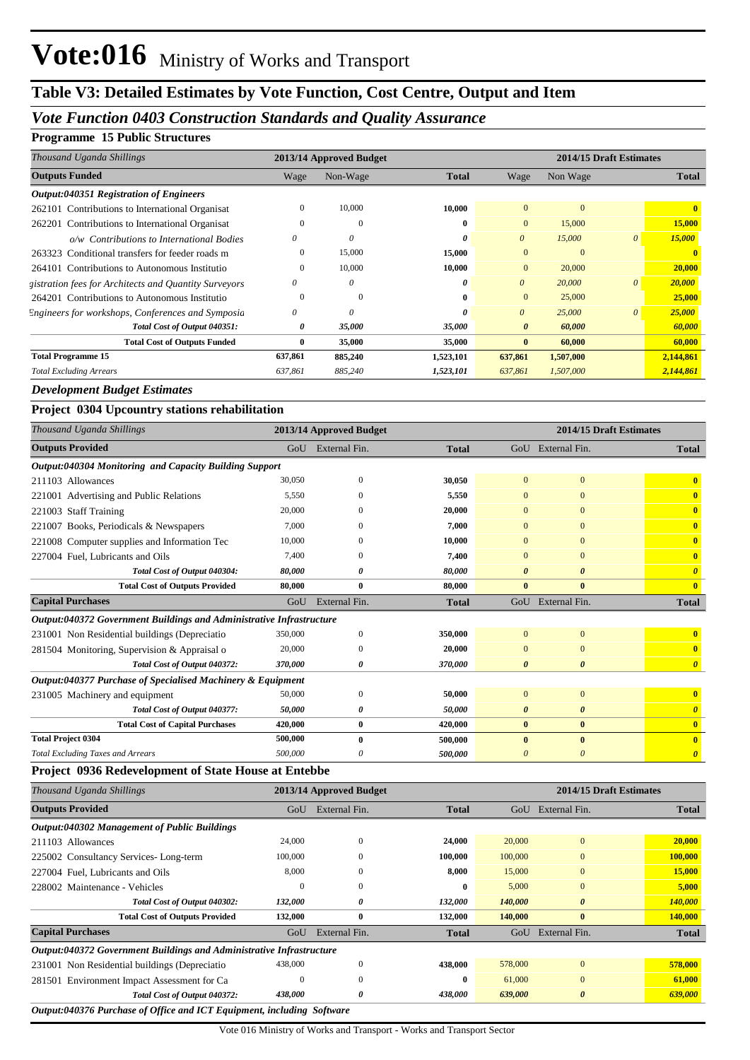# **Table V3: Detailed Estimates by Vote Function, Cost Centre, Output and Item**

## *Vote Function 0403 Construction Standards and Quality Assurance*

#### **Programme 15 Public Structures**

| Thousand Uganda Shillings                             |          | 2013/14 Approved Budget |              |                       | 2014/15 Draft Estimates |          |              |
|-------------------------------------------------------|----------|-------------------------|--------------|-----------------------|-------------------------|----------|--------------|
| <b>Outputs Funded</b>                                 | Wage     | Non-Wage                | <b>Total</b> | Wage                  | Non Wage                |          | <b>Total</b> |
| Output:040351 Registration of Engineers               |          |                         |              |                       |                         |          |              |
| 262101 Contributions to International Organisat       |          | 10,000                  | 10,000       | $\overline{0}$        |                         |          |              |
| 262201 Contributions to International Organisat       |          | $\overline{0}$          | $\mathbf{0}$ | $\overline{0}$        | 15,000                  |          | 15,000       |
| o/w Contributions to International Bodies             | $\theta$ |                         | $\theta$     | $\theta$              | 15,000                  |          | 15,000       |
| 263323 Conditional transfers for feeder roads m       |          | 15,000                  | 15,000       | $\overline{0}$        |                         |          |              |
| 264101 Contributions to Autonomous Institutio         |          | 10,000                  | 10,000       | $\overline{0}$        | 20,000                  |          | 20,000       |
| gistration fees for Architects and Quantity Surveyors | $\theta$ |                         | 0            | $\theta$              | 20,000                  | $\theta$ | 20,000       |
| 264201 Contributions to Autonomous Institutio         |          | $\overline{0}$          | 0            | $\mathbf{0}$          | 25,000                  |          | 25,000       |
| Engineers for workshops, Conferences and Symposia     | $\theta$ |                         |              | $\theta$              | 25,000                  | $\Omega$ | 25,000       |
| Total Cost of Output 040351:                          | 0        | 35,000                  | 35,000       | $\boldsymbol{\theta}$ | 60,000                  |          | 60,000       |
| <b>Total Cost of Outputs Funded</b>                   | 0        | 35,000                  | 35,000       | $\bf{0}$              | 60,000                  |          | 60,000       |
| <b>Total Programme 15</b>                             | 637,861  | 885,240                 | 1,523,101    | 637,861               | 1,507,000               |          | 2,144,861    |
| <b>Total Excluding Arrears</b>                        | 637,861  | 885,240                 | 1,523,101    | 637,861               | 1,507,000               |          | 2,144,861    |

#### *Development Budget Estimates*

#### **Project 0304 Upcountry stations rehabilitation**

| Thousand Uganda Shillings                                            |                                                    | 2013/14 Approved Budget |              |                       | 2014/15 Draft Estimates |                         |
|----------------------------------------------------------------------|----------------------------------------------------|-------------------------|--------------|-----------------------|-------------------------|-------------------------|
| <b>Outputs Provided</b>                                              |                                                    | GoU External Fin.       | <b>Total</b> |                       | GoU External Fin.       | <b>Total</b>            |
| Output:040304 Monitoring and Capacity Building Support               |                                                    |                         |              |                       |                         |                         |
| 211103 Allowances                                                    | 30,050                                             | $\overline{0}$          | 30,050       | $\mathbf{0}$          | $\mathbf{0}$            |                         |
| 221001 Advertising and Public Relations                              | 5,550                                              | 0                       | 5,550        | $\Omega$              | $\Omega$                | $\overline{\mathbf{0}}$ |
| 221003 Staff Training                                                | 20,000                                             | 0                       | 20,000       | $\mathbf{0}$          | $\Omega$                | $\bf{0}$                |
| 221007 Books, Periodicals & Newspapers                               | 7,000                                              |                         | 7,000        |                       | $\Omega$                | $\mathbf{0}$            |
| 221008 Computer supplies and Information Tec                         | 10,000                                             | 0                       | 10,000       | $\Omega$              | $\Omega$                | $\overline{\mathbf{0}}$ |
| 227004 Fuel, Lubricants and Oils                                     | 7.400                                              | 0                       | 7,400        | $\Omega$              | $\Omega$                | $\bf{0}$                |
| Total Cost of Output 040304:                                         | 80,000                                             | 0                       | 80,000       | 0                     | $\theta$                | $\boldsymbol{\theta}$   |
| <b>Total Cost of Outputs Provided</b>                                | 80,000                                             | $\mathbf{0}$            | 80,000       | $\mathbf{0}$          | $\bf{0}$                | $\mathbf{0}$            |
| <b>Capital Purchases</b>                                             | GoU                                                | External Fin.           | <b>Total</b> |                       | GoU External Fin.       | <b>Total</b>            |
| Output:040372 Government Buildings and Administrative Infrastructure |                                                    |                         |              |                       |                         |                         |
| 231001 Non Residential buildings (Depreciatio                        | 350,000                                            | $\overline{0}$          | 350,000      | $\mathbf{0}$          | $\mathbf{0}$            | $\bf{0}$                |
| 281504 Monitoring, Supervision & Appraisal o                         | 20,000                                             | $\Omega$                | 20,000       | $\Omega$              | $\Omega$                | $\overline{\mathbf{0}}$ |
| Total Cost of Output 040372:                                         | 370,000                                            | 0                       | 370,000      | $\boldsymbol{\theta}$ | $\boldsymbol{\theta}$   | $\boldsymbol{\theta}$   |
| Output:040377 Purchase of Specialised Machinery & Equipment          |                                                    |                         |              |                       |                         |                         |
| 231005 Machinery and equipment                                       | 50,000                                             | $\Omega$                | 50,000       | $\mathbf{0}$          | $\overline{0}$          | $\mathbf{0}$            |
| Total Cost of Output 040377:                                         | 50,000                                             | 0                       | 50,000       | 0                     | $\boldsymbol{\theta}$   | $\boldsymbol{\theta}$   |
| <b>Total Cost of Capital Purchases</b>                               | 420,000                                            | $\mathbf{0}$            | 420,000      | $\mathbf{0}$          | $\bf{0}$                | $\mathbf{0}$            |
| <b>Total Project 0304</b>                                            | 500,000                                            | $\mathbf{0}$            | 500,000      | $\mathbf{0}$          | $\bf{0}$                | $\overline{\mathbf{0}}$ |
| <b>Total Excluding Taxes and Arrears</b>                             | 500,000                                            | 0                       | 500,000      | $\boldsymbol{\theta}$ | $\boldsymbol{\theta}$   | $\boldsymbol{\theta}$   |
| Project 0936 Redevelopment of State House at Entebbe                 |                                                    |                         |              |                       |                         |                         |
| Thousand Uganda Shillings                                            | 2014/15 Draft Estimates<br>2013/14 Approved Budget |                         |              |                       |                         |                         |

| <b>Outputs Provided</b>                                                                                                                                                                              | GoU      | External Fin. | <b>Total</b> | GoU     | External Fin.         | <b>Total</b> |
|------------------------------------------------------------------------------------------------------------------------------------------------------------------------------------------------------|----------|---------------|--------------|---------|-----------------------|--------------|
| Output:040302 Management of Public Buildings                                                                                                                                                         |          |               |              |         |                       |              |
| 211103 Allowances                                                                                                                                                                                    | 24,000   | $\mathbf{0}$  | 24,000       | 20,000  | $\mathbf{0}$          | 20,000       |
| 225002 Consultancy Services-Long-term                                                                                                                                                                | 100,000  | 0             | 100,000      | 100,000 | $\mathbf{0}$          | 100,000      |
| 227004 Fuel. Lubricants and Oils                                                                                                                                                                     | 8,000    | $\Omega$      | 8,000        | 15,000  | $\mathbf{0}$          | 15,000       |
| 228002 Maintenance - Vehicles                                                                                                                                                                        | 0        | $\theta$      | 0            | 5.000   | $\mathbf{0}$          | 5,000        |
| Total Cost of Output 040302:                                                                                                                                                                         | 132,000  | 0             | 132,000      | 140,000 | $\boldsymbol{\theta}$ | 140,000      |
| <b>Total Cost of Outputs Provided</b>                                                                                                                                                                | 132,000  | $\bf{0}$      | 132,000      | 140,000 | $\mathbf{0}$          | 140,000      |
| <b>Capital Purchases</b>                                                                                                                                                                             | GoU      | External Fin. | <b>Total</b> | GoU     | External Fin.         | <b>Total</b> |
| Output:040372 Government Buildings and Administrative Infrastructure                                                                                                                                 |          |               |              |         |                       |              |
| 231001 Non Residential buildings (Depreciatio                                                                                                                                                        | 438,000  | $\Omega$      | 438,000      | 578,000 | $\mathbf{0}$          | 578,000      |
| 281501 Environment Impact Assessment for Ca                                                                                                                                                          |          | $\Omega$      | 0            | 61,000  | $\Omega$              | 61,000       |
| Total Cost of Output 040372:                                                                                                                                                                         | 438,000  | 0             | 438,000      | 639,000 | 0                     | 639,000      |
| $\mathbf{r}$ $\mathbf{r}$ $\mathbf{r}$ $\mathbf{r}$ $\mathbf{r}$ $\mathbf{r}$ $\mathbf{r}$ $\mathbf{r}$ $\mathbf{r}$<br>$\alpha$ , $\alpha$ , $\alpha \alpha \pi$ , $\alpha$<br>$\sim$ $\sim$ $\sim$ | $\cdots$ | $\alpha$      |              |         |                       |              |

*Output:040376 Purchase of Office and ICT Equipment, including Software*

Vote 016 Ministry of Works and Transport - Works and Transport Sector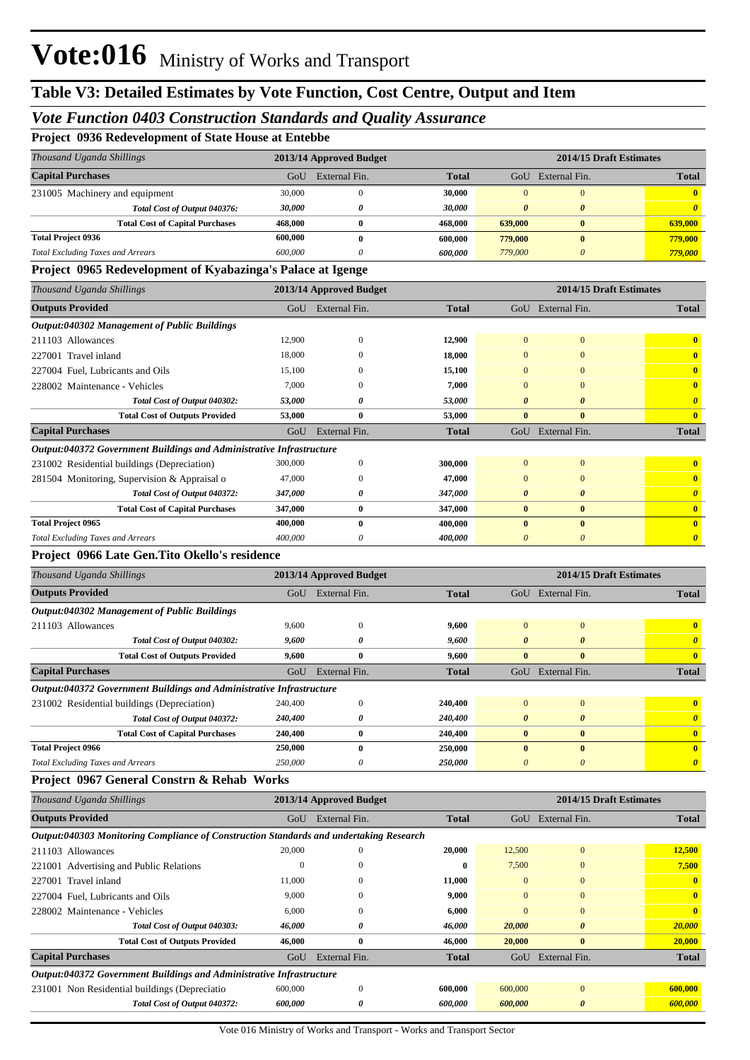#### *Vote Function 0403 Construction Standards and Quality Assurance*

**Project 0936 Redevelopment of State House at Entebbe**

| Thousand Uganda Shillings                | 2013/14 Approved Budget |               |              |          | 2014/15 Draft Estimates |              |
|------------------------------------------|-------------------------|---------------|--------------|----------|-------------------------|--------------|
| <b>Capital Purchases</b>                 | GoU                     | External Fin. | <b>Total</b> | GoU      | External Fin.           | <b>Total</b> |
| 231005 Machinery and equipment           | 30,000                  |               | 30,000       | $\Omega$ |                         | $\mathbf{0}$ |
| Total Cost of Output 040376:             | 30,000                  |               | 30.000       | 0        | $\theta$                |              |
| <b>Total Cost of Capital Purchases</b>   | 468.000                 | 0             | 468,000      | 639,000  | $\mathbf{0}$            | 639,000      |
| <b>Total Project 0936</b>                | 600.000                 | v             | 600.000      | 779,000  | $\bf{0}$                | 779,000      |
| <b>Total Excluding Taxes and Arrears</b> | 600,000                 |               | 600.000      | 779,000  |                         | 779,000      |

#### **Project 0965 Redevelopment of Kyabazinga's Palace at Igenge**

| Thousand Uganda Shillings                                            |          | 2013/14 Approved Budget |              |                |                       | 2014/15 Draft Estimates |
|----------------------------------------------------------------------|----------|-------------------------|--------------|----------------|-----------------------|-------------------------|
| <b>Outputs Provided</b>                                              |          | GoU External Fin.       | <b>Total</b> |                | GoU External Fin.     | <b>Total</b>            |
| Output:040302 Management of Public Buildings                         |          |                         |              |                |                       |                         |
| 211103 Allowances                                                    | 12,900   | $\mathbf{0}$            | 12,900       | $\mathbf{0}$   | $\mathbf{0}$          | $\bf{0}$                |
| 227001 Travel inland                                                 | 18,000   | $\Omega$                | 18,000       | $\overline{0}$ | $\mathbf{0}$          | $\bf{0}$                |
| 227004 Fuel, Lubricants and Oils                                     | 15,100   | $\Omega$                | 15,100       | $\overline{0}$ | $\Omega$              | $\mathbf{0}$            |
| 228002 Maintenance - Vehicles                                        | 7,000    | $\Omega$                | 7,000        | $\Omega$       | $\Omega$              | $\mathbf{0}$            |
| Total Cost of Output 040302:                                         | 53,000   | 0                       | 53.000       | 0              | $\boldsymbol{\theta}$ | $\boldsymbol{\theta}$   |
| <b>Total Cost of Outputs Provided</b>                                | 53,000   | $\bf{0}$                | 53,000       | $\bf{0}$       | $\mathbf{0}$          | $\overline{\mathbf{0}}$ |
| <b>Capital Purchases</b>                                             | $G_{0}U$ | External Fin.           | <b>Total</b> |                | GoU External Fin.     | <b>Total</b>            |
| Output:040372 Government Buildings and Administrative Infrastructure |          |                         |              |                |                       |                         |
| 231002 Residential buildings (Depreciation)                          | 300,000  | $\Omega$                | 300,000      | $\Omega$       | $\mathbf{0}$          | $\mathbf{0}$            |
| 281504 Monitoring, Supervision & Appraisal o                         | 47,000   | $\Omega$                | 47.000       | $\overline{0}$ | $\mathbf{0}$          | $\bf{0}$                |
| Total Cost of Output 040372:                                         | 347,000  | 0                       | 347,000      | 0              | $\boldsymbol{\theta}$ | $\boldsymbol{\theta}$   |
| <b>Total Cost of Capital Purchases</b>                               | 347,000  | $\bf{0}$                | 347,000      | $\bf{0}$       | $\bf{0}$              | $\overline{\mathbf{0}}$ |
| <b>Total Project 0965</b>                                            | 400,000  | $\bf{0}$                | 400,000      | $\bf{0}$       | $\bf{0}$              | $\mathbf{0}$            |
| <b>Total Excluding Taxes and Arrears</b>                             | 400,000  | $\theta$                | 400,000      | $\theta$       | $\theta$              | $\boldsymbol{\theta}$   |
| Project 0966 Late Gen. Tito Okello's residence                       |          |                         |              |                |                       |                         |
| Thousand Uganda Shillings                                            |          | 2013/14 Approved Budget |              |                |                       | 2014/15 Draft Estimates |
| <b>Outputs Provided</b>                                              |          | GoU External Fin.       | <b>Total</b> |                | GoU External Fin.     | <b>Total</b>            |
| <b>Output:040302 Management of Public Buildings</b>                  |          |                         |              |                |                       |                         |
| 211103 Allowances                                                    | 9,600    | $\Omega$                | 9,600        | $\Omega$       | $\mathbf{0}$          | $\overline{\mathbf{0}}$ |
| Total Cost of Output 040302:                                         | 9,600    | 0                       | 9,600        | 0              | $\boldsymbol{\theta}$ | $\boldsymbol{\theta}$   |
| <b>Total Cost of Outputs Provided</b>                                | 9.600    | $\mathbf{0}$            | 9,600        | $\bf{0}$       | $\mathbf{0}$          | $\bf{0}$                |
| <b>Capital Purchases</b>                                             | GoU      | External Fin.           | <b>Total</b> |                | GoU External Fin.     | <b>Total</b>            |

#### *Output:040372 Government Buildings and Administrative Infrastructure*

| 231002 Residential buildings (Depreciation) | 240,400        | 240,400 |  | $\mathbf{0}$ |
|---------------------------------------------|----------------|---------|--|--------------|
| Total Cost of Output 040372:                | 240,400        | 240,400 |  | 0            |
| <b>Total Cost of Capital Purchases</b>      | <b>240,400</b> | 240,400 |  | $\mathbf{0}$ |
| <b>Total Project 0966</b>                   | 250,000        | 250,000 |  | $\mathbf{0}$ |
| <b>Total Excluding Taxes and Arrears</b>    | 250,000        | 250.000 |  | $\theta$     |

#### **Project 0967 General Constrn & Rehab Works**

| Thousand Uganda Shillings                                                              | 2013/14 Approved Budget |               |              |                | 2014/15 Draft Estimates |               |  |  |  |
|----------------------------------------------------------------------------------------|-------------------------|---------------|--------------|----------------|-------------------------|---------------|--|--|--|
| <b>Outputs Provided</b>                                                                | GoU                     | External Fin. | <b>Total</b> | GoU            | External Fin.           | <b>Total</b>  |  |  |  |
| Output:040303 Monitoring Compliance of Construction Standards and undertaking Research |                         |               |              |                |                         |               |  |  |  |
| 211103 Allowances                                                                      | 20,000                  | $\Omega$      | 20,000       | 12,500         | $\overline{0}$          | 12,500        |  |  |  |
| 221001 Advertising and Public Relations                                                | $^{()}$                 | 0             | $\mathbf{0}$ | 7,500          | $\Omega$                | 7,500         |  |  |  |
| 227001 Travel inland                                                                   | 11,000                  | $\mathbf{0}$  | 11,000       | $\Omega$       | $\Omega$                |               |  |  |  |
| 227004 Fuel, Lubricants and Oils                                                       | 9,000                   | 0             | 9,000        | $\overline{0}$ | $\bf{0}$                |               |  |  |  |
| 228002 Maintenance - Vehicles                                                          | 6,000                   | $\theta$      | 6,000        | $\Omega$       | $\Omega$                |               |  |  |  |
| Total Cost of Output 040303:                                                           | 46,000                  | 0             | 46,000       | 20,000         | $\boldsymbol{\theta}$   | <b>20,000</b> |  |  |  |
| <b>Total Cost of Outputs Provided</b>                                                  | 46,000                  | $\bf{0}$      | 46,000       | 20,000         | $\bf{0}$                | 20,000        |  |  |  |
| <b>Capital Purchases</b>                                                               | GoU                     | External Fin. | <b>Total</b> | GoU            | External Fin.           | <b>Total</b>  |  |  |  |
| Output:040372 Government Buildings and Administrative Infrastructure                   |                         |               |              |                |                         |               |  |  |  |
| 231001 Non Residential buildings (Depreciatio                                          | 600,000                 | $\mathbf{0}$  | 600,000      | 600,000        | $\overline{0}$          | 600,000       |  |  |  |
| Total Cost of Output 040372:                                                           | 600,000                 | 0             | 600,000      | 600,000        | $\theta$                | 600,000       |  |  |  |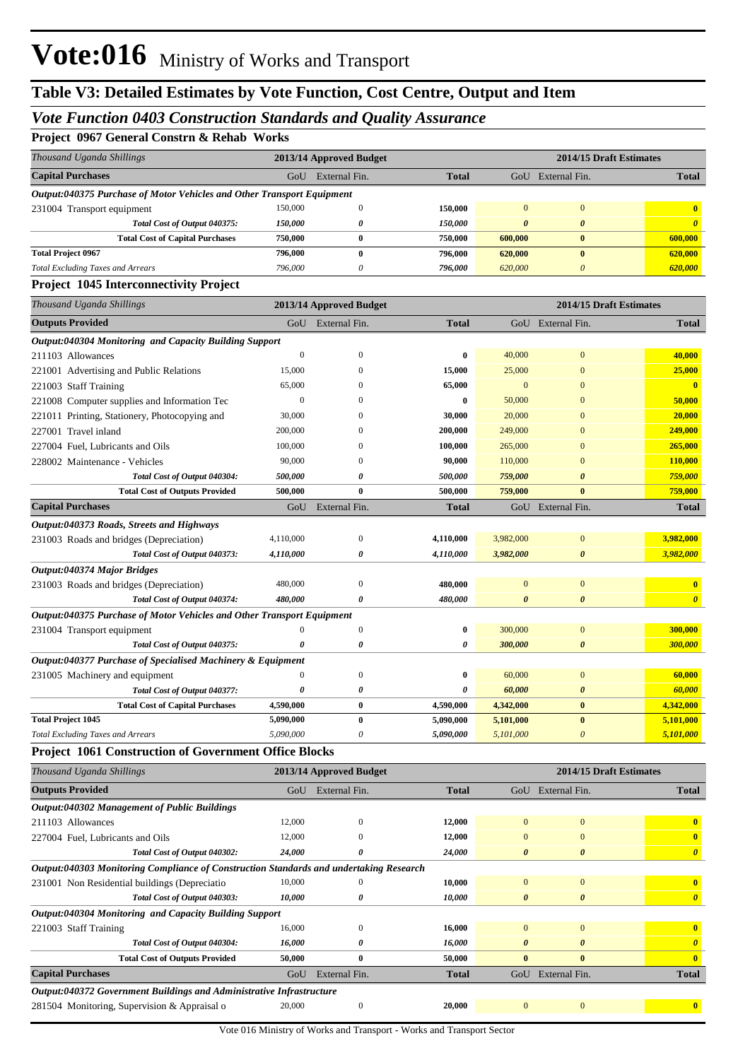### *Vote Function 0403 Construction Standards and Quality Assurance*

**Project 0967 General Constrn & Rehab Works**

| Thousand Uganda Shillings                                                              |                  | 2013/14 Approved Budget |              |                       | 2014/15 Draft Estimates |                         |
|----------------------------------------------------------------------------------------|------------------|-------------------------|--------------|-----------------------|-------------------------|-------------------------|
| <b>Capital Purchases</b>                                                               |                  | GoU External Fin.       | <b>Total</b> |                       | GoU External Fin.       | <b>Total</b>            |
| Output:040375 Purchase of Motor Vehicles and Other Transport Equipment                 |                  |                         |              |                       |                         |                         |
| 231004 Transport equipment                                                             | 150,000          | $\boldsymbol{0}$        | 150,000      | $\mathbf{0}$          | $\mathbf{0}$            | $\bf{0}$                |
| Total Cost of Output 040375:                                                           | 150,000          | 0                       | 150,000      | $\boldsymbol{\theta}$ | $\boldsymbol{\theta}$   | $\boldsymbol{\theta}$   |
| <b>Total Cost of Capital Purchases</b>                                                 | 750,000          | $\bf{0}$                | 750,000      | 600,000               | $\bf{0}$                | 600,000                 |
| <b>Total Project 0967</b>                                                              | 796,000          | $\bf{0}$                | 796,000      | 620,000               | $\bf{0}$                | 620,000                 |
| <b>Total Excluding Taxes and Arrears</b>                                               | 796,000          | 0                       | 796,000      | 620,000               | 0                       | 620,000                 |
| <b>Project 1045 Interconnectivity Project</b>                                          |                  |                         |              |                       |                         |                         |
| Thousand Uganda Shillings                                                              |                  | 2013/14 Approved Budget |              |                       | 2014/15 Draft Estimates |                         |
| <b>Outputs Provided</b>                                                                |                  | GoU External Fin.       | <b>Total</b> |                       | GoU External Fin.       | <b>Total</b>            |
| Output:040304 Monitoring and Capacity Building Support                                 |                  |                         |              |                       |                         |                         |
| 211103 Allowances                                                                      | $\boldsymbol{0}$ | $\mathbf{0}$            | 0            | 40,000                | $\bf{0}$                | 40,000                  |
| 221001 Advertising and Public Relations                                                | 15,000           | 0                       | 15,000       | 25,000                | $\bf{0}$                | 25,000                  |
| 221003 Staff Training                                                                  | 65,000           | 0                       | 65,000       | $\mathbf{0}$          | $\overline{0}$          | $\bf{0}$                |
| 221008 Computer supplies and Information Tec                                           | $\boldsymbol{0}$ | 0                       | 0            | 50,000                | $\overline{0}$          | 50,000                  |
| 221011 Printing, Stationery, Photocopying and                                          | 30,000           | 0                       | 30,000       | 20,000                | $\overline{0}$          | 20,000                  |
| 227001 Travel inland                                                                   | 200,000          | 0                       | 200,000      | 249,000               | $\overline{0}$          | 249,000                 |
| 227004 Fuel, Lubricants and Oils                                                       | 100,000          | $\Omega$                | 100,000      | 265,000               | $\overline{0}$          | 265,000                 |
| 228002 Maintenance - Vehicles                                                          | 90,000           | 0                       | 90,000       | 110,000               | $\overline{0}$          | 110,000                 |
| Total Cost of Output 040304:                                                           | 500,000          | 0                       | 500,000      | 759,000               | 0                       | 759,000                 |
| <b>Total Cost of Outputs Provided</b>                                                  | 500,000          | $\bf{0}$                | 500,000      | 759,000               | $\bf{0}$                | 759,000                 |
| <b>Capital Purchases</b>                                                               | GoU              | External Fin.           | <b>Total</b> |                       | GoU External Fin.       | <b>Total</b>            |
| Output:040373 Roads, Streets and Highways                                              |                  |                         |              |                       |                         |                         |
| 231003 Roads and bridges (Depreciation)                                                | 4,110,000        | $\mathbf{0}$            | 4,110,000    | 3,982,000             | $\bf{0}$                | 3,982,000               |
| Total Cost of Output 040373:                                                           | 4,110,000        | 0                       | 4,110,000    | 3,982,000             | 0                       | 3,982,000               |
| Output:040374 Major Bridges                                                            |                  |                         |              |                       |                         |                         |
| 231003 Roads and bridges (Depreciation)                                                | 480,000          | $\boldsymbol{0}$        | 480,000      | $\bf{0}$              | $\bf{0}$                | $\bf{0}$                |
| Total Cost of Output 040374:                                                           | 480,000          | 0                       | 480,000      | 0                     | 0                       | $\boldsymbol{\theta}$   |
| Output:040375 Purchase of Motor Vehicles and Other Transport Equipment                 |                  |                         |              |                       |                         |                         |
| 231004 Transport equipment                                                             |                  | $\boldsymbol{0}$        | 0            | 300,000               | $\bf{0}$                | 300,000                 |
| Total Cost of Output 040375:                                                           | 0                | 0                       | 0            | 300,000               | 0                       | 300,000                 |
| Output:040377 Purchase of Specialised Machinery & Equipment                            |                  |                         |              |                       |                         |                         |
| 231005 Machinery and equipment                                                         | $\theta$         | $\mathbf{0}$            | 0            | 60,000                | $\bf{0}$                | 60,000                  |
| Total Cost of Output 040377:                                                           | 0                | 0                       | 0            | 60,000                | 0                       | 60,000                  |
| <b>Total Cost of Capital Purchases</b>                                                 | 4,590,000        | 0                       | 4,590,000    | 4,342,000             | $\mathbf{0}$            | 4,342,000               |
| <b>Total Project 1045</b>                                                              | 5,090,000        | $\bf{0}$                | 5,090,000    | 5,101,000             | $\bf{0}$                | 5,101,000               |
| <b>Total Excluding Taxes and Arrears</b>                                               | 5,090,000        | 0                       | 5,090,000    | 5,101,000             | $\boldsymbol{\theta}$   | 5,101,000               |
| <b>Project 1061 Construction of Government Office Blocks</b>                           |                  |                         |              |                       |                         |                         |
| Thousand Uganda Shillings                                                              |                  | 2013/14 Approved Budget |              |                       | 2014/15 Draft Estimates |                         |
| <b>Outputs Provided</b>                                                                | GoU              | External Fin.           | <b>Total</b> |                       | GoU External Fin.       | <b>Total</b>            |
| Output:040302 Management of Public Buildings                                           |                  |                         |              |                       |                         |                         |
| 211103 Allowances                                                                      | 12,000           | $\mathbf{0}$            | 12,000       | $\mathbf{0}$          | $\boldsymbol{0}$        | $\overline{\mathbf{0}}$ |
| 227004 Fuel, Lubricants and Oils                                                       | 12,000           | $\Omega$                | 12,000       | $\mathbf{0}$          | $\bf{0}$                | $\bf{0}$                |
| Total Cost of Output 040302:                                                           | 24,000           | 0                       | 24,000       | 0                     | $\boldsymbol{\theta}$   | $\boldsymbol{\theta}$   |
| Output:040303 Monitoring Compliance of Construction Standards and undertaking Research |                  |                         |              |                       |                         |                         |
| 231001 Non Residential buildings (Depreciatio                                          | 10,000           | $\Omega$                | 10,000       | $\boldsymbol{0}$      | $\boldsymbol{0}$        | $\mathbf{0}$            |
| Total Cost of Output 040303:                                                           | 10,000           | 0                       | 10,000       | 0                     | 0                       | $\boldsymbol{\theta}$   |
| Output:040304 Monitoring and Capacity Building Support                                 |                  |                         |              |                       |                         |                         |
| 221003 Staff Training                                                                  | 16,000           | $\mathbf{0}$            | 16,000       | $\mathbf{0}$          | $\bf{0}$                | $\mathbf{0}$            |
| Total Cost of Output 040304:                                                           | 16,000           | 0                       | 16,000       | 0                     | 0                       | $\boldsymbol{\theta}$   |
| <b>Total Cost of Outputs Provided</b>                                                  | 50,000           | $\bf{0}$                | 50,000       | $\bf{0}$              | $\bf{0}$                | $\bf{0}$                |
| <b>Capital Purchases</b>                                                               | GoU              | External Fin.           | <b>Total</b> |                       | GoU External Fin.       | <b>Total</b>            |
| Output:040372 Government Buildings and Administrative Infrastructure                   |                  |                         |              |                       |                         |                         |
| 281504 Monitoring, Supervision & Appraisal o                                           | 20,000           | $\boldsymbol{0}$        | 20,000       | $\bf{0}$              | $\mathbf{0}$            | $\mathbf{0}$            |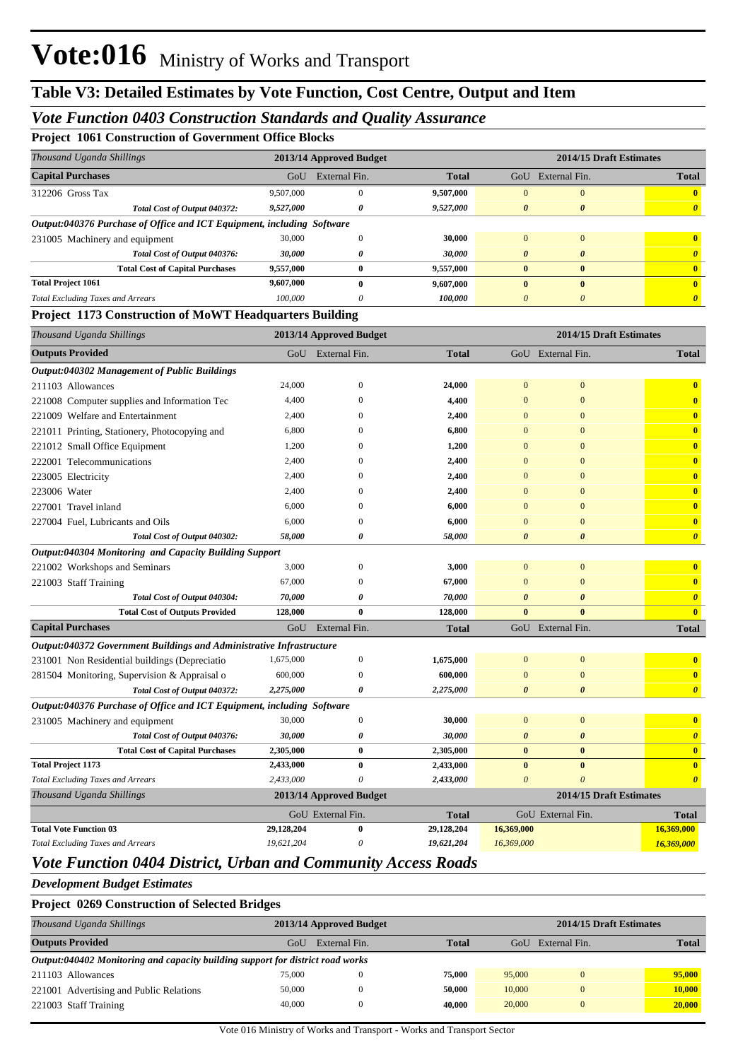#### *Vote Function 0403 Construction Standards and Quality Assurance*

**Project 1061 Construction of Government Office Blocks**

| Thousand Uganda Shillings                                              |           | 2013/14 Approved Budget |              |                       | 2014/15 Draft Estimates |              |  |
|------------------------------------------------------------------------|-----------|-------------------------|--------------|-----------------------|-------------------------|--------------|--|
| <b>Capital Purchases</b>                                               | GoU       | External Fin.           | <b>Total</b> | GoU                   | External Fin.           | <b>Total</b> |  |
| 312206 Gross Tax                                                       | 9,507,000 | $\Omega$                | 9,507,000    | $\Omega$              | $\Omega$                | $\mathbf{u}$ |  |
| Total Cost of Output 040372:                                           | 9,527,000 | 0                       | 9,527,000    | $\boldsymbol{\theta}$ | $\boldsymbol{\theta}$   |              |  |
| Output:040376 Purchase of Office and ICT Equipment, including Software |           |                         |              |                       |                         |              |  |
| 231005 Machinery and equipment                                         | 30,000    |                         | 30,000       | $\Omega$              | $\Omega$                | $\mathbf{0}$ |  |
| Total Cost of Output 040376:                                           | 30,000    | 0                       | 30,000       | $\theta$              | $\boldsymbol{\theta}$   |              |  |
| <b>Total Cost of Capital Purchases</b>                                 | 9,557,000 | $\bf{0}$                | 9,557,000    | $\mathbf{0}$          | $\mathbf{0}$            |              |  |
| <b>Total Project 1061</b>                                              | 9,607,000 | $\mathbf 0$             | 9,607,000    | $\mathbf{0}$          | $\bf{0}$                | $\mathbf{0}$ |  |
| <b>Total Excluding Taxes and Arrears</b>                               | 100,000   | $\theta$                | 100,000      | $\theta$              | $\theta$                |              |  |

#### **Project 1173 Construction of MoWT Headquarters Building**

| Thousand Uganda Shillings                                              |            | 2013/14 Approved Budget |              | 2014/15 Draft Estimates |                       |                         |  |
|------------------------------------------------------------------------|------------|-------------------------|--------------|-------------------------|-----------------------|-------------------------|--|
| <b>Outputs Provided</b>                                                |            | GoU External Fin.       | <b>Total</b> |                         | GoU External Fin.     | <b>Total</b>            |  |
| Output:040302 Management of Public Buildings                           |            |                         |              |                         |                       |                         |  |
| 211103 Allowances                                                      | 24,000     | $\mathbf{0}$            | 24,000       | $\mathbf{0}$            | $\mathbf{0}$          | $\bf{0}$                |  |
| 221008 Computer supplies and Information Tec                           | 4,400      | $\Omega$                | 4,400        | $\overline{0}$          | $\Omega$              | $\overline{\mathbf{0}}$ |  |
| 221009 Welfare and Entertainment                                       | 2,400      | $\Omega$                | 2,400        | $\mathbf{0}$            | $\overline{0}$        | $\mathbf{0}$            |  |
| 221011 Printing, Stationery, Photocopying and                          | 6,800      | $\Omega$                | 6,800        | $\Omega$                | $\overline{0}$        | $\overline{\mathbf{0}}$ |  |
| 221012 Small Office Equipment                                          | 1,200      | $\Omega$                | 1,200        | $\overline{0}$          | $\overline{0}$        | $\overline{\mathbf{0}}$ |  |
| 222001 Telecommunications                                              | 2,400      | $\Omega$                | 2,400        | $\Omega$                | $\overline{0}$        | $\mathbf{0}$            |  |
| 223005 Electricity                                                     | 2,400      | $\Omega$                | 2,400        | $\mathbf{0}$            | $\overline{0}$        | $\overline{\mathbf{0}}$ |  |
| 223006 Water                                                           | 2,400      | $\Omega$                | 2,400        | $\overline{0}$          | $\overline{0}$        | $\overline{\mathbf{0}}$ |  |
| 227001 Travel inland                                                   | 6,000      | $\Omega$                | 6,000        | $\overline{0}$          | $\overline{0}$        | $\overline{\mathbf{0}}$ |  |
| 227004 Fuel, Lubricants and Oils                                       | 6,000      | $\theta$                | 6,000        | $\overline{0}$          | $\overline{0}$        | $\bf{0}$                |  |
| Total Cost of Output 040302:                                           | 58,000     | $\boldsymbol{\theta}$   | 58,000       | $\boldsymbol{\theta}$   | $\boldsymbol{\theta}$ | $\boldsymbol{\theta}$   |  |
| Output:040304 Monitoring and Capacity Building Support                 |            |                         |              |                         |                       |                         |  |
| 221002 Workshops and Seminars                                          | 3,000      | $\mathbf{0}$            | 3,000        | $\bf{0}$                | $\mathbf{0}$          | $\bf{0}$                |  |
| 221003 Staff Training                                                  | 67,000     | $\theta$                | 67,000       | $\overline{0}$          | $\mathbf{0}$          | $\mathbf{0}$            |  |
| Total Cost of Output 040304:                                           | 70,000     | 0                       | 70,000       | 0                       | $\boldsymbol{\theta}$ | $\boldsymbol{\theta}$   |  |
| <b>Total Cost of Outputs Provided</b>                                  | 128,000    | $\bf{0}$                | 128,000      | $\bf{0}$                | $\mathbf{0}$          | $\overline{\mathbf{0}}$ |  |
| <b>Capital Purchases</b>                                               | GoU        | External Fin.           | <b>Total</b> |                         | GoU External Fin.     | <b>Total</b>            |  |
| Output:040372 Government Buildings and Administrative Infrastructure   |            |                         |              |                         |                       |                         |  |
| 231001 Non Residential buildings (Depreciatio                          | 1,675,000  | $\boldsymbol{0}$        | 1,675,000    | $\mathbf{0}$            | $\mathbf{0}$          | $\bf{0}$                |  |
| 281504 Monitoring, Supervision & Appraisal o                           | 600,000    | $\mathbf{0}$            | 600,000      | $\mathbf{0}$            | $\mathbf{0}$          | $\mathbf{0}$            |  |
| Total Cost of Output 040372:                                           | 2,275,000  | $\boldsymbol{\theta}$   | 2,275,000    | $\boldsymbol{\theta}$   | $\boldsymbol{\theta}$ | $\boldsymbol{\theta}$   |  |
| Output:040376 Purchase of Office and ICT Equipment, including Software |            |                         |              |                         |                       |                         |  |
| 231005 Machinery and equipment                                         | 30,000     | $\mathbf{0}$            | 30,000       | $\overline{0}$          | $\overline{0}$        | $\bf{0}$                |  |
| Total Cost of Output 040376:                                           | 30,000     | 0                       | 30,000       | $\boldsymbol{\theta}$   | $\boldsymbol{\theta}$ | $\boldsymbol{\theta}$   |  |
| <b>Total Cost of Capital Purchases</b>                                 | 2,305,000  | $\bf{0}$                | 2,305,000    | $\bf{0}$                | $\bf{0}$              | $\mathbf{0}$            |  |
| <b>Total Project 1173</b>                                              | 2,433,000  | $\bf{0}$                | 2,433,000    | $\bf{0}$                | $\bf{0}$              | $\mathbf{0}$            |  |
| <b>Total Excluding Taxes and Arrears</b>                               | 2,433,000  | $\theta$                | 2,433,000    | $\theta$                | $\theta$              | $\boldsymbol{\theta}$   |  |
| Thousand Uganda Shillings                                              |            | 2013/14 Approved Budget |              |                         |                       | 2014/15 Draft Estimates |  |
|                                                                        |            | GoU External Fin.       | <b>Total</b> |                         | GoU External Fin.     | <b>Total</b>            |  |
| <b>Total Vote Function 03</b>                                          | 29,128,204 | $\bf{0}$                | 29,128,204   | 16,369,000              |                       | 16,369,000              |  |
| <b>Total Excluding Taxes and Arrears</b>                               | 19,621,204 | $\theta$                | 19,621,204   | 16,369,000              |                       | 16,369,000              |  |
|                                                                        |            |                         |              |                         |                       |                         |  |

#### *Vote Function 0404 District, Urban and Community Access Roads*

*Development Budget Estimates*

**Project 0269 Construction of Selected Bridges**

| Thousand Uganda Shillings                                                      |        | 2013/14 Approved Budget |              |        |               | 2014/15 Draft Estimates |  |  |
|--------------------------------------------------------------------------------|--------|-------------------------|--------------|--------|---------------|-------------------------|--|--|
| <b>Outputs Provided</b>                                                        | GoU    | External Fin.           | <b>Total</b> | GoU    | External Fin. | <b>Total</b>            |  |  |
| Output:040402 Monitoring and capacity building support for district road works |        |                         |              |        |               |                         |  |  |
| 211103 Allowances                                                              | 75,000 |                         | 75,000       | 95,000 | $\Omega$      | 95,000                  |  |  |
| 221001 Advertising and Public Relations                                        | 50,000 |                         | 50.000       | 10,000 | $\Omega$      | 10,000                  |  |  |
| 221003 Staff Training                                                          | 40,000 |                         | 40,000       | 20,000 | $\Omega$      | 20,000                  |  |  |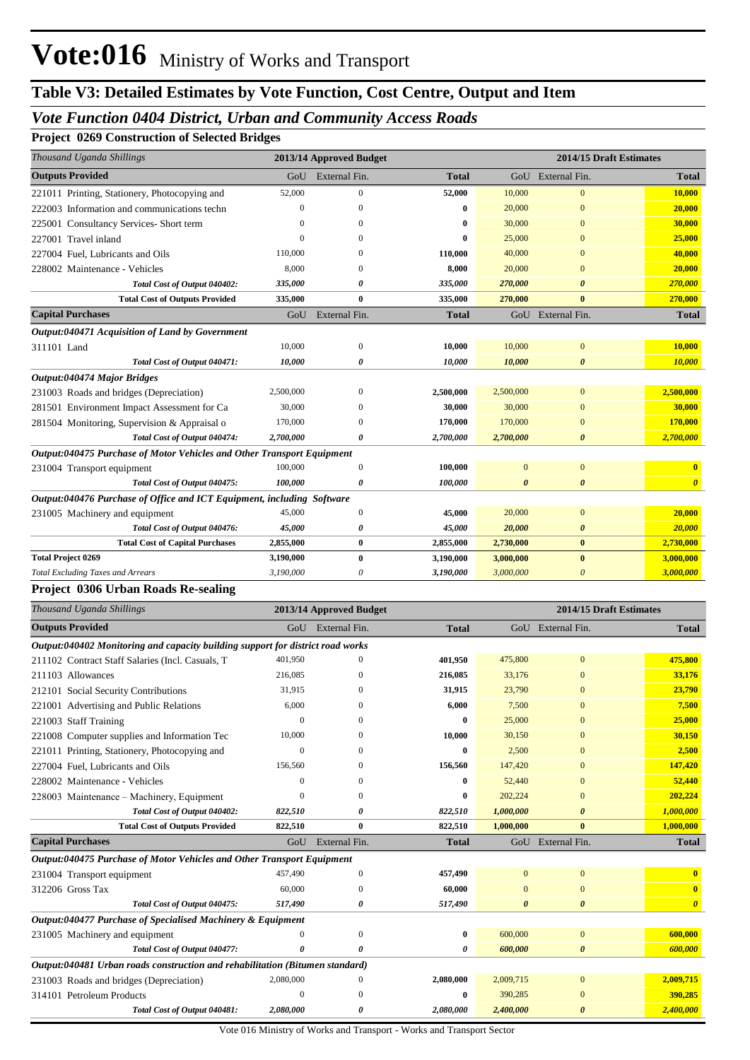## **Table V3: Detailed Estimates by Vote Function, Cost Centre, Output and Item**

### *Vote Function 0404 District, Urban and Community Access Roads*

#### **Project 0269 Construction of Selected Bridges**

| Thousand Uganda Shillings                                                      |                               | 2013/14 Approved Budget |                  |                       | 2014/15 Draft Estimates      |                       |
|--------------------------------------------------------------------------------|-------------------------------|-------------------------|------------------|-----------------------|------------------------------|-----------------------|
| <b>Outputs Provided</b>                                                        | GoU                           | External Fin.           | <b>Total</b>     |                       | GoU External Fin.            | <b>Total</b>          |
| 221011 Printing, Stationery, Photocopying and                                  | 52,000                        | $\boldsymbol{0}$        | 52,000           | 10,000                | $\boldsymbol{0}$             | <b>10,000</b>         |
| 222003 Information and communications techn                                    | $\boldsymbol{0}$              | $\Omega$                | 0                | 20,000                | $\mathbf{0}$                 | 20,000                |
| 225001 Consultancy Services- Short term                                        | $\mathbf{0}$                  | $\left($                | 0                | 30,000                | $\mathbf{0}$                 | 30,000                |
| 227001 Travel inland                                                           | $\theta$                      | $\Omega$                | $\bf{0}$         | 25,000                | $\mathbf{0}$                 | 25,000                |
| 227004 Fuel, Lubricants and Oils                                               | 110,000                       | $\left($                | 110,000          | 40,000                | $\mathbf{0}$                 | 40,000                |
| 228002 Maintenance - Vehicles                                                  | 8,000                         | $\Omega$                | 8,000            | 20,000                | $\overline{0}$               | 20,000                |
| Total Cost of Output 040402:                                                   | 335,000                       | 0                       | 335,000          | 270,000               | $\boldsymbol{\theta}$        | 270,000               |
| <b>Total Cost of Outputs Provided</b>                                          | 335,000                       | $\bf{0}$                | 335,000          | 270,000               | $\bf{0}$                     | 270,000               |
| <b>Capital Purchases</b>                                                       | GoU                           | External Fin.           | <b>Total</b>     |                       | GoU External Fin.            | <b>Total</b>          |
| Output:040471 Acquisition of Land by Government                                |                               |                         |                  |                       |                              |                       |
| 311101 Land                                                                    | 10,000                        | $\mathbf{0}$            | 10,000           | 10,000                | $\boldsymbol{0}$             | 10,000                |
| Total Cost of Output 040471:                                                   | 10,000                        | 0                       | 10,000           | 10,000                | $\boldsymbol{\theta}$        | 10,000                |
| Output:040474 Major Bridges                                                    |                               |                         |                  |                       |                              |                       |
| 231003 Roads and bridges (Depreciation)                                        | 2,500,000                     | $\boldsymbol{0}$        | 2,500,000        | 2,500,000             | $\mathbf{0}$                 | 2,500,000             |
| 281501 Environment Impact Assessment for Ca                                    | 30,000                        | $\mathbf{0}$            | 30,000           | 30,000                | $\mathbf{0}$                 | 30,000                |
| 281504 Monitoring, Supervision & Appraisal o                                   | 170,000                       | $\mathbf{0}$            | 170,000          | 170,000               | $\mathbf{0}$                 | 170,000               |
| Total Cost of Output 040474:                                                   | 2,700,000                     | 0                       | 2,700,000        | 2,700,000             | $\boldsymbol{\theta}$        | 2,700,000             |
| Output:040475 Purchase of Motor Vehicles and Other Transport Equipment         |                               |                         |                  |                       |                              |                       |
| 231004 Transport equipment                                                     | 100,000                       | $\mathbf{0}$            | 100,000          | $\overline{0}$        | $\boldsymbol{0}$             | $\mathbf{0}$          |
| Total Cost of Output 040475:                                                   | 100,000                       | 0                       | 100,000          | 0                     | $\boldsymbol{\theta}$        | $\boldsymbol{\theta}$ |
| Output:040476 Purchase of Office and ICT Equipment, including Software         |                               |                         |                  |                       |                              |                       |
| 231005 Machinery and equipment                                                 | 45,000                        | $\boldsymbol{0}$        | 45,000           | 20,000                | $\boldsymbol{0}$             | 20,000                |
| Total Cost of Output 040476:                                                   | 45,000                        | 0                       | 45,000           | 20,000                | $\boldsymbol{\theta}$        | 20,000                |
| <b>Total Cost of Capital Purchases</b>                                         | 2,855,000                     | $\bf{0}$                | 2,855,000        | 2,730,000             | $\bf{0}$                     | 2,730,000             |
| <b>Total Project 0269</b>                                                      | 3,190,000                     | $\bf{0}$                | 3,190,000        | 3,000,000             | $\bf{0}$                     | 3,000,000             |
| <b>Total Excluding Taxes and Arrears</b>                                       | 3,190,000                     | 0                       | 3,190,000        | 3,000,000             | $\boldsymbol{\theta}$        | 3,000,000             |
| <b>Project 0306 Urban Roads Re-sealing</b>                                     |                               |                         |                  |                       |                              |                       |
|                                                                                |                               |                         |                  |                       |                              |                       |
| Thousand Uganda Shillings                                                      |                               | 2013/14 Approved Budget |                  |                       | 2014/15 Draft Estimates      |                       |
| <b>Outputs Provided</b>                                                        |                               | GoU External Fin.       | <b>Total</b>     |                       | GoU External Fin.            | <b>Total</b>          |
| Output:040402 Monitoring and capacity building support for district road works |                               |                         |                  |                       |                              |                       |
| 211102 Contract Staff Salaries (Incl. Casuals, T                               | 401,950                       | $\mathbf{0}$            | 401,950          | 475,800               | $\mathbf{0}$                 | 475,800               |
| 211103 Allowances                                                              | 216,085                       | 0                       | 216,085          | 33,176                | $\mathbf{0}$                 | 33,176                |
| 212101 Social Security Contributions                                           | 31,915                        | $\left($                | 31,915           | 23,790                | $\mathbf{0}$                 | 23,790                |
| 221001 Advertising and Public Relations                                        | 6,000                         | $\overline{0}$          | 6,000            | 7,500                 | $\overline{0}$               | 7,500                 |
| 221003 Staff Training                                                          | $\boldsymbol{0}$              | $\boldsymbol{0}$        | 0                | 25,000                | $\mathbf{0}$                 | 25,000                |
| 221008 Computer supplies and Information Tec                                   | 10,000                        | $\Omega$                | 10,000           | 30,150                | $\overline{0}$               | 30,150                |
| 221011 Printing, Stationery, Photocopying and                                  | $\boldsymbol{0}$              | $\Omega$                | 0                | 2,500                 | $\mathbf{0}$                 | 2,500                 |
| 227004 Fuel, Lubricants and Oils                                               | 156,560                       | $\mathbf{0}$            | 156,560          | 147,420               | $\mathbf{0}$                 | 147,420               |
| 228002 Maintenance - Vehicles                                                  | 0                             | $\mathbf{0}$            | 0                | 52,440                | $\mathbf{0}$                 | 52,440                |
| 228003 Maintenance - Machinery, Equipment                                      | $\mathbf{0}$                  | $\mathbf{0}$            | $\bf{0}$         | 202,224               | $\mathbf{0}$                 | 202,224               |
| Total Cost of Output 040402:                                                   | 822,510                       | 0                       | 822,510          | 1,000,000             | $\boldsymbol{\theta}$        | 1,000,000             |
| <b>Total Cost of Outputs Provided</b>                                          | 822,510                       | $\bf{0}$                | 822,510          | 1,000,000             | $\bf{0}$                     | 1,000,000             |
| <b>Capital Purchases</b>                                                       | GoU                           | External Fin.           | <b>Total</b>     |                       | GoU External Fin.            | <b>Total</b>          |
| Output:040475 Purchase of Motor Vehicles and Other Transport Equipment         |                               |                         |                  |                       |                              |                       |
| 231004 Transport equipment                                                     | 457,490                       | $\boldsymbol{0}$        | 457,490          | $\mathbf{0}$          | $\bf{0}$                     | $\mathbf{0}$          |
| 312206 Gross Tax                                                               | 60,000                        | $\boldsymbol{0}$        | 60,000           | $\mathbf{0}$          | $\boldsymbol{0}$             | $\mathbf{0}$          |
| Total Cost of Output 040475:                                                   | 517,490                       | 0                       | 517,490          | $\boldsymbol{\theta}$ | $\boldsymbol{\theta}$        | $\boldsymbol{\theta}$ |
| Output:040477 Purchase of Specialised Machinery & Equipment                    |                               |                         |                  |                       |                              |                       |
| 231005 Machinery and equipment                                                 | 0                             | $\boldsymbol{0}$        | $\boldsymbol{0}$ | 600,000               | $\bf{0}$                     | 600,000               |
| Total Cost of Output 040477:                                                   | 0                             | 0                       | 0                | 600,000               | 0                            | 600,000               |
| Output:040481 Urban roads construction and rehabilitation (Bitumen standard)   |                               |                         |                  |                       |                              |                       |
| 231003 Roads and bridges (Depreciation)<br>314101 Petroleum Products           | 2,080,000<br>$\boldsymbol{0}$ | 0<br>$\boldsymbol{0}$   | 2,080,000<br>0   | 2,009,715<br>390,285  | $\boldsymbol{0}$<br>$\bf{0}$ | 2,009,715<br>390,285  |

*Total Cost of Output 040481: 2,080,000 0 2,080,000 2,400,000 0 2,400,000*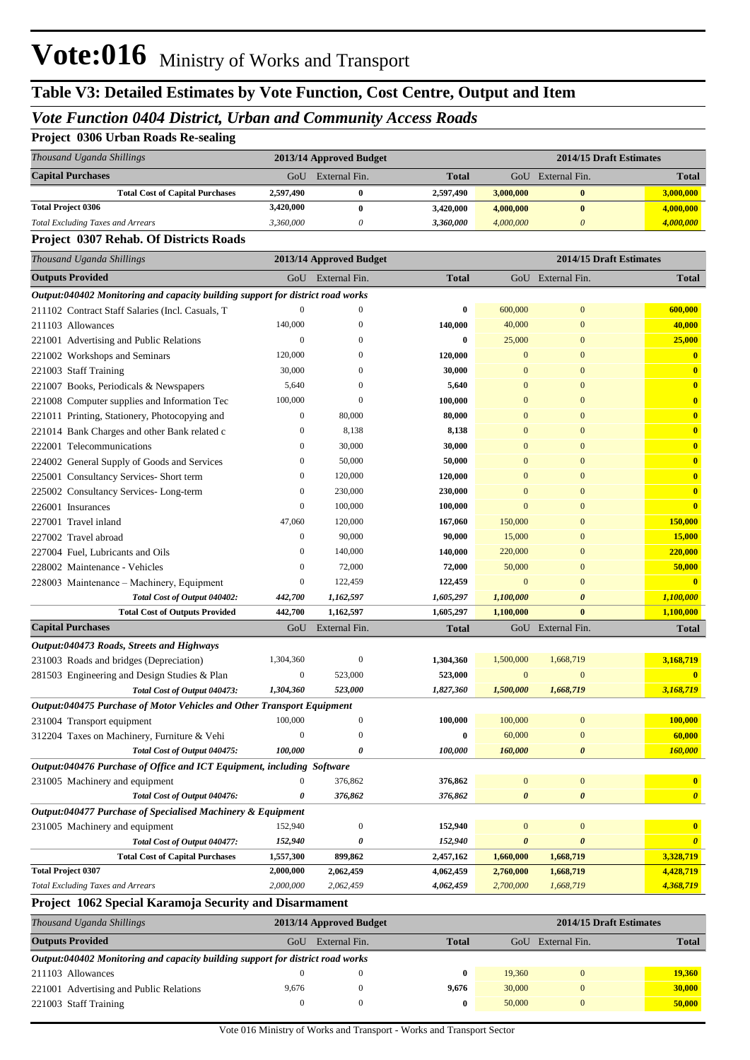# **Table V3: Detailed Estimates by Vote Function, Cost Centre, Output and Item**

### *Vote Function 0404 District, Urban and Community Access Roads*

#### **Project 0306 Urban Roads Re-sealing**

| Thousand Uganda Shillings                |           | 2013/14 Approved Budget |              | 2014/15 Draft Estimates |               |              |  |
|------------------------------------------|-----------|-------------------------|--------------|-------------------------|---------------|--------------|--|
| <b>Capital Purchases</b>                 | GoU       | External Fin.           | <b>Total</b> | GoU                     | External Fin. | <b>Total</b> |  |
| <b>Total Cost of Capital Purchases</b>   | 2,597,490 |                         | 2,597,490    | 3,000,000               |               | 3,000,000    |  |
| <b>Total Project 0306</b>                | 3,420,000 |                         | 3.420.000    | 4,000,000               |               | 4,000,000    |  |
| <b>Total Excluding Taxes and Arrears</b> | 3.360,000 |                         | 3.360.000    | 4,000,000               |               | 4,000,000    |  |

#### **Project 0307 Rehab. Of Districts Roads**

| Thousand Uganda Shillings<br>2013/14 Approved Budget                           |                  |                       |              |                  | 2014/15 Draft Estimates |                         |  |
|--------------------------------------------------------------------------------|------------------|-----------------------|--------------|------------------|-------------------------|-------------------------|--|
| <b>Outputs Provided</b>                                                        |                  | GoU External Fin.     | <b>Total</b> |                  | GoU External Fin.       | <b>Total</b>            |  |
| Output:040402 Monitoring and capacity building support for district road works |                  |                       |              |                  |                         |                         |  |
| 211102 Contract Staff Salaries (Incl. Casuals, T                               | $\mathbf{0}$     | $\mathbf{0}$          | $\bf{0}$     | 600,000          | $\mathbf{0}$            | 600,000                 |  |
| 211103 Allowances                                                              | 140,000          | $\theta$              | 140,000      | 40,000           | $\mathbf{0}$            | 40,000                  |  |
| 221001 Advertising and Public Relations                                        | $\boldsymbol{0}$ | $\Omega$              | $\bf{0}$     | 25,000           | $\mathbf{0}$            | 25,000                  |  |
| 221002 Workshops and Seminars                                                  | 120,000          | $\Omega$              | 120,000      | $\mathbf{0}$     | $\mathbf{0}$            | $\mathbf{0}$            |  |
| 221003 Staff Training                                                          | 30,000           | $\Omega$              | 30,000       | $\mathbf{0}$     | $\bf{0}$                | $\mathbf{0}$            |  |
| 221007 Books, Periodicals & Newspapers                                         | 5,640            | $\theta$              | 5,640        | $\bf{0}$         | $\mathbf{0}$            | $\overline{\mathbf{0}}$ |  |
| 221008 Computer supplies and Information Tec                                   | 100,000          | $\theta$              | 100,000      | $\mathbf{0}$     | $\mathbf{0}$            | $\mathbf{0}$            |  |
| 221011 Printing, Stationery, Photocopying and                                  | $\mathbf{0}$     | 80,000                | 80,000       | $\mathbf{0}$     | $\bf{0}$                | $\mathbf{0}$            |  |
| 221014 Bank Charges and other Bank related c                                   | $\boldsymbol{0}$ | 8,138                 | 8,138        | $\mathbf{0}$     | $\bf{0}$                | $\mathbf{0}$            |  |
| 222001 Telecommunications                                                      | $\mathbf{0}$     | 30,000                | 30,000       | $\mathbf{0}$     | $\overline{0}$          | $\mathbf{0}$            |  |
| 224002 General Supply of Goods and Services                                    | $\boldsymbol{0}$ | 50,000                | 50,000       | $\mathbf{0}$     | $\overline{0}$          | $\bf{0}$                |  |
| 225001 Consultancy Services- Short term                                        | $\boldsymbol{0}$ | 120,000               | 120,000      | $\mathbf{0}$     | $\overline{0}$          | $\bf{0}$                |  |
| 225002 Consultancy Services-Long-term                                          | $\boldsymbol{0}$ | 230,000               | 230,000      | $\mathbf{0}$     | $\overline{0}$          | $\bf{0}$                |  |
| 226001 Insurances                                                              | $\boldsymbol{0}$ | 100,000               | 100,000      | $\bf{0}$         | $\overline{0}$          | $\mathbf{0}$            |  |
| 227001 Travel inland                                                           | 47,060           | 120,000               | 167,060      | 150,000          | $\overline{0}$          | 150,000                 |  |
| 227002 Travel abroad                                                           | $\boldsymbol{0}$ | 90,000                | 90,000       | 15,000           | $\overline{0}$          | 15,000                  |  |
| 227004 Fuel, Lubricants and Oils                                               | $\boldsymbol{0}$ | 140,000               | 140,000      | 220,000          | $\overline{0}$          | 220,000                 |  |
| 228002 Maintenance - Vehicles                                                  | $\boldsymbol{0}$ | 72,000                | 72,000       | 50,000           | $\overline{0}$          | 50,000                  |  |
| 228003 Maintenance - Machinery, Equipment                                      | $\boldsymbol{0}$ | 122,459               | 122,459      | $\mathbf{0}$     | $\mathbf{0}$            | $\mathbf{0}$            |  |
| Total Cost of Output 040402:                                                   | 442,700          | 1,162,597             | 1,605,297    | 1,100,000        | $\boldsymbol{\theta}$   | 1,100,000               |  |
| <b>Total Cost of Outputs Provided</b>                                          | 442,700          | 1,162,597             | 1,605,297    | 1,100,000        | $\bf{0}$                | 1,100,000               |  |
| <b>Capital Purchases</b>                                                       | GoU              | External Fin.         | <b>Total</b> |                  | GoU External Fin.       | <b>Total</b>            |  |
| Output:040473 Roads, Streets and Highways                                      |                  |                       |              |                  |                         |                         |  |
| 231003 Roads and bridges (Depreciation)                                        | 1,304,360        | $\mathbf{0}$          | 1,304,360    | 1,500,000        | 1,668,719               | 3,168,719               |  |
| 281503 Engineering and Design Studies & Plan                                   | $\boldsymbol{0}$ | 523,000               | 523,000      | $\boldsymbol{0}$ | $\mathbf{0}$            | $\overline{\mathbf{0}}$ |  |
| Total Cost of Output 040473:                                                   | 1,304,360        | 523,000               | 1,827,360    | 1,500,000        | 1,668,719               | 3,168,719               |  |
| Output:040475 Purchase of Motor Vehicles and Other Transport Equipment         |                  |                       |              |                  |                         |                         |  |
| 231004 Transport equipment                                                     | 100,000          | $\mathbf{0}$          | 100,000      | 100,000          | $\mathbf{0}$            | 100,000                 |  |
| 312204 Taxes on Machinery, Furniture & Vehi                                    | $\boldsymbol{0}$ | $\theta$              | $\bf{0}$     | 60,000           | $\mathbf{0}$            | 60,000                  |  |
| Total Cost of Output 040475:                                                   | 100,000          | $\boldsymbol{\theta}$ | 100,000      | 160,000          | $\boldsymbol{\theta}$   | 160,000                 |  |
| Output:040476 Purchase of Office and ICT Equipment, including Software         |                  |                       |              |                  |                         |                         |  |
| 231005 Machinery and equipment                                                 | $\mathbf{0}$     | 376,862               | 376,862      | $\mathbf{0}$     | $\mathbf{0}$            | $\bf{0}$                |  |
| Total Cost of Output 040476:                                                   | 0                | 376,862               | 376,862      | 0                | $\boldsymbol{\theta}$   | $\boldsymbol{\theta}$   |  |
| Output:040477 Purchase of Specialised Machinery & Equipment                    |                  |                       |              |                  |                         |                         |  |
| 231005 Machinery and equipment                                                 | 152,940          | $\boldsymbol{0}$      | 152,940      | $\boldsymbol{0}$ | $\boldsymbol{0}$        | $\bf{0}$                |  |
| Total Cost of Output 040477:                                                   | 152,940          | 0                     | 152,940      | 0                | $\boldsymbol{\theta}$   | $\boldsymbol{\theta}$   |  |
| <b>Total Cost of Capital Purchases</b>                                         | 1,557,300        | 899,862               | 2,457,162    | 1,660,000        | 1,668,719               | 3,328,719               |  |
| <b>Total Project 0307</b>                                                      | 2,000,000        | 2,062,459             | 4,062,459    | 2,760,000        | 1,668,719               | 4,428,719               |  |
| <b>Total Excluding Taxes and Arrears</b>                                       | 2,000,000        | 2,062,459             | 4,062,459    | 2,700,000        | 1,668,719               | 4,368,719               |  |
| Project 1062 Special Karamoja Security and Disarmament                         |                  |                       |              |                  |                         |                         |  |

| Thousand Uganda Shillings                                                      |       | 2013/14 Approved Budget | 2014/15 Draft Estimates |        |               |              |  |  |
|--------------------------------------------------------------------------------|-------|-------------------------|-------------------------|--------|---------------|--------------|--|--|
| <b>Outputs Provided</b>                                                        | GoU   | External Fin.           | <b>Total</b>            | GoU    | External Fin. | <b>Total</b> |  |  |
| Output:040402 Monitoring and capacity building support for district road works |       |                         |                         |        |               |              |  |  |
| 211103 Allowances                                                              |       |                         |                         | 19,360 |               | 19,360       |  |  |
| 221001 Advertising and Public Relations                                        | 9,676 |                         | 9.676                   | 30,000 |               | 30,000       |  |  |
| 221003 Staff Training                                                          |       |                         |                         | 50,000 |               | 50,000       |  |  |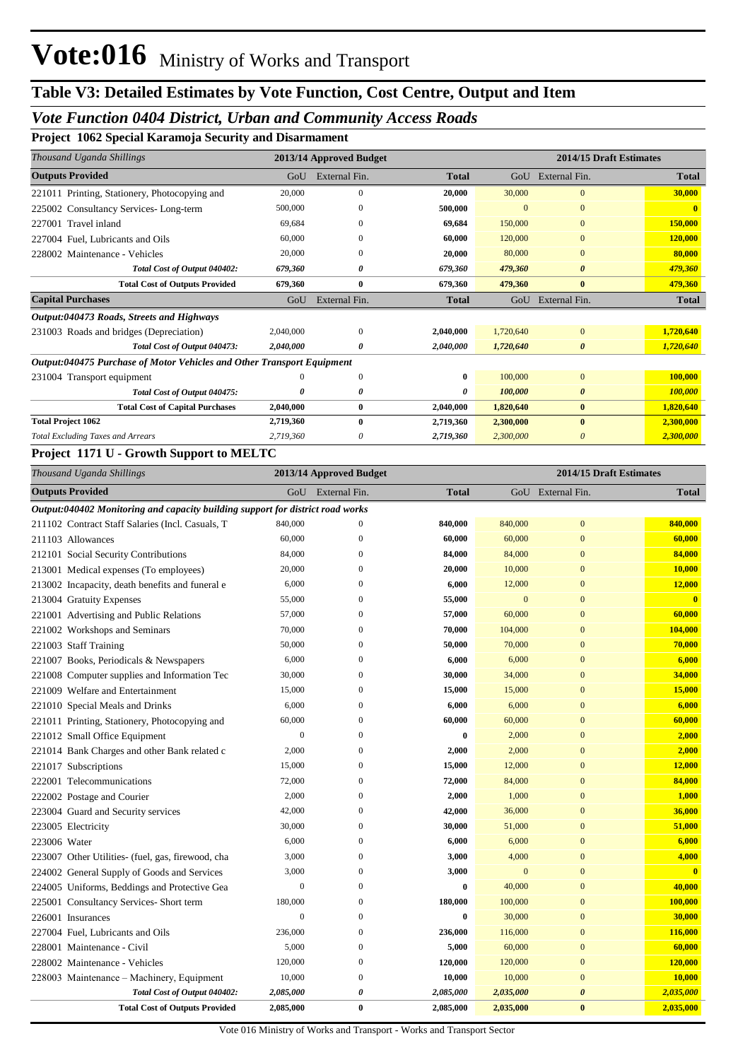#### *Vote Function 0404 District, Urban and Community Access Roads*

**Project 1062 Special Karamoja Security and Disarmament**

| Thousand Uganda Shillings                                              | 2013/14 Approved Budget |               |              | 2014/15 Draft Estimates |                       |              |
|------------------------------------------------------------------------|-------------------------|---------------|--------------|-------------------------|-----------------------|--------------|
| <b>Outputs Provided</b>                                                | GoU                     | External Fin. | <b>Total</b> | GoU                     | External Fin.         | <b>Total</b> |
| 221011 Printing, Stationery, Photocopying and                          | 20,000                  | $\Omega$      | 20,000       | 30,000                  | $\Omega$              | 30,000       |
| Consultancy Services-Long-term<br>225002                               | 500,000                 |               | 500,000      | $\Omega$                | $\Omega$              |              |
| 227001 Travel inland                                                   | 69.684                  | $\Omega$      | 69.684       | 150,000                 | $\Omega$              | 150,000      |
| 227004 Fuel, Lubricants and Oils                                       | 60,000                  | $\Omega$      | 60.000       | 120,000                 | $\Omega$              | 120,000      |
| 228002 Maintenance - Vehicles                                          | 20,000                  | $\Omega$      | 20.000       | 80,000                  | $\Omega$              | 80,000       |
| Total Cost of Output 040402:                                           | 679,360                 | 0             | 679,360      | 479,360                 | $\boldsymbol{\theta}$ | 479,360      |
| <b>Total Cost of Outputs Provided</b>                                  | 679,360                 | $\bf{0}$      | 679,360      | 479,360                 | $\bf{0}$              | 479,360      |
| <b>Capital Purchases</b>                                               | GoU                     | External Fin. | <b>Total</b> | GoU                     | External Fin.         | <b>Total</b> |
| Output:040473 Roads, Streets and Highways                              |                         |               |              |                         |                       |              |
| 231003 Roads and bridges (Depreciation)                                | 2,040,000               | $\Omega$      | 2,040,000    | 1,720,640               | $\Omega$              | 1,720,640    |
| Total Cost of Output 040473:                                           | 2,040,000               | 0             | 2,040,000    | 1,720,640               | $\boldsymbol{\theta}$ | 1,720,640    |
| Output:040475 Purchase of Motor Vehicles and Other Transport Equipment |                         |               |              |                         |                       |              |
| 231004 Transport equipment                                             |                         | $\Omega$      | 0            | 100,000                 | $\mathbf{0}$          | 100,000      |
| Total Cost of Output 040475:                                           | 0                       | 0             | 0            | 100,000                 | $\boldsymbol{\theta}$ | 100,000      |
| <b>Total Cost of Capital Purchases</b>                                 | 2,040,000               | $\bf{0}$      | 2,040,000    | 1,820,640               | $\bf{0}$              | 1,820,640    |
| <b>Total Project 1062</b>                                              | 2,719,360               | $\bf{0}$      | 2,719,360    | 2,300,000               | $\mathbf{0}$          | 2,300,000    |
| <b>Total Excluding Taxes and Arrears</b>                               | 2,719,360               | 0             | 2,719,360    | 2,300,000               | $\theta$              | 2,300,000    |

#### **Project 1171 U - Growth Support to MELTC**

| Thousand Uganda Shillings                                                      |                | 2013/14 Approved Budget | 2014/15 Draft Estimates |              |                       |                         |
|--------------------------------------------------------------------------------|----------------|-------------------------|-------------------------|--------------|-----------------------|-------------------------|
| <b>Outputs Provided</b>                                                        | GoU            | External Fin.           | <b>Total</b>            |              | GoU External Fin.     | <b>Total</b>            |
| Output:040402 Monitoring and capacity building support for district road works |                |                         |                         |              |                       |                         |
| 211102 Contract Staff Salaries (Incl. Casuals, T                               | 840,000        | $\mathbf{0}$            | 840,000                 | 840,000      | $\mathbf{0}$          | 840,000                 |
| 211103 Allowances                                                              | 60,000         | $\overline{0}$          | 60,000                  | 60,000       | $\overline{0}$        | 60,000                  |
| 212101 Social Security Contributions                                           | 84,000         | $\Omega$                | 84,000                  | 84,000       | $\mathbf{0}$          | 84,000                  |
| 213001 Medical expenses (To employees)                                         | 20,000         | $\mathbf{0}$            | 20,000                  | 10,000       | $\boldsymbol{0}$      | 10,000                  |
| 213002 Incapacity, death benefits and funeral e                                | 6,000          | $\overline{0}$          | 6,000                   | 12,000       | $\overline{0}$        | 12,000                  |
| 213004 Gratuity Expenses                                                       | 55,000         | $\mathbf{0}$            | 55,000                  | $\mathbf{0}$ | $\overline{0}$        | $\overline{\mathbf{0}}$ |
| 221001 Advertising and Public Relations                                        | 57,000         | $\overline{0}$          | 57,000                  | 60,000       | $\overline{0}$        | 60,000                  |
| 221002 Workshops and Seminars                                                  | 70,000         | $\overline{0}$          | 70,000                  | 104,000      | $\overline{0}$        | 104,000                 |
| 221003 Staff Training                                                          | 50,000         | $\Omega$                | 50,000                  | 70,000       | $\overline{0}$        | 70,000                  |
| 221007 Books, Periodicals & Newspapers                                         | 6,000          | $\overline{0}$          | 6,000                   | 6,000        | $\overline{0}$        | 6,000                   |
| 221008 Computer supplies and Information Tec                                   | 30,000         | $\overline{0}$          | 30,000                  | 34,000       | $\overline{0}$        | 34,000                  |
| 221009 Welfare and Entertainment                                               | 15,000         | $\overline{0}$          | 15,000                  | 15,000       | $\overline{0}$        | 15,000                  |
| 221010 Special Meals and Drinks                                                | 6,000          | $\overline{0}$          | 6,000                   | 6,000        | $\mathbf{0}$          | 6,000                   |
| 221011 Printing, Stationery, Photocopying and                                  | 60,000         | $\overline{0}$          | 60,000                  | 60,000       | $\overline{0}$        | 60,000                  |
| 221012 Small Office Equipment                                                  | $\mathbf{0}$   | $\mathbf{0}$            | $\bf{0}$                | 2,000        | $\overline{0}$        | 2,000                   |
| 221014 Bank Charges and other Bank related c                                   | 2,000          | $\overline{0}$          | 2,000                   | 2,000        | $\overline{0}$        | 2,000                   |
| 221017 Subscriptions                                                           | 15,000         | $\overline{0}$          | 15,000                  | 12,000       | $\overline{0}$        | 12,000                  |
| 222001 Telecommunications                                                      | 72,000         | $\boldsymbol{0}$        | 72,000                  | 84,000       | $\boldsymbol{0}$      | 84,000                  |
| 222002 Postage and Courier                                                     | 2,000          | $\overline{0}$          | 2,000                   | 1,000        | $\overline{0}$        | 1,000                   |
| 223004 Guard and Security services                                             | 42,000         | $\mathbf{0}$            | 42,000                  | 36,000       | $\mathbf{0}$          | 36,000                  |
| 223005 Electricity                                                             | 30,000         | $\mathbf{0}$            | 30,000                  | 51,000       | $\mathbf{0}$          | 51,000                  |
| 223006 Water                                                                   | 6,000          | $\overline{0}$          | 6,000                   | 6,000        | $\overline{0}$        | 6,000                   |
| 223007 Other Utilities- (fuel, gas, firewood, cha                              | 3,000          | $\mathbf{0}$            | 3,000                   | 4,000        | $\overline{0}$        | 4,000                   |
| 224002 General Supply of Goods and Services                                    | 3,000          | $\overline{0}$          | 3,000                   | $\mathbf{0}$ | $\overline{0}$        | $\overline{\mathbf{0}}$ |
| 224005 Uniforms, Beddings and Protective Gea                                   | $\overline{0}$ | $\overline{0}$          | $\bf{0}$                | 40,000       | $\overline{0}$        | 40,000                  |
| 225001 Consultancy Services- Short term                                        | 180,000        | $\Omega$                | 180,000                 | 100,000      | $\overline{0}$        | 100,000                 |
| 226001 Insurances                                                              | $\mathbf{0}$   | $\overline{0}$          | $\bf{0}$                | 30,000       | $\boldsymbol{0}$      | 30,000                  |
| 227004 Fuel, Lubricants and Oils                                               | 236,000        | $\overline{0}$          | 236,000                 | 116,000      | $\overline{0}$        | 116,000                 |
| 228001 Maintenance - Civil                                                     | 5,000          | $\overline{0}$          | 5,000                   | 60,000       | $\overline{0}$        | 60,000                  |
| 228002 Maintenance - Vehicles                                                  | 120,000        | $\mathbf{0}$            | 120,000                 | 120,000      | $\boldsymbol{0}$      | 120,000                 |
| 228003 Maintenance - Machinery, Equipment                                      | 10,000         | $\overline{0}$          | 10,000                  | 10,000       | $\overline{0}$        | 10,000                  |
| Total Cost of Output 040402:                                                   | 2,085,000      | 0                       | 2,085,000               | 2,035,000    | $\boldsymbol{\theta}$ | 2,035,000               |
| <b>Total Cost of Outputs Provided</b>                                          | 2,085,000      | $\bf{0}$                | 2,085,000               | 2,035,000    | $\bf{0}$              | 2,035,000               |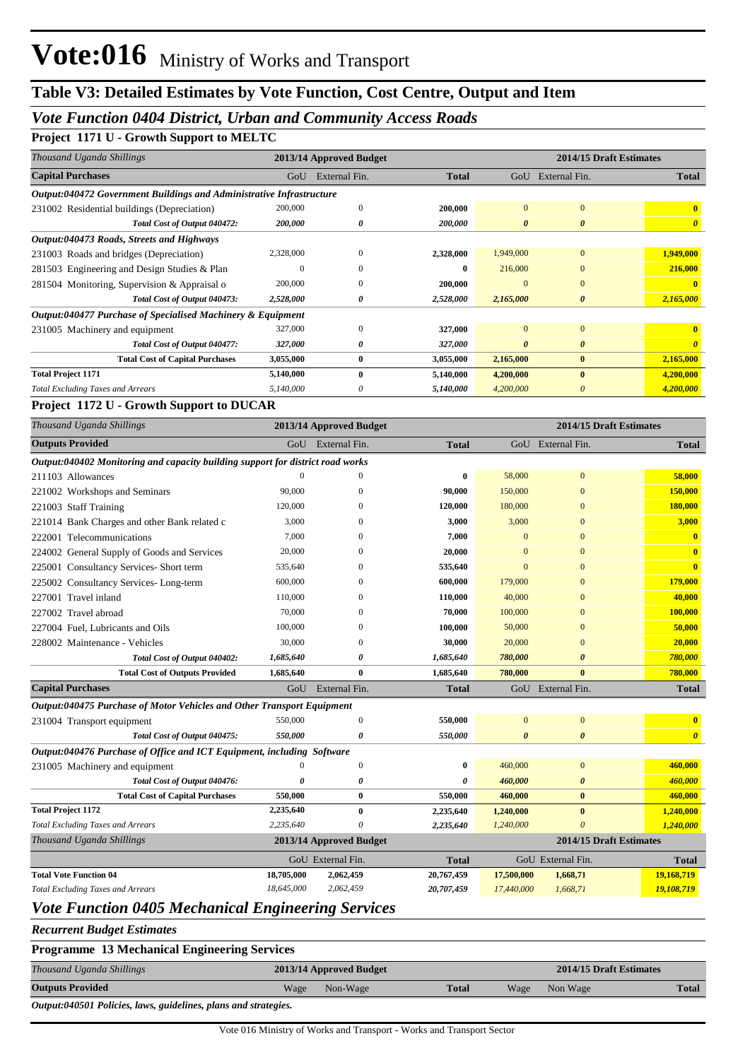#### *Vote Function 0404 District, Urban and Community Access Roads*

#### **Project 1171 U - Growth Support to MELTC**

| Thousand Uganda Shillings                                            |           | 2013/14 Approved Budget |              | 2014/15 Draft Estimates |                       |                       |  |
|----------------------------------------------------------------------|-----------|-------------------------|--------------|-------------------------|-----------------------|-----------------------|--|
| <b>Capital Purchases</b>                                             | GoU       | External Fin.           | <b>Total</b> | GoU                     | External Fin.         | <b>Total</b>          |  |
| Output:040472 Government Buildings and Administrative Infrastructure |           |                         |              |                         |                       |                       |  |
| 231002 Residential buildings (Depreciation)                          | 200,000   | $\mathbf{0}$            | 200,000      | $\Omega$                | $\overline{0}$        |                       |  |
| Total Cost of Output 040472:                                         | 200,000   | 0                       | 200,000      | $\boldsymbol{\theta}$   | $\boldsymbol{\theta}$ | $\boldsymbol{\theta}$ |  |
| Output:040473 Roads, Streets and Highways                            |           |                         |              |                         |                       |                       |  |
| 231003 Roads and bridges (Depreciation)                              | 2,328,000 | $\Omega$                | 2,328,000    | 1,949,000               | $\mathbf{0}$          | 1,949,000             |  |
| 281503 Engineering and Design Studies & Plan                         | $\theta$  | $\Omega$                | $\bf{0}$     | 216,000                 | $\Omega$              | 216,000               |  |
| 281504 Monitoring, Supervision & Appraisal o                         | 200,000   | $\Omega$                | 200,000      | $\Omega$                | $\Omega$              |                       |  |
| Total Cost of Output 040473:                                         | 2,528,000 | 0                       | 2,528,000    | 2,165,000               | $\boldsymbol{\theta}$ | 2,165,000             |  |
| Output:040477 Purchase of Specialised Machinery & Equipment          |           |                         |              |                         |                       |                       |  |
| 231005 Machinery and equipment                                       | 327,000   | $\mathbf{0}$            | 327,000      | $\Omega$                | $\overline{0}$        |                       |  |
| Total Cost of Output 040477:                                         | 327,000   | 0                       | 327,000      | $\theta$                | 0                     |                       |  |
| <b>Total Cost of Capital Purchases</b>                               | 3,055,000 | $\bf{0}$                | 3,055,000    | 2,165,000               | $\mathbf{0}$          | 2,165,000             |  |
| <b>Total Project 1171</b>                                            | 5,140,000 | $\mathbf{0}$            | 5,140,000    | 4,200,000               | $\mathbf{0}$          | 4,200,000             |  |
| <b>Total Excluding Taxes and Arrears</b>                             | 5,140,000 | $\theta$                | 5,140,000    | 4,200,000               | 0                     | 4,200,000             |  |

#### **Project 1172 U - Growth Support to DUCAR**

| Thousand Uganda Shillings                                                      |            | 2013/14 Approved Budget |              |                | 2014/15 Draft Estimates |                         |
|--------------------------------------------------------------------------------|------------|-------------------------|--------------|----------------|-------------------------|-------------------------|
| <b>Outputs Provided</b>                                                        | GoU        | External Fin.           | <b>Total</b> |                | GoU External Fin.       | <b>Total</b>            |
| Output:040402 Monitoring and capacity building support for district road works |            |                         |              |                |                         |                         |
| 211103 Allowances                                                              |            | $\Omega$                | 0            | 58,000         | $\Omega$                | 58,000                  |
| 221002 Workshops and Seminars                                                  | 90,000     | $\mathbf{0}$            | 90,000       | 150,000        | $\mathbf{0}$            | 150,000                 |
| 221003 Staff Training                                                          | 120,000    | 0                       | 120,000      | 180,000        | $\mathbf{0}$            | 180,000                 |
| 221014 Bank Charges and other Bank related c                                   | 3,000      | $\Omega$                | 3,000        | 3,000          | $\mathbf{0}$            | 3,000                   |
| 222001 Telecommunications                                                      | 7,000      | 0                       | 7,000        | $\Omega$       | $\Omega$                | $\mathbf{0}$            |
| 224002 General Supply of Goods and Services                                    | 20,000     | 0                       | 20,000       | 0              | $\Omega$                | $\mathbf{0}$            |
| 225001 Consultancy Services- Short term                                        | 535,640    | $\Omega$                | 535,640      | $\Omega$       | $\Omega$                | $\mathbf{0}$            |
| 225002 Consultancy Services- Long-term                                         | 600,000    | $\Omega$                | 600,000      | 179,000        | $\Omega$                | 179,000                 |
| 227001 Travel inland                                                           | 110,000    | $\mathbf{0}$            | 110,000      | 40,000         | $\mathbf{0}$            | 40,000                  |
| 227002 Travel abroad                                                           | 70,000     | 0                       | 70,000       | 100,000        | $\mathbf{0}$            | 100,000                 |
| 227004 Fuel, Lubricants and Oils                                               | 100,000    | $\Omega$                | 100,000      | 50,000         | $\mathbf{0}$            | 50,000                  |
| 228002 Maintenance - Vehicles                                                  | 30,000     | $\Omega$                | 30,000       | 20,000         | $\mathbf{0}$            | 20,000                  |
| Total Cost of Output 040402:                                                   | 1,685,640  | 0                       | 1,685,640    | 780,000        | $\boldsymbol{\theta}$   | 780,000                 |
| <b>Total Cost of Outputs Provided</b>                                          | 1,685,640  | $\bf{0}$                | 1,685,640    | 780,000        | $\mathbf{0}$            | 780,000                 |
| <b>Capital Purchases</b>                                                       | GoU        | External Fin.           | <b>Total</b> |                | GoU External Fin.       | <b>Total</b>            |
| Output:040475 Purchase of Motor Vehicles and Other Transport Equipment         |            |                         |              |                |                         |                         |
| 231004 Transport equipment                                                     | 550,000    | $\mathbf{0}$            | 550,000      | $\overline{0}$ | $\overline{0}$          | $\overline{\mathbf{0}}$ |
| Total Cost of Output 040475:                                                   | 550,000    | 0                       | 550,000      | $\theta$       | $\boldsymbol{\theta}$   | $\boldsymbol{\theta}$   |
| Output:040476 Purchase of Office and ICT Equipment, including Software         |            |                         |              |                |                         |                         |
| 231005 Machinery and equipment                                                 | 0          | $\overline{0}$          | 0            | 460,000        | $\overline{0}$          | 460,000                 |
| Total Cost of Output 040476:                                                   | 0          | 0                       | 0            | 460,000        | $\boldsymbol{\theta}$   | 460,000                 |
| <b>Total Cost of Capital Purchases</b>                                         | 550,000    | $\bf{0}$                | 550,000      | 460,000        | $\bf{0}$                | 460,000                 |
| <b>Total Project 1172</b>                                                      | 2,235,640  | $\bf{0}$                | 2,235,640    | 1,240,000      | $\bf{0}$                | 1,240,000               |
| <b>Total Excluding Taxes and Arrears</b>                                       | 2.235.640  | $\Omega$                | 2,235,640    | 1,240,000      | $\theta$                | 1,240,000               |
| Thousand Uganda Shillings                                                      |            | 2013/14 Approved Budget |              |                | 2014/15 Draft Estimates |                         |
|                                                                                |            | GoU External Fin.       | <b>Total</b> |                | GoU External Fin.       | <b>Total</b>            |
| <b>Total Vote Function 04</b>                                                  | 18,705,000 | 2,062,459               | 20,767,459   | 17,500,000     | 1,668,71                | 19,168,719              |
| <b>Total Excluding Taxes and Arrears</b>                                       | 18,645,000 | 2,062,459               | 20,707,459   | 17,440,000     | 1,668,71                | 19,108,719              |

### *Vote Function 0405 Mechanical Engineering Services*

*Recurrent Budget Estimates*

| <b>Programme 13 Mechanical Engineering Services</b>             |      |                         |              |      |                         |       |
|-----------------------------------------------------------------|------|-------------------------|--------------|------|-------------------------|-------|
| Thousand Uganda Shillings                                       |      | 2013/14 Approved Budget |              |      | 2014/15 Draft Estimates |       |
| <b>Outputs Provided</b>                                         | Wage | Non-Wage                | <b>Total</b> | Wage | Non Wage                | Total |
| Output:040501 Policies, laws, guidelines, plans and strategies. |      |                         |              |      |                         |       |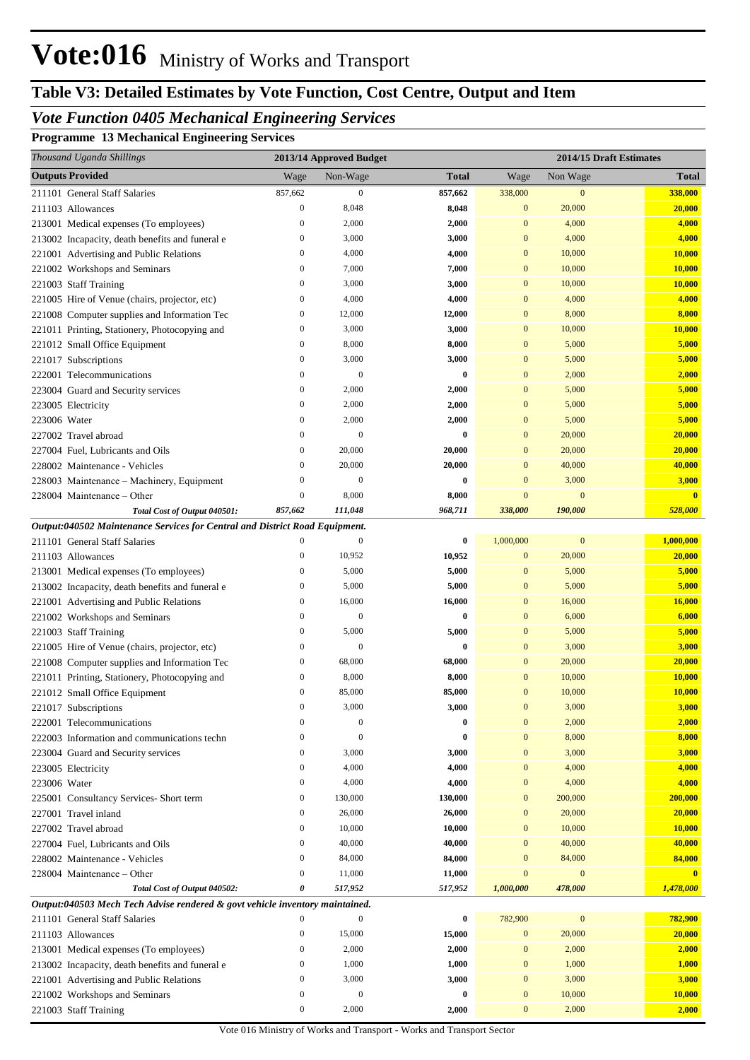# **Table V3: Detailed Estimates by Vote Function, Cost Centre, Output and Item**

## *Vote Function 0405 Mechanical Engineering Services*

**Programme 13 Mechanical Engineering Services**

| Thousand Uganda Shillings                                                    |                              | 2013/14 Approved Budget          |              |                                  |                  | 2014/15 Draft Estimates |
|------------------------------------------------------------------------------|------------------------------|----------------------------------|--------------|----------------------------------|------------------|-------------------------|
| <b>Outputs Provided</b>                                                      | Wage                         | Non-Wage                         | <b>Total</b> | Wage                             | Non Wage         | <b>Total</b>            |
| 211101 General Staff Salaries                                                | 857,662                      | $\mathbf{0}$                     | 857,662      | 338,000                          | $\boldsymbol{0}$ | 338,000                 |
| 211103 Allowances                                                            | $\mathbf{0}$                 | 8,048                            | 8,048        | $\mathbf{0}$                     | 20,000           | 20,000                  |
| 213001 Medical expenses (To employees)                                       | $\boldsymbol{0}$             | 2,000                            | 2,000        | $\mathbf{0}$                     | 4,000            | 4,000                   |
| 213002 Incapacity, death benefits and funeral e                              | $\boldsymbol{0}$             | 3,000                            | 3,000        | $\mathbf{0}$                     | 4,000            | 4,000                   |
| 221001 Advertising and Public Relations                                      | $\boldsymbol{0}$             | 4,000                            | 4,000        | $\mathbf{0}$                     | 10,000           | 10,000                  |
| 221002 Workshops and Seminars                                                | $\mathbf{0}$                 | 7,000                            | 7,000        | $\mathbf{0}$                     | 10,000           | 10,000                  |
| 221003 Staff Training                                                        | $\mathbf{0}$                 | 3,000                            | 3,000        | $\mathbf{0}$                     | 10,000           | 10,000                  |
| 221005 Hire of Venue (chairs, projector, etc)                                | $\mathbf{0}$                 | 4,000                            | 4,000        | $\mathbf{0}$                     | 4,000            | 4,000                   |
| 221008 Computer supplies and Information Tec                                 | $\boldsymbol{0}$             | 12,000                           | 12,000       | $\mathbf{0}$                     | 8,000            | 8,000                   |
| 221011 Printing, Stationery, Photocopying and                                | $\mathbf{0}$                 | 3,000                            | 3,000        | $\mathbf{0}$                     | 10,000           | 10,000                  |
| 221012 Small Office Equipment                                                | $\mathbf{0}$                 | 8,000                            | 8,000        | $\mathbf{0}$                     | 5,000            | 5,000                   |
| 221017 Subscriptions                                                         | $\mathbf{0}$                 | 3,000                            | 3,000        | $\mathbf{0}$                     | 5,000            | 5,000                   |
| 222001 Telecommunications                                                    | $\boldsymbol{0}$             | $\mathbf{0}$                     | $\bf{0}$     | $\mathbf{0}$                     | 2,000            | 2,000                   |
| 223004 Guard and Security services                                           | $\mathbf{0}$                 | 2,000                            | 2,000        | $\mathbf{0}$                     | 5,000            | 5,000                   |
| 223005 Electricity                                                           | $\boldsymbol{0}$             | 2,000                            | 2,000        | $\mathbf{0}$                     | 5,000            | 5,000                   |
| 223006 Water                                                                 | $\boldsymbol{0}$             | 2,000                            | 2,000        | $\mathbf{0}$                     | 5,000            | 5,000                   |
| 227002 Travel abroad                                                         | $\boldsymbol{0}$             | $\mathbf{0}$                     | 0            | $\mathbf{0}$                     | 20,000           | 20,000                  |
| 227004 Fuel, Lubricants and Oils                                             | $\boldsymbol{0}$             | 20,000                           | 20,000       | $\mathbf{0}$                     | 20,000           | 20,000                  |
| 228002 Maintenance - Vehicles                                                | $\boldsymbol{0}$             | 20,000                           | 20,000       | $\mathbf{0}$                     | 40,000           | 40,000                  |
| 228003 Maintenance - Machinery, Equipment                                    | $\overline{0}$               | $\mathbf{0}$                     | 0            | $\mathbf{0}$                     | 3,000            | 3,000                   |
| 228004 Maintenance – Other                                                   | $\boldsymbol{0}$             | 8,000                            | 8,000        | $\mathbf{0}$                     | $\mathbf{0}$     | $\overline{\mathbf{0}}$ |
| Total Cost of Output 040501:                                                 | 857,662                      | 111,048                          | 968,711      | 338,000                          | 190,000          | 528,000                 |
| Output:040502 Maintenance Services for Central and District Road Equipment.  |                              |                                  |              |                                  |                  |                         |
| 211101 General Staff Salaries                                                | $\mathbf{0}$                 | $\boldsymbol{0}$                 | $\bf{0}$     | 1,000,000                        | $\bf{0}$         | 1,000,000               |
| 211103 Allowances                                                            | $\boldsymbol{0}$             | 10,952                           | 10,952       | $\mathbf{0}$                     | 20,000           | 20,000                  |
| 213001 Medical expenses (To employees)                                       | $\boldsymbol{0}$             | 5,000                            | 5,000        | $\mathbf{0}$                     | 5,000            | 5,000                   |
| 213002 Incapacity, death benefits and funeral e                              | $\boldsymbol{0}$             | 5,000                            | 5,000        | $\mathbf{0}$                     | 5,000            | 5,000                   |
| 221001 Advertising and Public Relations                                      | $\boldsymbol{0}$             | 16,000                           | 16,000       | $\mathbf{0}$                     | 16,000           | 16,000                  |
| 221002 Workshops and Seminars                                                | $\boldsymbol{0}$             | $\mathbf{0}$                     | $\bf{0}$     | $\mathbf{0}$                     | 6,000            | 6,000                   |
| 221003 Staff Training                                                        | $\boldsymbol{0}$             | 5,000                            | 5,000        | $\mathbf{0}$                     | 5,000            | 5,000                   |
| 221005 Hire of Venue (chairs, projector, etc)                                | $\boldsymbol{0}$             | $\mathbf{0}$                     | 0            | $\mathbf{0}$                     | 3,000            | 3,000                   |
| 221008 Computer supplies and Information Tec                                 | $\boldsymbol{0}$             | 68,000                           | 68,000       | $\mathbf{0}$                     | 20,000           | 20,000                  |
| 221011 Printing, Stationery, Photocopying and                                | $\boldsymbol{0}$             | 8,000                            | 8,000        | $\mathbf{0}$                     | 10,000           | 10,000                  |
| 221012 Small Office Equipment                                                | $\boldsymbol{0}$<br>$\Omega$ | 85,000                           | 85,000       | $\mathbf{0}$                     | 10,000           | 10,000                  |
| 221017 Subscriptions                                                         | $\boldsymbol{0}$             | 3,000                            | 3,000        | $\Omega$                         | 3,000            | 3,000                   |
| 222001 Telecommunications                                                    | $\overline{0}$               | $\boldsymbol{0}$<br>$\mathbf{0}$ | 0<br>0       | $\boldsymbol{0}$<br>$\mathbf{0}$ | 2,000<br>8,000   | 2,000<br>8,000          |
| 222003 Information and communications techn                                  | $\boldsymbol{0}$             | 3,000                            | 3,000        | $\mathbf{0}$                     | 3,000            | 3,000                   |
| 223004 Guard and Security services<br>223005 Electricity                     | $\boldsymbol{0}$             | 4,000                            | 4,000        | $\boldsymbol{0}$                 | 4,000            | 4,000                   |
| 223006 Water                                                                 | $\boldsymbol{0}$             | 4,000                            | 4,000        | $\boldsymbol{0}$                 | 4,000            | 4,000                   |
| 225001 Consultancy Services- Short term                                      | $\mathbf{0}$                 | 130,000                          | 130,000      | $\mathbf{0}$                     | 200,000          | 200,000                 |
| 227001 Travel inland                                                         | $\boldsymbol{0}$             | 26,000                           | 26,000       | $\mathbf{0}$                     | 20,000           | 20,000                  |
| 227002 Travel abroad                                                         | $\boldsymbol{0}$             | 10,000                           | 10,000       | $\mathbf{0}$                     | 10,000           | 10,000                  |
| 227004 Fuel, Lubricants and Oils                                             | $\boldsymbol{0}$             | 40,000                           | 40,000       | $\mathbf{0}$                     | 40,000           | 40,000                  |
| 228002 Maintenance - Vehicles                                                | $\boldsymbol{0}$             | 84,000                           | 84,000       | $\overline{0}$                   | 84,000           | 84,000                  |
| 228004 Maintenance – Other                                                   | $\boldsymbol{0}$             | 11,000                           | 11,000       | $\overline{0}$                   | $\mathbf{0}$     | $\mathbf{0}$            |
| Total Cost of Output 040502:                                                 | 0                            | 517,952                          | 517,952      | 1,000,000                        | 478,000          | 1,478,000               |
| Output:040503 Mech Tech Advise rendered & govt vehicle inventory maintained. |                              |                                  |              |                                  |                  |                         |
| 211101 General Staff Salaries                                                | $\mathbf{0}$                 | $\mathbf{0}$                     | 0            | 782,900                          | $\boldsymbol{0}$ | 782,900                 |
| 211103 Allowances                                                            | $\boldsymbol{0}$             | 15,000                           | 15,000       | $\bf{0}$                         | 20,000           | 20,000                  |
| 213001 Medical expenses (To employees)                                       | $\boldsymbol{0}$             | 2,000                            | 2,000        | $\overline{0}$                   | 2,000            | 2,000                   |
| 213002 Incapacity, death benefits and funeral e                              | $\boldsymbol{0}$             | 1,000                            | 1,000        | $\mathbf{0}$                     | 1,000            | 1,000                   |
| 221001 Advertising and Public Relations                                      | $\boldsymbol{0}$             | 3,000                            | 3,000        | $\mathbf{0}$                     | 3,000            | 3,000                   |
| 221002 Workshops and Seminars                                                | $\boldsymbol{0}$             | $\mathbf{0}$                     | 0            | $\mathbf{0}$                     | 10,000           | 10,000                  |
| 221003 Staff Training                                                        | $\boldsymbol{0}$             | 2,000                            | 2,000        | $\boldsymbol{0}$                 | 2,000            | 2,000                   |
|                                                                              |                              |                                  |              |                                  |                  |                         |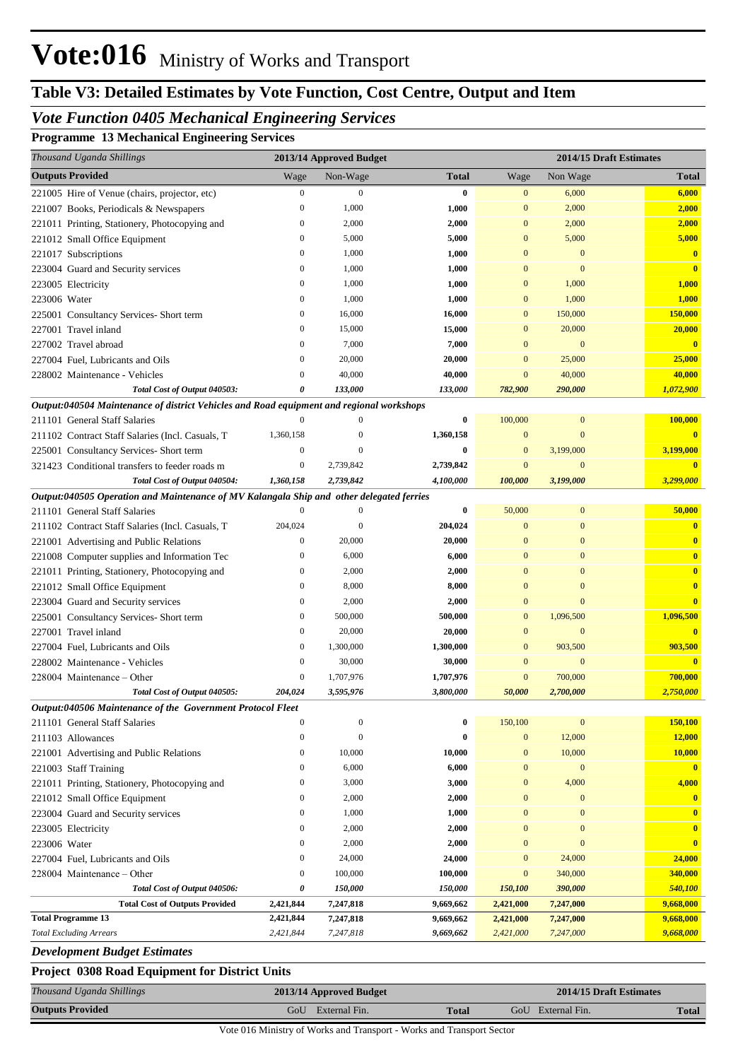# **Table V3: Detailed Estimates by Vote Function, Cost Centre, Output and Item**

## *Vote Function 0405 Mechanical Engineering Services*

**Programme 13 Mechanical Engineering Services**

| Thousand Uganda Shillings                                                                |                                      | 2013/14 Approved Budget |                |                              |                              | 2014/15 Draft Estimates |
|------------------------------------------------------------------------------------------|--------------------------------------|-------------------------|----------------|------------------------------|------------------------------|-------------------------|
| <b>Outputs Provided</b>                                                                  | Wage                                 | Non-Wage                | <b>Total</b>   | Wage                         | Non Wage                     | <b>Total</b>            |
| 221005 Hire of Venue (chairs, projector, etc)                                            | $\boldsymbol{0}$                     | $\Omega$                | $\bf{0}$       | $\mathbf{0}$                 | 6,000                        | 6,000                   |
| 221007 Books, Periodicals & Newspapers                                                   | $\boldsymbol{0}$                     | 1,000                   | 1,000          | $\mathbf{0}$                 | 2,000                        | 2,000                   |
| 221011 Printing, Stationery, Photocopying and                                            | $\boldsymbol{0}$                     | 2,000                   | 2,000          | $\mathbf{0}$                 | 2,000                        | 2,000                   |
| 221012 Small Office Equipment                                                            | $\mathbf{0}$                         | 5,000                   | 5,000          | $\mathbf{0}$                 | 5,000                        | 5,000                   |
| 221017 Subscriptions                                                                     | $\boldsymbol{0}$                     | 1,000                   | 1,000          | $\mathbf{0}$                 | $\mathbf{0}$                 | $\mathbf{0}$            |
| 223004 Guard and Security services                                                       | $\boldsymbol{0}$                     | 1,000                   | 1,000          | $\mathbf{0}$                 | $\mathbf{0}$                 | $\mathbf{0}$            |
| 223005 Electricity                                                                       | $\boldsymbol{0}$                     | 1,000                   | 1,000          | $\mathbf{0}$                 | 1,000                        | 1,000                   |
| 223006 Water                                                                             | $\boldsymbol{0}$                     | 1,000                   | 1,000          | $\mathbf{0}$                 | 1,000                        | 1,000                   |
| 225001 Consultancy Services- Short term                                                  | $\boldsymbol{0}$                     | 16,000                  | 16,000         | $\mathbf{0}$                 | 150,000                      | 150,000                 |
| 227001 Travel inland                                                                     | $\boldsymbol{0}$                     | 15,000                  | 15,000         | $\mathbf{0}$                 | 20,000                       | 20,000                  |
| 227002 Travel abroad                                                                     | $\mathbf{0}$                         | 7,000                   | 7,000          | $\mathbf{0}$                 | $\mathbf{0}$                 | $\bf{0}$                |
| 227004 Fuel, Lubricants and Oils                                                         | $\mathbf{0}$                         | 20,000                  | 20,000         | $\mathbf{0}$                 | 25,000                       | 25,000                  |
| 228002 Maintenance - Vehicles                                                            | $\theta$                             | 40,000                  | 40,000         | $\overline{0}$               | 40,000                       | 40,000                  |
| Total Cost of Output 040503:                                                             | 0                                    | 133,000                 | 133,000        | 782,900                      | 290,000                      | 1,072,900               |
| Output:040504 Maintenance of district Vehicles and Road equipment and regional workshops |                                      |                         |                |                              |                              |                         |
| 211101 General Staff Salaries                                                            | $\Omega$                             | $\Omega$                | 0              | 100,000                      | $\boldsymbol{0}$             | 100,000                 |
| 211102 Contract Staff Salaries (Incl. Casuals, T                                         | 1,360,158                            | 0                       | 1,360,158      | $\mathbf{0}$                 | $\overline{0}$               |                         |
| 225001 Consultancy Services- Short term                                                  | $\boldsymbol{0}$                     | $\Omega$                | $\bf{0}$       | $\mathbf{0}$                 | 3,199,000                    | 3,199,000               |
| 321423 Conditional transfers to feeder roads m                                           | $\mathbf{0}$                         | 2,739,842               | 2,739,842      | $\mathbf{0}$                 | $\mathbf{0}$                 | $\bf{0}$                |
| Total Cost of Output 040504:                                                             | 1,360,158                            | 2,739,842               | 4,100,000      | 100,000                      | 3,199,000                    | 3,299,000               |
| Output:040505 Operation and Maintenance of MV Kalangala Ship and other delegated ferries |                                      |                         |                |                              |                              |                         |
| 211101 General Staff Salaries                                                            | $\mathbf{0}$                         | $\Omega$                | $\bf{0}$       | 50,000                       | $\mathbf{0}$                 | 50,000                  |
| 211102 Contract Staff Salaries (Incl. Casuals, T                                         | 204,024                              | $\Omega$                | 204,024        | $\mathbf{0}$                 | $\mathbf{0}$                 | $\bf{0}$                |
| 221001 Advertising and Public Relations                                                  | $\boldsymbol{0}$                     | 20,000                  | 20,000         | $\mathbf{0}$                 | $\overline{0}$               | $\mathbf{0}$            |
| 221008 Computer supplies and Information Tec                                             | $\boldsymbol{0}$                     | 6,000                   | 6,000          | $\mathbf{0}$                 | $\overline{0}$               | $\mathbf{0}$            |
| 221011 Printing, Stationery, Photocopying and                                            | $\boldsymbol{0}$                     | 2,000                   | 2,000          | $\overline{0}$               | $\overline{0}$               | $\mathbf{0}$            |
| 221012 Small Office Equipment                                                            | $\mathbf{0}$                         | 8,000                   | 8,000          | $\mathbf{0}$                 | $\overline{0}$               | $\mathbf{0}$            |
| 223004 Guard and Security services                                                       | $\boldsymbol{0}$                     | 2,000                   | 2,000          | $\mathbf{0}$                 | $\overline{0}$               | $\overline{\mathbf{0}}$ |
| 225001 Consultancy Services- Short term                                                  | $\mathbf{0}$                         | 500,000                 | 500,000        | $\mathbf{0}$                 | 1,096,500                    | 1,096,500               |
| 227001 Travel inland                                                                     | $\mathbf{0}$                         | 20,000                  | 20,000         | $\mathbf{0}$                 | $\mathbf{0}$                 |                         |
| 227004 Fuel. Lubricants and Oils                                                         | $\boldsymbol{0}$                     | 1,300,000               | 1,300,000      | $\overline{0}$               | 903,500                      | 903,500                 |
| 228002 Maintenance - Vehicles                                                            | $\boldsymbol{0}$                     | 30,000                  | 30,000         | $\mathbf{0}$                 | $\mathbf{0}$                 | $\mathbf{0}$            |
| 228004 Maintenance – Other                                                               | $\boldsymbol{0}$                     | 1,707,976               | 1,707,976      | $\mathbf{0}$                 | 700,000                      | 700,000                 |
| Total Cost of Output 040505:                                                             | 204,024                              | 3,595,976               | 3,800,000      | 50,000                       | 2,700,000                    | 2,750,000               |
| Output:040506 Maintenance of the Government Protocol Fleet                               |                                      |                         |                |                              |                              |                         |
| 211101 General Staff Salaries                                                            | $\boldsymbol{0}$                     | $\mathbf{0}$            | $\bf{0}$       | 150,100                      | $\bf{0}$                     | 150,100                 |
| 211103 Allowances                                                                        | $\mathbf{0}$                         | $\overline{0}$          | $\bf{0}$       | $\mathbf{0}$                 | 12,000                       | 12,000                  |
| 221001 Advertising and Public Relations                                                  | $\boldsymbol{0}$                     | 10,000                  | 10,000         | $\mathbf{0}$                 | 10,000                       | 10,000                  |
| 221003 Staff Training                                                                    | $\boldsymbol{0}$<br>$\boldsymbol{0}$ | 6,000                   | 6,000          | $\mathbf{0}$                 | $\bf{0}$                     | $\mathbf{0}$            |
| 221011 Printing, Stationery, Photocopying and                                            | $\boldsymbol{0}$                     | 3,000                   | 3,000          | $\mathbf{0}$<br>$\mathbf{0}$ | 4,000                        | 4,000                   |
| 221012 Small Office Equipment                                                            | $\boldsymbol{0}$                     | 2,000<br>1,000          | 2,000<br>1,000 | $\mathbf{0}$                 | $\mathbf{0}$<br>$\mathbf{0}$ | $\bf{0}$<br>$\bf{0}$    |
| 223004 Guard and Security services                                                       | $\boldsymbol{0}$                     |                         |                | $\mathbf{0}$                 | $\overline{0}$               | $\mathbf{0}$            |
| 223005 Electricity<br>223006 Water                                                       | $\boldsymbol{0}$                     | 2,000<br>2,000          | 2,000<br>2,000 | $\mathbf{0}$                 | $\mathbf{0}$                 | $\overline{\mathbf{0}}$ |
| 227004 Fuel, Lubricants and Oils                                                         | $\mathbf{0}$                         | 24,000                  | 24,000         | $\mathbf{0}$                 | 24,000                       | 24,000                  |
| 228004 Maintenance - Other                                                               | $\boldsymbol{0}$                     | 100,000                 | 100,000        | $\mathbf{0}$                 | 340,000                      | 340,000                 |
| Total Cost of Output 040506:                                                             | 0                                    | 150,000                 | 150,000        | 150,100                      | 390,000                      | 540,100                 |
| <b>Total Cost of Outputs Provided</b>                                                    | 2,421,844                            | 7,247,818               | 9,669,662      | 2,421,000                    | 7,247,000                    | 9,668,000               |
| <b>Total Programme 13</b>                                                                | 2,421,844                            | 7,247,818               | 9,669,662      | 2,421,000                    | 7,247,000                    | 9,668,000               |
| <b>Total Excluding Arrears</b>                                                           | 2,421,844                            | 7,247,818               | 9,669,662      | 2,421,000                    | 7,247,000                    | 9,668,000               |
|                                                                                          |                                      |                         |                |                              |                              |                         |

*Development Budget Estimates*

## **Project 0308 Road Equipment for District Units**

| Thousand Uganda Shillings | 2013/14 Approved Budget |              | 2014/15 Draft Estimates |       |  |
|---------------------------|-------------------------|--------------|-------------------------|-------|--|
| <b>Outputs Provided</b>   | GoU External Fin.       | <b>Total</b> | GoU External Fin.       | Total |  |

Vote 016 Ministry of Works and Transport - Works and Transport Sector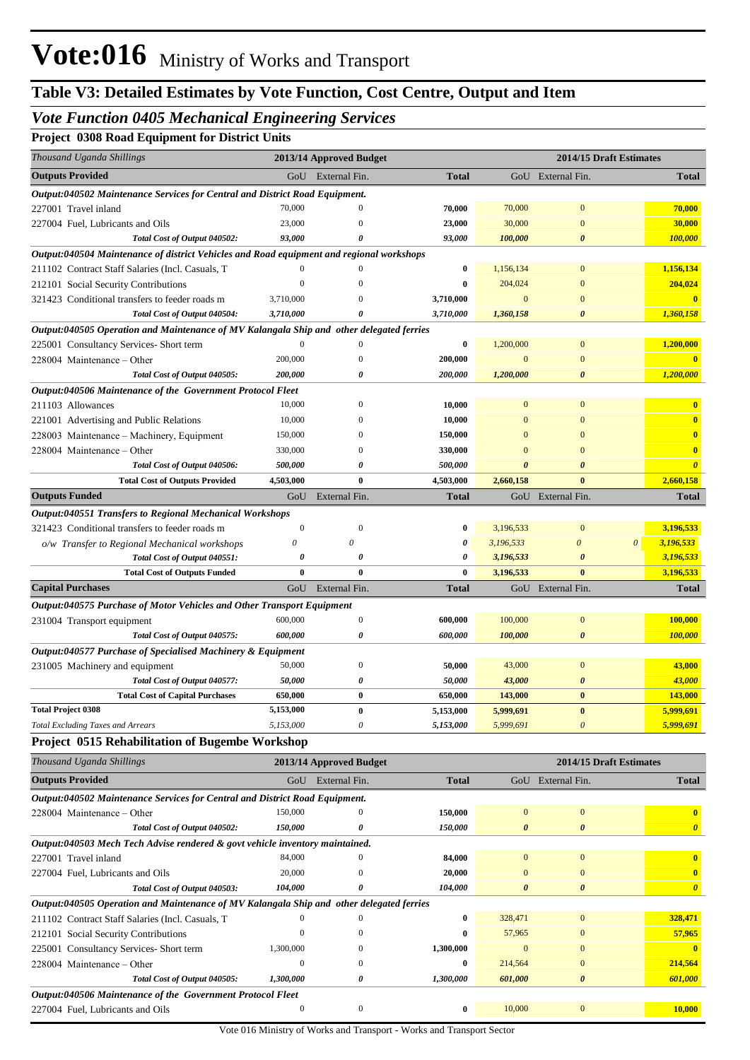## *Vote Function 0405 Mechanical Engineering Services*

**Project 0308 Road Equipment for District Units**

| <b>Outputs Provided</b><br>GoU External Fin.<br>GoU External Fin.<br><b>Total</b><br><b>Total</b><br>Output:040502 Maintenance Services for Central and District Road Equipment.<br>70,000<br>$\mathbf{0}$<br>$\Omega$<br>70,000<br>70,000<br>70,000<br>227001 Travel inland<br>23,000<br>30,000<br>$\overline{0}$<br>30,000<br>23,000<br>227004 Fuel, Lubricants and Oils<br>O<br>93,000<br>Total Cost of Output 040502:<br>93,000<br>100,000<br>$\boldsymbol{\theta}$<br>100,000<br>0<br>Output:040504 Maintenance of district Vehicles and Road equipment and regional workshops<br>1,156,134<br>$\overline{0}$<br>211102 Contract Staff Salaries (Incl. Casuals, T<br>$\theta$<br>0<br>1,156,134<br>$\Omega$<br>204,024<br>$\Omega$<br>204,024<br>$\overline{0}$<br>212101 Social Security Contributions<br>0<br>3,710,000<br>3,710,000<br>$\mathbf{0}$<br>$\mathbf{0}$<br>$\overline{\mathbf{0}}$<br>321423 Conditional transfers to feeder roads m<br>Total Cost of Output 040504:<br>3,710,000<br>3,710,000<br>1,360,158<br>$\boldsymbol{\theta}$<br>1,360,158<br>0<br>Output:040505 Operation and Maintenance of MV Kalangala Ship and other delegated ferries<br>1,200,000<br>$\overline{0}$<br>$\mathbf{0}$<br>225001 Consultancy Services- Short term<br>$\Omega$<br>0<br>1,200,000<br>228004 Maintenance - Other<br>200,000<br>200,000<br>$\mathbf{0}$<br>$\mathbf{0}$<br>$\mathbf{0}$<br>1,200,000<br>Total Cost of Output 040505:<br>200,000<br>200,000<br>1,200,000<br>$\boldsymbol{\theta}$<br>0<br>Output:040506 Maintenance of the Government Protocol Fleet<br>211103 Allowances<br>10,000<br>$\overline{0}$<br>$\mathbf{0}$<br>10,000<br>$\mathbf{0}$<br>$\bf{0}$<br>10,000<br>10,000<br>$\mathbf{0}$<br>$\bf{0}$<br>221001 Advertising and Public Relations<br>$\mathbf{0}$<br>150,000<br>$\overline{0}$<br>$\overline{\mathbf{0}}$<br>228003 Maintenance - Machinery, Equipment<br>150,000<br>$\mathbf{0}$<br>$\left($<br>330,000<br>330,000<br>$\bf{0}$<br>228004 Maintenance – Other<br>$\overline{0}$<br>$\mathbf{0}$<br>$\Omega$<br>500,000<br>500,000<br>$\boldsymbol{\theta}$<br>$\boldsymbol{\theta}$<br>Total Cost of Output 040506:<br>0<br>0<br><b>Total Cost of Outputs Provided</b><br>4,503,000<br>$\bf{0}$<br>4,503,000<br>2,660,158<br>$\bf{0}$<br>2,660,158<br><b>Outputs Funded</b><br>External Fin.<br><b>Total</b><br>GoU External Fin.<br><b>Total</b><br>GoU<br><b>Output:040551 Transfers to Regional Mechanical Workshops</b><br>$\mathbf{0}$<br>$\mathbf{0}$<br>$\bf{0}$<br>$\mathbf{0}$<br>3,196,533<br>321423 Conditional transfers to feeder roads m<br>3,196,533<br>$\theta$<br>0<br>0<br>$\theta$<br>$\boldsymbol{\theta}$<br>3,196,533<br>3,196,533<br>o/w Transfer to Regional Mechanical workshops<br>0<br>3,196,533<br>Total Cost of Output 040551:<br>0<br>0<br>3,196,533<br>$\boldsymbol{\theta}$<br>$\bf{0}$<br>$\bf{0}$<br>$\bf{0}$<br>$\bf{0}$<br><b>Total Cost of Outputs Funded</b><br>3,196,533<br>3,196,533<br><b>Capital Purchases</b><br>GoU<br>External Fin.<br>GoU External Fin.<br>Total<br><b>Total</b><br>Output:040575 Purchase of Motor Vehicles and Other Transport Equipment<br>600,000<br>$\boldsymbol{0}$<br>100,000<br>$\boldsymbol{0}$<br>600,000<br>100,000<br>231004 Transport equipment<br>600,000<br>0<br>600,000<br>100,000<br>$\boldsymbol{\theta}$<br>100,000<br>Total Cost of Output 040575:<br>Output:040577 Purchase of Specialised Machinery & Equipment<br>50,000<br>$\boldsymbol{0}$<br>43,000<br>$\boldsymbol{0}$<br>43,000<br>231005 Machinery and equipment<br>50,000<br>50,000<br>50,000<br>43,000<br>$\boldsymbol{\theta}$<br>43,000<br>Total Cost of Output 040577:<br>0<br>$\bf{0}$<br>$\bf{0}$<br>143,000<br><b>Total Cost of Capital Purchases</b><br>650,000<br>650,000<br>143,000<br><b>Total Project 0308</b><br>5,153,000<br>0<br>5,153,000<br>5,999,691<br>$\bf{0}$<br><u>5,999,691</u><br>5,153,000<br>0<br>5,999,691<br>$\boldsymbol{\theta}$<br>5,999,691<br><b>Total Excluding Taxes and Arrears</b><br>5,153,000<br>Project 0515 Rehabilitation of Bugembe Workshop<br>Thousand Uganda Shillings<br>2013/14 Approved Budget<br>2014/15 Draft Estimates<br><b>Outputs Provided</b><br>GoU External Fin.<br>GoU External Fin.<br><b>Total</b><br><b>Total</b><br>Output:040502 Maintenance Services for Central and District Road Equipment.<br>150,000<br>150,000<br>$\boldsymbol{0}$<br>228004 Maintenance – Other<br>$\mathbf{0}$<br>$\mathbf{0}$<br>$\bf{0}$<br>Total Cost of Output 040502:<br>150,000<br>0<br>150,000<br>$\boldsymbol{\theta}$<br>$\pmb{\theta}$<br>$\boldsymbol{\theta}$<br>Output:040503 Mech Tech Advise rendered & govt vehicle inventory maintained.<br>84,000<br>84,000<br>$\mathbf{0}$<br>$\boldsymbol{0}$<br>227001 Travel inland<br>$\mathbf{0}$<br>$\bf{0}$<br>20,000<br>20,000<br>$\mathbf{0}$<br>$\boldsymbol{0}$<br>$\mathbf{0}$<br>227004 Fuel, Lubricants and Oils<br>$\boldsymbol{0}$<br>104,000<br>104,000<br>$\boldsymbol{\theta}$<br>Total Cost of Output 040503:<br>$\boldsymbol{\theta}$<br>0<br>0<br>Output:040505 Operation and Maintenance of MV Kalangala Ship and other delegated ferries<br>328,471<br>328,471<br>$\mathbf{0}$<br>211102 Contract Staff Salaries (Incl. Casuals, T<br>$\theta$<br>$\mathbf{0}$<br>0<br>57,965<br>$\boldsymbol{0}$<br>57,965<br>$\mathbf{0}$<br>212101 Social Security Contributions<br>$\mathbf{0}$<br>0<br>1,300,000<br>1,300,000<br>$\mathbf{0}$<br>$\mathbf{0}$<br>$\overline{\mathbf{0}}$<br>225001 Consultancy Services- Short term<br>0<br>214,564<br>228004 Maintenance - Other<br>$\boldsymbol{0}$<br>214,564<br>$\mathbf{0}$<br>$\mathbf{0}$<br>0<br>601,000<br>Total Cost of Output 040505:<br>1,300,000<br>0<br>1,300,000<br>601,000<br>$\boldsymbol{\theta}$<br>Output:040506 Maintenance of the Government Protocol Fleet<br>10,000<br>$\boldsymbol{0}$<br>$\boldsymbol{0}$<br>0<br>10,000<br>$\boldsymbol{0}$<br>227004 Fuel, Lubricants and Oils | Thousand Uganda Shillings | 2013/14 Approved Budget |  | 2014/15 Draft Estimates |
|---------------------------------------------------------------------------------------------------------------------------------------------------------------------------------------------------------------------------------------------------------------------------------------------------------------------------------------------------------------------------------------------------------------------------------------------------------------------------------------------------------------------------------------------------------------------------------------------------------------------------------------------------------------------------------------------------------------------------------------------------------------------------------------------------------------------------------------------------------------------------------------------------------------------------------------------------------------------------------------------------------------------------------------------------------------------------------------------------------------------------------------------------------------------------------------------------------------------------------------------------------------------------------------------------------------------------------------------------------------------------------------------------------------------------------------------------------------------------------------------------------------------------------------------------------------------------------------------------------------------------------------------------------------------------------------------------------------------------------------------------------------------------------------------------------------------------------------------------------------------------------------------------------------------------------------------------------------------------------------------------------------------------------------------------------------------------------------------------------------------------------------------------------------------------------------------------------------------------------------------------------------------------------------------------------------------------------------------------------------------------------------------------------------------------------------------------------------------------------------------------------------------------------------------------------------------------------------------------------------------------------------------------------------------------------------------------------------------------------------------------------------------------------------------------------------------------------------------------------------------------------------------------------------------------------------------------------------------------------------------------------------------------------------------------------------------------------------------------------------------------------------------------------------------------------------------------------------------------------------------------------------------------------------------------------------------------------------------------------------------------------------------------------------------------------------------------------------------------------------------------------------------------------------------------------------------------------------------------------------------------------------------------------------------------------------------------------------------------------------------------------------------------------------------------------------------------------------------------------------------------------------------------------------------------------------------------------------------------------------------------------------------------------------------------------------------------------------------------------------------------------------------------------------------------------------------------------------------------------------------------------------------------------------------------------------------------------------------------------------------------------------------------------------------------------------------------------------------------------------------------------------------------------------------------------------------------------------------------------------------------------------------------------------------------------------------------------------------------------------------------------------------------------------------------------------------------------------------------------------------------------------------------------------------------------------------------------------------------------------------------------------------------------------------------------------------------------------------------------------------------------------------------------------------------------------------------------------------------------------------------------------------------------------------------------------------------------------------------------------------------------------------------------------------------------------------------------------------------------------------------------------------------------------------------------------------------------------------------------------------------------------------------------------------------------------------------------------------------------------------------------------------------------------------------------------------------------------------------------------------------------------------------------------------------------------------------------------|---------------------------|-------------------------|--|-------------------------|
|                                                                                                                                                                                                                                                                                                                                                                                                                                                                                                                                                                                                                                                                                                                                                                                                                                                                                                                                                                                                                                                                                                                                                                                                                                                                                                                                                                                                                                                                                                                                                                                                                                                                                                                                                                                                                                                                                                                                                                                                                                                                                                                                                                                                                                                                                                                                                                                                                                                                                                                                                                                                                                                                                                                                                                                                                                                                                                                                                                                                                                                                                                                                                                                                                                                                                                                                                                                                                                                                                                                                                                                                                                                                                                                                                                                                                                                                                                                                                                                                                                                                                                                                                                                                                                                                                                                                                                                                                                                                                                                                                                                                                                                                                                                                                                                                                                                                                                                                                                                                                                                                                                                                                                                                                                                                                                                                                                                                                                                                                                                                                                                                                                                                                                                                                                                                                                                                                                                                                               |                           |                         |  |                         |
|                                                                                                                                                                                                                                                                                                                                                                                                                                                                                                                                                                                                                                                                                                                                                                                                                                                                                                                                                                                                                                                                                                                                                                                                                                                                                                                                                                                                                                                                                                                                                                                                                                                                                                                                                                                                                                                                                                                                                                                                                                                                                                                                                                                                                                                                                                                                                                                                                                                                                                                                                                                                                                                                                                                                                                                                                                                                                                                                                                                                                                                                                                                                                                                                                                                                                                                                                                                                                                                                                                                                                                                                                                                                                                                                                                                                                                                                                                                                                                                                                                                                                                                                                                                                                                                                                                                                                                                                                                                                                                                                                                                                                                                                                                                                                                                                                                                                                                                                                                                                                                                                                                                                                                                                                                                                                                                                                                                                                                                                                                                                                                                                                                                                                                                                                                                                                                                                                                                                                               |                           |                         |  |                         |
|                                                                                                                                                                                                                                                                                                                                                                                                                                                                                                                                                                                                                                                                                                                                                                                                                                                                                                                                                                                                                                                                                                                                                                                                                                                                                                                                                                                                                                                                                                                                                                                                                                                                                                                                                                                                                                                                                                                                                                                                                                                                                                                                                                                                                                                                                                                                                                                                                                                                                                                                                                                                                                                                                                                                                                                                                                                                                                                                                                                                                                                                                                                                                                                                                                                                                                                                                                                                                                                                                                                                                                                                                                                                                                                                                                                                                                                                                                                                                                                                                                                                                                                                                                                                                                                                                                                                                                                                                                                                                                                                                                                                                                                                                                                                                                                                                                                                                                                                                                                                                                                                                                                                                                                                                                                                                                                                                                                                                                                                                                                                                                                                                                                                                                                                                                                                                                                                                                                                                               |                           |                         |  |                         |
|                                                                                                                                                                                                                                                                                                                                                                                                                                                                                                                                                                                                                                                                                                                                                                                                                                                                                                                                                                                                                                                                                                                                                                                                                                                                                                                                                                                                                                                                                                                                                                                                                                                                                                                                                                                                                                                                                                                                                                                                                                                                                                                                                                                                                                                                                                                                                                                                                                                                                                                                                                                                                                                                                                                                                                                                                                                                                                                                                                                                                                                                                                                                                                                                                                                                                                                                                                                                                                                                                                                                                                                                                                                                                                                                                                                                                                                                                                                                                                                                                                                                                                                                                                                                                                                                                                                                                                                                                                                                                                                                                                                                                                                                                                                                                                                                                                                                                                                                                                                                                                                                                                                                                                                                                                                                                                                                                                                                                                                                                                                                                                                                                                                                                                                                                                                                                                                                                                                                                               |                           |                         |  |                         |
|                                                                                                                                                                                                                                                                                                                                                                                                                                                                                                                                                                                                                                                                                                                                                                                                                                                                                                                                                                                                                                                                                                                                                                                                                                                                                                                                                                                                                                                                                                                                                                                                                                                                                                                                                                                                                                                                                                                                                                                                                                                                                                                                                                                                                                                                                                                                                                                                                                                                                                                                                                                                                                                                                                                                                                                                                                                                                                                                                                                                                                                                                                                                                                                                                                                                                                                                                                                                                                                                                                                                                                                                                                                                                                                                                                                                                                                                                                                                                                                                                                                                                                                                                                                                                                                                                                                                                                                                                                                                                                                                                                                                                                                                                                                                                                                                                                                                                                                                                                                                                                                                                                                                                                                                                                                                                                                                                                                                                                                                                                                                                                                                                                                                                                                                                                                                                                                                                                                                                               |                           |                         |  |                         |
|                                                                                                                                                                                                                                                                                                                                                                                                                                                                                                                                                                                                                                                                                                                                                                                                                                                                                                                                                                                                                                                                                                                                                                                                                                                                                                                                                                                                                                                                                                                                                                                                                                                                                                                                                                                                                                                                                                                                                                                                                                                                                                                                                                                                                                                                                                                                                                                                                                                                                                                                                                                                                                                                                                                                                                                                                                                                                                                                                                                                                                                                                                                                                                                                                                                                                                                                                                                                                                                                                                                                                                                                                                                                                                                                                                                                                                                                                                                                                                                                                                                                                                                                                                                                                                                                                                                                                                                                                                                                                                                                                                                                                                                                                                                                                                                                                                                                                                                                                                                                                                                                                                                                                                                                                                                                                                                                                                                                                                                                                                                                                                                                                                                                                                                                                                                                                                                                                                                                                               |                           |                         |  |                         |
|                                                                                                                                                                                                                                                                                                                                                                                                                                                                                                                                                                                                                                                                                                                                                                                                                                                                                                                                                                                                                                                                                                                                                                                                                                                                                                                                                                                                                                                                                                                                                                                                                                                                                                                                                                                                                                                                                                                                                                                                                                                                                                                                                                                                                                                                                                                                                                                                                                                                                                                                                                                                                                                                                                                                                                                                                                                                                                                                                                                                                                                                                                                                                                                                                                                                                                                                                                                                                                                                                                                                                                                                                                                                                                                                                                                                                                                                                                                                                                                                                                                                                                                                                                                                                                                                                                                                                                                                                                                                                                                                                                                                                                                                                                                                                                                                                                                                                                                                                                                                                                                                                                                                                                                                                                                                                                                                                                                                                                                                                                                                                                                                                                                                                                                                                                                                                                                                                                                                                               |                           |                         |  |                         |
|                                                                                                                                                                                                                                                                                                                                                                                                                                                                                                                                                                                                                                                                                                                                                                                                                                                                                                                                                                                                                                                                                                                                                                                                                                                                                                                                                                                                                                                                                                                                                                                                                                                                                                                                                                                                                                                                                                                                                                                                                                                                                                                                                                                                                                                                                                                                                                                                                                                                                                                                                                                                                                                                                                                                                                                                                                                                                                                                                                                                                                                                                                                                                                                                                                                                                                                                                                                                                                                                                                                                                                                                                                                                                                                                                                                                                                                                                                                                                                                                                                                                                                                                                                                                                                                                                                                                                                                                                                                                                                                                                                                                                                                                                                                                                                                                                                                                                                                                                                                                                                                                                                                                                                                                                                                                                                                                                                                                                                                                                                                                                                                                                                                                                                                                                                                                                                                                                                                                                               |                           |                         |  |                         |
|                                                                                                                                                                                                                                                                                                                                                                                                                                                                                                                                                                                                                                                                                                                                                                                                                                                                                                                                                                                                                                                                                                                                                                                                                                                                                                                                                                                                                                                                                                                                                                                                                                                                                                                                                                                                                                                                                                                                                                                                                                                                                                                                                                                                                                                                                                                                                                                                                                                                                                                                                                                                                                                                                                                                                                                                                                                                                                                                                                                                                                                                                                                                                                                                                                                                                                                                                                                                                                                                                                                                                                                                                                                                                                                                                                                                                                                                                                                                                                                                                                                                                                                                                                                                                                                                                                                                                                                                                                                                                                                                                                                                                                                                                                                                                                                                                                                                                                                                                                                                                                                                                                                                                                                                                                                                                                                                                                                                                                                                                                                                                                                                                                                                                                                                                                                                                                                                                                                                                               |                           |                         |  |                         |
|                                                                                                                                                                                                                                                                                                                                                                                                                                                                                                                                                                                                                                                                                                                                                                                                                                                                                                                                                                                                                                                                                                                                                                                                                                                                                                                                                                                                                                                                                                                                                                                                                                                                                                                                                                                                                                                                                                                                                                                                                                                                                                                                                                                                                                                                                                                                                                                                                                                                                                                                                                                                                                                                                                                                                                                                                                                                                                                                                                                                                                                                                                                                                                                                                                                                                                                                                                                                                                                                                                                                                                                                                                                                                                                                                                                                                                                                                                                                                                                                                                                                                                                                                                                                                                                                                                                                                                                                                                                                                                                                                                                                                                                                                                                                                                                                                                                                                                                                                                                                                                                                                                                                                                                                                                                                                                                                                                                                                                                                                                                                                                                                                                                                                                                                                                                                                                                                                                                                                               |                           |                         |  |                         |
|                                                                                                                                                                                                                                                                                                                                                                                                                                                                                                                                                                                                                                                                                                                                                                                                                                                                                                                                                                                                                                                                                                                                                                                                                                                                                                                                                                                                                                                                                                                                                                                                                                                                                                                                                                                                                                                                                                                                                                                                                                                                                                                                                                                                                                                                                                                                                                                                                                                                                                                                                                                                                                                                                                                                                                                                                                                                                                                                                                                                                                                                                                                                                                                                                                                                                                                                                                                                                                                                                                                                                                                                                                                                                                                                                                                                                                                                                                                                                                                                                                                                                                                                                                                                                                                                                                                                                                                                                                                                                                                                                                                                                                                                                                                                                                                                                                                                                                                                                                                                                                                                                                                                                                                                                                                                                                                                                                                                                                                                                                                                                                                                                                                                                                                                                                                                                                                                                                                                                               |                           |                         |  |                         |
|                                                                                                                                                                                                                                                                                                                                                                                                                                                                                                                                                                                                                                                                                                                                                                                                                                                                                                                                                                                                                                                                                                                                                                                                                                                                                                                                                                                                                                                                                                                                                                                                                                                                                                                                                                                                                                                                                                                                                                                                                                                                                                                                                                                                                                                                                                                                                                                                                                                                                                                                                                                                                                                                                                                                                                                                                                                                                                                                                                                                                                                                                                                                                                                                                                                                                                                                                                                                                                                                                                                                                                                                                                                                                                                                                                                                                                                                                                                                                                                                                                                                                                                                                                                                                                                                                                                                                                                                                                                                                                                                                                                                                                                                                                                                                                                                                                                                                                                                                                                                                                                                                                                                                                                                                                                                                                                                                                                                                                                                                                                                                                                                                                                                                                                                                                                                                                                                                                                                                               |                           |                         |  |                         |
|                                                                                                                                                                                                                                                                                                                                                                                                                                                                                                                                                                                                                                                                                                                                                                                                                                                                                                                                                                                                                                                                                                                                                                                                                                                                                                                                                                                                                                                                                                                                                                                                                                                                                                                                                                                                                                                                                                                                                                                                                                                                                                                                                                                                                                                                                                                                                                                                                                                                                                                                                                                                                                                                                                                                                                                                                                                                                                                                                                                                                                                                                                                                                                                                                                                                                                                                                                                                                                                                                                                                                                                                                                                                                                                                                                                                                                                                                                                                                                                                                                                                                                                                                                                                                                                                                                                                                                                                                                                                                                                                                                                                                                                                                                                                                                                                                                                                                                                                                                                                                                                                                                                                                                                                                                                                                                                                                                                                                                                                                                                                                                                                                                                                                                                                                                                                                                                                                                                                                               |                           |                         |  |                         |
|                                                                                                                                                                                                                                                                                                                                                                                                                                                                                                                                                                                                                                                                                                                                                                                                                                                                                                                                                                                                                                                                                                                                                                                                                                                                                                                                                                                                                                                                                                                                                                                                                                                                                                                                                                                                                                                                                                                                                                                                                                                                                                                                                                                                                                                                                                                                                                                                                                                                                                                                                                                                                                                                                                                                                                                                                                                                                                                                                                                                                                                                                                                                                                                                                                                                                                                                                                                                                                                                                                                                                                                                                                                                                                                                                                                                                                                                                                                                                                                                                                                                                                                                                                                                                                                                                                                                                                                                                                                                                                                                                                                                                                                                                                                                                                                                                                                                                                                                                                                                                                                                                                                                                                                                                                                                                                                                                                                                                                                                                                                                                                                                                                                                                                                                                                                                                                                                                                                                                               |                           |                         |  |                         |
|                                                                                                                                                                                                                                                                                                                                                                                                                                                                                                                                                                                                                                                                                                                                                                                                                                                                                                                                                                                                                                                                                                                                                                                                                                                                                                                                                                                                                                                                                                                                                                                                                                                                                                                                                                                                                                                                                                                                                                                                                                                                                                                                                                                                                                                                                                                                                                                                                                                                                                                                                                                                                                                                                                                                                                                                                                                                                                                                                                                                                                                                                                                                                                                                                                                                                                                                                                                                                                                                                                                                                                                                                                                                                                                                                                                                                                                                                                                                                                                                                                                                                                                                                                                                                                                                                                                                                                                                                                                                                                                                                                                                                                                                                                                                                                                                                                                                                                                                                                                                                                                                                                                                                                                                                                                                                                                                                                                                                                                                                                                                                                                                                                                                                                                                                                                                                                                                                                                                                               |                           |                         |  |                         |
|                                                                                                                                                                                                                                                                                                                                                                                                                                                                                                                                                                                                                                                                                                                                                                                                                                                                                                                                                                                                                                                                                                                                                                                                                                                                                                                                                                                                                                                                                                                                                                                                                                                                                                                                                                                                                                                                                                                                                                                                                                                                                                                                                                                                                                                                                                                                                                                                                                                                                                                                                                                                                                                                                                                                                                                                                                                                                                                                                                                                                                                                                                                                                                                                                                                                                                                                                                                                                                                                                                                                                                                                                                                                                                                                                                                                                                                                                                                                                                                                                                                                                                                                                                                                                                                                                                                                                                                                                                                                                                                                                                                                                                                                                                                                                                                                                                                                                                                                                                                                                                                                                                                                                                                                                                                                                                                                                                                                                                                                                                                                                                                                                                                                                                                                                                                                                                                                                                                                                               |                           |                         |  |                         |
|                                                                                                                                                                                                                                                                                                                                                                                                                                                                                                                                                                                                                                                                                                                                                                                                                                                                                                                                                                                                                                                                                                                                                                                                                                                                                                                                                                                                                                                                                                                                                                                                                                                                                                                                                                                                                                                                                                                                                                                                                                                                                                                                                                                                                                                                                                                                                                                                                                                                                                                                                                                                                                                                                                                                                                                                                                                                                                                                                                                                                                                                                                                                                                                                                                                                                                                                                                                                                                                                                                                                                                                                                                                                                                                                                                                                                                                                                                                                                                                                                                                                                                                                                                                                                                                                                                                                                                                                                                                                                                                                                                                                                                                                                                                                                                                                                                                                                                                                                                                                                                                                                                                                                                                                                                                                                                                                                                                                                                                                                                                                                                                                                                                                                                                                                                                                                                                                                                                                                               |                           |                         |  |                         |
|                                                                                                                                                                                                                                                                                                                                                                                                                                                                                                                                                                                                                                                                                                                                                                                                                                                                                                                                                                                                                                                                                                                                                                                                                                                                                                                                                                                                                                                                                                                                                                                                                                                                                                                                                                                                                                                                                                                                                                                                                                                                                                                                                                                                                                                                                                                                                                                                                                                                                                                                                                                                                                                                                                                                                                                                                                                                                                                                                                                                                                                                                                                                                                                                                                                                                                                                                                                                                                                                                                                                                                                                                                                                                                                                                                                                                                                                                                                                                                                                                                                                                                                                                                                                                                                                                                                                                                                                                                                                                                                                                                                                                                                                                                                                                                                                                                                                                                                                                                                                                                                                                                                                                                                                                                                                                                                                                                                                                                                                                                                                                                                                                                                                                                                                                                                                                                                                                                                                                               |                           |                         |  |                         |
|                                                                                                                                                                                                                                                                                                                                                                                                                                                                                                                                                                                                                                                                                                                                                                                                                                                                                                                                                                                                                                                                                                                                                                                                                                                                                                                                                                                                                                                                                                                                                                                                                                                                                                                                                                                                                                                                                                                                                                                                                                                                                                                                                                                                                                                                                                                                                                                                                                                                                                                                                                                                                                                                                                                                                                                                                                                                                                                                                                                                                                                                                                                                                                                                                                                                                                                                                                                                                                                                                                                                                                                                                                                                                                                                                                                                                                                                                                                                                                                                                                                                                                                                                                                                                                                                                                                                                                                                                                                                                                                                                                                                                                                                                                                                                                                                                                                                                                                                                                                                                                                                                                                                                                                                                                                                                                                                                                                                                                                                                                                                                                                                                                                                                                                                                                                                                                                                                                                                                               |                           |                         |  |                         |
|                                                                                                                                                                                                                                                                                                                                                                                                                                                                                                                                                                                                                                                                                                                                                                                                                                                                                                                                                                                                                                                                                                                                                                                                                                                                                                                                                                                                                                                                                                                                                                                                                                                                                                                                                                                                                                                                                                                                                                                                                                                                                                                                                                                                                                                                                                                                                                                                                                                                                                                                                                                                                                                                                                                                                                                                                                                                                                                                                                                                                                                                                                                                                                                                                                                                                                                                                                                                                                                                                                                                                                                                                                                                                                                                                                                                                                                                                                                                                                                                                                                                                                                                                                                                                                                                                                                                                                                                                                                                                                                                                                                                                                                                                                                                                                                                                                                                                                                                                                                                                                                                                                                                                                                                                                                                                                                                                                                                                                                                                                                                                                                                                                                                                                                                                                                                                                                                                                                                                               |                           |                         |  |                         |
|                                                                                                                                                                                                                                                                                                                                                                                                                                                                                                                                                                                                                                                                                                                                                                                                                                                                                                                                                                                                                                                                                                                                                                                                                                                                                                                                                                                                                                                                                                                                                                                                                                                                                                                                                                                                                                                                                                                                                                                                                                                                                                                                                                                                                                                                                                                                                                                                                                                                                                                                                                                                                                                                                                                                                                                                                                                                                                                                                                                                                                                                                                                                                                                                                                                                                                                                                                                                                                                                                                                                                                                                                                                                                                                                                                                                                                                                                                                                                                                                                                                                                                                                                                                                                                                                                                                                                                                                                                                                                                                                                                                                                                                                                                                                                                                                                                                                                                                                                                                                                                                                                                                                                                                                                                                                                                                                                                                                                                                                                                                                                                                                                                                                                                                                                                                                                                                                                                                                                               |                           |                         |  |                         |
|                                                                                                                                                                                                                                                                                                                                                                                                                                                                                                                                                                                                                                                                                                                                                                                                                                                                                                                                                                                                                                                                                                                                                                                                                                                                                                                                                                                                                                                                                                                                                                                                                                                                                                                                                                                                                                                                                                                                                                                                                                                                                                                                                                                                                                                                                                                                                                                                                                                                                                                                                                                                                                                                                                                                                                                                                                                                                                                                                                                                                                                                                                                                                                                                                                                                                                                                                                                                                                                                                                                                                                                                                                                                                                                                                                                                                                                                                                                                                                                                                                                                                                                                                                                                                                                                                                                                                                                                                                                                                                                                                                                                                                                                                                                                                                                                                                                                                                                                                                                                                                                                                                                                                                                                                                                                                                                                                                                                                                                                                                                                                                                                                                                                                                                                                                                                                                                                                                                                                               |                           |                         |  |                         |
|                                                                                                                                                                                                                                                                                                                                                                                                                                                                                                                                                                                                                                                                                                                                                                                                                                                                                                                                                                                                                                                                                                                                                                                                                                                                                                                                                                                                                                                                                                                                                                                                                                                                                                                                                                                                                                                                                                                                                                                                                                                                                                                                                                                                                                                                                                                                                                                                                                                                                                                                                                                                                                                                                                                                                                                                                                                                                                                                                                                                                                                                                                                                                                                                                                                                                                                                                                                                                                                                                                                                                                                                                                                                                                                                                                                                                                                                                                                                                                                                                                                                                                                                                                                                                                                                                                                                                                                                                                                                                                                                                                                                                                                                                                                                                                                                                                                                                                                                                                                                                                                                                                                                                                                                                                                                                                                                                                                                                                                                                                                                                                                                                                                                                                                                                                                                                                                                                                                                                               |                           |                         |  |                         |
|                                                                                                                                                                                                                                                                                                                                                                                                                                                                                                                                                                                                                                                                                                                                                                                                                                                                                                                                                                                                                                                                                                                                                                                                                                                                                                                                                                                                                                                                                                                                                                                                                                                                                                                                                                                                                                                                                                                                                                                                                                                                                                                                                                                                                                                                                                                                                                                                                                                                                                                                                                                                                                                                                                                                                                                                                                                                                                                                                                                                                                                                                                                                                                                                                                                                                                                                                                                                                                                                                                                                                                                                                                                                                                                                                                                                                                                                                                                                                                                                                                                                                                                                                                                                                                                                                                                                                                                                                                                                                                                                                                                                                                                                                                                                                                                                                                                                                                                                                                                                                                                                                                                                                                                                                                                                                                                                                                                                                                                                                                                                                                                                                                                                                                                                                                                                                                                                                                                                                               |                           |                         |  |                         |
|                                                                                                                                                                                                                                                                                                                                                                                                                                                                                                                                                                                                                                                                                                                                                                                                                                                                                                                                                                                                                                                                                                                                                                                                                                                                                                                                                                                                                                                                                                                                                                                                                                                                                                                                                                                                                                                                                                                                                                                                                                                                                                                                                                                                                                                                                                                                                                                                                                                                                                                                                                                                                                                                                                                                                                                                                                                                                                                                                                                                                                                                                                                                                                                                                                                                                                                                                                                                                                                                                                                                                                                                                                                                                                                                                                                                                                                                                                                                                                                                                                                                                                                                                                                                                                                                                                                                                                                                                                                                                                                                                                                                                                                                                                                                                                                                                                                                                                                                                                                                                                                                                                                                                                                                                                                                                                                                                                                                                                                                                                                                                                                                                                                                                                                                                                                                                                                                                                                                                               |                           |                         |  |                         |
|                                                                                                                                                                                                                                                                                                                                                                                                                                                                                                                                                                                                                                                                                                                                                                                                                                                                                                                                                                                                                                                                                                                                                                                                                                                                                                                                                                                                                                                                                                                                                                                                                                                                                                                                                                                                                                                                                                                                                                                                                                                                                                                                                                                                                                                                                                                                                                                                                                                                                                                                                                                                                                                                                                                                                                                                                                                                                                                                                                                                                                                                                                                                                                                                                                                                                                                                                                                                                                                                                                                                                                                                                                                                                                                                                                                                                                                                                                                                                                                                                                                                                                                                                                                                                                                                                                                                                                                                                                                                                                                                                                                                                                                                                                                                                                                                                                                                                                                                                                                                                                                                                                                                                                                                                                                                                                                                                                                                                                                                                                                                                                                                                                                                                                                                                                                                                                                                                                                                                               |                           |                         |  |                         |
|                                                                                                                                                                                                                                                                                                                                                                                                                                                                                                                                                                                                                                                                                                                                                                                                                                                                                                                                                                                                                                                                                                                                                                                                                                                                                                                                                                                                                                                                                                                                                                                                                                                                                                                                                                                                                                                                                                                                                                                                                                                                                                                                                                                                                                                                                                                                                                                                                                                                                                                                                                                                                                                                                                                                                                                                                                                                                                                                                                                                                                                                                                                                                                                                                                                                                                                                                                                                                                                                                                                                                                                                                                                                                                                                                                                                                                                                                                                                                                                                                                                                                                                                                                                                                                                                                                                                                                                                                                                                                                                                                                                                                                                                                                                                                                                                                                                                                                                                                                                                                                                                                                                                                                                                                                                                                                                                                                                                                                                                                                                                                                                                                                                                                                                                                                                                                                                                                                                                                               |                           |                         |  |                         |
|                                                                                                                                                                                                                                                                                                                                                                                                                                                                                                                                                                                                                                                                                                                                                                                                                                                                                                                                                                                                                                                                                                                                                                                                                                                                                                                                                                                                                                                                                                                                                                                                                                                                                                                                                                                                                                                                                                                                                                                                                                                                                                                                                                                                                                                                                                                                                                                                                                                                                                                                                                                                                                                                                                                                                                                                                                                                                                                                                                                                                                                                                                                                                                                                                                                                                                                                                                                                                                                                                                                                                                                                                                                                                                                                                                                                                                                                                                                                                                                                                                                                                                                                                                                                                                                                                                                                                                                                                                                                                                                                                                                                                                                                                                                                                                                                                                                                                                                                                                                                                                                                                                                                                                                                                                                                                                                                                                                                                                                                                                                                                                                                                                                                                                                                                                                                                                                                                                                                                               |                           |                         |  |                         |
|                                                                                                                                                                                                                                                                                                                                                                                                                                                                                                                                                                                                                                                                                                                                                                                                                                                                                                                                                                                                                                                                                                                                                                                                                                                                                                                                                                                                                                                                                                                                                                                                                                                                                                                                                                                                                                                                                                                                                                                                                                                                                                                                                                                                                                                                                                                                                                                                                                                                                                                                                                                                                                                                                                                                                                                                                                                                                                                                                                                                                                                                                                                                                                                                                                                                                                                                                                                                                                                                                                                                                                                                                                                                                                                                                                                                                                                                                                                                                                                                                                                                                                                                                                                                                                                                                                                                                                                                                                                                                                                                                                                                                                                                                                                                                                                                                                                                                                                                                                                                                                                                                                                                                                                                                                                                                                                                                                                                                                                                                                                                                                                                                                                                                                                                                                                                                                                                                                                                                               |                           |                         |  |                         |
|                                                                                                                                                                                                                                                                                                                                                                                                                                                                                                                                                                                                                                                                                                                                                                                                                                                                                                                                                                                                                                                                                                                                                                                                                                                                                                                                                                                                                                                                                                                                                                                                                                                                                                                                                                                                                                                                                                                                                                                                                                                                                                                                                                                                                                                                                                                                                                                                                                                                                                                                                                                                                                                                                                                                                                                                                                                                                                                                                                                                                                                                                                                                                                                                                                                                                                                                                                                                                                                                                                                                                                                                                                                                                                                                                                                                                                                                                                                                                                                                                                                                                                                                                                                                                                                                                                                                                                                                                                                                                                                                                                                                                                                                                                                                                                                                                                                                                                                                                                                                                                                                                                                                                                                                                                                                                                                                                                                                                                                                                                                                                                                                                                                                                                                                                                                                                                                                                                                                                               |                           |                         |  |                         |
|                                                                                                                                                                                                                                                                                                                                                                                                                                                                                                                                                                                                                                                                                                                                                                                                                                                                                                                                                                                                                                                                                                                                                                                                                                                                                                                                                                                                                                                                                                                                                                                                                                                                                                                                                                                                                                                                                                                                                                                                                                                                                                                                                                                                                                                                                                                                                                                                                                                                                                                                                                                                                                                                                                                                                                                                                                                                                                                                                                                                                                                                                                                                                                                                                                                                                                                                                                                                                                                                                                                                                                                                                                                                                                                                                                                                                                                                                                                                                                                                                                                                                                                                                                                                                                                                                                                                                                                                                                                                                                                                                                                                                                                                                                                                                                                                                                                                                                                                                                                                                                                                                                                                                                                                                                                                                                                                                                                                                                                                                                                                                                                                                                                                                                                                                                                                                                                                                                                                                               |                           |                         |  |                         |
|                                                                                                                                                                                                                                                                                                                                                                                                                                                                                                                                                                                                                                                                                                                                                                                                                                                                                                                                                                                                                                                                                                                                                                                                                                                                                                                                                                                                                                                                                                                                                                                                                                                                                                                                                                                                                                                                                                                                                                                                                                                                                                                                                                                                                                                                                                                                                                                                                                                                                                                                                                                                                                                                                                                                                                                                                                                                                                                                                                                                                                                                                                                                                                                                                                                                                                                                                                                                                                                                                                                                                                                                                                                                                                                                                                                                                                                                                                                                                                                                                                                                                                                                                                                                                                                                                                                                                                                                                                                                                                                                                                                                                                                                                                                                                                                                                                                                                                                                                                                                                                                                                                                                                                                                                                                                                                                                                                                                                                                                                                                                                                                                                                                                                                                                                                                                                                                                                                                                                               |                           |                         |  |                         |
|                                                                                                                                                                                                                                                                                                                                                                                                                                                                                                                                                                                                                                                                                                                                                                                                                                                                                                                                                                                                                                                                                                                                                                                                                                                                                                                                                                                                                                                                                                                                                                                                                                                                                                                                                                                                                                                                                                                                                                                                                                                                                                                                                                                                                                                                                                                                                                                                                                                                                                                                                                                                                                                                                                                                                                                                                                                                                                                                                                                                                                                                                                                                                                                                                                                                                                                                                                                                                                                                                                                                                                                                                                                                                                                                                                                                                                                                                                                                                                                                                                                                                                                                                                                                                                                                                                                                                                                                                                                                                                                                                                                                                                                                                                                                                                                                                                                                                                                                                                                                                                                                                                                                                                                                                                                                                                                                                                                                                                                                                                                                                                                                                                                                                                                                                                                                                                                                                                                                                               |                           |                         |  |                         |
|                                                                                                                                                                                                                                                                                                                                                                                                                                                                                                                                                                                                                                                                                                                                                                                                                                                                                                                                                                                                                                                                                                                                                                                                                                                                                                                                                                                                                                                                                                                                                                                                                                                                                                                                                                                                                                                                                                                                                                                                                                                                                                                                                                                                                                                                                                                                                                                                                                                                                                                                                                                                                                                                                                                                                                                                                                                                                                                                                                                                                                                                                                                                                                                                                                                                                                                                                                                                                                                                                                                                                                                                                                                                                                                                                                                                                                                                                                                                                                                                                                                                                                                                                                                                                                                                                                                                                                                                                                                                                                                                                                                                                                                                                                                                                                                                                                                                                                                                                                                                                                                                                                                                                                                                                                                                                                                                                                                                                                                                                                                                                                                                                                                                                                                                                                                                                                                                                                                                                               |                           |                         |  |                         |
|                                                                                                                                                                                                                                                                                                                                                                                                                                                                                                                                                                                                                                                                                                                                                                                                                                                                                                                                                                                                                                                                                                                                                                                                                                                                                                                                                                                                                                                                                                                                                                                                                                                                                                                                                                                                                                                                                                                                                                                                                                                                                                                                                                                                                                                                                                                                                                                                                                                                                                                                                                                                                                                                                                                                                                                                                                                                                                                                                                                                                                                                                                                                                                                                                                                                                                                                                                                                                                                                                                                                                                                                                                                                                                                                                                                                                                                                                                                                                                                                                                                                                                                                                                                                                                                                                                                                                                                                                                                                                                                                                                                                                                                                                                                                                                                                                                                                                                                                                                                                                                                                                                                                                                                                                                                                                                                                                                                                                                                                                                                                                                                                                                                                                                                                                                                                                                                                                                                                                               |                           |                         |  |                         |
|                                                                                                                                                                                                                                                                                                                                                                                                                                                                                                                                                                                                                                                                                                                                                                                                                                                                                                                                                                                                                                                                                                                                                                                                                                                                                                                                                                                                                                                                                                                                                                                                                                                                                                                                                                                                                                                                                                                                                                                                                                                                                                                                                                                                                                                                                                                                                                                                                                                                                                                                                                                                                                                                                                                                                                                                                                                                                                                                                                                                                                                                                                                                                                                                                                                                                                                                                                                                                                                                                                                                                                                                                                                                                                                                                                                                                                                                                                                                                                                                                                                                                                                                                                                                                                                                                                                                                                                                                                                                                                                                                                                                                                                                                                                                                                                                                                                                                                                                                                                                                                                                                                                                                                                                                                                                                                                                                                                                                                                                                                                                                                                                                                                                                                                                                                                                                                                                                                                                                               |                           |                         |  |                         |
|                                                                                                                                                                                                                                                                                                                                                                                                                                                                                                                                                                                                                                                                                                                                                                                                                                                                                                                                                                                                                                                                                                                                                                                                                                                                                                                                                                                                                                                                                                                                                                                                                                                                                                                                                                                                                                                                                                                                                                                                                                                                                                                                                                                                                                                                                                                                                                                                                                                                                                                                                                                                                                                                                                                                                                                                                                                                                                                                                                                                                                                                                                                                                                                                                                                                                                                                                                                                                                                                                                                                                                                                                                                                                                                                                                                                                                                                                                                                                                                                                                                                                                                                                                                                                                                                                                                                                                                                                                                                                                                                                                                                                                                                                                                                                                                                                                                                                                                                                                                                                                                                                                                                                                                                                                                                                                                                                                                                                                                                                                                                                                                                                                                                                                                                                                                                                                                                                                                                                               |                           |                         |  |                         |
|                                                                                                                                                                                                                                                                                                                                                                                                                                                                                                                                                                                                                                                                                                                                                                                                                                                                                                                                                                                                                                                                                                                                                                                                                                                                                                                                                                                                                                                                                                                                                                                                                                                                                                                                                                                                                                                                                                                                                                                                                                                                                                                                                                                                                                                                                                                                                                                                                                                                                                                                                                                                                                                                                                                                                                                                                                                                                                                                                                                                                                                                                                                                                                                                                                                                                                                                                                                                                                                                                                                                                                                                                                                                                                                                                                                                                                                                                                                                                                                                                                                                                                                                                                                                                                                                                                                                                                                                                                                                                                                                                                                                                                                                                                                                                                                                                                                                                                                                                                                                                                                                                                                                                                                                                                                                                                                                                                                                                                                                                                                                                                                                                                                                                                                                                                                                                                                                                                                                                               |                           |                         |  |                         |
|                                                                                                                                                                                                                                                                                                                                                                                                                                                                                                                                                                                                                                                                                                                                                                                                                                                                                                                                                                                                                                                                                                                                                                                                                                                                                                                                                                                                                                                                                                                                                                                                                                                                                                                                                                                                                                                                                                                                                                                                                                                                                                                                                                                                                                                                                                                                                                                                                                                                                                                                                                                                                                                                                                                                                                                                                                                                                                                                                                                                                                                                                                                                                                                                                                                                                                                                                                                                                                                                                                                                                                                                                                                                                                                                                                                                                                                                                                                                                                                                                                                                                                                                                                                                                                                                                                                                                                                                                                                                                                                                                                                                                                                                                                                                                                                                                                                                                                                                                                                                                                                                                                                                                                                                                                                                                                                                                                                                                                                                                                                                                                                                                                                                                                                                                                                                                                                                                                                                                               |                           |                         |  |                         |
|                                                                                                                                                                                                                                                                                                                                                                                                                                                                                                                                                                                                                                                                                                                                                                                                                                                                                                                                                                                                                                                                                                                                                                                                                                                                                                                                                                                                                                                                                                                                                                                                                                                                                                                                                                                                                                                                                                                                                                                                                                                                                                                                                                                                                                                                                                                                                                                                                                                                                                                                                                                                                                                                                                                                                                                                                                                                                                                                                                                                                                                                                                                                                                                                                                                                                                                                                                                                                                                                                                                                                                                                                                                                                                                                                                                                                                                                                                                                                                                                                                                                                                                                                                                                                                                                                                                                                                                                                                                                                                                                                                                                                                                                                                                                                                                                                                                                                                                                                                                                                                                                                                                                                                                                                                                                                                                                                                                                                                                                                                                                                                                                                                                                                                                                                                                                                                                                                                                                                               |                           |                         |  |                         |
|                                                                                                                                                                                                                                                                                                                                                                                                                                                                                                                                                                                                                                                                                                                                                                                                                                                                                                                                                                                                                                                                                                                                                                                                                                                                                                                                                                                                                                                                                                                                                                                                                                                                                                                                                                                                                                                                                                                                                                                                                                                                                                                                                                                                                                                                                                                                                                                                                                                                                                                                                                                                                                                                                                                                                                                                                                                                                                                                                                                                                                                                                                                                                                                                                                                                                                                                                                                                                                                                                                                                                                                                                                                                                                                                                                                                                                                                                                                                                                                                                                                                                                                                                                                                                                                                                                                                                                                                                                                                                                                                                                                                                                                                                                                                                                                                                                                                                                                                                                                                                                                                                                                                                                                                                                                                                                                                                                                                                                                                                                                                                                                                                                                                                                                                                                                                                                                                                                                                                               |                           |                         |  |                         |
|                                                                                                                                                                                                                                                                                                                                                                                                                                                                                                                                                                                                                                                                                                                                                                                                                                                                                                                                                                                                                                                                                                                                                                                                                                                                                                                                                                                                                                                                                                                                                                                                                                                                                                                                                                                                                                                                                                                                                                                                                                                                                                                                                                                                                                                                                                                                                                                                                                                                                                                                                                                                                                                                                                                                                                                                                                                                                                                                                                                                                                                                                                                                                                                                                                                                                                                                                                                                                                                                                                                                                                                                                                                                                                                                                                                                                                                                                                                                                                                                                                                                                                                                                                                                                                                                                                                                                                                                                                                                                                                                                                                                                                                                                                                                                                                                                                                                                                                                                                                                                                                                                                                                                                                                                                                                                                                                                                                                                                                                                                                                                                                                                                                                                                                                                                                                                                                                                                                                                               |                           |                         |  |                         |
|                                                                                                                                                                                                                                                                                                                                                                                                                                                                                                                                                                                                                                                                                                                                                                                                                                                                                                                                                                                                                                                                                                                                                                                                                                                                                                                                                                                                                                                                                                                                                                                                                                                                                                                                                                                                                                                                                                                                                                                                                                                                                                                                                                                                                                                                                                                                                                                                                                                                                                                                                                                                                                                                                                                                                                                                                                                                                                                                                                                                                                                                                                                                                                                                                                                                                                                                                                                                                                                                                                                                                                                                                                                                                                                                                                                                                                                                                                                                                                                                                                                                                                                                                                                                                                                                                                                                                                                                                                                                                                                                                                                                                                                                                                                                                                                                                                                                                                                                                                                                                                                                                                                                                                                                                                                                                                                                                                                                                                                                                                                                                                                                                                                                                                                                                                                                                                                                                                                                                               |                           |                         |  |                         |
|                                                                                                                                                                                                                                                                                                                                                                                                                                                                                                                                                                                                                                                                                                                                                                                                                                                                                                                                                                                                                                                                                                                                                                                                                                                                                                                                                                                                                                                                                                                                                                                                                                                                                                                                                                                                                                                                                                                                                                                                                                                                                                                                                                                                                                                                                                                                                                                                                                                                                                                                                                                                                                                                                                                                                                                                                                                                                                                                                                                                                                                                                                                                                                                                                                                                                                                                                                                                                                                                                                                                                                                                                                                                                                                                                                                                                                                                                                                                                                                                                                                                                                                                                                                                                                                                                                                                                                                                                                                                                                                                                                                                                                                                                                                                                                                                                                                                                                                                                                                                                                                                                                                                                                                                                                                                                                                                                                                                                                                                                                                                                                                                                                                                                                                                                                                                                                                                                                                                                               |                           |                         |  |                         |
|                                                                                                                                                                                                                                                                                                                                                                                                                                                                                                                                                                                                                                                                                                                                                                                                                                                                                                                                                                                                                                                                                                                                                                                                                                                                                                                                                                                                                                                                                                                                                                                                                                                                                                                                                                                                                                                                                                                                                                                                                                                                                                                                                                                                                                                                                                                                                                                                                                                                                                                                                                                                                                                                                                                                                                                                                                                                                                                                                                                                                                                                                                                                                                                                                                                                                                                                                                                                                                                                                                                                                                                                                                                                                                                                                                                                                                                                                                                                                                                                                                                                                                                                                                                                                                                                                                                                                                                                                                                                                                                                                                                                                                                                                                                                                                                                                                                                                                                                                                                                                                                                                                                                                                                                                                                                                                                                                                                                                                                                                                                                                                                                                                                                                                                                                                                                                                                                                                                                                               |                           |                         |  |                         |
|                                                                                                                                                                                                                                                                                                                                                                                                                                                                                                                                                                                                                                                                                                                                                                                                                                                                                                                                                                                                                                                                                                                                                                                                                                                                                                                                                                                                                                                                                                                                                                                                                                                                                                                                                                                                                                                                                                                                                                                                                                                                                                                                                                                                                                                                                                                                                                                                                                                                                                                                                                                                                                                                                                                                                                                                                                                                                                                                                                                                                                                                                                                                                                                                                                                                                                                                                                                                                                                                                                                                                                                                                                                                                                                                                                                                                                                                                                                                                                                                                                                                                                                                                                                                                                                                                                                                                                                                                                                                                                                                                                                                                                                                                                                                                                                                                                                                                                                                                                                                                                                                                                                                                                                                                                                                                                                                                                                                                                                                                                                                                                                                                                                                                                                                                                                                                                                                                                                                                               |                           |                         |  |                         |
|                                                                                                                                                                                                                                                                                                                                                                                                                                                                                                                                                                                                                                                                                                                                                                                                                                                                                                                                                                                                                                                                                                                                                                                                                                                                                                                                                                                                                                                                                                                                                                                                                                                                                                                                                                                                                                                                                                                                                                                                                                                                                                                                                                                                                                                                                                                                                                                                                                                                                                                                                                                                                                                                                                                                                                                                                                                                                                                                                                                                                                                                                                                                                                                                                                                                                                                                                                                                                                                                                                                                                                                                                                                                                                                                                                                                                                                                                                                                                                                                                                                                                                                                                                                                                                                                                                                                                                                                                                                                                                                                                                                                                                                                                                                                                                                                                                                                                                                                                                                                                                                                                                                                                                                                                                                                                                                                                                                                                                                                                                                                                                                                                                                                                                                                                                                                                                                                                                                                                               |                           |                         |  |                         |
|                                                                                                                                                                                                                                                                                                                                                                                                                                                                                                                                                                                                                                                                                                                                                                                                                                                                                                                                                                                                                                                                                                                                                                                                                                                                                                                                                                                                                                                                                                                                                                                                                                                                                                                                                                                                                                                                                                                                                                                                                                                                                                                                                                                                                                                                                                                                                                                                                                                                                                                                                                                                                                                                                                                                                                                                                                                                                                                                                                                                                                                                                                                                                                                                                                                                                                                                                                                                                                                                                                                                                                                                                                                                                                                                                                                                                                                                                                                                                                                                                                                                                                                                                                                                                                                                                                                                                                                                                                                                                                                                                                                                                                                                                                                                                                                                                                                                                                                                                                                                                                                                                                                                                                                                                                                                                                                                                                                                                                                                                                                                                                                                                                                                                                                                                                                                                                                                                                                                                               |                           |                         |  |                         |
|                                                                                                                                                                                                                                                                                                                                                                                                                                                                                                                                                                                                                                                                                                                                                                                                                                                                                                                                                                                                                                                                                                                                                                                                                                                                                                                                                                                                                                                                                                                                                                                                                                                                                                                                                                                                                                                                                                                                                                                                                                                                                                                                                                                                                                                                                                                                                                                                                                                                                                                                                                                                                                                                                                                                                                                                                                                                                                                                                                                                                                                                                                                                                                                                                                                                                                                                                                                                                                                                                                                                                                                                                                                                                                                                                                                                                                                                                                                                                                                                                                                                                                                                                                                                                                                                                                                                                                                                                                                                                                                                                                                                                                                                                                                                                                                                                                                                                                                                                                                                                                                                                                                                                                                                                                                                                                                                                                                                                                                                                                                                                                                                                                                                                                                                                                                                                                                                                                                                                               |                           |                         |  |                         |
|                                                                                                                                                                                                                                                                                                                                                                                                                                                                                                                                                                                                                                                                                                                                                                                                                                                                                                                                                                                                                                                                                                                                                                                                                                                                                                                                                                                                                                                                                                                                                                                                                                                                                                                                                                                                                                                                                                                                                                                                                                                                                                                                                                                                                                                                                                                                                                                                                                                                                                                                                                                                                                                                                                                                                                                                                                                                                                                                                                                                                                                                                                                                                                                                                                                                                                                                                                                                                                                                                                                                                                                                                                                                                                                                                                                                                                                                                                                                                                                                                                                                                                                                                                                                                                                                                                                                                                                                                                                                                                                                                                                                                                                                                                                                                                                                                                                                                                                                                                                                                                                                                                                                                                                                                                                                                                                                                                                                                                                                                                                                                                                                                                                                                                                                                                                                                                                                                                                                                               |                           |                         |  |                         |
|                                                                                                                                                                                                                                                                                                                                                                                                                                                                                                                                                                                                                                                                                                                                                                                                                                                                                                                                                                                                                                                                                                                                                                                                                                                                                                                                                                                                                                                                                                                                                                                                                                                                                                                                                                                                                                                                                                                                                                                                                                                                                                                                                                                                                                                                                                                                                                                                                                                                                                                                                                                                                                                                                                                                                                                                                                                                                                                                                                                                                                                                                                                                                                                                                                                                                                                                                                                                                                                                                                                                                                                                                                                                                                                                                                                                                                                                                                                                                                                                                                                                                                                                                                                                                                                                                                                                                                                                                                                                                                                                                                                                                                                                                                                                                                                                                                                                                                                                                                                                                                                                                                                                                                                                                                                                                                                                                                                                                                                                                                                                                                                                                                                                                                                                                                                                                                                                                                                                                               |                           |                         |  |                         |
|                                                                                                                                                                                                                                                                                                                                                                                                                                                                                                                                                                                                                                                                                                                                                                                                                                                                                                                                                                                                                                                                                                                                                                                                                                                                                                                                                                                                                                                                                                                                                                                                                                                                                                                                                                                                                                                                                                                                                                                                                                                                                                                                                                                                                                                                                                                                                                                                                                                                                                                                                                                                                                                                                                                                                                                                                                                                                                                                                                                                                                                                                                                                                                                                                                                                                                                                                                                                                                                                                                                                                                                                                                                                                                                                                                                                                                                                                                                                                                                                                                                                                                                                                                                                                                                                                                                                                                                                                                                                                                                                                                                                                                                                                                                                                                                                                                                                                                                                                                                                                                                                                                                                                                                                                                                                                                                                                                                                                                                                                                                                                                                                                                                                                                                                                                                                                                                                                                                                                               |                           |                         |  |                         |
|                                                                                                                                                                                                                                                                                                                                                                                                                                                                                                                                                                                                                                                                                                                                                                                                                                                                                                                                                                                                                                                                                                                                                                                                                                                                                                                                                                                                                                                                                                                                                                                                                                                                                                                                                                                                                                                                                                                                                                                                                                                                                                                                                                                                                                                                                                                                                                                                                                                                                                                                                                                                                                                                                                                                                                                                                                                                                                                                                                                                                                                                                                                                                                                                                                                                                                                                                                                                                                                                                                                                                                                                                                                                                                                                                                                                                                                                                                                                                                                                                                                                                                                                                                                                                                                                                                                                                                                                                                                                                                                                                                                                                                                                                                                                                                                                                                                                                                                                                                                                                                                                                                                                                                                                                                                                                                                                                                                                                                                                                                                                                                                                                                                                                                                                                                                                                                                                                                                                                               |                           |                         |  |                         |
|                                                                                                                                                                                                                                                                                                                                                                                                                                                                                                                                                                                                                                                                                                                                                                                                                                                                                                                                                                                                                                                                                                                                                                                                                                                                                                                                                                                                                                                                                                                                                                                                                                                                                                                                                                                                                                                                                                                                                                                                                                                                                                                                                                                                                                                                                                                                                                                                                                                                                                                                                                                                                                                                                                                                                                                                                                                                                                                                                                                                                                                                                                                                                                                                                                                                                                                                                                                                                                                                                                                                                                                                                                                                                                                                                                                                                                                                                                                                                                                                                                                                                                                                                                                                                                                                                                                                                                                                                                                                                                                                                                                                                                                                                                                                                                                                                                                                                                                                                                                                                                                                                                                                                                                                                                                                                                                                                                                                                                                                                                                                                                                                                                                                                                                                                                                                                                                                                                                                                               |                           |                         |  |                         |
|                                                                                                                                                                                                                                                                                                                                                                                                                                                                                                                                                                                                                                                                                                                                                                                                                                                                                                                                                                                                                                                                                                                                                                                                                                                                                                                                                                                                                                                                                                                                                                                                                                                                                                                                                                                                                                                                                                                                                                                                                                                                                                                                                                                                                                                                                                                                                                                                                                                                                                                                                                                                                                                                                                                                                                                                                                                                                                                                                                                                                                                                                                                                                                                                                                                                                                                                                                                                                                                                                                                                                                                                                                                                                                                                                                                                                                                                                                                                                                                                                                                                                                                                                                                                                                                                                                                                                                                                                                                                                                                                                                                                                                                                                                                                                                                                                                                                                                                                                                                                                                                                                                                                                                                                                                                                                                                                                                                                                                                                                                                                                                                                                                                                                                                                                                                                                                                                                                                                                               |                           |                         |  |                         |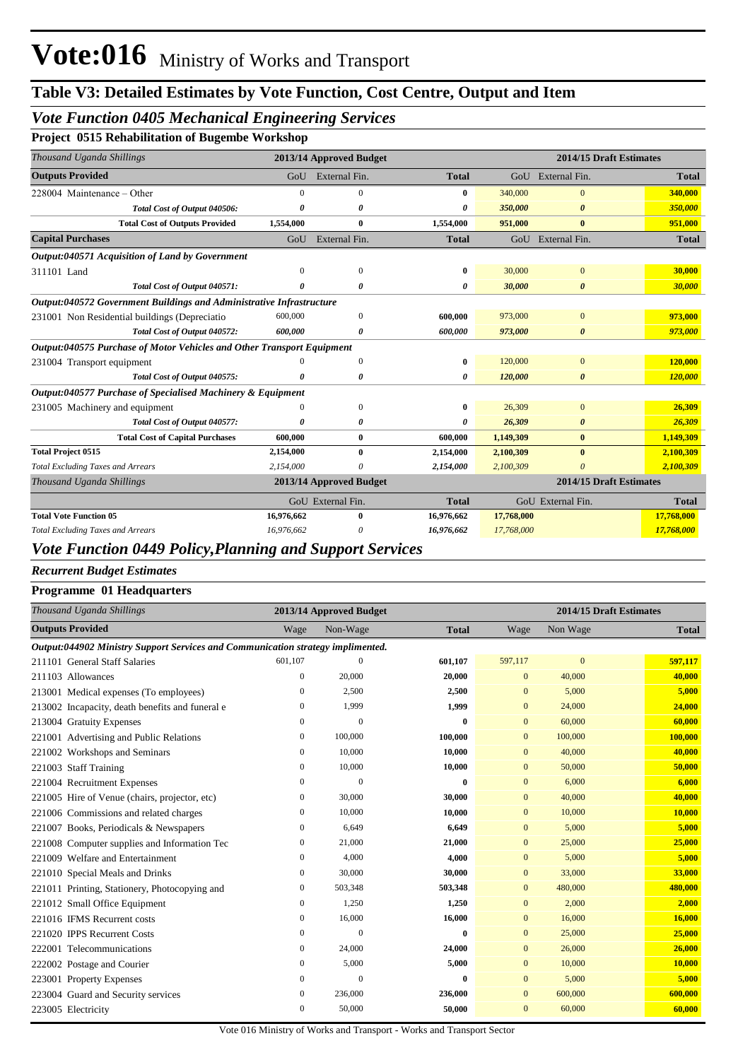## *Vote Function 0405 Mechanical Engineering Services*

**Project 0515 Rehabilitation of Bugembe Workshop**

|                                                             |               |                                                                                                                                                                                                                                                       |           | 2014/15 Draft Estimates |                                                                                         |
|-------------------------------------------------------------|---------------|-------------------------------------------------------------------------------------------------------------------------------------------------------------------------------------------------------------------------------------------------------|-----------|-------------------------|-----------------------------------------------------------------------------------------|
|                                                             |               | <b>Total</b>                                                                                                                                                                                                                                          |           |                         | <b>Total</b>                                                                            |
| $\Omega$                                                    | $\Omega$      | 0                                                                                                                                                                                                                                                     | 340,000   | $\Omega$                | 340,000                                                                                 |
| o                                                           | <sub>0</sub>  | 0                                                                                                                                                                                                                                                     | 350,000   | $\boldsymbol{\theta}$   | 350,000                                                                                 |
| 1,554,000                                                   | $\bf{0}$      | 1,554,000                                                                                                                                                                                                                                             | 951,000   | $\mathbf{0}$            | 951,000                                                                                 |
| GoU                                                         | External Fin. | <b>Total</b>                                                                                                                                                                                                                                          |           |                         | <b>Total</b>                                                                            |
|                                                             |               |                                                                                                                                                                                                                                                       |           |                         |                                                                                         |
| $\Omega$                                                    | $\Omega$      | 0                                                                                                                                                                                                                                                     | 30,000    | $\Omega$                | 30,000                                                                                  |
| 0                                                           | 0             | 0                                                                                                                                                                                                                                                     | 30,000    | $\boldsymbol{\theta}$   | 30,000                                                                                  |
|                                                             |               |                                                                                                                                                                                                                                                       |           |                         |                                                                                         |
| 600,000                                                     | $\mathbf{0}$  | 600,000                                                                                                                                                                                                                                               | 973,000   | $\mathbf{0}$            | 973,000                                                                                 |
| 600,000                                                     | 0             | 600,000                                                                                                                                                                                                                                               | 973,000   | 0                       | 973,000                                                                                 |
|                                                             |               |                                                                                                                                                                                                                                                       |           |                         |                                                                                         |
|                                                             | $\Omega$      | 0                                                                                                                                                                                                                                                     | 120,000   | $\Omega$                | 120,000                                                                                 |
| 0                                                           | 0             | 0                                                                                                                                                                                                                                                     | 120,000   | $\boldsymbol{\theta}$   | 120,000                                                                                 |
| Output:040577 Purchase of Specialised Machinery & Equipment |               |                                                                                                                                                                                                                                                       |           |                         |                                                                                         |
|                                                             | $\mathbf{0}$  | 0                                                                                                                                                                                                                                                     | 26,309    | $\mathbf{0}$            | 26,309                                                                                  |
| $\theta$                                                    | 0             | 0                                                                                                                                                                                                                                                     | 26,309    | $\boldsymbol{\theta}$   | 26,309                                                                                  |
| 600,000                                                     | $\mathbf{0}$  | 600,000                                                                                                                                                                                                                                               | 1,149,309 | $\mathbf{0}$            | 1,149,309                                                                               |
| 2,154,000                                                   | 0             | 2,154,000                                                                                                                                                                                                                                             | 2,100,309 | $\mathbf{0}$            | 2,100,309                                                                               |
| 2,154,000                                                   | n             | 2,154,000                                                                                                                                                                                                                                             | 2,100,309 | $\theta$                | 2,100,309                                                                               |
|                                                             |               |                                                                                                                                                                                                                                                       |           | 2014/15 Draft Estimates |                                                                                         |
|                                                             |               | <b>Total</b>                                                                                                                                                                                                                                          |           |                         | <b>Total</b>                                                                            |
| 16,976,662                                                  | 0             | 16,976,662                                                                                                                                                                                                                                            |           |                         | 17,768,000                                                                              |
| 16,976,662                                                  |               | 16,976,662                                                                                                                                                                                                                                            |           |                         | 17,768,000                                                                              |
|                                                             |               | 2013/14 Approved Budget<br>GoU External Fin.<br>Output:040572 Government Buildings and Administrative Infrastructure<br><b>Output:040575 Purchase of Motor Vehicles and Other Transport Equipment</b><br>2013/14 Approved Budget<br>GoU External Fin. |           |                         | GoU External Fin.<br>GoU External Fin.<br>GoU External Fin.<br>17,768,000<br>17,768,000 |

#### *Vote Function 0449 Policy,Planning and Support Services*

#### *Recurrent Budget Estimates*

| <b>Programme 01 Headquarters</b>                                                |                  |                         |              |                |                         |         |  |  |
|---------------------------------------------------------------------------------|------------------|-------------------------|--------------|----------------|-------------------------|---------|--|--|
| Thousand Uganda Shillings                                                       |                  | 2013/14 Approved Budget |              |                | 2014/15 Draft Estimates |         |  |  |
| <b>Outputs Provided</b>                                                         | Wage             | Non-Wage                | <b>Total</b> | Wage           | Non Wage                | Total   |  |  |
| Output:044902 Ministry Support Services and Communication strategy implimented. |                  |                         |              |                |                         |         |  |  |
| 211101 General Staff Salaries                                                   | 601,107          | $\mathbf{0}$            | 601,107      | 597,117        | $\overline{0}$          | 597,117 |  |  |
| 211103 Allowances                                                               | $\mathbf{0}$     | 20,000                  | 20,000       | $\overline{0}$ | 40,000                  | 40,000  |  |  |
| 213001 Medical expenses (To employees)                                          | $\mathbf{0}$     | 2,500                   | 2,500        | $\mathbf{0}$   | 5,000                   | 5,000   |  |  |
| 213002 Incapacity, death benefits and funeral e                                 | $\mathbf{0}$     | 1,999                   | 1,999        | $\overline{0}$ | 24,000                  | 24,000  |  |  |
| 213004 Gratuity Expenses                                                        | $\mathbf{0}$     | $\mathbf{0}$            | 0            | $\overline{0}$ | 60,000                  | 60,000  |  |  |
| 221001 Advertising and Public Relations                                         | $\bf{0}$         | 100,000                 | 100,000      | $\overline{0}$ | 100,000                 | 100,000 |  |  |
| 221002 Workshops and Seminars                                                   | $\mathbf{0}$     | 10.000                  | 10,000       | $\overline{0}$ | 40,000                  | 40,000  |  |  |
| 221003 Staff Training                                                           | $\mathbf{0}$     | 10,000                  | 10,000       | $\mathbf{0}$   | 50,000                  | 50,000  |  |  |
| 221004 Recruitment Expenses                                                     | $\boldsymbol{0}$ | $\mathbf{0}$            | 0            | $\mathbf{0}$   | 6,000                   | 6,000   |  |  |
| 221005 Hire of Venue (chairs, projector, etc)                                   | $\mathbf{0}$     | 30,000                  | 30,000       | $\overline{0}$ | 40,000                  | 40,000  |  |  |
| 221006 Commissions and related charges                                          | $\mathbf{0}$     | 10,000                  | 10,000       | $\overline{0}$ | 10,000                  | 10,000  |  |  |
| 221007 Books, Periodicals & Newspapers                                          | $\mathbf{0}$     | 6,649                   | 6,649        | $\overline{0}$ | 5,000                   | 5,000   |  |  |
| 221008 Computer supplies and Information Tec                                    | $\mathbf{0}$     | 21,000                  | 21,000       | $\overline{0}$ | 25,000                  | 25,000  |  |  |
| 221009 Welfare and Entertainment                                                | $\mathbf{0}$     | 4,000                   | 4,000        | $\overline{0}$ | 5,000                   | 5,000   |  |  |
| 221010 Special Meals and Drinks                                                 | $\mathbf{0}$     | 30,000                  | 30,000       | $\overline{0}$ | 33,000                  | 33,000  |  |  |
| 221011 Printing, Stationery, Photocopying and                                   | $\mathbf{0}$     | 503,348                 | 503,348      | $\overline{0}$ | 480,000                 | 480,000 |  |  |
| 221012 Small Office Equipment                                                   | $\mathbf{0}$     | 1,250                   | 1,250        | $\overline{0}$ | 2,000                   | 2,000   |  |  |
| 221016 IFMS Recurrent costs                                                     | $\mathbf{0}$     | 16,000                  | 16,000       | $\overline{0}$ | 16,000                  | 16,000  |  |  |
| 221020 IPPS Recurrent Costs                                                     | $\mathbf{0}$     | $\mathbf{0}$            | 0            | $\mathbf{0}$   | 25,000                  | 25,000  |  |  |
| 222001 Telecommunications                                                       | $\mathbf{0}$     | 24,000                  | 24,000       | $\overline{0}$ | 26,000                  | 26,000  |  |  |
| 222002 Postage and Courier                                                      | $\bf{0}$         | 5,000                   | 5,000        | $\overline{0}$ | 10,000                  | 10,000  |  |  |
| 223001 Property Expenses                                                        | $\boldsymbol{0}$ | $\theta$                | $\bf{0}$     | $\mathbf{0}$   | 5,000                   | 5,000   |  |  |
| 223004 Guard and Security services                                              | $\mathbf{0}$     | 236,000                 | 236,000      | $\mathbf{0}$   | 600,000                 | 600,000 |  |  |
| 223005 Electricity                                                              | $\mathbf{0}$     | 50,000                  | 50,000       | $\overline{0}$ | 60,000                  | 60,000  |  |  |
|                                                                                 |                  |                         |              |                |                         |         |  |  |

Vote 016 Ministry of Works and Transport - Works and Transport Sector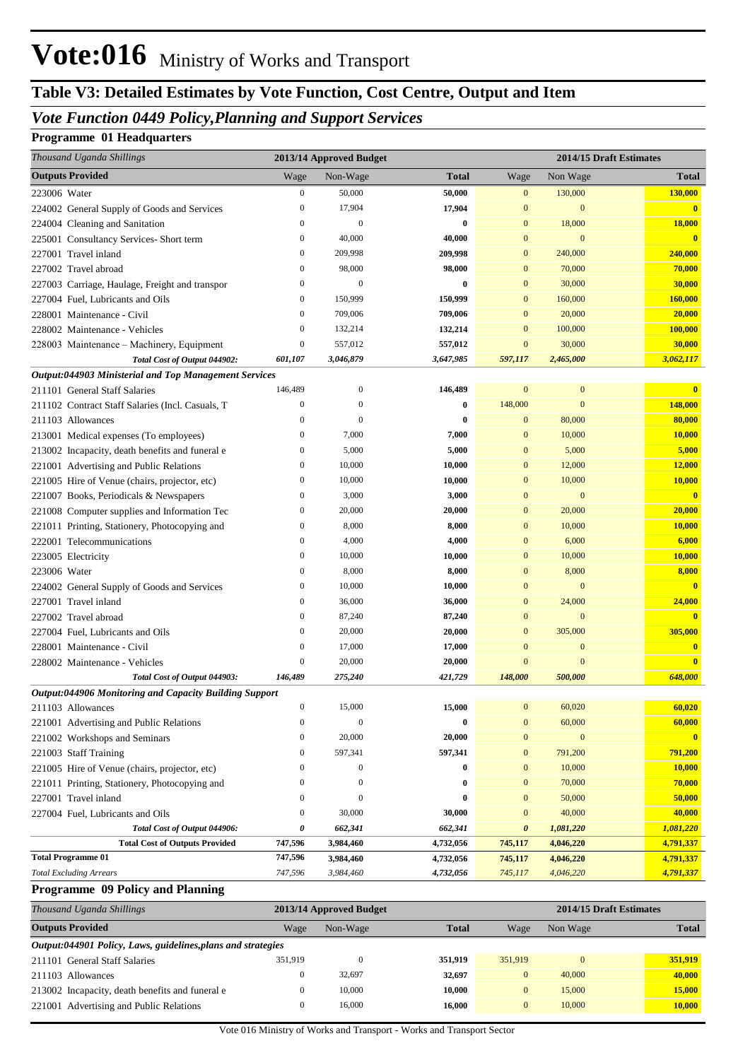# **Table V3: Detailed Estimates by Vote Function, Cost Centre, Output and Item**

### *Vote Function 0449 Policy,Planning and Support Services*

#### **Programme 01 Headquarters**

| Thousand Uganda Shillings                              |                  | 2013/14 Approved Budget |              |                       | 2014/15 Draft Estimates |                         |
|--------------------------------------------------------|------------------|-------------------------|--------------|-----------------------|-------------------------|-------------------------|
| <b>Outputs Provided</b>                                | Wage             | Non-Wage                | <b>Total</b> | Wage                  | Non Wage                | Total                   |
| 223006 Water                                           | $\boldsymbol{0}$ | 50,000                  | 50,000       | $\boldsymbol{0}$      | 130,000                 | 130,000                 |
| 224002 General Supply of Goods and Services            | $\boldsymbol{0}$ | 17,904                  | 17,904       | $\mathbf{0}$          | $\mathbf{0}$            | $\mathbf{0}$            |
| 224004 Cleaning and Sanitation                         | $\overline{0}$   | $\mathbf{0}$            | 0            | $\mathbf{0}$          | 18,000                  | 18,000                  |
| 225001 Consultancy Services- Short term                | $\boldsymbol{0}$ | 40,000                  | 40,000       | $\mathbf{0}$          | $\mathbf{0}$            | $\mathbf{0}$            |
| 227001 Travel inland                                   | $\boldsymbol{0}$ | 209,998                 | 209,998      | $\bf{0}$              | 240,000                 | 240,000                 |
| 227002 Travel abroad                                   | $\mathbf{0}$     | 98,000                  | 98,000       | $\mathbf{0}$          | 70,000                  | 70,000                  |
| 227003 Carriage, Haulage, Freight and transpor         | $\mathbf{0}$     | $\mathbf{0}$            | 0            | $\mathbf{0}$          | 30,000                  | 30,000                  |
| 227004 Fuel, Lubricants and Oils                       | 0                | 150,999                 | 150,999      | $\mathbf{0}$          | 160,000                 | 160,000                 |
| 228001 Maintenance - Civil                             | $\mathbf{0}$     | 709,006                 | 709,006      | $\mathbf{0}$          | 20,000                  | 20,000                  |
| 228002 Maintenance - Vehicles                          | $\mathbf{0}$     | 132,214                 | 132,214      | $\mathbf{0}$          | 100,000                 | 100,000                 |
| 228003 Maintenance - Machinery, Equipment              | $\boldsymbol{0}$ | 557,012                 | 557,012      | $\mathbf{0}$          | 30,000                  | 30,000                  |
| Total Cost of Output 044902:                           | 601,107          | 3,046,879               | 3,647,985    | 597,117               | 2,465,000               | 3,062,117               |
| Output:044903 Ministerial and Top Management Services  |                  |                         |              |                       |                         |                         |
| 211101 General Staff Salaries                          | 146,489          | $\boldsymbol{0}$        | 146,489      | $\mathbf{0}$          | $\bf{0}$                | $\bf{0}$                |
| 211102 Contract Staff Salaries (Incl. Casuals, T       | $\mathbf{0}$     | $\Omega$                | 0            | 148,000               | $\mathbf{0}$            | 148,000                 |
| 211103 Allowances                                      | $\mathbf{0}$     | $\Omega$                | 0            | $\mathbf{0}$          | 80,000                  | 80,000                  |
| 213001 Medical expenses (To employees)                 | $\boldsymbol{0}$ | 7,000                   | 7,000        | $\mathbf{0}$          | 10,000                  | 10,000                  |
| 213002 Incapacity, death benefits and funeral e        | $\boldsymbol{0}$ | 5,000                   | 5,000        | $\mathbf{0}$          | 5,000                   | 5,000                   |
| 221001 Advertising and Public Relations                | $\mathbf{0}$     | 10,000                  | 10,000       | $\mathbf{0}$          | 12,000                  | 12,000                  |
| 221005 Hire of Venue (chairs, projector, etc)          | $\boldsymbol{0}$ | 10,000                  | 10,000       | $\mathbf{0}$          | 10,000                  | 10,000                  |
| 221007 Books, Periodicals & Newspapers                 | $\boldsymbol{0}$ | 3,000                   | 3,000        | $\mathbf{0}$          | $\mathbf{0}$            | $\mathbf{0}$            |
| 221008 Computer supplies and Information Tec           | $\boldsymbol{0}$ | 20,000                  | 20,000       | $\mathbf{0}$          | 20,000                  | 20,000                  |
| 221011 Printing, Stationery, Photocopying and          | 0                | 8,000                   | 8,000        | $\mathbf{0}$          | 10,000                  | 10,000                  |
| 222001 Telecommunications                              | 0                | 4,000                   | 4,000        | $\mathbf{0}$          | 6,000                   | 6,000                   |
| 223005 Electricity                                     | $\mathbf{0}$     | 10,000                  | 10,000       | $\mathbf{0}$          | 10,000                  | 10,000                  |
| 223006 Water                                           | $\mathbf{0}$     | 8,000                   | 8,000        | $\mathbf{0}$          | 8,000                   | 8,000                   |
| 224002 General Supply of Goods and Services            | $\boldsymbol{0}$ | 10,000                  | 10,000       | $\mathbf{0}$          | $\mathbf{0}$            | $\overline{\mathbf{0}}$ |
| 227001 Travel inland                                   | $\mathbf{0}$     | 36,000                  | 36,000       | $\mathbf{0}$          | 24,000                  | 24,000                  |
| 227002 Travel abroad                                   | $\mathbf{0}$     | 87,240                  | 87,240       | $\mathbf{0}$          | $\mathbf{0}$            | $\overline{0}$          |
| 227004 Fuel, Lubricants and Oils                       | $\mathbf{0}$     | 20,000                  | 20,000       | $\mathbf{0}$          | 305,000                 | 305,000                 |
| 228001 Maintenance - Civil                             | $\boldsymbol{0}$ | 17,000                  | 17,000       | $\mathbf{0}$          | $\mathbf{0}$            | $\mathbf{0}$            |
| 228002 Maintenance - Vehicles                          | $\boldsymbol{0}$ | 20,000                  | 20,000       | $\overline{0}$        | $\overline{0}$          | $\overline{\mathbf{0}}$ |
| Total Cost of Output 044903:                           | 146,489          | 275,240                 | 421,729      | 148,000               | 500,000                 | 648,000                 |
| Output:044906 Monitoring and Capacity Building Support |                  |                         |              |                       |                         |                         |
| 211103 Allowances                                      | 0                | 15,000                  | 15,000       | $\mathbf{0}$          | 60,020                  | 60,020                  |
| 221001 Advertising and Public Relations                | 0                | $\boldsymbol{0}$        | 0            | $\mathbf{0}$          | 60,000                  | 60,000                  |
| 221002 Workshops and Seminars                          | 0                | 20,000                  | 20,000       | $\bf{0}$              | $\boldsymbol{0}$        | $\mathbf{0}$            |
| 221003 Staff Training                                  | $\boldsymbol{0}$ | 597,341                 | 597,341      | $\mathbf{0}$          | 791,200                 | 791,200                 |
| 221005 Hire of Venue (chairs, projector, etc)          | $\boldsymbol{0}$ | 0                       | 0            | $\mathbf{0}$          | 10,000                  | 10,000                  |
| 221011 Printing, Stationery, Photocopying and          | $\mathbf{0}$     | $\mathbf{0}$            | 0            | $\mathbf{0}$          | 70,000                  | 70,000                  |
| 227001 Travel inland                                   | 0                | $\mathbf{0}$            | 0            | $\mathbf{0}$          | 50,000                  | 50,000                  |
| 227004 Fuel, Lubricants and Oils                       | 0                | 30,000                  | 30,000       | $\bf{0}$              | 40,000                  | 40,000                  |
| Total Cost of Output 044906:                           | 0                | 662,341                 | 662,341      | $\boldsymbol{\theta}$ | 1,081,220               | 1,081,220               |
| <b>Total Cost of Outputs Provided</b>                  | 747,596          | 3,984,460               | 4,732,056    | 745,117               | 4,046,220               | 4,791,337               |
| <b>Total Programme 01</b>                              | 747,596          | 3,984,460               | 4,732,056    | 745,117               | 4,046,220               | 4,791,337               |
| <b>Total Excluding Arrears</b>                         | 747,596          | 3,984,460               | 4,732,056    | 745,117               | 4,046,220               | 4,791,337               |

#### **Programme 09 Policy and Planning**

| Thousand Uganda Shillings                                    | 2013/14 Approved Budget |          |              |          | 2014/15 Draft Estimates |              |  |
|--------------------------------------------------------------|-------------------------|----------|--------------|----------|-------------------------|--------------|--|
| <b>Outputs Provided</b>                                      | Wage                    | Non-Wage | <b>Total</b> | Wage     | Non Wage                | <b>Total</b> |  |
| Output:044901 Policy, Laws, guidelines, plans and strategies |                         |          |              |          |                         |              |  |
| 211101 General Staff Salaries                                | 351.919                 |          | 351.919      | 351,919  |                         | 351.919      |  |
| 211103 Allowances                                            |                         | 32.697   | 32,697       | $\Omega$ | 40,000                  | 40,000       |  |
| 213002 Incapacity, death benefits and funeral e              |                         | 10.000   | 10.000       | $\Omega$ | 15,000                  | 15,000       |  |
| 221001 Advertising and Public Relations                      |                         | 16,000   | 16.000       | $\Omega$ | 10,000                  | 10,000       |  |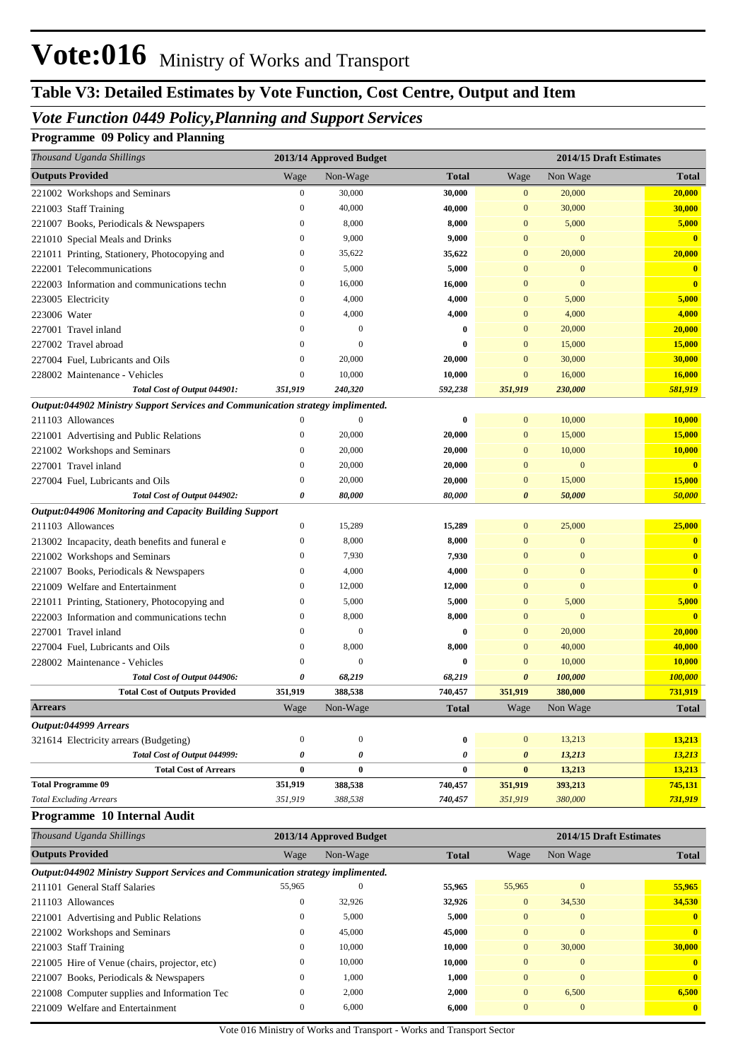# **Table V3: Detailed Estimates by Vote Function, Cost Centre, Output and Item**

## *Vote Function 0449 Policy,Planning and Support Services*

### **Programme 09 Policy and Planning**

| Thousand Uganda Shillings                                                       |                  | 2013/14 Approved Budget |              |                       | 2014/15 Draft Estimates |                         |
|---------------------------------------------------------------------------------|------------------|-------------------------|--------------|-----------------------|-------------------------|-------------------------|
| <b>Outputs Provided</b>                                                         | Wage             | Non-Wage                | <b>Total</b> | Wage                  | Non Wage                | <b>Total</b>            |
| 221002 Workshops and Seminars                                                   | $\boldsymbol{0}$ | 30,000                  | 30,000       | $\mathbf{0}$          | 20,000                  | 20,000                  |
| 221003 Staff Training                                                           | $\mathbf{0}$     | 40,000                  | 40,000       | $\mathbf{0}$          | 30,000                  | 30,000                  |
| 221007 Books, Periodicals & Newspapers                                          | $\boldsymbol{0}$ | 8,000                   | 8,000        | $\mathbf{0}$          | 5,000                   | 5,000                   |
| 221010 Special Meals and Drinks                                                 | $\boldsymbol{0}$ | 9,000                   | 9,000        | $\mathbf{0}$          | $\mathbf{0}$            | $\overline{0}$          |
| 221011 Printing, Stationery, Photocopying and                                   | $\boldsymbol{0}$ | 35,622                  | 35,622       | $\mathbf{0}$          | 20,000                  | 20,000                  |
| 222001 Telecommunications                                                       | $\boldsymbol{0}$ | 5,000                   | 5,000        | $\overline{0}$        | $\mathbf{0}$            | $\overline{\mathbf{0}}$ |
| 222003 Information and communications techn                                     | $\boldsymbol{0}$ | 16,000                  | 16,000       | $\mathbf{0}$          | $\mathbf{0}$            | $\bf{0}$                |
| 223005 Electricity                                                              | $\mathbf{0}$     | 4,000                   | 4,000        | $\mathbf{0}$          | 5,000                   | 5,000                   |
| 223006 Water                                                                    | $\boldsymbol{0}$ | 4,000                   | 4,000        | $\mathbf{0}$          | 4,000                   | 4,000                   |
| 227001 Travel inland                                                            | $\boldsymbol{0}$ | $\mathbf{0}$            | 0            | $\overline{0}$        | 20,000                  | 20,000                  |
| 227002 Travel abroad                                                            | $\boldsymbol{0}$ | $\Omega$                | 0            | $\overline{0}$        | 15,000                  | 15,000                  |
| 227004 Fuel, Lubricants and Oils                                                | $\mathbf{0}$     | 20,000                  | 20,000       | $\mathbf{0}$          | 30,000                  | 30,000                  |
| 228002 Maintenance - Vehicles                                                   | $\boldsymbol{0}$ | 10,000                  | 10,000       | $\mathbf{0}$          | 16,000                  | 16,000                  |
| Total Cost of Output 044901:                                                    | 351,919          | 240,320                 | 592,238      | 351,919               | 230,000                 | 581,919                 |
| Output:044902 Ministry Support Services and Communication strategy implimented. |                  |                         |              |                       |                         |                         |
| 211103 Allowances                                                               | $\theta$         | $\boldsymbol{0}$        | 0            | $\mathbf{0}$          | 10,000                  | 10,000                  |
| 221001 Advertising and Public Relations                                         | $\mathbf{0}$     | 20,000                  | 20,000       | $\mathbf{0}$          | 15,000                  | 15,000                  |
| 221002 Workshops and Seminars                                                   | $\boldsymbol{0}$ | 20,000                  | 20,000       | $\mathbf{0}$          | 10,000                  | 10,000                  |
| 227001 Travel inland                                                            | $\mathbf{0}$     | 20,000                  | 20,000       | $\mathbf{0}$          | $\mathbf{0}$            | $\overline{\mathbf{0}}$ |
| 227004 Fuel, Lubricants and Oils                                                | $\boldsymbol{0}$ | 20,000                  | 20,000       | $\mathbf{0}$          | 15,000                  | 15,000                  |
| Total Cost of Output 044902:                                                    | 0                | 80,000                  | 80,000       | $\boldsymbol{\theta}$ | 50,000                  | 50,000                  |
| Output:044906 Monitoring and Capacity Building Support                          |                  |                         |              |                       |                         |                         |
| 211103 Allowances                                                               | $\boldsymbol{0}$ | 15,289                  | 15,289       | $\mathbf{0}$          | 25,000                  | 25,000                  |
| 213002 Incapacity, death benefits and funeral e                                 | $\boldsymbol{0}$ | 8,000                   | 8,000        | $\mathbf{0}$          | $\mathbf{0}$            | $\mathbf{0}$            |
| 221002 Workshops and Seminars                                                   | $\boldsymbol{0}$ | 7,930                   | 7,930        | $\mathbf{0}$          | $\mathbf{0}$            | $\mathbf{0}$            |
| 221007 Books, Periodicals & Newspapers                                          | $\boldsymbol{0}$ | 4,000                   | 4,000        | $\overline{0}$        | $\mathbf{0}$            | $\bf{0}$                |
| 221009 Welfare and Entertainment                                                | $\boldsymbol{0}$ | 12,000                  | 12,000       | $\mathbf{0}$          | $\mathbf{0}$            | $\mathbf{0}$            |
| 221011 Printing, Stationery, Photocopying and                                   | $\boldsymbol{0}$ | 5,000                   | 5,000        | $\mathbf{0}$          | 5,000                   | 5,000                   |
| 222003 Information and communications techn                                     | $\boldsymbol{0}$ | 8,000                   | 8,000        | $\mathbf{0}$          | $\mathbf{0}$            | $\overline{0}$          |
| 227001 Travel inland                                                            | $\boldsymbol{0}$ | $\mathbf{0}$            | $\bf{0}$     | $\mathbf{0}$          | 20,000                  | 20,000                  |
| 227004 Fuel, Lubricants and Oils                                                | $\boldsymbol{0}$ | 8,000                   | 8,000        | $\mathbf{0}$          | 40,000                  | 40,000                  |
| 228002 Maintenance - Vehicles                                                   | $\boldsymbol{0}$ | $\mathbf{0}$            | 0            | $\mathbf{0}$          | 10,000                  | 10,000                  |
| Total Cost of Output 044906:                                                    | 0                | 68,219                  | 68,219       | $\boldsymbol{\theta}$ | 100,000                 | 100,000                 |
| <b>Total Cost of Outputs Provided</b>                                           | 351,919          | 388,538                 | 740,457      | 351,919               | 380,000                 | 731,919                 |
| <b>Arrears</b>                                                                  | Wage             | Non-Wage                | <b>Total</b> | Wage                  | Non Wage                | <b>Total</b>            |
| Output:044999 Arrears                                                           |                  |                         |              |                       |                         |                         |
| 321614 Electricity arrears (Budgeting)                                          | $\boldsymbol{0}$ | $\boldsymbol{0}$        | $\bf{0}$     | $\overline{0}$        | 13,213                  | 13,213                  |
| Total Cost of Output 044999:                                                    | 0                | 0                       | 0            | 0                     | 13,213                  | 13,213                  |
| <b>Total Cost of Arrears</b>                                                    | 0                | $\bf{0}$                | $\bf{0}$     | $\bf{0}$              | 13,213                  | 13,213                  |
| <b>Total Programme 09</b>                                                       | 351,919          | 388,538                 | 740,457      | 351,919               | 393,213                 | 745,131                 |
| <b>Total Excluding Arrears</b>                                                  | 351,919          | 388,538                 | 740,457      | 351,919               | 380,000                 | 731,919                 |
| Programme 10 Internal Audit                                                     |                  |                         |              |                       |                         |                         |

| Thousand Uganda Shillings                                                       |                | 2013/14 Approved Budget |              | 2014/15 Draft Estimates |                |              |
|---------------------------------------------------------------------------------|----------------|-------------------------|--------------|-------------------------|----------------|--------------|
| <b>Outputs Provided</b>                                                         | Wage           | Non-Wage                | <b>Total</b> | Wage                    | Non Wage       | <b>Total</b> |
| Output:044902 Ministry Support Services and Communication strategy implimented. |                |                         |              |                         |                |              |
| 211101 General Staff Salaries                                                   | 55,965         | $\Omega$                | 55,965       | 55,965                  | $\overline{0}$ | 55,965       |
| 211103 Allowances                                                               | $\overline{0}$ | 32,926                  | 32,926       | $\overline{0}$          | 34,530         | 34,530       |
| 221001 Advertising and Public Relations                                         | $\overline{0}$ | 5,000                   | 5,000        | $\mathbf{0}$            | $\overline{0}$ | $\mathbf{0}$ |
| 221002 Workshops and Seminars                                                   | $\overline{0}$ | 45,000                  | 45,000       | $\mathbf{0}$            | $\overline{0}$ | $\mathbf{0}$ |
| 221003 Staff Training                                                           | $\mathbf{0}$   | 10,000                  | 10,000       | $\mathbf{0}$            | 30,000         | 30,000       |
| 221005 Hire of Venue (chairs, projector, etc)                                   | $\overline{0}$ | 10,000                  | 10,000       | $\overline{0}$          | $\overline{0}$ | $\mathbf{0}$ |
| 221007 Books, Periodicals & Newspapers                                          | $\overline{0}$ | 1,000                   | 1.000        | $\mathbf{0}$            | $\mathbf{0}$   | $\mathbf{0}$ |
| 221008 Computer supplies and Information Tec                                    | $\mathbf{0}$   | 2,000                   | 2,000        | $\overline{0}$          | 6,500          | 6,500        |
| 221009 Welfare and Entertainment                                                | $\mathbf{0}$   | 6,000                   | 6.000        | $\Omega$                | $\mathbf{0}$   | $\mathbf{0}$ |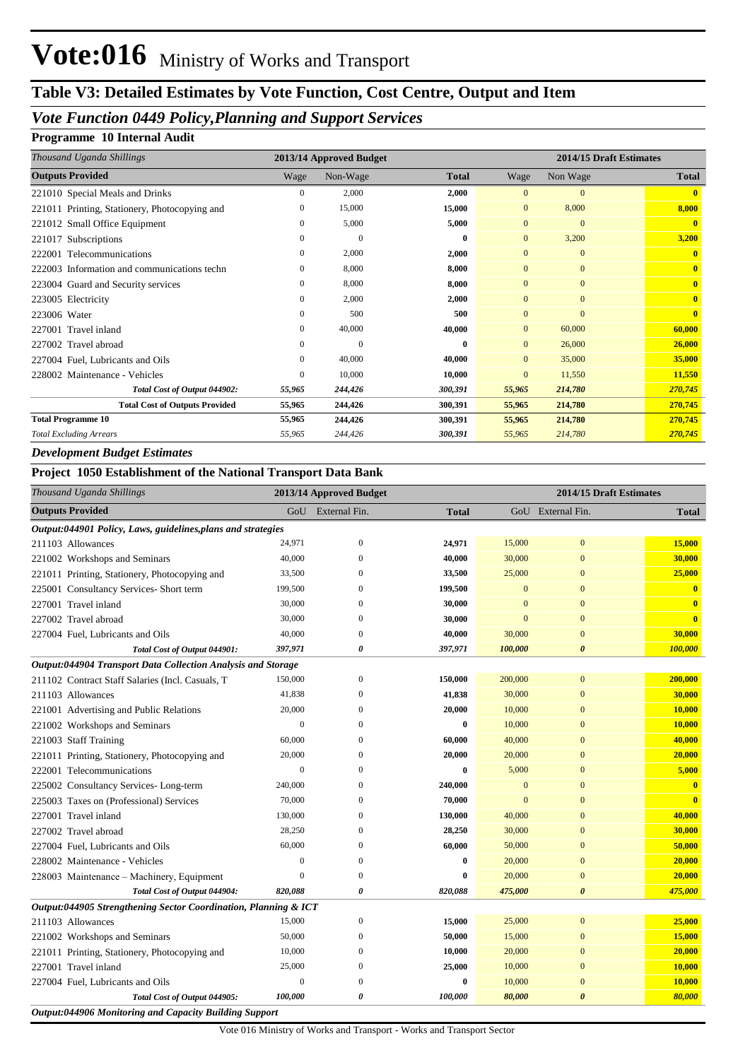# **Table V3: Detailed Estimates by Vote Function, Cost Centre, Output and Item**

### *Vote Function 0449 Policy,Planning and Support Services*

#### **Programme 10 Internal Audit**

| Thousand Uganda Shillings                     |              | 2013/14 Approved Budget |              |                | 2014/15 Draft Estimates |              |
|-----------------------------------------------|--------------|-------------------------|--------------|----------------|-------------------------|--------------|
| <b>Outputs Provided</b>                       | Wage         | Non-Wage                | <b>Total</b> | Wage           | Non Wage                | <b>Total</b> |
| 221010 Special Meals and Drinks               | 0            | 2,000                   | 2,000        | $\mathbf{0}$   | $\mathbf{0}$            | $\mathbf{0}$ |
| 221011 Printing, Stationery, Photocopying and | 0            | 15,000                  | 15,000       | $\mathbf{0}$   | 8,000                   | 8,000        |
| 221012 Small Office Equipment                 | 0            | 5,000                   | 5,000        | $\overline{0}$ | $\mathbf{0}$            | $\mathbf{0}$ |
| 221017 Subscriptions                          | 0            | $\overline{0}$          | $\bf{0}$     | $\overline{0}$ | 3,200                   | 3,200        |
| 222001 Telecommunications                     | $\mathbf{0}$ | 2,000                   | 2,000        | $\mathbf{0}$   | $\overline{0}$          | $\mathbf{0}$ |
| 222003 Information and communications techn   | 0            | 8,000                   | 8,000        | $\mathbf{0}$   | $\mathbf{0}$            | $\mathbf{0}$ |
| 223004 Guard and Security services            | 0            | 8,000                   | 8,000        | $\mathbf{0}$   | $\mathbf{0}$            | $\mathbf{0}$ |
| 223005 Electricity                            | 0            | 2,000                   | 2,000        | $\overline{0}$ | $\mathbf{0}$            | $\mathbf{0}$ |
| 223006 Water                                  | 0            | 500                     | 500          | $\overline{0}$ | $\mathbf{0}$            | $\mathbf{0}$ |
| 227001 Travel inland                          | $\mathbf{0}$ | 40,000                  | 40,000       | $\overline{0}$ | 60,000                  | 60,000       |
| Travel abroad<br>227002                       | 0            | $\mathbf{0}$            | $\bf{0}$     | $\overline{0}$ | 26,000                  | 26,000       |
| 227004 Fuel, Lubricants and Oils              | 0            | 40,000                  | 40,000       | $\overline{0}$ | 35,000                  | 35,000       |
| 228002 Maintenance - Vehicles                 | 0            | 10,000                  | 10,000       | $\overline{0}$ | 11,550                  | 11,550       |
| Total Cost of Output 044902:                  | 55,965       | 244,426                 | 300,391      | 55,965         | 214,780                 | 270,745      |
| <b>Total Cost of Outputs Provided</b>         | 55,965       | 244,426                 | 300,391      | 55,965         | 214,780                 | 270,745      |
| <b>Total Programme 10</b>                     | 55,965       | 244,426                 | 300,391      | 55,965         | 214,780                 | 270,745      |
| <b>Total Excluding Arrears</b>                | 55,965       | 244,426                 | 300,391      | 55,965         | 214,780                 | 270,745      |

#### *Development Budget Estimates*

#### **Project 1050 Establishment of the National Transport Data Bank**

| Thousand Uganda Shillings                                       |                  | 2013/14 Approved Budget | 2014/15 Draft Estimates |              |                       |                         |  |  |  |  |
|-----------------------------------------------------------------|------------------|-------------------------|-------------------------|--------------|-----------------------|-------------------------|--|--|--|--|
| <b>Outputs Provided</b>                                         |                  | GoU External Fin.       | <b>Total</b>            |              | GoU External Fin.     | <b>Total</b>            |  |  |  |  |
| Output:044901 Policy, Laws, guidelines, plans and strategies    |                  |                         |                         |              |                       |                         |  |  |  |  |
| 211103 Allowances                                               | 24,971           | $\boldsymbol{0}$        | 24,971                  | 15,000       | $\mathbf{0}$          | 15,000                  |  |  |  |  |
| 221002 Workshops and Seminars                                   | 40,000           | $\Omega$                | 40,000                  | 30,000       | $\mathbf{0}$          | 30,000                  |  |  |  |  |
| 221011 Printing, Stationery, Photocopying and                   | 33,500           | $\Omega$                | 33,500                  | 25,000       | $\mathbf{0}$          | 25,000                  |  |  |  |  |
| 225001 Consultancy Services- Short term                         | 199,500          | $\Omega$                | 199,500                 | $\mathbf{0}$ | $\mathbf{0}$          | $\overline{\mathbf{0}}$ |  |  |  |  |
| 227001 Travel inland                                            | 30,000           | $\overline{0}$          | 30,000                  | $\mathbf{0}$ | $\overline{0}$        | $\overline{\mathbf{0}}$ |  |  |  |  |
| 227002 Travel abroad                                            | 30,000           | $\theta$                | 30,000                  | $\mathbf{0}$ | $\mathbf{0}$          | $\overline{\mathbf{0}}$ |  |  |  |  |
| 227004 Fuel, Lubricants and Oils                                | 40,000           | $\theta$                | 40,000                  | 30,000       | $\mathbf{0}$          | 30,000                  |  |  |  |  |
| Total Cost of Output 044901:                                    | 397,971          | $\boldsymbol{\theta}$   | 397,971                 | 100,000      | $\boldsymbol{\theta}$ | 100,000                 |  |  |  |  |
| Output:044904 Transport Data Collection Analysis and Storage    |                  |                         |                         |              |                       |                         |  |  |  |  |
| 211102 Contract Staff Salaries (Incl. Casuals, T                | 150,000          | $\mathbf{0}$            | 150,000                 | 200,000      | $\mathbf{0}$          | 200,000                 |  |  |  |  |
| 211103 Allowances                                               | 41,838           | $\theta$                | 41,838                  | 30,000       | $\mathbf{0}$          | 30,000                  |  |  |  |  |
| 221001 Advertising and Public Relations                         | 20,000           | $\theta$                | 20,000                  | 10,000       | $\mathbf{0}$          | 10,000                  |  |  |  |  |
| 221002 Workshops and Seminars                                   | $\mathbf{0}$     | $\overline{0}$          | $\bf{0}$                | 10,000       | $\mathbf{0}$          | 10,000                  |  |  |  |  |
| 221003 Staff Training                                           | 60,000           | $\overline{0}$          | 60,000                  | 40,000       | $\overline{0}$        | 40,000                  |  |  |  |  |
| 221011 Printing, Stationery, Photocopying and                   | 20,000           | $\mathbf{0}$            | 20,000                  | 20,000       | $\mathbf{0}$          | 20,000                  |  |  |  |  |
| 222001 Telecommunications                                       | $\mathbf{0}$     | $\theta$                | $\bf{0}$                | 5,000        | $\mathbf{0}$          | 5,000                   |  |  |  |  |
| 225002 Consultancy Services-Long-term                           | 240,000          | $\theta$                | 240,000                 | $\mathbf{0}$ | $\mathbf{0}$          | $\overline{\mathbf{0}}$ |  |  |  |  |
| 225003 Taxes on (Professional) Services                         | 70,000           | $\Omega$                | 70,000                  | $\mathbf{0}$ | $\mathbf{0}$          | $\mathbf{0}$            |  |  |  |  |
| 227001 Travel inland                                            | 130,000          | $\Omega$                | 130,000                 | 40,000       | $\mathbf{0}$          | 40,000                  |  |  |  |  |
| 227002 Travel abroad                                            | 28,250           | $\overline{0}$          | 28,250                  | 30,000       | $\mathbf{0}$          | 30,000                  |  |  |  |  |
| 227004 Fuel, Lubricants and Oils                                | 60,000           | $\theta$                | 60,000                  | 50,000       | $\mathbf{0}$          | 50,000                  |  |  |  |  |
| 228002 Maintenance - Vehicles                                   | $\boldsymbol{0}$ | $\overline{0}$          | $\bf{0}$                | 20,000       | $\mathbf{0}$          | 20,000                  |  |  |  |  |
| 228003 Maintenance - Machinery, Equipment                       | $\overline{0}$   | $\overline{0}$          | $\bf{0}$                | 20,000       | $\overline{0}$        | 20,000                  |  |  |  |  |
| Total Cost of Output 044904:                                    | 820,088          | $\boldsymbol{\theta}$   | 820,088                 | 475,000      | $\boldsymbol{\theta}$ | 475,000                 |  |  |  |  |
| Output:044905 Strengthening Sector Coordination, Planning & ICT |                  |                         |                         |              |                       |                         |  |  |  |  |
| 211103 Allowances                                               | 15,000           | $\mathbf{0}$            | 15,000                  | 25,000       | $\mathbf{0}$          | 25,000                  |  |  |  |  |
| 221002 Workshops and Seminars                                   | 50,000           | $\theta$                | 50,000                  | 15,000       | $\mathbf{0}$          | 15,000                  |  |  |  |  |
| 221011 Printing, Stationery, Photocopying and                   | 10,000           | $\theta$                | 10,000                  | 20,000       | $\mathbf{0}$          | 20,000                  |  |  |  |  |
| 227001 Travel inland                                            | 25,000           | $\overline{0}$          | 25,000                  | 10,000       | $\mathbf{0}$          | 10,000                  |  |  |  |  |
| 227004 Fuel, Lubricants and Oils                                | $\mathbf{0}$     | $\overline{0}$          | $\bf{0}$                | 10,000       | $\mathbf{0}$          | 10,000                  |  |  |  |  |
| Total Cost of Output 044905:                                    | 100,000          | $\boldsymbol{\theta}$   | 100,000                 | 80,000       | $\boldsymbol{\theta}$ | 80,000                  |  |  |  |  |
| <b>Output:044906 Monitoring and Capacity Building Support</b>   |                  |                         |                         |              |                       |                         |  |  |  |  |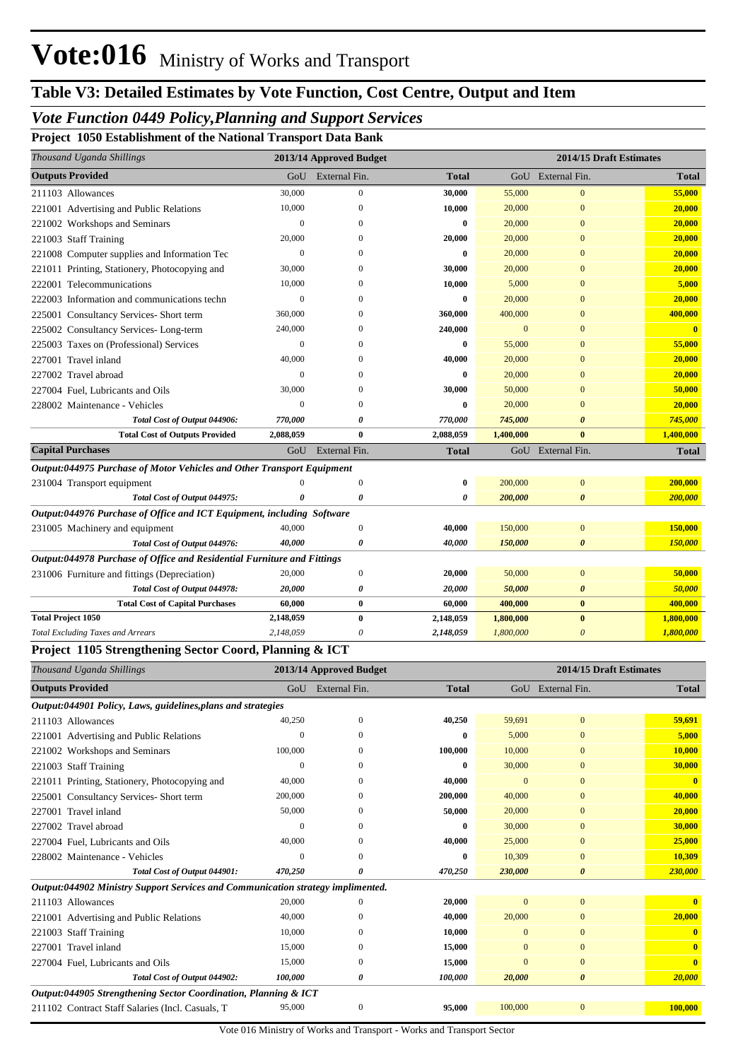## *Vote Function 0449 Policy,Planning and Support Services*

**Project 1050 Establishment of the National Transport Data Bank**

| Thousand Uganda Shillings                                                     |                  | 2013/14 Approved Budget |              |           | 2014/15 Draft Estimates |              |
|-------------------------------------------------------------------------------|------------------|-------------------------|--------------|-----------|-------------------------|--------------|
| <b>Outputs Provided</b>                                                       | GoU              | External Fin.           | <b>Total</b> |           | GoU External Fin.       | <b>Total</b> |
| 211103 Allowances                                                             | 30,000           | $\mathbf{0}$            | 30,000       | 55,000    | $\mathbf{0}$            | 55,000       |
| 221001 Advertising and Public Relations                                       | 10,000           | $\Omega$                | 10,000       | 20,000    | $\mathbf{0}$            | 20,000       |
| 221002 Workshops and Seminars                                                 | $\Omega$         |                         | $\bf{0}$     | 20,000    | $\Omega$                | 20,000       |
| 221003 Staff Training                                                         | 20,000           | O                       | 20,000       | 20,000    | $\mathbf{0}$            | 20,000       |
| 221008 Computer supplies and Information Tec                                  | $\boldsymbol{0}$ | 0                       | $\bf{0}$     | 20,000    | $\mathbf{0}$            | 20,000       |
| 221011 Printing, Stationery, Photocopying and                                 | 30,000           | $\Omega$                | 30,000       | 20,000    | $\mathbf{0}$            | 20,000       |
| 222001 Telecommunications                                                     | 10,000           | $\Omega$                | 10,000       | 5,000     | $\overline{0}$          | 5,000        |
| 222003 Information and communications techn                                   | $\mathbf{0}$     | $\Omega$                | $\bf{0}$     | 20,000    | $\overline{0}$          | 20,000       |
| 225001 Consultancy Services- Short term                                       | 360,000          | 0                       | 360,000      | 400,000   | $\mathbf{0}$            | 400,000      |
| 225002 Consultancy Services-Long-term                                         | 240,000          | $\Omega$                | 240,000      | $\Omega$  | $\overline{0}$          | $\mathbf{0}$ |
| 225003 Taxes on (Professional) Services                                       | $\mathbf{0}$     | $\Omega$                | $\bf{0}$     | 55,000    | $\Omega$                | 55,000       |
| 227001 Travel inland                                                          | 40,000           | $\Omega$                | 40,000       | 20,000    | $\Omega$                | 20,000       |
| 227002 Travel abroad                                                          | $\mathbf{0}$     | 0                       | 0            | 20,000    | $\mathbf{0}$            | 20,000       |
| 227004 Fuel, Lubricants and Oils                                              | 30,000           | $\Omega$                | 30,000       | 50,000    | $\Omega$                | 50,000       |
| 228002 Maintenance - Vehicles                                                 | $\Omega$         | O                       | $\bf{0}$     | 20,000    | $\Omega$                | 20,000       |
| Total Cost of Output 044906:                                                  | 770,000          |                         | 770,000      | 745,000   | $\theta$                | 745,000      |
| <b>Total Cost of Outputs Provided</b>                                         | 2,088,059        | $\bf{0}$                | 2,088,059    | 1,400,000 | $\bf{0}$                | 1,400,000    |
| <b>Capital Purchases</b>                                                      |                  | GoU External Fin.       | <b>Total</b> |           | GoU External Fin.       | <b>Total</b> |
| <b>Output:044975 Purchase of Motor Vehicles and Other Transport Equipment</b> |                  |                         |              |           |                         |              |
| 231004 Transport equipment                                                    | $\Omega$         | $\boldsymbol{0}$        | 0            | 200,000   | $\mathbf{0}$            | 200,000      |
| Total Cost of Output 044975:                                                  | O                | $\theta$                | 0            | 200,000   | $\boldsymbol{\theta}$   | 200,000      |
| Output:044976 Purchase of Office and ICT Equipment, including Software        |                  |                         |              |           |                         |              |
| 231005 Machinery and equipment                                                | 40,000           | $\Omega$                | 40,000       | 150,000   | $\overline{0}$          | 150,000      |
| Total Cost of Output 044976:                                                  | 40,000           | 0                       | 40,000       | 150,000   | $\boldsymbol{\theta}$   | 150,000      |
| Output:044978 Purchase of Office and Residential Furniture and Fittings       |                  |                         |              |           |                         |              |
| 231006 Furniture and fittings (Depreciation)                                  | 20,000           | $\overline{0}$          | 20,000       | 50,000    | $\overline{0}$          | 50,000       |
| Total Cost of Output 044978:                                                  | 20,000           | 0                       | 20,000       | 50,000    | $\boldsymbol{\theta}$   | 50,000       |
| <b>Total Cost of Capital Purchases</b>                                        | 60,000           | $\bf{0}$                | 60,000       | 400,000   | $\bf{0}$                | 400,000      |
| <b>Total Project 1050</b>                                                     | 2,148,059        | $\bf{0}$                | 2,148,059    | 1,800,000 | $\bf{0}$                | 1,800,000    |
| <b>Total Excluding Taxes and Arrears</b>                                      | 2,148,059        | 0                       | 2,148,059    | 1,800,000 | $\theta$                | 1,800,000    |

#### **Project 1105 Strengthening Sector Coord, Planning & ICT**

| Thousand Uganda Shillings                                                       |             | 2013/14 Approved Budget |              |          |                       | 2014/15 Draft Estimates |
|---------------------------------------------------------------------------------|-------------|-------------------------|--------------|----------|-----------------------|-------------------------|
| <b>Outputs Provided</b>                                                         |             | GoU External Fin.       | <b>Total</b> | GoU      | External Fin.         | <b>Total</b>            |
| Output:044901 Policy, Laws, guidelines, plans and strategies                    |             |                         |              |          |                       |                         |
| 211103 Allowances                                                               | 40,250      | $\Omega$                | 40,250       | 59,691   | $\overline{0}$        | 59,691                  |
| 221001 Advertising and Public Relations                                         | $\mathbf 0$ | $\Omega$                | $\mathbf{0}$ | 5,000    | $\mathbf{0}$          | 5,000                   |
| 221002 Workshops and Seminars                                                   | 100,000     | $\Omega$                | 100,000      | 10,000   | $\mathbf{0}$          | 10,000                  |
| 221003 Staff Training                                                           | 0           | $\Omega$                | $\bf{0}$     | 30,000   | $\mathbf{0}$          | 30,000                  |
| 221011 Printing, Stationery, Photocopying and                                   | 40,000      | $\Omega$                | 40,000       | $\Omega$ | $\mathbf{0}$          | $\mathbf{0}$            |
| 225001 Consultancy Services-Short term                                          | 200,000     | $\Omega$                | 200,000      | 40,000   | $\Omega$              | 40,000                  |
| Travel inland<br>227001                                                         | 50,000      | $\mathbf{0}$            | 50,000       | 20,000   | $\overline{0}$        | 20,000                  |
| 227002 Travel abroad                                                            | $\Omega$    | $\Omega$                | $\mathbf{0}$ | 30,000   | $\overline{0}$        | 30,000                  |
| 227004 Fuel. Lubricants and Oils                                                | 40,000      | $\Omega$                | 40,000       | 25,000   | $\mathbf{0}$          | 25,000                  |
| 228002 Maintenance - Vehicles                                                   | $\Omega$    | $\Omega$                | $\mathbf{0}$ | 10,309   | $\Omega$              | 10,309                  |
| Total Cost of Output 044901:                                                    | 470,250     | 0                       | 470,250      | 230,000  | $\boldsymbol{\theta}$ | 230,000                 |
| Output:044902 Ministry Support Services and Communication strategy implimented. |             |                         |              |          |                       |                         |
| 211103 Allowances                                                               | 20,000      | $\Omega$                | 20,000       | $\Omega$ | $\overline{0}$        |                         |
| 221001 Advertising and Public Relations                                         | 40,000      | $\Omega$                | 40,000       | 20,000   | $\mathbf{0}$          | 20,000                  |
| 221003 Staff Training                                                           | 10,000      | $\Omega$                | 10,000       | $\Omega$ | $\mathbf{0}$          |                         |
| 227001 Travel inland                                                            | 15,000      | $\theta$                | 15,000       | $\Omega$ | $\mathbf{0}$          | $\mathbf{0}$            |
| 227004 Fuel, Lubricants and Oils                                                | 15,000      | $\Omega$                | 15,000       | $\Omega$ | $\overline{0}$        | $\mathbf{0}$            |
| Total Cost of Output 044902:                                                    | 100,000     | 0                       | 100,000      | 20,000   | $\boldsymbol{\theta}$ | 20,000                  |
| Output:044905 Strengthening Sector Coordination, Planning & ICT                 |             |                         |              |          |                       |                         |
| 211102 Contract Staff Salaries (Incl. Casuals, T                                | 95,000      | $\mathbf{0}$            | 95,000       | 100,000  | $\mathbf{0}$          | 100,000                 |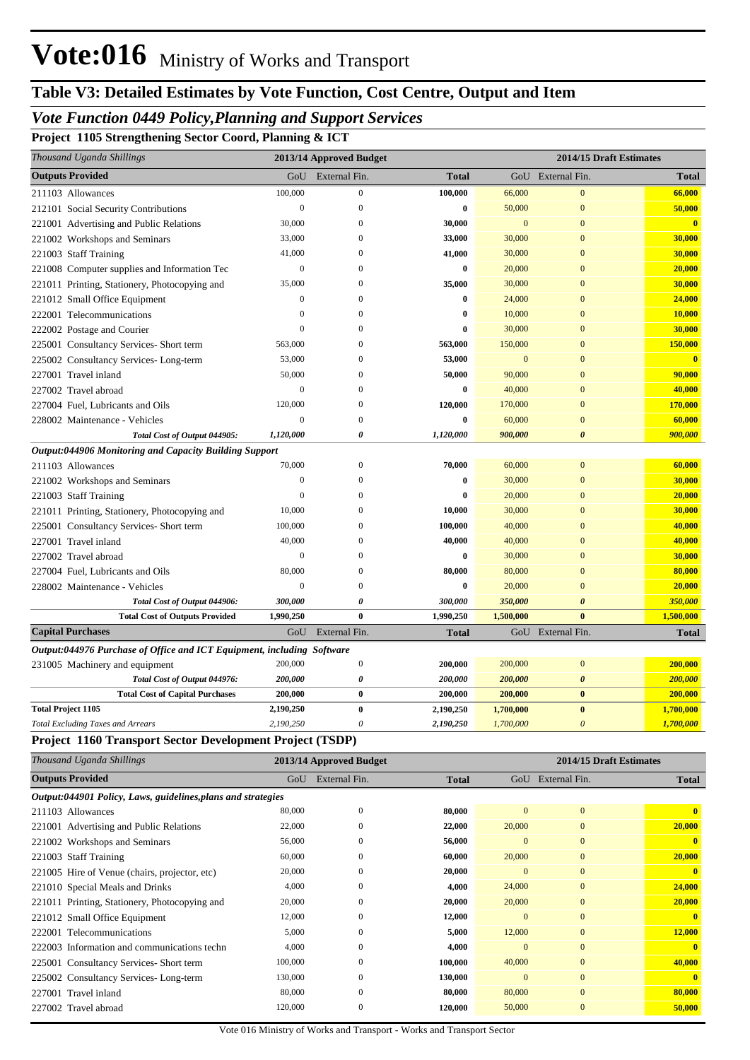### *Vote Function 0449 Policy,Planning and Support Services*

**Project 1105 Strengthening Sector Coord, Planning & ICT**

| Thousand Uganda Shillings                                              |                  | 2013/14 Approved Budget          |              |                        | 2014/15 Draft Estimates      |                                   |
|------------------------------------------------------------------------|------------------|----------------------------------|--------------|------------------------|------------------------------|-----------------------------------|
| <b>Outputs Provided</b>                                                | GoU              | External Fin.                    | <b>Total</b> |                        | GoU External Fin.            | Total                             |
| 211103 Allowances                                                      | 100,000          | $\mathbf{0}$                     | 100,000      | 66,000                 | $\mathbf{0}$                 | 66,000                            |
| 212101 Social Security Contributions                                   | $\boldsymbol{0}$ | $\theta$                         | 0            | 50,000                 | $\mathbf{0}$                 | 50,000                            |
| 221001 Advertising and Public Relations                                | 30,000           | $\Omega$                         | 30,000       | $\mathbf{0}$           | $\mathbf{0}$                 | $\mathbf{0}$                      |
| 221002 Workshops and Seminars                                          | 33,000           | 0                                | 33,000       | 30,000                 | $\mathbf{0}$                 | 30,000                            |
| 221003 Staff Training                                                  | 41,000           | $\Omega$                         | 41,000       | 30,000                 | $\overline{0}$               | 30,000                            |
| 221008 Computer supplies and Information Tec                           | $\boldsymbol{0}$ | $\Omega$                         | 0            | 20,000                 | $\mathbf{0}$                 | 20,000                            |
| 221011 Printing, Stationery, Photocopying and                          | 35,000           | 0                                | 35,000       | 30,000                 | $\mathbf{0}$                 | 30,000                            |
| 221012 Small Office Equipment                                          | $\mathbf{0}$     | $\Omega$                         | 0            | 24,000                 | $\mathbf{0}$                 | 24,000                            |
| 222001 Telecommunications                                              | $\theta$         | $\Omega$                         | 0            | 10,000                 | $\mathbf{0}$                 | 10,000                            |
| 222002 Postage and Courier                                             | $\theta$         | 0                                | 0            | 30,000                 | $\mathbf{0}$                 | 30,000                            |
| 225001 Consultancy Services- Short term                                | 563,000          | 0                                | 563,000      | 150,000                | $\mathbf{0}$                 | 150,000                           |
| 225002 Consultancy Services-Long-term                                  | 53,000           | $\Omega$                         | 53,000       | $\mathbf{0}$           | $\mathbf{0}$                 | $\mathbf{0}$                      |
| 227001 Travel inland                                                   | 50,000           | $\Omega$                         | 50,000       | 90,000                 | $\mathbf{0}$                 | 90,000                            |
| 227002 Travel abroad                                                   | $\mathbf{0}$     | $\Omega$                         | 0            | 40,000                 | $\mathbf{0}$                 | 40,000                            |
| 227004 Fuel, Lubricants and Oils                                       | 120,000          | $\Omega$                         | 120,000      | 170,000                | $\mathbf{0}$                 | 170,000                           |
| 228002 Maintenance - Vehicles                                          | $\mathbf{0}$     | $\Omega$                         | 0            | 60,000                 | $\mathbf{0}$                 | 60,000                            |
| Total Cost of Output 044905:                                           | 1,120,000        | 0                                | 1,120,000    | 900,000                | 0                            | 900,000                           |
| Output:044906 Monitoring and Capacity Building Support                 |                  |                                  |              |                        |                              |                                   |
| 211103 Allowances                                                      | 70,000           | $\boldsymbol{0}$                 | 70,000       | 60,000                 | $\mathbf{0}$                 | 60,000                            |
| 221002 Workshops and Seminars                                          | $\mathbf{0}$     | $\mathbf{0}$                     | 0            | 30,000                 | $\mathbf{0}$                 | 30,000                            |
| 221003 Staff Training                                                  | $\theta$         | 0                                | 0            | 20,000                 | $\mathbf{0}$                 | 20,000                            |
| 221011 Printing, Stationery, Photocopying and                          | 10,000           | 0                                | 10,000       | 30,000                 | $\mathbf{0}$                 | 30,000                            |
| 225001 Consultancy Services- Short term                                | 100,000          | 0                                | 100,000      | 40,000                 | $\mathbf{0}$                 | 40,000                            |
| 227001 Travel inland                                                   | 40,000           | 0                                | 40,000       | 40,000                 | $\mathbf{0}$                 | 40,000                            |
| 227002 Travel abroad                                                   | $\mathbf{0}$     | 0                                | 0            | 30,000                 | $\mathbf{0}$                 | 30,000                            |
| 227004 Fuel, Lubricants and Oils                                       | 80,000           | $\Omega$                         | 80,000       | 80,000                 | $\mathbf{0}$                 | 80,000                            |
| 228002 Maintenance - Vehicles                                          | $\mathbf{0}$     | $\Omega$                         | 0            | 20,000                 | $\mathbf{0}$                 | 20,000                            |
| Total Cost of Output 044906:                                           | 300,000          | 0                                | 300,000      | 350,000                | $\boldsymbol{\theta}$        | 350,000                           |
| <b>Total Cost of Outputs Provided</b>                                  | 1,990,250        | $\bf{0}$                         | 1,990,250    | 1,500,000              | $\bf{0}$                     | 1,500,000                         |
| <b>Capital Purchases</b>                                               | GoU              | External Fin.                    | <b>Total</b> |                        | GoU External Fin.            | <b>Total</b>                      |
| Output:044976 Purchase of Office and ICT Equipment, including Software |                  |                                  |              |                        |                              |                                   |
| 231005 Machinery and equipment                                         | 200,000          | $\boldsymbol{0}$                 | 200,000      | 200,000                | $\boldsymbol{0}$             | 200,000                           |
| Total Cost of Output 044976:                                           | 200,000          | 0                                | 200,000      | 200,000                | $\boldsymbol{\theta}$        | 200,000                           |
| <b>Total Cost of Capital Purchases</b>                                 | 200,000          | $\bf{0}$                         | 200,000      | 200,000                | $\bf{0}$                     | 200,000                           |
| <b>Total Project 1105</b>                                              | 2,190,250        | $\bf{0}$                         | 2,190,250    | 1,700,000              | $\bf{0}$                     | 1,700,000                         |
| <b>Total Excluding Taxes and Arrears</b>                               | 2,190,250        | 0                                | 2,190,250    | 1,700,000              | $\boldsymbol{\theta}$        | 1,700,000                         |
| Project 1160 Transport Sector Development Project (TSDP)               |                  |                                  |              |                        |                              |                                   |
| Thousand Uganda Shillings                                              |                  | 2013/14 Approved Budget          |              |                        | 2014/15 Draft Estimates      |                                   |
| <b>Outputs Provided</b>                                                |                  | GoU External Fin.                | <b>Total</b> |                        | GoU External Fin.            | <b>Total</b>                      |
|                                                                        |                  |                                  |              |                        |                              |                                   |
| Output:044901 Policy, Laws, guidelines, plans and strategies           |                  |                                  |              |                        |                              | $\overline{\mathbf{0}}$           |
| 211103 Allowances                                                      | 80,000<br>22,000 | $\boldsymbol{0}$<br>$\mathbf{0}$ | 80,000       | $\mathbf{0}$           | $\boldsymbol{0}$             |                                   |
| 221001 Advertising and Public Relations                                |                  |                                  | 22,000       | 20,000<br>$\mathbf{0}$ | $\boldsymbol{0}$             | 20,000<br>$\overline{\mathbf{0}}$ |
| 221002 Workshops and Seminars                                          | 56,000           | $\boldsymbol{0}$                 | 56,000       |                        | $\boldsymbol{0}$             |                                   |
| 221003 Staff Training                                                  | 60,000           | $\boldsymbol{0}$                 | 60,000       | 20,000                 | $\mathbf{0}$                 | 20,000                            |
| 221005 Hire of Venue (chairs, projector, etc)                          | 20,000<br>4,000  | 0<br>$\boldsymbol{0}$            | 20,000       | $\mathbf{0}$           | $\mathbf{0}$<br>$\mathbf{0}$ | $\mathbf{0}$<br>24,000            |
| 221010 Special Meals and Drinks                                        | 20,000           | $\boldsymbol{0}$                 | 4,000        | 24,000                 | $\mathbf{0}$                 |                                   |
| 221011 Printing, Stationery, Photocopying and                          |                  |                                  | 20,000       | 20,000<br>$\mathbf{0}$ | $\mathbf{0}$                 | 20,000<br>$\overline{\mathbf{0}}$ |
| 221012 Small Office Equipment                                          | 12,000           | $\boldsymbol{0}$                 | 12,000       |                        |                              |                                   |
| 222001 Telecommunications                                              | 5,000            | $\boldsymbol{0}$                 | 5,000        | 12,000                 | $\mathbf{0}$                 | 12,000                            |
| 222003 Information and communications techn                            | 4,000            | $\boldsymbol{0}$                 | 4,000        | $\mathbf{0}$           | $\mathbf{0}$                 | $\overline{\mathbf{0}}$           |
| 225001 Consultancy Services- Short term                                | 100,000          | $\boldsymbol{0}$                 | 100,000      | 40,000                 | $\mathbf{0}$                 | 40,000                            |
| 225002 Consultancy Services-Long-term                                  | 130,000          | $\boldsymbol{0}$                 | 130,000      | $\mathbf{0}$           | $\boldsymbol{0}$             | $\mathbf{0}$                      |
| 227001 Travel inland                                                   | 80,000           | $\mathbf{0}$                     | 80,000       | 80,000                 | $\mathbf{0}$                 | 80,000                            |
| 227002 Travel abroad                                                   | 120,000          | $\boldsymbol{0}$                 | 120,000      | 50,000                 | $\boldsymbol{0}$             | 50,000                            |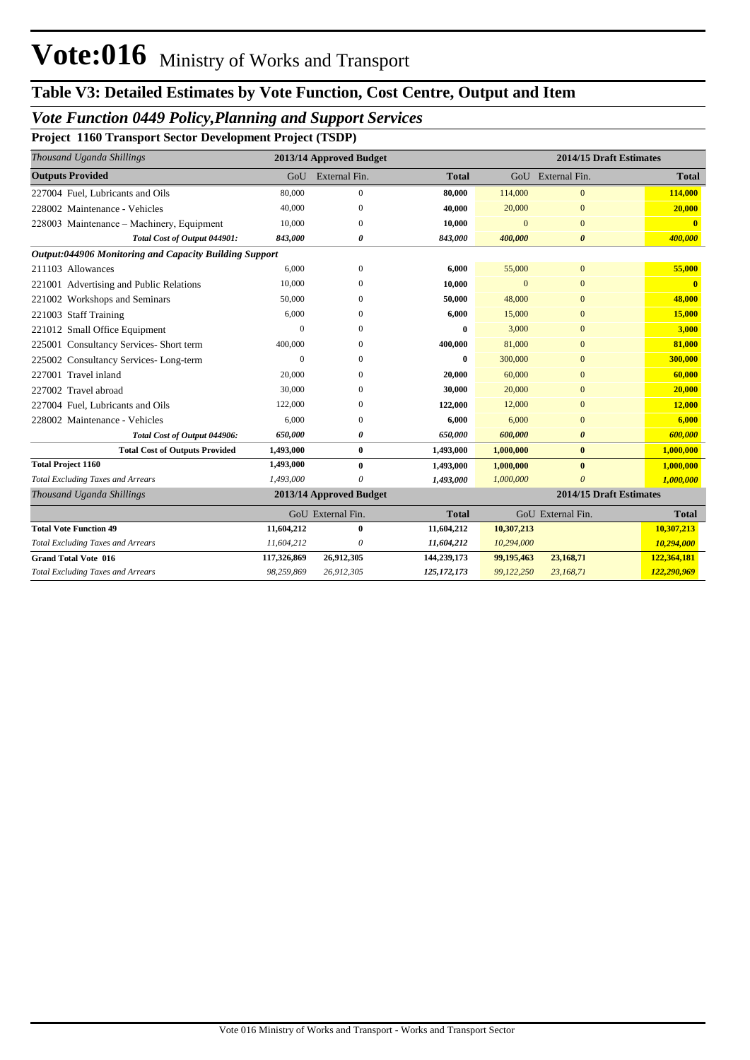## *Vote Function 0449 Policy,Planning and Support Services*

**Project 1160 Transport Sector Development Project (TSDP)**

| Thousand Uganda Shillings                                     |             | 2013/14 Approved Budget |              |                | 2014/15 Draft Estimates |              |
|---------------------------------------------------------------|-------------|-------------------------|--------------|----------------|-------------------------|--------------|
| <b>Outputs Provided</b>                                       |             | GoU External Fin.       | <b>Total</b> |                | GoU External Fin.       | <b>Total</b> |
| 227004 Fuel, Lubricants and Oils                              | 80,000      | $\mathbf{0}$            | 80,000       | 114,000        | $\bf{0}$                | 114,000      |
| 228002 Maintenance - Vehicles                                 | 40,000      | $\Omega$                | 40,000       | 20,000         | $\Omega$                | 20,000       |
| 228003 Maintenance – Machinery, Equipment                     | 10,000      | 0                       | 10,000       | $\Omega$       | $\Omega$                |              |
| Total Cost of Output 044901:                                  | 843,000     | 0                       | 843,000      | 400,000        | 0                       | 400,000      |
| <b>Output:044906 Monitoring and Capacity Building Support</b> |             |                         |              |                |                         |              |
| 211103 Allowances                                             | 6,000       | $\theta$                | 6,000        | 55,000         | $\mathbf{0}$            | 55,000       |
| 221001 Advertising and Public Relations                       | 10,000      | 0                       | 10,000       | $\overline{0}$ | $\overline{0}$          |              |
| 221002 Workshops and Seminars                                 | 50,000      | 0                       | 50,000       | 48,000         | $\bf{0}$                | 48,000       |
| 221003 Staff Training                                         | 6,000       |                         | 6,000        | 15,000         | $\Omega$                | 15,000       |
| 221012 Small Office Equipment                                 | $\Omega$    | 0                       | 0            | 3.000          | $\overline{0}$          | 3,000        |
| 225001 Consultancy Services- Short term                       | 400,000     | 0                       | 400,000      | 81,000         | $\Omega$                | 81,000       |
| 225002 Consultancy Services-Long-term                         | $\theta$    | ∩                       | 0            | 300,000        | $\Omega$                | 300,000      |
| 227001 Travel inland                                          | 20,000      | 0                       | 20,000       | 60,000         | $\Omega$                | 60,000       |
| 227002 Travel abroad                                          | 30,000      | $\Omega$                | 30,000       | 20,000         | $\Omega$                | 20,000       |
| 227004 Fuel, Lubricants and Oils                              | 122,000     | $\Omega$                | 122,000      | 12,000         | $\Omega$                | 12,000       |
| 228002 Maintenance - Vehicles                                 | 6,000       | $\Omega$                | 6,000        | 6,000          | $\overline{0}$          | 6,000        |
| Total Cost of Output 044906:                                  | 650,000     | 0                       | 650,000      | 600,000        | 0                       | 600,000      |
| <b>Total Cost of Outputs Provided</b>                         | 1,493,000   | $\bf{0}$                | 1,493,000    | 1,000,000      | $\bf{0}$                | 1,000,000    |
| <b>Total Project 1160</b>                                     | 1,493,000   | $\bf{0}$                | 1,493,000    | 1,000,000      | $\bf{0}$                | 1,000,000    |
| <b>Total Excluding Taxes and Arrears</b>                      | 1,493,000   |                         | 1,493,000    | 1,000,000      | $\theta$                | 1,000,000    |
| Thousand Uganda Shillings                                     |             | 2013/14 Approved Budget |              |                | 2014/15 Draft Estimates |              |
|                                                               |             | GoU External Fin.       | <b>Total</b> |                | GoU External Fin.       | <b>Total</b> |
| <b>Total Vote Function 49</b>                                 | 11,604,212  | 0                       | 11,604,212   | 10,307,213     |                         | 10,307,213   |
| Total Excluding Taxes and Arrears                             | 11,604,212  | $\theta$                | 11,604,212   | 10,294,000     |                         | 10,294,000   |
| <b>Grand Total Vote 016</b>                                   | 117,326,869 | 26,912,305              | 144,239,173  | 99,195,463     | 23,168,71               | 122,364,181  |
| <b>Total Excluding Taxes and Arrears</b>                      | 98,259,869  | 26,912,305              | 125,172,173  | 99,122,250     | 23,168,71               | 122,290,969  |